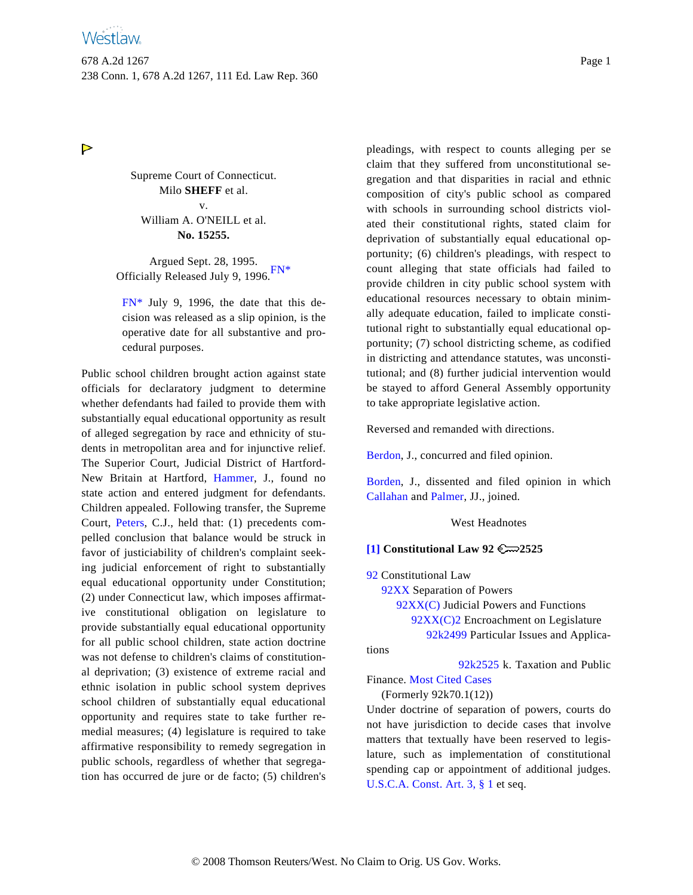678 A.2d 1267 Page 1 238 Conn. 1, 678 A.2d 1267, 111 Ed. Law Rep. 360

# $\triangleright$

Supreme Court of Connecticut. Milo **SHEFF** et al. v. William A. O'NEILL et al. **No. 15255.**

<span id="page-0-1"></span>Argued Sept. 28, 1995. Officially Released July 9, 1996. [FN\\*](#page-0-0)

<span id="page-0-0"></span>[FN\\*](#page-0-1) July 9, 1996, the date that this decision was released as a slip opinion, is the operative date for all substantive and procedural purposes.

<span id="page-0-2"></span>Public school children brought action against state officials for declaratory judgment to determine whether defendants had failed to provide them with substantially equal educational opportunity as result of alleged segregation by race and ethnicity of students in metropolitan area and for injunctive relief. The Superior Court, Judicial District of Hartford-New Britain at Hartford, [Hammer](http://www.westlaw.com/Find/Default.wl?rs=dfa1.0&vr=2.0&DB=PROFILER-WLD&DocName=0303561901&FindType=h), J., found no state action and entered judgment for defendants. Children appealed. Following transfer, the Supreme Court, [Peters](http://www.westlaw.com/Find/Default.wl?rs=dfa1.0&vr=2.0&DB=PROFILER-WLD&DocName=0222386501&FindType=h), C.J., held that: (1) precedents compelled conclusion that balance would be struck in favor of justiciability of children's complaint seeking judicial enforcement of right to substantially equal educational opportunity under Constitution; (2) under Connecticut law, which imposes affirmative constitutional obligation on legislature to provide substantially equal educational opportunity for all public school children, state action doctrine was not defense to children's claims of constitutional deprivation; (3) existence of extreme racial and ethnic isolation in public school system deprives school children of substantially equal educational opportunity and requires state to take further remedial measures; (4) legislature is required to take affirmative responsibility to remedy segregation in public schools, regardless of whether that segregation has occurred de jure or de facto; (5) children's pleadings, with respect to counts alleging per se claim that they suffered from unconstitutional segregation and that disparities in racial and ethnic composition of city's public school as compared with schools in surrounding school districts violated their constitutional rights, stated claim for deprivation of substantially equal educational opportunity; (6) children's pleadings, with respect to count alleging that state officials had failed to provide children in city public school system with educational resources necessary to obtain minimally adequate education, failed to implicate constitutional right to substantially equal educational opportunity; (7) school districting scheme, as codified in districting and attendance statutes, was unconstitutional; and (8) further judicial intervention would be stayed to afford General Assembly opportunity to take appropriate legislative action.

Reversed and remanded with directions.

[Berdon](http://www.westlaw.com/Find/Default.wl?rs=dfa1.0&vr=2.0&DB=PROFILER-WLD&DocName=0263549401&FindType=h), J., concurred and filed opinion.

[Borden](http://www.westlaw.com/Find/Default.wl?rs=dfa1.0&vr=2.0&DB=PROFILER-WLD&DocName=0263762101&FindType=h), J., dissented and filed opinion in which [Callahan](http://www.westlaw.com/Find/Default.wl?rs=dfa1.0&vr=2.0&DB=PROFILER-WLD&DocName=0233669401&FindType=h) and [Palmer](http://www.westlaw.com/Find/Default.wl?rs=dfa1.0&vr=2.0&DB=PROFILER-WLD&DocName=0121362501&FindType=h), JJ., joined.

West Headnotes

#### **[\[1\]](#page-11-0) Constitutional Law 92 2525**

[92](http://www.westlaw.com/KeyNumber/Default.wl?rs=dfa1.0&vr=2.0&CMD=KEY&DocName=92) Constitutional Law [92XX](http://www.westlaw.com/KeyNumber/Default.wl?rs=dfa1.0&vr=2.0&CMD=KEY&DocName=92XX) Separation of Powers [92XX\(C\)](http://www.westlaw.com/KeyNumber/Default.wl?rs=dfa1.0&vr=2.0&CMD=KEY&DocName=92XX%28C%29) Judicial Powers and Functions [92XX\(C\)2](http://www.westlaw.com/KeyNumber/Default.wl?rs=dfa1.0&vr=2.0&CMD=KEY&DocName=92XX%28C%292) Encroachment on Legislature [92k2499](http://www.westlaw.com/KeyNumber/Default.wl?rs=dfa1.0&vr=2.0&CMD=KEY&DocName=92k2499) Particular Issues and Applica-

tions

[92k2525](http://www.westlaw.com/KeyNumber/Default.wl?rs=dfa1.0&vr=2.0&CMD=KEY&DocName=92k2525) k. Taxation and Public Finance. [Most Cited Cases](http://www.westlaw.com/Digest/Default.wl?rs=dfa1.0&vr=2.0&CMD=MCC&DocName=92k2525)

(Formerly 92k70.1(12))

Under doctrine of separation of powers, courts do not have jurisdiction to decide cases that involve matters that textually have been reserved to legislature, such as implementation of constitutional spending cap or appointment of additional judges. [U.S.C.A. Const. Art. 3, § 1](http://www.westlaw.com/Find/Default.wl?rs=dfa1.0&vr=2.0&DB=1000546&DocName=USCOARTIIIS1&FindType=L) et seq.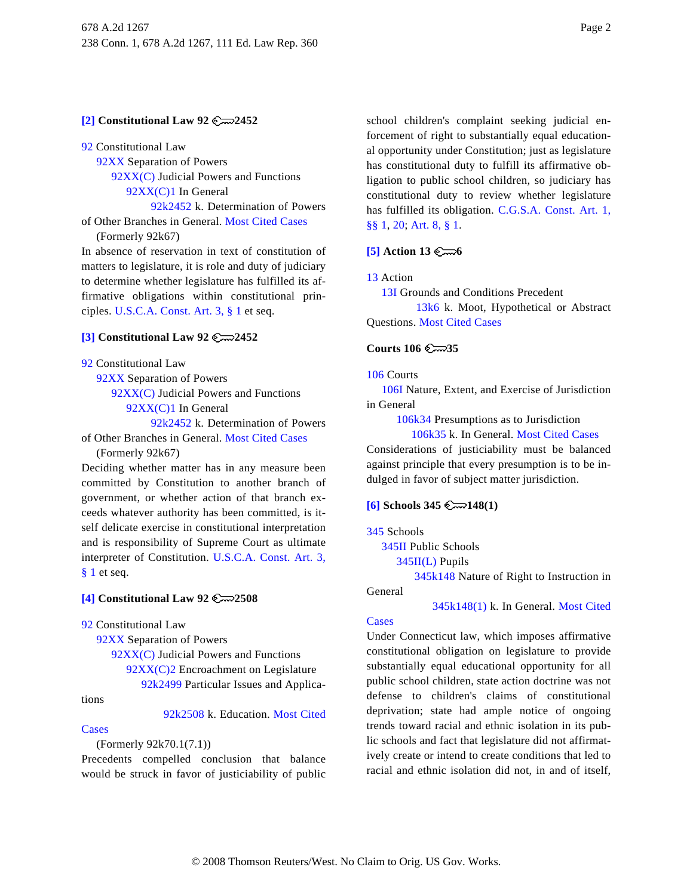## <span id="page-1-0"></span>**[\[2\]](#page-11-0) Constitutional Law 92 2452**

[92](http://www.westlaw.com/KeyNumber/Default.wl?rs=dfa1.0&vr=2.0&CMD=KEY&DocName=92) Constitutional Law

- [92XX](http://www.westlaw.com/KeyNumber/Default.wl?rs=dfa1.0&vr=2.0&CMD=KEY&DocName=92XX) Separation of Powers [92XX\(C\)](http://www.westlaw.com/KeyNumber/Default.wl?rs=dfa1.0&vr=2.0&CMD=KEY&DocName=92XX%28C%29) Judicial Powers and Functions [92XX\(C\)1](http://www.westlaw.com/KeyNumber/Default.wl?rs=dfa1.0&vr=2.0&CMD=KEY&DocName=92XX%28C%291) In General [92k2452](http://www.westlaw.com/KeyNumber/Default.wl?rs=dfa1.0&vr=2.0&CMD=KEY&DocName=92k2452) k. Determination of Powers
- of Other Branches in General. [Most Cited Cases](http://www.westlaw.com/Digest/Default.wl?rs=dfa1.0&vr=2.0&CMD=MCC&DocName=92k2452) (Formerly 92k67)

<span id="page-1-3"></span>In absence of reservation in text of constitution of matters to legislature, it is role and duty of judiciary to determine whether legislature has fulfilled its affirmative obligations within constitutional principles. [U.S.C.A. Const. Art. 3, § 1](http://www.westlaw.com/Find/Default.wl?rs=dfa1.0&vr=2.0&DB=1000546&DocName=USCOARTIIIS1&FindType=L) et seq.

#### <span id="page-1-1"></span>**[\[3\]](#page-11-0) Constitutional Law 92 2452**

[92](http://www.westlaw.com/KeyNumber/Default.wl?rs=dfa1.0&vr=2.0&CMD=KEY&DocName=92) Constitutional Law

- [92XX](http://www.westlaw.com/KeyNumber/Default.wl?rs=dfa1.0&vr=2.0&CMD=KEY&DocName=92XX) Separation of Powers [92XX\(C\)](http://www.westlaw.com/KeyNumber/Default.wl?rs=dfa1.0&vr=2.0&CMD=KEY&DocName=92XX%28C%29) Judicial Powers and Functions [92XX\(C\)1](http://www.westlaw.com/KeyNumber/Default.wl?rs=dfa1.0&vr=2.0&CMD=KEY&DocName=92XX%28C%291) In General
- [92k2452](http://www.westlaw.com/KeyNumber/Default.wl?rs=dfa1.0&vr=2.0&CMD=KEY&DocName=92k2452) k. Determination of Powers of Other Branches in General. [Most Cited Cases](http://www.westlaw.com/Digest/Default.wl?rs=dfa1.0&vr=2.0&CMD=MCC&DocName=92k2452)

(Formerly 92k67)

<span id="page-1-4"></span>Deciding whether matter has in any measure been committed by Constitution to another branch of government, or whether action of that branch exceeds whatever authority has been committed, is itself delicate exercise in constitutional interpretation and is responsibility of Supreme Court as ultimate interpreter of Constitution. [U.S.C.A. Const. Art. 3](http://www.westlaw.com/Find/Default.wl?rs=dfa1.0&vr=2.0&DB=1000546&DocName=USCOARTIIIS1&FindType=L), [§ 1](http://www.westlaw.com/Find/Default.wl?rs=dfa1.0&vr=2.0&DB=1000546&DocName=USCOARTIIIS1&FindType=L) et seq.

## <span id="page-1-2"></span>**[\[4\]](#page-12-0) Constitutional Law 92 2508**

[92](http://www.westlaw.com/KeyNumber/Default.wl?rs=dfa1.0&vr=2.0&CMD=KEY&DocName=92) Constitutional Law

[92XX](http://www.westlaw.com/KeyNumber/Default.wl?rs=dfa1.0&vr=2.0&CMD=KEY&DocName=92XX) Separation of Powers [92XX\(C\)](http://www.westlaw.com/KeyNumber/Default.wl?rs=dfa1.0&vr=2.0&CMD=KEY&DocName=92XX%28C%29) Judicial Powers and Functions [92XX\(C\)2](http://www.westlaw.com/KeyNumber/Default.wl?rs=dfa1.0&vr=2.0&CMD=KEY&DocName=92XX%28C%292) Encroachment on Legislature [92k2499](http://www.westlaw.com/KeyNumber/Default.wl?rs=dfa1.0&vr=2.0&CMD=KEY&DocName=92k2499) Particular Issues and Applica-

tions

#### **[Cases](http://www.westlaw.com/Digest/Default.wl?rs=dfa1.0&vr=2.0&CMD=MCC&DocName=92k2508)**

[92k2508](http://www.westlaw.com/KeyNumber/Default.wl?rs=dfa1.0&vr=2.0&CMD=KEY&DocName=92k2508) k. Education. [Most Cited](http://www.westlaw.com/Digest/Default.wl?rs=dfa1.0&vr=2.0&CMD=MCC&DocName=92k2508)

## (Formerly 92k70.1(7.1))

Precedents compelled conclusion that balance would be struck in favor of justiciability of public

school children's complaint seeking judicial enforcement of right to substantially equal educational opportunity under Constitution; just as legislature has constitutional duty to fulfill its affirmative obligation to public school children, so judiciary has constitutional duty to review whether legislature has fulfilled its obligation. [C.G.S.A. Const. Art. 1](http://www.westlaw.com/Find/Default.wl?rs=dfa1.0&vr=2.0&DB=1000264&DocName=CTCNART1S1&FindType=L), [§§ 1](http://www.westlaw.com/Find/Default.wl?rs=dfa1.0&vr=2.0&DB=1000264&DocName=CTCNART1S1&FindType=L), [20](http://www.westlaw.com/Find/Default.wl?rs=dfa1.0&vr=2.0&DB=1000264&DocName=CTCNART1S20&FindType=L); [Art. 8, § 1](http://www.westlaw.com/Find/Default.wl?rs=dfa1.0&vr=2.0&DB=1000264&DocName=CTCNART8S1&FindType=L).

## **[\[5\]](#page-12-1) Action 13 6**

[13](http://www.westlaw.com/KeyNumber/Default.wl?rs=dfa1.0&vr=2.0&CMD=KEY&DocName=13) Action

[13I](http://www.westlaw.com/KeyNumber/Default.wl?rs=dfa1.0&vr=2.0&CMD=KEY&DocName=13I) Grounds and Conditions Precedent

[13k6](http://www.westlaw.com/KeyNumber/Default.wl?rs=dfa1.0&vr=2.0&CMD=KEY&DocName=13k6) k. Moot, Hypothetical or Abstract Questions. [Most Cited Cases](http://www.westlaw.com/Digest/Default.wl?rs=dfa1.0&vr=2.0&CMD=MCC&DocName=13k6)

## **Courts 106 35**

#### [106](http://www.westlaw.com/KeyNumber/Default.wl?rs=dfa1.0&vr=2.0&CMD=KEY&DocName=106) Courts

[106I](http://www.westlaw.com/KeyNumber/Default.wl?rs=dfa1.0&vr=2.0&CMD=KEY&DocName=106I) Nature, Extent, and Exercise of Jurisdiction in General

[106k34](http://www.westlaw.com/KeyNumber/Default.wl?rs=dfa1.0&vr=2.0&CMD=KEY&DocName=106k34) Presumptions as to Jurisdiction

[106k35](http://www.westlaw.com/KeyNumber/Default.wl?rs=dfa1.0&vr=2.0&CMD=KEY&DocName=106k35) k. In General. [Most Cited Cases](http://www.westlaw.com/Digest/Default.wl?rs=dfa1.0&vr=2.0&CMD=MCC&DocName=106k35)

Considerations of justiciability must be balanced against principle that every presumption is to be indulged in favor of subject matter jurisdiction.

## **[\[6\]](#page-13-0) Schools 345 148(1)**

[345](http://www.westlaw.com/KeyNumber/Default.wl?rs=dfa1.0&vr=2.0&CMD=KEY&DocName=345) Schools

[345II](http://www.westlaw.com/KeyNumber/Default.wl?rs=dfa1.0&vr=2.0&CMD=KEY&DocName=345II) Public Schools

[345II\(L\)](http://www.westlaw.com/KeyNumber/Default.wl?rs=dfa1.0&vr=2.0&CMD=KEY&DocName=345II%28L%29) Pupils

[345k148](http://www.westlaw.com/KeyNumber/Default.wl?rs=dfa1.0&vr=2.0&CMD=KEY&DocName=345k148) Nature of Right to Instruction in

[345k148\(1\)](http://www.westlaw.com/KeyNumber/Default.wl?rs=dfa1.0&vr=2.0&CMD=KEY&DocName=345k148%281%29) k. In General. [Most Cited](http://www.westlaw.com/Digest/Default.wl?rs=dfa1.0&vr=2.0&CMD=MCC&DocName=345k148%281%29)

## **[Cases](http://www.westlaw.com/Digest/Default.wl?rs=dfa1.0&vr=2.0&CMD=MCC&DocName=345k148%281%29)**

General

Under Connecticut law, which imposes affirmative constitutional obligation on legislature to provide substantially equal educational opportunity for all public school children, state action doctrine was not defense to children's claims of constitutional deprivation; state had ample notice of ongoing trends toward racial and ethnic isolation in its public schools and fact that legislature did not affirmatively create or intend to create conditions that led to racial and ethnic isolation did not, in and of itself,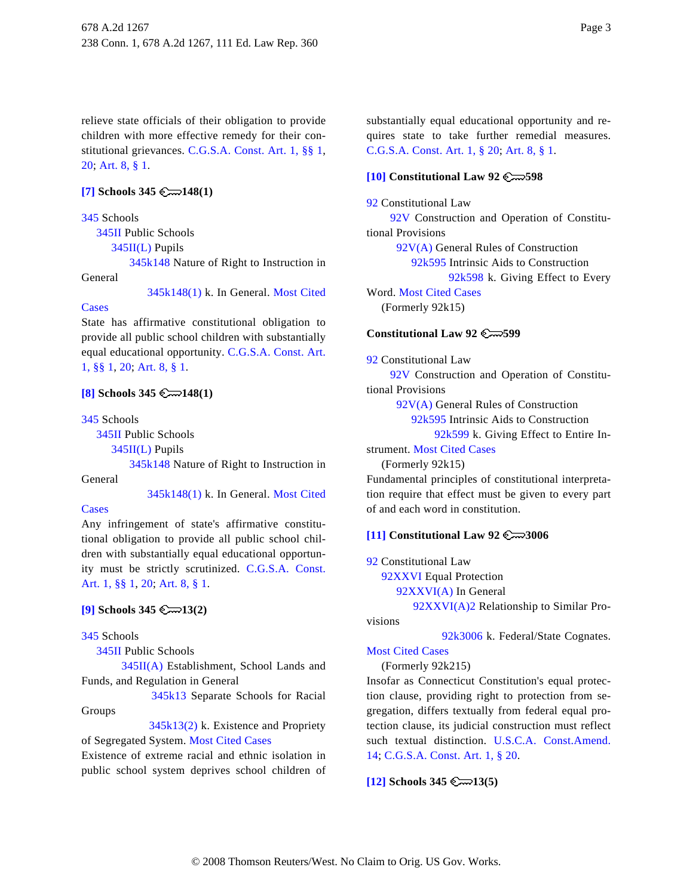relieve state officials of their obligation to provide children with more effective remedy for their constitutional grievances. [C.G.S.A. Const. Art. 1, §§ 1](http://www.westlaw.com/Find/Default.wl?rs=dfa1.0&vr=2.0&DB=1000264&DocName=CTCNART1S1&FindType=L), [20](http://www.westlaw.com/Find/Default.wl?rs=dfa1.0&vr=2.0&DB=1000264&DocName=CTCNART1S20&FindType=L); [Art. 8, § 1](http://www.westlaw.com/Find/Default.wl?rs=dfa1.0&vr=2.0&DB=1000264&DocName=CTCNART8S1&FindType=L).

## <span id="page-2-3"></span><span id="page-2-0"></span>**[\[7\]](#page-18-0) Schools 345 148(1)**

#### [345](http://www.westlaw.com/KeyNumber/Default.wl?rs=dfa1.0&vr=2.0&CMD=KEY&DocName=345) Schools

[345II](http://www.westlaw.com/KeyNumber/Default.wl?rs=dfa1.0&vr=2.0&CMD=KEY&DocName=345II) Public Schools

[345II\(L\)](http://www.westlaw.com/KeyNumber/Default.wl?rs=dfa1.0&vr=2.0&CMD=KEY&DocName=345II%28L%29) Pupils

[345k148](http://www.westlaw.com/KeyNumber/Default.wl?rs=dfa1.0&vr=2.0&CMD=KEY&DocName=345k148) Nature of Right to Instruction in

General

[345k148\(1\)](http://www.westlaw.com/KeyNumber/Default.wl?rs=dfa1.0&vr=2.0&CMD=KEY&DocName=345k148%281%29) k. In General. [Most Cited](http://www.westlaw.com/Digest/Default.wl?rs=dfa1.0&vr=2.0&CMD=MCC&DocName=345k148%281%29)

## **[Cases](http://www.westlaw.com/Digest/Default.wl?rs=dfa1.0&vr=2.0&CMD=MCC&DocName=345k148%281%29)**

State has affirmative constitutional obligation to provide all public school children with substantially equal educational opportunity. [C.G.S.A. Const. Art.](http://www.westlaw.com/Find/Default.wl?rs=dfa1.0&vr=2.0&DB=1000264&DocName=CTCNART1S1&FindType=L) [1, §§ 1](http://www.westlaw.com/Find/Default.wl?rs=dfa1.0&vr=2.0&DB=1000264&DocName=CTCNART1S1&FindType=L), [20](http://www.westlaw.com/Find/Default.wl?rs=dfa1.0&vr=2.0&DB=1000264&DocName=CTCNART1S20&FindType=L); [Art. 8, § 1](http://www.westlaw.com/Find/Default.wl?rs=dfa1.0&vr=2.0&DB=1000264&DocName=CTCNART8S1&FindType=L).

#### <span id="page-2-1"></span>**[\[8\]](#page-18-0) Schools 345 148(1)**

[345](http://www.westlaw.com/KeyNumber/Default.wl?rs=dfa1.0&vr=2.0&CMD=KEY&DocName=345) Schools

[345II](http://www.westlaw.com/KeyNumber/Default.wl?rs=dfa1.0&vr=2.0&CMD=KEY&DocName=345II) Public Schools

```
345II(L) Pupils
```
[345k148](http://www.westlaw.com/KeyNumber/Default.wl?rs=dfa1.0&vr=2.0&CMD=KEY&DocName=345k148) Nature of Right to Instruction in

General

[345k148\(1\)](http://www.westlaw.com/KeyNumber/Default.wl?rs=dfa1.0&vr=2.0&CMD=KEY&DocName=345k148%281%29) k. In General. [Most Cited](http://www.westlaw.com/Digest/Default.wl?rs=dfa1.0&vr=2.0&CMD=MCC&DocName=345k148%281%29)

## **[Cases](http://www.westlaw.com/Digest/Default.wl?rs=dfa1.0&vr=2.0&CMD=MCC&DocName=345k148%281%29)**

<span id="page-2-4"></span>Any infringement of state's affirmative constitutional obligation to provide all public school children with substantially equal educational opportunity must be strictly scrutinized. [C.G.S.A. Const](http://www.westlaw.com/Find/Default.wl?rs=dfa1.0&vr=2.0&DB=1000264&DocName=CTCNART1S1&FindType=L). [Art. 1, §§ 1](http://www.westlaw.com/Find/Default.wl?rs=dfa1.0&vr=2.0&DB=1000264&DocName=CTCNART1S1&FindType=L), [20](http://www.westlaw.com/Find/Default.wl?rs=dfa1.0&vr=2.0&DB=1000264&DocName=CTCNART1S20&FindType=L); [Art. 8, § 1](http://www.westlaw.com/Find/Default.wl?rs=dfa1.0&vr=2.0&DB=1000264&DocName=CTCNART8S1&FindType=L).

#### <span id="page-2-2"></span>**[\[9\]](#page-18-1) Schools 345 13(2)**

[345](http://www.westlaw.com/KeyNumber/Default.wl?rs=dfa1.0&vr=2.0&CMD=KEY&DocName=345) Schools

[345II](http://www.westlaw.com/KeyNumber/Default.wl?rs=dfa1.0&vr=2.0&CMD=KEY&DocName=345II) Public Schools

[345II\(A\)](http://www.westlaw.com/KeyNumber/Default.wl?rs=dfa1.0&vr=2.0&CMD=KEY&DocName=345II%28A%29) Establishment, School Lands and Funds, and Regulation in General

[345k13](http://www.westlaw.com/KeyNumber/Default.wl?rs=dfa1.0&vr=2.0&CMD=KEY&DocName=345k13) Separate Schools for Racial Groups

## [345k13\(2\)](http://www.westlaw.com/KeyNumber/Default.wl?rs=dfa1.0&vr=2.0&CMD=KEY&DocName=345k13%282%29) k. Existence and Propriety of Segregated System. [Most Cited Cases](http://www.westlaw.com/Digest/Default.wl?rs=dfa1.0&vr=2.0&CMD=MCC&DocName=345k13%282%29)

<span id="page-2-5"></span>Existence of extreme racial and ethnic isolation in public school system deprives school children of substantially equal educational opportunity and requires state to take further remedial measures. [C.G.S.A. Const. Art. 1, § 20](http://www.westlaw.com/Find/Default.wl?rs=dfa1.0&vr=2.0&DB=1000264&DocName=CTCNART1S20&FindType=L); [Art. 8, § 1](http://www.westlaw.com/Find/Default.wl?rs=dfa1.0&vr=2.0&DB=1000264&DocName=CTCNART8S1&FindType=L).

## **[\[10\]](#page-19-0) Constitutional Law 92 598**

#### [92](http://www.westlaw.com/KeyNumber/Default.wl?rs=dfa1.0&vr=2.0&CMD=KEY&DocName=92) Constitutional Law

[92V](http://www.westlaw.com/KeyNumber/Default.wl?rs=dfa1.0&vr=2.0&CMD=KEY&DocName=92V) Construction and Operation of Constitutional Provisions

> [92V\(A\)](http://www.westlaw.com/KeyNumber/Default.wl?rs=dfa1.0&vr=2.0&CMD=KEY&DocName=92V%28A%29) General Rules of Construction [92k595](http://www.westlaw.com/KeyNumber/Default.wl?rs=dfa1.0&vr=2.0&CMD=KEY&DocName=92k595) Intrinsic Aids to Construction

[92k598](http://www.westlaw.com/KeyNumber/Default.wl?rs=dfa1.0&vr=2.0&CMD=KEY&DocName=92k598) k. Giving Effect to Every

Word. [Most Cited Cases](http://www.westlaw.com/Digest/Default.wl?rs=dfa1.0&vr=2.0&CMD=MCC&DocName=92k598)

(Formerly 92k15)

#### **Constitutional Law 92 599**

#### [92](http://www.westlaw.com/KeyNumber/Default.wl?rs=dfa1.0&vr=2.0&CMD=KEY&DocName=92) Constitutional Law

[92V](http://www.westlaw.com/KeyNumber/Default.wl?rs=dfa1.0&vr=2.0&CMD=KEY&DocName=92V) Construction and Operation of Constitutional Provisions

[92V\(A\)](http://www.westlaw.com/KeyNumber/Default.wl?rs=dfa1.0&vr=2.0&CMD=KEY&DocName=92V%28A%29) General Rules of Construction

[92k595](http://www.westlaw.com/KeyNumber/Default.wl?rs=dfa1.0&vr=2.0&CMD=KEY&DocName=92k595) Intrinsic Aids to Construction

[92k599](http://www.westlaw.com/KeyNumber/Default.wl?rs=dfa1.0&vr=2.0&CMD=KEY&DocName=92k599) k. Giving Effect to Entire In-

strument. [Most Cited Cases](http://www.westlaw.com/Digest/Default.wl?rs=dfa1.0&vr=2.0&CMD=MCC&DocName=92k599)

(Formerly 92k15)

Fundamental principles of constitutional interpretation require that effect must be given to every part of and each word in constitution.

#### **[\[11\]](#page-19-0) Constitutional Law 92 3006**

[92](http://www.westlaw.com/KeyNumber/Default.wl?rs=dfa1.0&vr=2.0&CMD=KEY&DocName=92) Constitutional Law

[92XXVI](http://www.westlaw.com/KeyNumber/Default.wl?rs=dfa1.0&vr=2.0&CMD=KEY&DocName=92XXVI) Equal Protection

[92XXVI\(A\)](http://www.westlaw.com/KeyNumber/Default.wl?rs=dfa1.0&vr=2.0&CMD=KEY&DocName=92XXVI%28A%29) In General

[92XXVI\(A\)2](http://www.westlaw.com/KeyNumber/Default.wl?rs=dfa1.0&vr=2.0&CMD=KEY&DocName=92XXVI%28A%292) Relationship to Similar Provisions

[92k3006](http://www.westlaw.com/KeyNumber/Default.wl?rs=dfa1.0&vr=2.0&CMD=KEY&DocName=92k3006) k. Federal/State Cognates.

# [Most Cited Cases](http://www.westlaw.com/Digest/Default.wl?rs=dfa1.0&vr=2.0&CMD=MCC&DocName=92k3006)

(Formerly 92k215)

Insofar as Connecticut Constitution's equal protection clause, providing right to protection from segregation, differs textually from federal equal protection clause, its judicial construction must reflect such textual distinction. [U.S.C.A. Const.Amend.](http://www.westlaw.com/Find/Default.wl?rs=dfa1.0&vr=2.0&DB=1000546&DocName=USCOAMENDXIV&FindType=L) 14; [C.G.S.A. Const. Art. 1, § 20](http://www.westlaw.com/Find/Default.wl?rs=dfa1.0&vr=2.0&DB=1000264&DocName=CTCNART1S20&FindType=L).

**[\[12\]](#page-20-0) Schools 345 13(5)**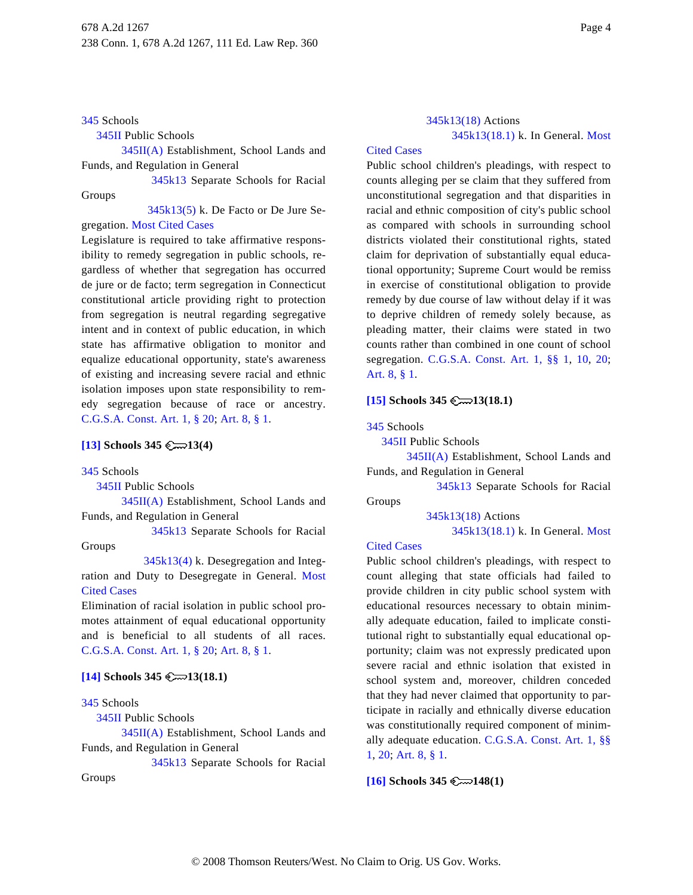## [345](http://www.westlaw.com/KeyNumber/Default.wl?rs=dfa1.0&vr=2.0&CMD=KEY&DocName=345) Schools

[345II](http://www.westlaw.com/KeyNumber/Default.wl?rs=dfa1.0&vr=2.0&CMD=KEY&DocName=345II) Public Schools

[345II\(A\)](http://www.westlaw.com/KeyNumber/Default.wl?rs=dfa1.0&vr=2.0&CMD=KEY&DocName=345II%28A%29) Establishment, School Lands and Funds, and Regulation in General

[345k13](http://www.westlaw.com/KeyNumber/Default.wl?rs=dfa1.0&vr=2.0&CMD=KEY&DocName=345k13) Separate Schools for Racial Groups

[345k13\(5\)](http://www.westlaw.com/KeyNumber/Default.wl?rs=dfa1.0&vr=2.0&CMD=KEY&DocName=345k13%285%29) k. De Facto or De Jure Segregation. [Most Cited Cases](http://www.westlaw.com/Digest/Default.wl?rs=dfa1.0&vr=2.0&CMD=MCC&DocName=345k13%285%29)

Legislature is required to take affirmative responsibility to remedy segregation in public schools, regardless of whether that segregation has occurred de jure or de facto; term segregation in Connecticut constitutional article providing right to protection from segregation is neutral regarding segregative intent and in context of public education, in which state has affirmative obligation to monitor and equalize educational opportunity, state's awareness of existing and increasing severe racial and ethnic isolation imposes upon state responsibility to remedy segregation because of race or ancestry. [C.G.S.A. Const. Art. 1, § 20](http://www.westlaw.com/Find/Default.wl?rs=dfa1.0&vr=2.0&DB=1000264&DocName=CTCNART1S20&FindType=L); [Art. 8, § 1](http://www.westlaw.com/Find/Default.wl?rs=dfa1.0&vr=2.0&DB=1000264&DocName=CTCNART8S1&FindType=L).

# <span id="page-3-2"></span><span id="page-3-0"></span>**[\[13\]](#page-23-0) Schools 345 13(4)**

[345](http://www.westlaw.com/KeyNumber/Default.wl?rs=dfa1.0&vr=2.0&CMD=KEY&DocName=345) Schools

[345II](http://www.westlaw.com/KeyNumber/Default.wl?rs=dfa1.0&vr=2.0&CMD=KEY&DocName=345II) Public Schools

[345II\(A\)](http://www.westlaw.com/KeyNumber/Default.wl?rs=dfa1.0&vr=2.0&CMD=KEY&DocName=345II%28A%29) Establishment, School Lands and Funds, and Regulation in General

[345k13](http://www.westlaw.com/KeyNumber/Default.wl?rs=dfa1.0&vr=2.0&CMD=KEY&DocName=345k13) Separate Schools for Racial Groups

[345k13\(4\)](http://www.westlaw.com/KeyNumber/Default.wl?rs=dfa1.0&vr=2.0&CMD=KEY&DocName=345k13%284%29) k. Desegregation and Integration and Duty to Desegregate in General. [Most](http://www.westlaw.com/Digest/Default.wl?rs=dfa1.0&vr=2.0&CMD=MCC&DocName=345k13%284%29) [Cited Cases](http://www.westlaw.com/Digest/Default.wl?rs=dfa1.0&vr=2.0&CMD=MCC&DocName=345k13%284%29)

Elimination of racial isolation in public school promotes attainment of equal educational opportunity and is beneficial to all students of all races. [C.G.S.A. Const. Art. 1, § 20](http://www.westlaw.com/Find/Default.wl?rs=dfa1.0&vr=2.0&DB=1000264&DocName=CTCNART1S20&FindType=L); [Art. 8, § 1](http://www.westlaw.com/Find/Default.wl?rs=dfa1.0&vr=2.0&DB=1000264&DocName=CTCNART8S1&FindType=L).

#### <span id="page-3-1"></span>**[\[14\]](#page-24-0) Schools 345**  $\mathbb{C}$  **13(18.1)**

#### [345](http://www.westlaw.com/KeyNumber/Default.wl?rs=dfa1.0&vr=2.0&CMD=KEY&DocName=345) Schools

[345II](http://www.westlaw.com/KeyNumber/Default.wl?rs=dfa1.0&vr=2.0&CMD=KEY&DocName=345II) Public Schools

[345II\(A\)](http://www.westlaw.com/KeyNumber/Default.wl?rs=dfa1.0&vr=2.0&CMD=KEY&DocName=345II%28A%29) Establishment, School Lands and Funds, and Regulation in General

[345k13](http://www.westlaw.com/KeyNumber/Default.wl?rs=dfa1.0&vr=2.0&CMD=KEY&DocName=345k13) Separate Schools for Racial

<span id="page-3-3"></span>Groups

## [345k13\(18\)](http://www.westlaw.com/KeyNumber/Default.wl?rs=dfa1.0&vr=2.0&CMD=KEY&DocName=345k13%2818%29) Actions [345k13\(18.1\)](http://www.westlaw.com/KeyNumber/Default.wl?rs=dfa1.0&vr=2.0&CMD=KEY&DocName=345k13%2818.1%29) k. In General. [Most](http://www.westlaw.com/Digest/Default.wl?rs=dfa1.0&vr=2.0&CMD=MCC&DocName=345k13%2818.1%29)

## [Cited Cases](http://www.westlaw.com/Digest/Default.wl?rs=dfa1.0&vr=2.0&CMD=MCC&DocName=345k13%2818.1%29)

Public school children's pleadings, with respect to counts alleging per se claim that they suffered from unconstitutional segregation and that disparities in racial and ethnic composition of city's public school as compared with schools in surrounding school districts violated their constitutional rights, stated claim for deprivation of substantially equal educational opportunity; Supreme Court would be remiss in exercise of constitutional obligation to provide remedy by due course of law without delay if it was to deprive children of remedy solely because, as pleading matter, their claims were stated in two counts rather than combined in one count of school segregation. [C.G.S.A. Const. Art. 1, §§](http://www.westlaw.com/Find/Default.wl?rs=dfa1.0&vr=2.0&DB=1000264&DocName=CTCNART1S1&FindType=L) 1, [10](http://www.westlaw.com/Find/Default.wl?rs=dfa1.0&vr=2.0&DB=1000264&DocName=CTCNART1S10&FindType=L), [20](http://www.westlaw.com/Find/Default.wl?rs=dfa1.0&vr=2.0&DB=1000264&DocName=CTCNART1S20&FindType=L); [Art. 8, § 1](http://www.westlaw.com/Find/Default.wl?rs=dfa1.0&vr=2.0&DB=1000264&DocName=CTCNART8S1&FindType=L).

#### **[\[15\]](#page-25-0) Schools 345**  $\mathbb{C}$  **13(18.1)**

[345](http://www.westlaw.com/KeyNumber/Default.wl?rs=dfa1.0&vr=2.0&CMD=KEY&DocName=345) Schools

[345II](http://www.westlaw.com/KeyNumber/Default.wl?rs=dfa1.0&vr=2.0&CMD=KEY&DocName=345II) Public Schools

[345II\(A\)](http://www.westlaw.com/KeyNumber/Default.wl?rs=dfa1.0&vr=2.0&CMD=KEY&DocName=345II%28A%29) Establishment, School Lands and Funds, and Regulation in General

[345k13](http://www.westlaw.com/KeyNumber/Default.wl?rs=dfa1.0&vr=2.0&CMD=KEY&DocName=345k13) Separate Schools for Racial

Groups

[345k13\(18\)](http://www.westlaw.com/KeyNumber/Default.wl?rs=dfa1.0&vr=2.0&CMD=KEY&DocName=345k13%2818%29) Actions

[345k13\(18.1\)](http://www.westlaw.com/KeyNumber/Default.wl?rs=dfa1.0&vr=2.0&CMD=KEY&DocName=345k13%2818.1%29) k. In General. [Most](http://www.westlaw.com/Digest/Default.wl?rs=dfa1.0&vr=2.0&CMD=MCC&DocName=345k13%2818.1%29)

## [Cited Cases](http://www.westlaw.com/Digest/Default.wl?rs=dfa1.0&vr=2.0&CMD=MCC&DocName=345k13%2818.1%29)

Public school children's pleadings, with respect to count alleging that state officials had failed to provide children in city public school system with educational resources necessary to obtain minimally adequate education, failed to implicate constitutional right to substantially equal educational opportunity; claim was not expressly predicated upon severe racial and ethnic isolation that existed in school system and, moreover, children conceded that they had never claimed that opportunity to participate in racially and ethnically diverse education was constitutionally required component of minimally adequate education. [C.G.S.A. Const. Art. 1, §§](http://www.westlaw.com/Find/Default.wl?rs=dfa1.0&vr=2.0&DB=1000264&DocName=CTCNART1S1&FindType=L) [1](http://www.westlaw.com/Find/Default.wl?rs=dfa1.0&vr=2.0&DB=1000264&DocName=CTCNART1S1&FindType=L), [20](http://www.westlaw.com/Find/Default.wl?rs=dfa1.0&vr=2.0&DB=1000264&DocName=CTCNART1S20&FindType=L); [Art. 8, § 1](http://www.westlaw.com/Find/Default.wl?rs=dfa1.0&vr=2.0&DB=1000264&DocName=CTCNART8S1&FindType=L).

**[\[16\]](#page-26-0) Schools 345 148(1)**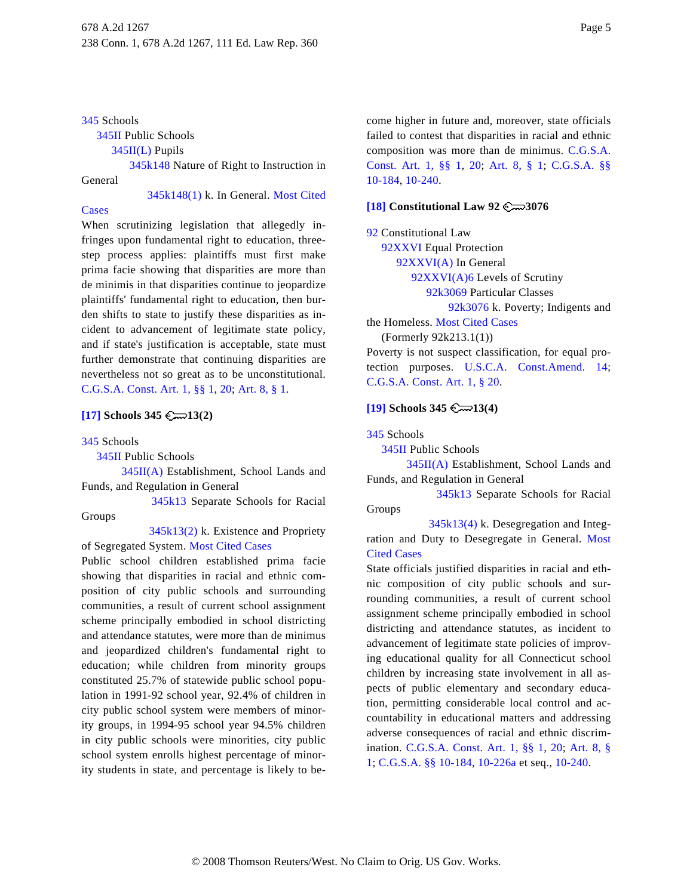[345](http://www.westlaw.com/KeyNumber/Default.wl?rs=dfa1.0&vr=2.0&CMD=KEY&DocName=345) Schools

[345II](http://www.westlaw.com/KeyNumber/Default.wl?rs=dfa1.0&vr=2.0&CMD=KEY&DocName=345II) Public Schools

[345II\(L\)](http://www.westlaw.com/KeyNumber/Default.wl?rs=dfa1.0&vr=2.0&CMD=KEY&DocName=345II%28L%29) Pupils

[345k148](http://www.westlaw.com/KeyNumber/Default.wl?rs=dfa1.0&vr=2.0&CMD=KEY&DocName=345k148) Nature of Right to Instruction in

General

[345k148\(1\)](http://www.westlaw.com/KeyNumber/Default.wl?rs=dfa1.0&vr=2.0&CMD=KEY&DocName=345k148%281%29) k. In General. [Most Cited](http://www.westlaw.com/Digest/Default.wl?rs=dfa1.0&vr=2.0&CMD=MCC&DocName=345k148%281%29)

## <span id="page-4-1"></span>**[Cases](http://www.westlaw.com/Digest/Default.wl?rs=dfa1.0&vr=2.0&CMD=MCC&DocName=345k148%281%29)**

When scrutinizing legislation that allegedly infringes upon fundamental right to education, threestep process applies: plaintiffs must first make prima facie showing that disparities are more than de minimis in that disparities continue to jeopardize plaintiffs' fundamental right to education, then burden shifts to state to justify these disparities as incident to advancement of legitimate state policy, and if state's justification is acceptable, state must further demonstrate that continuing disparities are nevertheless not so great as to be unconstitutional. [C.G.S.A. Const. Art. 1, §§ 1](http://www.westlaw.com/Find/Default.wl?rs=dfa1.0&vr=2.0&DB=1000264&DocName=CTCNART1S1&FindType=L), [20](http://www.westlaw.com/Find/Default.wl?rs=dfa1.0&vr=2.0&DB=1000264&DocName=CTCNART1S20&FindType=L); [Art. 8, § 1](http://www.westlaw.com/Find/Default.wl?rs=dfa1.0&vr=2.0&DB=1000264&DocName=CTCNART8S1&FindType=L).

## <span id="page-4-2"></span><span id="page-4-0"></span>**[\[17\]](#page-26-1) Schools 345 13(2)**

[345](http://www.westlaw.com/KeyNumber/Default.wl?rs=dfa1.0&vr=2.0&CMD=KEY&DocName=345) Schools

[345II](http://www.westlaw.com/KeyNumber/Default.wl?rs=dfa1.0&vr=2.0&CMD=KEY&DocName=345II) Public Schools

[345II\(A\)](http://www.westlaw.com/KeyNumber/Default.wl?rs=dfa1.0&vr=2.0&CMD=KEY&DocName=345II%28A%29) Establishment, School Lands and Funds, and Regulation in General

[345k13](http://www.westlaw.com/KeyNumber/Default.wl?rs=dfa1.0&vr=2.0&CMD=KEY&DocName=345k13) Separate Schools for Racial Groups

[345k13\(2\)](http://www.westlaw.com/KeyNumber/Default.wl?rs=dfa1.0&vr=2.0&CMD=KEY&DocName=345k13%282%29) k. Existence and Propriety of Segregated System. [Most Cited Cases](http://www.westlaw.com/Digest/Default.wl?rs=dfa1.0&vr=2.0&CMD=MCC&DocName=345k13%282%29)

Public school children established prima facie showing that disparities in racial and ethnic composition of city public schools and surrounding communities, a result of current school assignment scheme principally embodied in school districting and attendance statutes, were more than de minimus and jeopardized children's fundamental right to education; while children from minority groups constituted 25.7% of statewide public school population in 1991-92 school year, 92.4% of children in city public school system were members of minority groups, in 1994-95 school year 94.5% children in city public schools were minorities, city public school system enrolls highest percentage of minority students in state, and percentage is likely to become higher in future and, moreover, state officials failed to contest that disparities in racial and ethnic composition was more than de minimus. [C.G.S.A.](http://www.westlaw.com/Find/Default.wl?rs=dfa1.0&vr=2.0&DB=1000264&DocName=CTCNART1S1&FindType=L) [Const. Art. 1, §§](http://www.westlaw.com/Find/Default.wl?rs=dfa1.0&vr=2.0&DB=1000264&DocName=CTCNART1S1&FindType=L) 1, [20](http://www.westlaw.com/Find/Default.wl?rs=dfa1.0&vr=2.0&DB=1000264&DocName=CTCNART1S20&FindType=L); [Art. 8, §](http://www.westlaw.com/Find/Default.wl?rs=dfa1.0&vr=2.0&DB=1000264&DocName=CTCNART8S1&FindType=L) 1; [C.G.S.A. §§](http://www.westlaw.com/Find/Default.wl?rs=dfa1.0&vr=2.0&DB=1000264&DocName=CTSTS10-184&FindType=L) [10-184](http://www.westlaw.com/Find/Default.wl?rs=dfa1.0&vr=2.0&DB=1000264&DocName=CTSTS10-184&FindType=L), [10-240](http://www.westlaw.com/Find/Default.wl?rs=dfa1.0&vr=2.0&DB=1000264&DocName=CTSTS10-240&FindType=L).

## **[\[18\]](#page-26-2) Constitutional Law 92 3076**

[92](http://www.westlaw.com/KeyNumber/Default.wl?rs=dfa1.0&vr=2.0&CMD=KEY&DocName=92) Constitutional Law [92XXVI](http://www.westlaw.com/KeyNumber/Default.wl?rs=dfa1.0&vr=2.0&CMD=KEY&DocName=92XXVI) Equal Protection [92XXVI\(A\)](http://www.westlaw.com/KeyNumber/Default.wl?rs=dfa1.0&vr=2.0&CMD=KEY&DocName=92XXVI%28A%29) In General [92XXVI\(A\)6](http://www.westlaw.com/KeyNumber/Default.wl?rs=dfa1.0&vr=2.0&CMD=KEY&DocName=92XXVI%28A%296) Levels of Scrutiny [92k3069](http://www.westlaw.com/KeyNumber/Default.wl?rs=dfa1.0&vr=2.0&CMD=KEY&DocName=92k3069) Particular Classes [92k3076](http://www.westlaw.com/KeyNumber/Default.wl?rs=dfa1.0&vr=2.0&CMD=KEY&DocName=92k3076) k. Poverty; Indigents and the Homeless. [Most Cited Cases](http://www.westlaw.com/Digest/Default.wl?rs=dfa1.0&vr=2.0&CMD=MCC&DocName=92k3076) (Formerly 92k213.1(1)) Poverty is not suspect classification, for equal pro-

tection purposes. [U.S.C.A. Const.Amend.](http://www.westlaw.com/Find/Default.wl?rs=dfa1.0&vr=2.0&DB=1000546&DocName=USCOAMENDXIV&FindType=L) 14; [C.G.S.A. Const. Art. 1, § 20](http://www.westlaw.com/Find/Default.wl?rs=dfa1.0&vr=2.0&DB=1000264&DocName=CTCNART1S20&FindType=L).

## **[\[19\]](#page-27-0) Schools 345 13(4)**

[345](http://www.westlaw.com/KeyNumber/Default.wl?rs=dfa1.0&vr=2.0&CMD=KEY&DocName=345) Schools

[345II](http://www.westlaw.com/KeyNumber/Default.wl?rs=dfa1.0&vr=2.0&CMD=KEY&DocName=345II) Public Schools

[345II\(A\)](http://www.westlaw.com/KeyNumber/Default.wl?rs=dfa1.0&vr=2.0&CMD=KEY&DocName=345II%28A%29) Establishment, School Lands and Funds, and Regulation in General

[345k13](http://www.westlaw.com/KeyNumber/Default.wl?rs=dfa1.0&vr=2.0&CMD=KEY&DocName=345k13) Separate Schools for Racial Groups

[345k13\(4\)](http://www.westlaw.com/KeyNumber/Default.wl?rs=dfa1.0&vr=2.0&CMD=KEY&DocName=345k13%284%29) k. Desegregation and Integration and Duty to Desegregate in General. [Most](http://www.westlaw.com/Digest/Default.wl?rs=dfa1.0&vr=2.0&CMD=MCC&DocName=345k13%284%29) [Cited Cases](http://www.westlaw.com/Digest/Default.wl?rs=dfa1.0&vr=2.0&CMD=MCC&DocName=345k13%284%29)

State officials justified disparities in racial and ethnic composition of city public schools and surrounding communities, a result of current school assignment scheme principally embodied in school districting and attendance statutes, as incident to advancement of legitimate state policies of improving educational quality for all Connecticut school children by increasing state involvement in all aspects of public elementary and secondary education, permitting considerable local control and accountability in educational matters and addressing adverse consequences of racial and ethnic discrimination. [C.G.S.A. Const. Art. 1, §§](http://www.westlaw.com/Find/Default.wl?rs=dfa1.0&vr=2.0&DB=1000264&DocName=CTCNART1S1&FindType=L) 1, [20](http://www.westlaw.com/Find/Default.wl?rs=dfa1.0&vr=2.0&DB=1000264&DocName=CTCNART1S20&FindType=L); [Art. 8, §](http://www.westlaw.com/Find/Default.wl?rs=dfa1.0&vr=2.0&DB=1000264&DocName=CTCNART8S1&FindType=L) 1; [C.G.S.A. §§ 10-184](http://www.westlaw.com/Find/Default.wl?rs=dfa1.0&vr=2.0&DB=1000264&DocName=CTSTS10-184&FindType=L), [10-226a](http://www.westlaw.com/Find/Default.wl?rs=dfa1.0&vr=2.0&DB=1000264&DocName=CTSTS10-226A&FindType=L) et seq., [10-240](http://www.westlaw.com/Find/Default.wl?rs=dfa1.0&vr=2.0&DB=1000264&DocName=CTSTS10-240&FindType=L).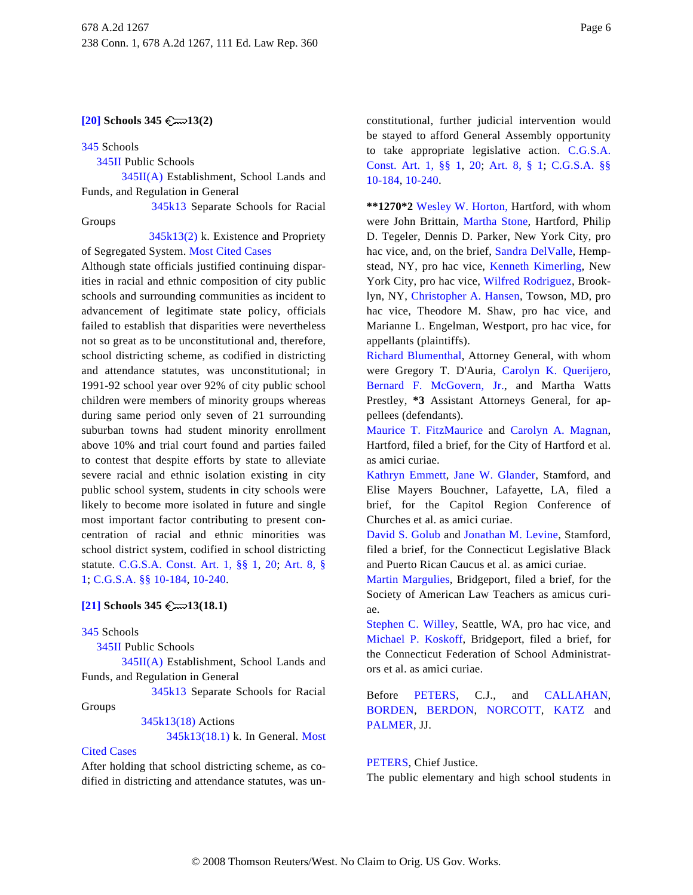## <span id="page-5-0"></span>**[\[20\]](#page-27-1) Schools 345 13(2)**

[345](http://www.westlaw.com/KeyNumber/Default.wl?rs=dfa1.0&vr=2.0&CMD=KEY&DocName=345) Schools

[345II](http://www.westlaw.com/KeyNumber/Default.wl?rs=dfa1.0&vr=2.0&CMD=KEY&DocName=345II) Public Schools

[345II\(A\)](http://www.westlaw.com/KeyNumber/Default.wl?rs=dfa1.0&vr=2.0&CMD=KEY&DocName=345II%28A%29) Establishment, School Lands and Funds, and Regulation in General

[345k13](http://www.westlaw.com/KeyNumber/Default.wl?rs=dfa1.0&vr=2.0&CMD=KEY&DocName=345k13) Separate Schools for Racial Groups

[345k13\(2\)](http://www.westlaw.com/KeyNumber/Default.wl?rs=dfa1.0&vr=2.0&CMD=KEY&DocName=345k13%282%29) k. Existence and Propriety of Segregated System. [Most Cited Cases](http://www.westlaw.com/Digest/Default.wl?rs=dfa1.0&vr=2.0&CMD=MCC&DocName=345k13%282%29)

Although state officials justified continuing disparities in racial and ethnic composition of city public schools and surrounding communities as incident to advancement of legitimate state policy, officials failed to establish that disparities were nevertheless not so great as to be unconstitutional and, therefore, school districting scheme, as codified in districting and attendance statutes, was unconstitutional; in 1991-92 school year over 92% of city public school children were members of minority groups whereas during same period only seven of 21 surrounding suburban towns had student minority enrollment above 10% and trial court found and parties failed to contest that despite efforts by state to alleviate severe racial and ethnic isolation existing in city public school system, students in city schools were likely to become more isolated in future and single most important factor contributing to present concentration of racial and ethnic minorities was school district system, codified in school districting statute. [C.G.S.A. Const. Art. 1, §§](http://www.westlaw.com/Find/Default.wl?rs=dfa1.0&vr=2.0&DB=1000264&DocName=CTCNART1S1&FindType=L) 1, [20](http://www.westlaw.com/Find/Default.wl?rs=dfa1.0&vr=2.0&DB=1000264&DocName=CTCNART1S20&FindType=L); [Art. 8, §](http://www.westlaw.com/Find/Default.wl?rs=dfa1.0&vr=2.0&DB=1000264&DocName=CTCNART8S1&FindType=L) 1; [C.G.S.A. §§ 10-184](http://www.westlaw.com/Find/Default.wl?rs=dfa1.0&vr=2.0&DB=1000264&DocName=CTSTS10-184&FindType=L), [10-240](http://www.westlaw.com/Find/Default.wl?rs=dfa1.0&vr=2.0&DB=1000264&DocName=CTSTS10-240&FindType=L).

#### <span id="page-5-1"></span>**[\[21\]](#page-29-0) Schools 345**  $\mathbb{C}$  **13(18.1)**

[345](http://www.westlaw.com/KeyNumber/Default.wl?rs=dfa1.0&vr=2.0&CMD=KEY&DocName=345) Schools

[345II](http://www.westlaw.com/KeyNumber/Default.wl?rs=dfa1.0&vr=2.0&CMD=KEY&DocName=345II) Public Schools

[345II\(A\)](http://www.westlaw.com/KeyNumber/Default.wl?rs=dfa1.0&vr=2.0&CMD=KEY&DocName=345II%28A%29) Establishment, School Lands and Funds, and Regulation in General

[345k13](http://www.westlaw.com/KeyNumber/Default.wl?rs=dfa1.0&vr=2.0&CMD=KEY&DocName=345k13) Separate Schools for Racial

Groups

[345k13\(18\)](http://www.westlaw.com/KeyNumber/Default.wl?rs=dfa1.0&vr=2.0&CMD=KEY&DocName=345k13%2818%29) Actions

[345k13\(18.1\)](http://www.westlaw.com/KeyNumber/Default.wl?rs=dfa1.0&vr=2.0&CMD=KEY&DocName=345k13%2818.1%29) k. In General. [Most](http://www.westlaw.com/Digest/Default.wl?rs=dfa1.0&vr=2.0&CMD=MCC&DocName=345k13%2818.1%29)

## [Cited Cases](http://www.westlaw.com/Digest/Default.wl?rs=dfa1.0&vr=2.0&CMD=MCC&DocName=345k13%2818.1%29)

After holding that school districting scheme, as codified in districting and attendance statutes, was unconstitutional, further judicial intervention would be stayed to afford General Assembly opportunity to take appropriate legislative action. [C.G.S.A.](http://www.westlaw.com/Find/Default.wl?rs=dfa1.0&vr=2.0&DB=1000264&DocName=CTCNART1S1&FindType=L) [Const. Art. 1, §§](http://www.westlaw.com/Find/Default.wl?rs=dfa1.0&vr=2.0&DB=1000264&DocName=CTCNART1S1&FindType=L) 1, [20](http://www.westlaw.com/Find/Default.wl?rs=dfa1.0&vr=2.0&DB=1000264&DocName=CTCNART1S20&FindType=L); [Art. 8, §](http://www.westlaw.com/Find/Default.wl?rs=dfa1.0&vr=2.0&DB=1000264&DocName=CTCNART8S1&FindType=L) 1; [C.G.S.A. §§](http://www.westlaw.com/Find/Default.wl?rs=dfa1.0&vr=2.0&DB=1000264&DocName=CTSTS10-184&FindType=L) [10-184](http://www.westlaw.com/Find/Default.wl?rs=dfa1.0&vr=2.0&DB=1000264&DocName=CTSTS10-184&FindType=L), [10-240](http://www.westlaw.com/Find/Default.wl?rs=dfa1.0&vr=2.0&DB=1000264&DocName=CTSTS10-240&FindType=L).

**\*\*1270\*2** [Wesley W. Horton](http://www.westlaw.com/Find/Default.wl?rs=dfa1.0&vr=2.0&DB=PROFILER-WLD&DocName=0214908601&FindType=h), Hartford, with whom were John Brittain, [Martha Stone](http://www.westlaw.com/Find/Default.wl?rs=dfa1.0&vr=2.0&DB=PROFILER-WLD&DocName=0287721701&FindType=h), Hartford, Philip D. Tegeler, Dennis D. Parker, New York City, pro hac vice, and, on the brief, [Sandra DelValle](http://www.westlaw.com/Find/Default.wl?rs=dfa1.0&vr=2.0&DB=PROFILER-WLD&DocName=0161471901&FindType=h), Hempstead, NY, pro hac vice, [Kenneth Kimerling](http://www.westlaw.com/Find/Default.wl?rs=dfa1.0&vr=2.0&DB=PROFILER-WLD&DocName=0182775901&FindType=h), New York City, pro hac vice, [Wilfred Rodriguez](http://www.westlaw.com/Find/Default.wl?rs=dfa1.0&vr=2.0&DB=PROFILER-WLD&DocName=0290762801&FindType=h), Brooklyn, NY, [Christopher A. Hansen](http://www.westlaw.com/Find/Default.wl?rs=dfa1.0&vr=2.0&DB=PROFILER-WLD&DocName=0282158201&FindType=h), Towson, MD, pro hac vice, Theodore M. Shaw, pro hac vice, and Marianne L. Engelman, Westport, pro hac vice, for appellants (plaintiffs).

[Richard Blumentha](http://www.westlaw.com/Find/Default.wl?rs=dfa1.0&vr=2.0&DB=PROFILER-WLD&DocName=0147129401&FindType=h)l, Attorney General, with whom were Gregory T. D'Auria, [Carolyn K. Querijer](http://www.westlaw.com/Find/Default.wl?rs=dfa1.0&vr=2.0&DB=PROFILER-WLD&DocName=0295216101&FindType=h)o, [Bernard F. McGovern,](http://www.westlaw.com/Find/Default.wl?rs=dfa1.0&vr=2.0&DB=PROFILER-WLD&DocName=0179725401&FindType=h) Jr., and Martha Watts Prestley, **\*3** Assistant Attorneys General, for appellees (defendants).

[Maurice T. FitzMauric](http://www.westlaw.com/Find/Default.wl?rs=dfa1.0&vr=2.0&DB=PROFILER-WLD&DocName=0164164301&FindType=h)e and [Carolyn A. Magna](http://www.westlaw.com/Find/Default.wl?rs=dfa1.0&vr=2.0&DB=PROFILER-WLD&DocName=0184533501&FindType=h)n, Hartford, filed a brief, for the City of Hartford et al. as amici curiae.

[Kathryn Emmet](http://www.westlaw.com/Find/Default.wl?rs=dfa1.0&vr=2.0&DB=PROFILER-WLD&DocName=0203815101&FindType=h)t, [Jane W. Glande](http://www.westlaw.com/Find/Default.wl?rs=dfa1.0&vr=2.0&DB=PROFILER-WLD&DocName=0209763601&FindType=h)r, Stamford, and Elise Mayers Bouchner, Lafayette, LA, filed a brief, for the Capitol Region Conference of Churches et al. as amici curiae.

[David S. Golub](http://www.westlaw.com/Find/Default.wl?rs=dfa1.0&vr=2.0&DB=PROFILER-WLD&DocName=0185230301&FindType=h) and [Jonathan M. Levine](http://www.westlaw.com/Find/Default.wl?rs=dfa1.0&vr=2.0&DB=PROFILER-WLD&DocName=0230507601&FindType=h), Stamford, filed a brief, for the Connecticut Legislative Black and Puerto Rican Caucus et al. as amici curiae.

[Martin Margulies](http://www.westlaw.com/Find/Default.wl?rs=dfa1.0&vr=2.0&DB=PROFILER-WLD&DocName=0290048801&FindType=h), Bridgeport, filed a brief, for the Society of American Law Teachers as amicus curiae.

[Stephen C. Willey](http://www.westlaw.com/Find/Default.wl?rs=dfa1.0&vr=2.0&DB=PROFILER-WLD&DocName=0342536201&FindType=h), Seattle, WA, pro hac vice, and [Michael P. Kosko](http://www.westlaw.com/Find/Default.wl?rs=dfa1.0&vr=2.0&DB=PROFILER-WLD&DocName=0263874601&FindType=h)ff, Bridgeport, filed a brief, for the Connecticut Federation of School Administrators et al. as amici curiae.

Before [PETERS](http://www.westlaw.com/Find/Default.wl?rs=dfa1.0&vr=2.0&DB=PROFILER-WLD&DocName=0222386501&FindType=h), C.J., and [CALLAHA](http://www.westlaw.com/Find/Default.wl?rs=dfa1.0&vr=2.0&DB=PROFILER-WLD&DocName=0233669401&FindType=h)[N](http://www.westlaw.com/Find/Default.wl?rs=dfa1.0&vr=2.0&DB=PROFILER-WLD&DocName=0263762101&FindType=h), BORDEN, [BERDON](http://www.westlaw.com/Find/Default.wl?rs=dfa1.0&vr=2.0&DB=PROFILER-WLD&DocName=0263549401&FindType=h), [NORCOTT](http://www.westlaw.com/Find/Default.wl?rs=dfa1.0&vr=2.0&DB=PROFILER-WLD&DocName=0118247201&FindType=h), [KATZ](http://www.westlaw.com/Find/Default.wl?rs=dfa1.0&vr=2.0&DB=PROFILER-WLD&DocName=0106186701&FindType=h) and [PALMER](http://www.westlaw.com/Find/Default.wl?rs=dfa1.0&vr=2.0&DB=PROFILER-WLD&DocName=0121362501&FindType=h), JJ.

#### [PETERS,](http://www.westlaw.com/Find/Default.wl?rs=dfa1.0&vr=2.0&DB=PROFILER-WLD&DocName=0222386501&FindType=h) Chief Justice.

The public elementary and high school students in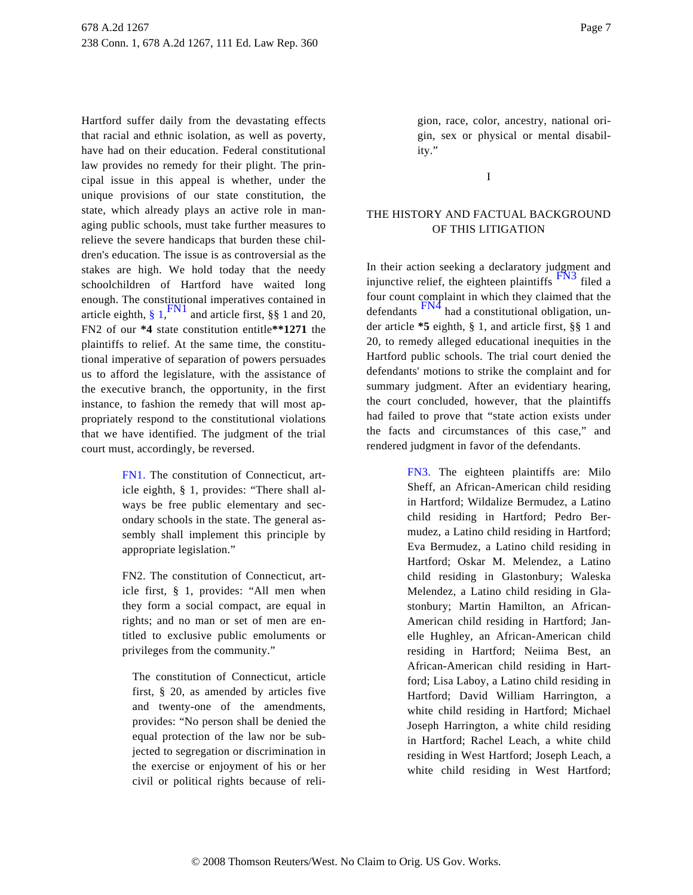<span id="page-6-3"></span>Hartford suffer daily from the devastating effects that racial and ethnic isolation, as well as poverty, have had on their education. Federal constitutional law provides no remedy for their plight. The principal issue in this appeal is whether, under the unique provisions of our state constitution, the state, which already plays an active role in managing public schools, must take further measures to relieve the severe handicaps that burden these children's education. The issue is as controversial as the stakes are high. We hold today that the needy schoolchildren of Hartford have waited long enough. The constitutional imperatives contained in article eighth,  $\S 1$ ,  $\overline{FN1}$  $\overline{FN1}$  $\overline{FN1}$  and article first,  $\S \ S 1$  and 20, FN2 of our **\*4** state constitution entitle**\*\*1271** the plaintiffs to relief. At the same time, the constitutional imperative of separation of powers persuades us to afford the legislature, with the assistance of the executive branch, the opportunity, in the first instance, to fashion the remedy that will most appropriately respond to the constitutional violations that we have identified. The judgment of the trial court must, accordingly, be reversed.

> <span id="page-6-4"></span><span id="page-6-2"></span><span id="page-6-1"></span><span id="page-6-0"></span>[FN1.](#page-6-1) The constitution of Connecticut, article eighth, § 1, provides: "There shall always be free public elementary and secondary schools in the state. The general assembly shall implement this principle by appropriate legislation."

> FN2. The constitution of Connecticut, article first, § 1, provides: "All men when they form a social compact, are equal in rights; and no man or set of men are entitled to exclusive public emoluments or privileges from the community."

The constitution of Connecticut, article first, § 20, as amended by articles five and twenty-one of the amendments, provides: "No person shall be denied the equal protection of the law nor be subjected to segregation or discrimination in the exercise or enjoyment of his or her civil or political rights because of religion, race, color, ancestry, national origin, sex or physical or mental disability."

I

# THE HISTORY AND FACTUAL BACKGROUND OF THIS LITIGATION

In their action seeking a declaratory judgment and injunctive relief, the eighteen plaintiffs  $\frac{FN3}{FN3}$  $\frac{FN3}{FN3}$  $\frac{FN3}{FN3}$  filed a four count complaint in which they claimed that the defendants  $\frac{FN4}{FN4}$  $\frac{FN4}{FN4}$  $\frac{FN4}{FN4}$  had a constitutional obligation, under article **\*5** eighth, § 1, and article first, §§ 1 and 20, to remedy alleged educational inequities in the Hartford public schools. The trial court denied the defendants' motions to strike the complaint and for summary judgment. After an evidentiary hearing, the court concluded, however, that the plaintiffs had failed to prove that "state action exists under the facts and circumstances of this case," and rendered judgment in favor of the defendants.

> [FN3.](#page-6-3) The eighteen plaintiffs are: Milo Sheff, an African-American child residing in Hartford; Wildalize Bermudez, a Latino child residing in Hartford; Pedro Bermudez, a Latino child residing in Hartford; Eva Bermudez, a Latino child residing in Hartford; Oskar M. Melendez, a Latino child residing in Glastonbury; Waleska Melendez, a Latino child residing in Glastonbury; Martin Hamilton, an African-American child residing in Hartford; Janelle Hughley, an African-American child residing in Hartford; Neiima Best, an African-American child residing in Hartford; Lisa Laboy, a Latino child residing in Hartford; David William Harrington, a white child residing in Hartford; Michael Joseph Harrington, a white child residing in Hartford; Rachel Leach, a white child residing in West Hartford; Joseph Leach, a white child residing in West Hartford;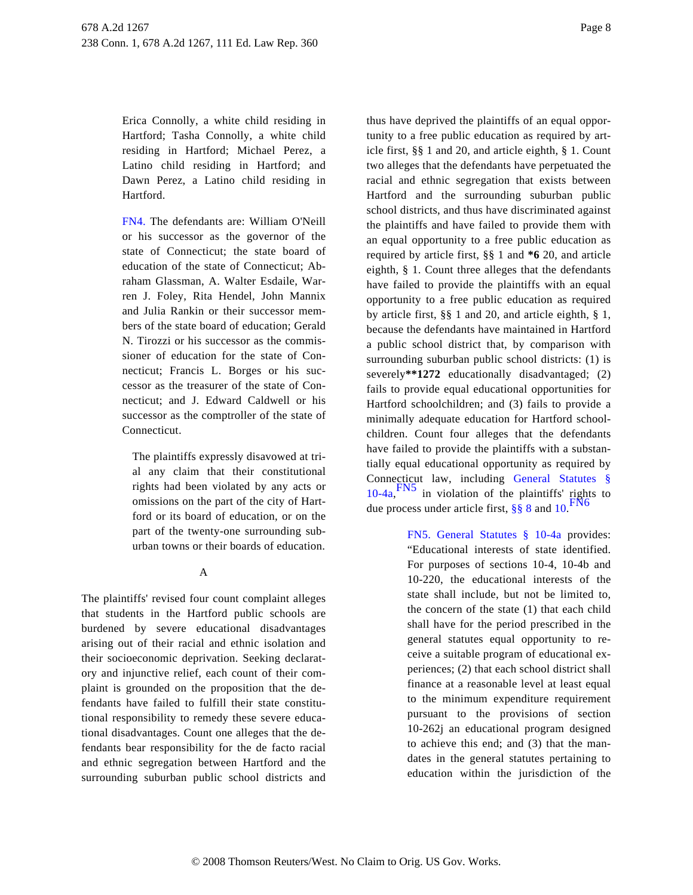Erica Connolly, a white child residing in Hartford; Tasha Connolly, a white child residing in Hartford; Michael Perez, a Latino child residing in Hartford; and Dawn Perez, a Latino child residing in Hartford.

<span id="page-7-0"></span>[FN4.](#page-6-4) The defendants are: William O'Neill or his successor as the governor of the state of Connecticut; the state board of education of the state of Connecticut; Abraham Glassman, A. Walter Esdaile, Warren J. Foley, Rita Hendel, John Mannix and Julia Rankin or their successor members of the state board of education; Gerald N. Tirozzi or his successor as the commissioner of education for the state of Connecticut; Francis L. Borges or his successor as the treasurer of the state of Connecticut; and J. Edward Caldwell or his successor as the comptroller of the state of Connecticut.

<span id="page-7-3"></span><span id="page-7-2"></span>The plaintiffs expressly disavowed at trial any claim that their constitutional rights had been violated by any acts or omissions on the part of the city of Hartford or its board of education, or on the part of the twenty-one surrounding suburban towns or their boards of education.

A

<span id="page-7-1"></span>The plaintiffs' revised four count complaint alleges that students in the Hartford public schools are burdened by severe educational disadvantages arising out of their racial and ethnic isolation and their socioeconomic deprivation. Seeking declaratory and injunctive relief, each count of their complaint is grounded on the proposition that the defendants have failed to fulfill their state constitutional responsibility to remedy these severe educational disadvantages. Count one alleges that the defendants bear responsibility for the de facto racial and ethnic segregation between Hartford and the surrounding suburban public school districts and

thus have deprived the plaintiffs of an equal opportunity to a free public education as required by article first, §§ 1 and 20, and article eighth, § 1. Count two alleges that the defendants have perpetuated the racial and ethnic segregation that exists between Hartford and the surrounding suburban public school districts, and thus have discriminated against the plaintiffs and have failed to provide them with an equal opportunity to a free public education as required by article first, §§ 1 and **\*6** 20, and article eighth, § 1. Count three alleges that the defendants have failed to provide the plaintiffs with an equal opportunity to a free public education as required by article first, §§ 1 and 20, and article eighth, § 1, because the defendants have maintained in Hartford a public school district that, by comparison with surrounding suburban public school districts: (1) is severely**\*\*1272** educationally disadvantaged; (2) fails to provide equal educational opportunities for Hartford schoolchildren; and (3) fails to provide a minimally adequate education for Hartford schoolchildren. Count four alleges that the defendants have failed to provide the plaintiffs with a substantially equal educational opportunity as required by

Connecticut law, including [General Statutes](http://www.westlaw.com/Find/Default.wl?rs=dfa1.0&vr=2.0&DB=1000264&DocName=CTSTS10-4A&FindType=L) § [10-4a](http://www.westlaw.com/Find/Default.wl?rs=dfa1.0&vr=2.0&DB=1000264&DocName=CTSTS10-4A&FindType=L), [FN5](#page-7-1) in violation of the plaintiffs' rights to due process under article first,  $\S$ § 8 and [10](http://www.westlaw.com/Find/Default.wl?rs=dfa1.0&vr=2.0&DB=1000264&DocName=CTCNART1S10&FindType=L).

> [FN5.](#page-7-2) [General Statutes § 10-](http://www.westlaw.com/Find/Default.wl?rs=dfa1.0&vr=2.0&DB=1000264&DocName=CTSTS10-4A&FindType=L)4a provides: "Educational interests of state identified. For purposes of sections 10-4, 10-4b and 10-220, the educational interests of the state shall include, but not be limited to, the concern of the state (1) that each child shall have for the period prescribed in the general statutes equal opportunity to receive a suitable program of educational experiences; (2) that each school district shall finance at a reasonable level at least equal to the minimum expenditure requirement pursuant to the provisions of section 10-262j an educational program designed to achieve this end; and (3) that the mandates in the general statutes pertaining to education within the jurisdiction of the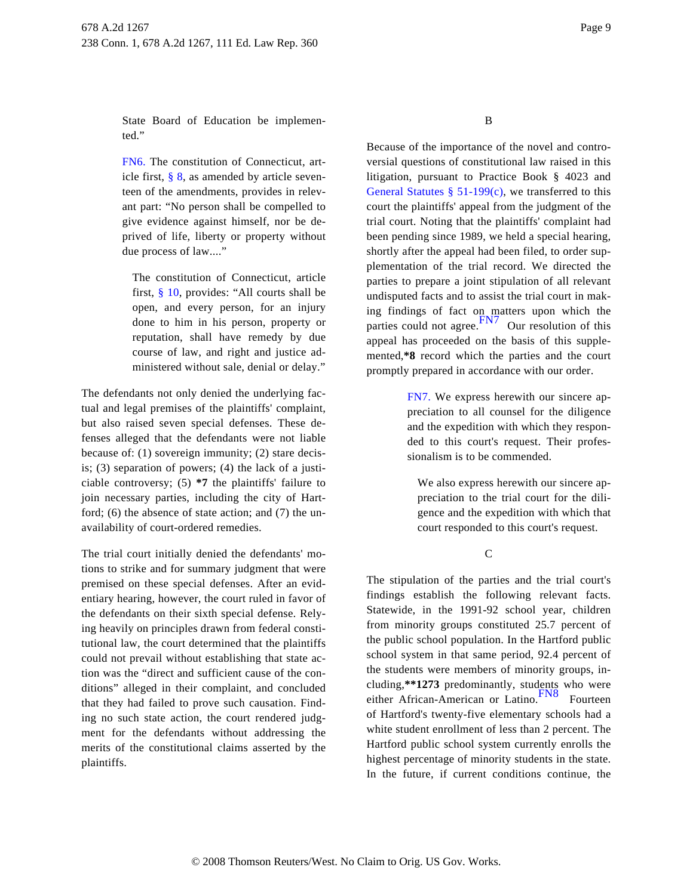State Board of Education be implemented."

<span id="page-8-0"></span>[FN6.](#page-7-3) The constitution of Connecticut, article first,  $\S$  8, as amended by article seventeen of the amendments, provides in relevant part: "No person shall be compelled to give evidence against himself, nor be deprived of life, liberty or property without due process of law...."

<span id="page-8-2"></span>The constitution of Connecticut, article first, [§ 10](http://www.westlaw.com/Find/Default.wl?rs=dfa1.0&vr=2.0&DB=1000264&DocName=CTCNART1S10&FindType=L), provides: "All courts shall be open, and every person, for an injury done to him in his person, property or reputation, shall have remedy by due course of law, and right and justice administered without sale, denial or delay."

<span id="page-8-1"></span>The defendants not only denied the underlying factual and legal premises of the plaintiffs' complaint, but also raised seven special defenses. These defenses alleged that the defendants were not liable because of: (1) sovereign immunity; (2) stare decisis; (3) separation of powers; (4) the lack of a justiciable controversy; (5) **\*7** the plaintiffs' failure to join necessary parties, including the city of Hartford; (6) the absence of state action; and (7) the unavailability of court-ordered remedies.

<span id="page-8-3"></span>The trial court initially denied the defendants' motions to strike and for summary judgment that were premised on these special defenses. After an evidentiary hearing, however, the court ruled in favor of the defendants on their sixth special defense. Relying heavily on principles drawn from federal constitutional law, the court determined that the plaintiffs could not prevail without establishing that state action was the "direct and sufficient cause of the conditions" alleged in their complaint, and concluded that they had failed to prove such causation. Finding no such state action, the court rendered judgment for the defendants without addressing the merits of the constitutional claims asserted by the plaintiffs.

B

Because of the importance of the novel and controversial questions of constitutional law raised in this litigation, pursuant to Practice Book § 4023 and General Statutes  $\S$  51-199(c), we transferred to this court the plaintiffs' appeal from the judgment of the trial court. Noting that the plaintiffs' complaint had been pending since 1989, we held a special hearing, shortly after the appeal had been filed, to order supplementation of the trial record. We directed the parties to prepare a joint stipulation of all relevant undisputed facts and to assist the trial court in making findings of fact on matters upon which the parties could not agree. $\frac{FN7}{FN7}$  $\frac{FN7}{FN7}$  $\frac{FN7}{FN7}$  Our resolution of this appeal has proceeded on the basis of this supplemented,**\*8** record which the parties and the court promptly prepared in accordance with our order.

> [FN7.](#page-8-2) We express herewith our sincere appreciation to all counsel for the diligence and the expedition with which they responded to this court's request. Their professionalism is to be commended.

We also express herewith our sincere appreciation to the trial court for the diligence and the expedition with which that court responded to this court's request.

The stipulation of the parties and the trial court's findings establish the following relevant facts. Statewide, in the 1991-92 school year, children from minority groups constituted 25.7 percent of the public school population. In the Hartford public school system in that same period, 92.4 percent of the students were members of minority groups, including,**\*\*1273** predominantly, students who were either African-American or Latino. [FN8](#page-9-0) Fourteen of Hartford's twenty-five elementary schools had a white student enrollment of less than 2 percent. The Hartford public school system currently enrolls the highest percentage of minority students in the state. In the future, if current conditions continue, the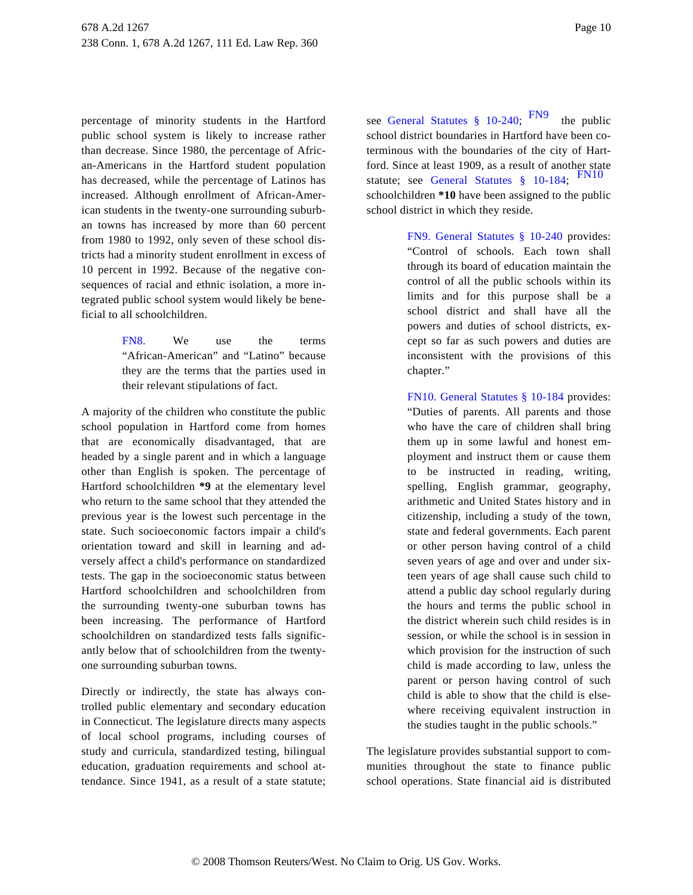<span id="page-9-4"></span><span id="page-9-3"></span><span id="page-9-1"></span>percentage of minority students in the Hartford public school system is likely to increase rather than decrease. Since 1980, the percentage of African-Americans in the Hartford student population has decreased, while the percentage of Latinos has increased. Although enrollment of African-American students in the twenty-one surrounding suburban towns has increased by more than 60 percent from 1980 to 1992, only seven of these school districts had a minority student enrollment in excess of 10 percent in 1992. Because of the negative consequences of racial and ethnic isolation, a more integrated public school system would likely be beneficial to all schoolchildren.

> <span id="page-9-0"></span>[FN8.](#page-8-3) We use the terms "African-American" and "Latino" because they are the terms that the parties used in their relevant stipulations of fact.

<span id="page-9-2"></span>A majority of the children who constitute the public school population in Hartford come from homes that are economically disadvantaged, that are headed by a single parent and in which a language other than English is spoken. The percentage of Hartford schoolchildren **\*9** at the elementary level who return to the same school that they attended the previous year is the lowest such percentage in the state. Such socioeconomic factors impair a child's orientation toward and skill in learning and adversely affect a child's performance on standardized tests. The gap in the socioeconomic status between Hartford schoolchildren and schoolchildren from the surrounding twenty-one suburban towns has been increasing. The performance of Hartford schoolchildren on standardized tests falls significantly below that of schoolchildren from the twentyone surrounding suburban towns.

Directly or indirectly, the state has always controlled public elementary and secondary education in Connecticut. The legislature directs many aspects of local school programs, including courses of study and curricula, standardized testing, bilingual education, graduation requirements and school attendance. Since 1941, as a result of a state statute; see [General Statutes § 10-2](http://www.westlaw.com/Find/Default.wl?rs=dfa1.0&vr=2.0&DB=1000264&DocName=CTSTS10-240&FindType=L)40; the public school district boundaries in Hartford have been coterminous with the boundaries of the city of Hartford. Since at least 1909, as a result of another state statute; see General Statutes  $\S$  10-184; [FN10](#page-9-2) schoolchildren **\*10** have been assigned to the public school district in which they reside.

> [FN9.](#page-9-3) [General Statutes § 10-24](http://www.westlaw.com/Find/Default.wl?rs=dfa1.0&vr=2.0&DB=1000264&DocName=CTSTS10-240&FindType=L)0 provides: "Control of schools. Each town shall through its board of education maintain the control of all the public schools within its limits and for this purpose shall be a school district and shall have all the powers and duties of school districts, except so far as such powers and duties are inconsistent with the provisions of this chapter."

> [FN10.](#page-9-4) [General Statutes § 10-184](http://www.westlaw.com/Find/Default.wl?rs=dfa1.0&vr=2.0&DB=1000264&DocName=CTSTS10-184&FindType=L) provides: "Duties of parents. All parents and those who have the care of children shall bring them up in some lawful and honest employment and instruct them or cause them to be instructed in reading, writing, spelling, English grammar, geography, arithmetic and United States history and in citizenship, including a study of the town, state and federal governments. Each parent or other person having control of a child seven years of age and over and under sixteen years of age shall cause such child to attend a public day school regularly during the hours and terms the public school in the district wherein such child resides is in session, or while the school is in session in which provision for the instruction of such child is made according to law, unless the parent or person having control of such child is able to show that the child is elsewhere receiving equivalent instruction in the studies taught in the public schools."

The legislature provides substantial support to communities throughout the state to finance public school operations. State financial aid is distributed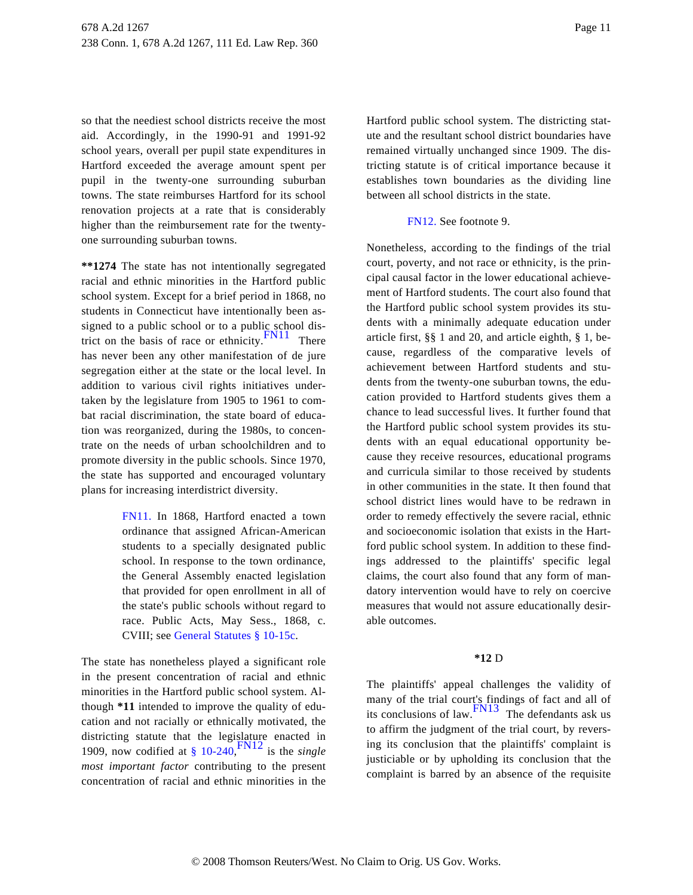so that the neediest school districts receive the most aid. Accordingly, in the 1990-91 and 1991-92 school years, overall per pupil state expenditures in Hartford exceeded the average amount spent per pupil in the twenty-one surrounding suburban towns. The state reimburses Hartford for its school renovation projects at a rate that is considerably higher than the reimbursement rate for the twentyone surrounding suburban towns.

<span id="page-10-2"></span><span id="page-10-1"></span>**\*\*1274** The state has not intentionally segregated racial and ethnic minorities in the Hartford public school system. Except for a brief period in 1868, no students in Connecticut have intentionally been assigned to a public school or to a public school district on the basis of race or ethnicity.[FN11](#page-10-0) There has never been any other manifestation of de jure segregation either at the state or the local level. In addition to various civil rights initiatives undertaken by the legislature from 1905 to 1961 to combat racial discrimination, the state board of education was reorganized, during the 1980s, to concentrate on the needs of urban schoolchildren and to promote diversity in the public schools. Since 1970, the state has supported and encouraged voluntary plans for increasing interdistrict diversity.

> <span id="page-10-0"></span>[FN11.](#page-10-1) In 1868, Hartford enacted a town ordinance that assigned African-American students to a specially designated public school. In response to the town ordinance, the General Assembly enacted legislation that provided for open enrollment in all of the state's public schools without regard to race. Public Acts, May Sess., 1868, c. CVIII; see [General Statutes § 10-15c](http://www.westlaw.com/Find/Default.wl?rs=dfa1.0&vr=2.0&DB=1000264&DocName=CTSTS10-15C&FindType=L).

<span id="page-10-4"></span><span id="page-10-3"></span>The state has nonetheless played a significant role in the present concentration of racial and ethnic minorities in the Hartford public school system. Although **\*11** intended to improve the quality of education and not racially or ethnically motivated, the districting statute that the legislature enacted in 1909, now codified at [§ 10-240](http://www.westlaw.com/Find/Default.wl?rs=dfa1.0&vr=2.0&DB=1000264&DocName=CTSTS10-240&FindType=L), [FN12](#page-10-2) is the *single most important factor* contributing to the present concentration of racial and ethnic minorities in the Hartford public school system. The districting statute and the resultant school district boundaries have remained virtually unchanged since 1909. The districting statute is of critical importance because it establishes town boundaries as the dividing line between all school districts in the state.

#### [FN12.](#page-10-3) See footnote 9.

Nonetheless, according to the findings of the trial court, poverty, and not race or ethnicity, is the principal causal factor in the lower educational achievement of Hartford students. The court also found that the Hartford public school system provides its students with a minimally adequate education under article first, §§ 1 and 20, and article eighth, § 1, because, regardless of the comparative levels of achievement between Hartford students and students from the twenty-one suburban towns, the education provided to Hartford students gives them a chance to lead successful lives. It further found that the Hartford public school system provides its students with an equal educational opportunity because they receive resources, educational programs and curricula similar to those received by students in other communities in the state. It then found that school district lines would have to be redrawn in order to remedy effectively the severe racial, ethnic and socioeconomic isolation that exists in the Hartford public school system. In addition to these findings addressed to the plaintiffs' specific legal claims, the court also found that any form of mandatory intervention would have to rely on coercive measures that would not assure educationally desirable outcomes.

#### **\*12** D

The plaintiffs' appeal challenges the validity of many of the trial court's findings of fact and all of its conclusions of law. [FN13](#page-11-1) The defendants ask us to affirm the judgment of the trial court, by reversing its conclusion that the plaintiffs' complaint is justiciable or by upholding its conclusion that the complaint is barred by an absence of the requisite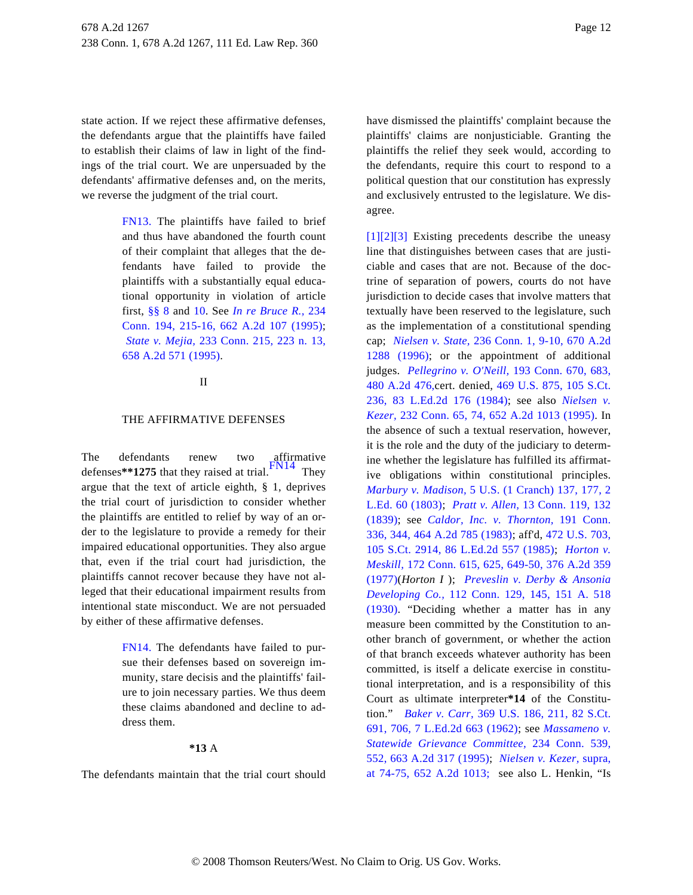state action. If we reject these affirmative defenses, the defendants argue that the plaintiffs have failed to establish their claims of law in light of the findings of the trial court. We are unpersuaded by the defendants' affirmative defenses and, on the merits, we reverse the judgment of the trial court.

> <span id="page-11-1"></span><span id="page-11-0"></span>[FN13.](#page-10-4) The plaintiffs have failed to brief and thus have abandoned the fourth count of their complaint that alleges that the defendants have failed to provide the plaintiffs with a substantially equal educational opportunity in violation of article first, [§§ 8](http://www.westlaw.com/Find/Default.wl?rs=dfa1.0&vr=2.0&DB=1000264&DocName=CTCNART1S8&FindType=L) and [10](http://www.westlaw.com/Find/Default.wl?rs=dfa1.0&vr=2.0&DB=1000264&DocName=CTCNART1S10&FindType=L). See *[In re Bruce R.](http://www.westlaw.com/Find/Default.wl?rs=dfa1.0&vr=2.0&DB=162&FindType=Y&SerialNum=1995147596),* [234](http://www.westlaw.com/Find/Default.wl?rs=dfa1.0&vr=2.0&DB=162&FindType=Y&SerialNum=1995147596) [Conn. 194, 215-16, 662 A.2d 107 \(199](http://www.westlaw.com/Find/Default.wl?rs=dfa1.0&vr=2.0&DB=162&FindType=Y&SerialNum=1995147596)5); *[State v. Mejia](http://www.westlaw.com/Find/Default.wl?rs=dfa1.0&vr=2.0&DB=162&FindType=Y&SerialNum=1995114008),* [233 Conn. 215, 223 n. 13](http://www.westlaw.com/Find/Default.wl?rs=dfa1.0&vr=2.0&DB=162&FindType=Y&SerialNum=1995114008), [658 A.2d 571 \(1995\)](http://www.westlaw.com/Find/Default.wl?rs=dfa1.0&vr=2.0&DB=162&FindType=Y&SerialNum=1995114008).

## II

#### THE AFFIRMATIVE DEFENSES

<span id="page-11-3"></span>The defendants renew two affirmative<br>defenses\*\*1275 that they raised at trial.<sup>[FN14](#page-11-2)</sup> They argue that the text of article eighth, § 1, deprives the trial court of jurisdiction to consider whether the plaintiffs are entitled to relief by way of an order to the legislature to provide a remedy for their impaired educational opportunities. They also argue that, even if the trial court had jurisdiction, the plaintiffs cannot recover because they have not alleged that their educational impairment results from intentional state misconduct. We are not persuaded by either of these affirmative defenses.

> <span id="page-11-2"></span>[FN14.](#page-11-3) The defendants have failed to pursue their defenses based on sovereign immunity, stare decisis and the plaintiffs' failure to join necessary parties. We thus deem these claims abandoned and decline to address them.

#### **\*13** A

The defendants maintain that the trial court should

have dismissed the plaintiffs' complaint because the plaintiffs' claims are nonjusticiable. Granting the plaintiffs the relief they seek would, according to the defendants, require this court to respond to a political question that our constitution has expressly and exclusively entrusted to the legislature. We disagree.

[\[1\]](#page-0-2)[\[2\]](#page-1-0)[\[3\]](#page-1-1) Existing precedents describe the uneasy line that distinguishes between cases that are justiciable and cases that are not. Because of the doctrine of separation of powers, courts do not have jurisdiction to decide cases that involve matters that textually have been reserved to the legislature, such as the implementation of a constitutional spending cap; *[Nielsen v. State](http://www.westlaw.com/Find/Default.wl?rs=dfa1.0&vr=2.0&DB=162&FindType=Y&SerialNum=1996045969),* [236 Conn. 1, 9-10, 670 A.2d](http://www.westlaw.com/Find/Default.wl?rs=dfa1.0&vr=2.0&DB=162&FindType=Y&SerialNum=1996045969) [1288 \(1996](http://www.westlaw.com/Find/Default.wl?rs=dfa1.0&vr=2.0&DB=162&FindType=Y&SerialNum=1996045969)); or the appointment of additional judges. *[Pellegrino v. O'Neill](http://www.westlaw.com/Find/Default.wl?rs=dfa1.0&vr=2.0&DB=162&FindType=Y&SerialNum=1984134613),* [193 Conn. 670, 683](http://www.westlaw.com/Find/Default.wl?rs=dfa1.0&vr=2.0&DB=162&FindType=Y&SerialNum=1984134613), [480 A.2d 476](http://www.westlaw.com/Find/Default.wl?rs=dfa1.0&vr=2.0&DB=162&FindType=Y&SerialNum=1984134613),cert. denied, [469 U.S. 875, 105 S.Ct.](http://www.westlaw.com/Find/Default.wl?rs=dfa1.0&vr=2.0&DB=708&FindType=Y&SerialNum=1984240050) [236, 83 L.Ed.2d 176 \(198](http://www.westlaw.com/Find/Default.wl?rs=dfa1.0&vr=2.0&DB=708&FindType=Y&SerialNum=1984240050)4); see also *[Nielsen v.](http://www.westlaw.com/Find/Default.wl?rs=dfa1.0&vr=2.0&DB=162&FindType=Y&SerialNum=1995038766) [Kezer,](http://www.westlaw.com/Find/Default.wl?rs=dfa1.0&vr=2.0&DB=162&FindType=Y&SerialNum=1995038766)* [232 Conn. 65, 74, 652 A.2d 1013 \(1995](http://www.westlaw.com/Find/Default.wl?rs=dfa1.0&vr=2.0&DB=162&FindType=Y&SerialNum=1995038766)). In the absence of such a textual reservation, however, it is the role and the duty of the judiciary to determine whether the legislature has fulfilled its affirmative obligations within constitutional principles. *[Marbury v. Madison](http://www.westlaw.com/Find/Default.wl?rs=dfa1.0&vr=2.0&DB=780&FindType=Y&ReferencePositionType=S&SerialNum=1801123932&ReferencePosition=177),* [5 U.S. \(1 Cranch\) 137, 177, 2](http://www.westlaw.com/Find/Default.wl?rs=dfa1.0&vr=2.0&DB=780&FindType=Y&ReferencePositionType=S&SerialNum=1801123932&ReferencePosition=177) [L.Ed. 60 \(1803](http://www.westlaw.com/Find/Default.wl?rs=dfa1.0&vr=2.0&DB=780&FindType=Y&ReferencePositionType=S&SerialNum=1801123932&ReferencePosition=177)); *[Pratt v. Allen](http://www.westlaw.com/Find/Default.wl?rs=dfa1.0&vr=2.0&DB=273&FindType=Y&ReferencePositionType=S&SerialNum=1839000545&ReferencePosition=132),* [13 Conn. 119, 132](http://www.westlaw.com/Find/Default.wl?rs=dfa1.0&vr=2.0&DB=273&FindType=Y&ReferencePositionType=S&SerialNum=1839000545&ReferencePosition=132) [\(1839\);](http://www.westlaw.com/Find/Default.wl?rs=dfa1.0&vr=2.0&DB=273&FindType=Y&ReferencePositionType=S&SerialNum=1839000545&ReferencePosition=132) see *[Caldor, Inc. v. Thornton,](http://www.westlaw.com/Find/Default.wl?rs=dfa1.0&vr=2.0&DB=162&FindType=Y&SerialNum=1983141642)* 191 Conn. [336, 344, 464 A.2d 785 \(1983](http://www.westlaw.com/Find/Default.wl?rs=dfa1.0&vr=2.0&DB=162&FindType=Y&SerialNum=1983141642)); aff'd, [472 U.S. 703,](http://www.westlaw.com/Find/Default.wl?rs=dfa1.0&vr=2.0&DB=708&FindType=Y&SerialNum=1985132436) [105 S.Ct. 2914, 86 L.Ed.2d 557 \(1985](http://www.westlaw.com/Find/Default.wl?rs=dfa1.0&vr=2.0&DB=708&FindType=Y&SerialNum=1985132436)); *[Horton v.](http://www.westlaw.com/Find/Default.wl?rs=dfa1.0&vr=2.0&DB=162&FindType=Y&SerialNum=1977120164) [Meskill,](http://www.westlaw.com/Find/Default.wl?rs=dfa1.0&vr=2.0&DB=162&FindType=Y&SerialNum=1977120164)* [172 Conn. 615, 625, 649-50, 376 A.2d 359](http://www.westlaw.com/Find/Default.wl?rs=dfa1.0&vr=2.0&DB=162&FindType=Y&SerialNum=1977120164) [\(1977\)\(](http://www.westlaw.com/Find/Default.wl?rs=dfa1.0&vr=2.0&DB=162&FindType=Y&SerialNum=1977120164)*Horton I* ); *[Preveslin v. Derby & Ansonia](http://www.westlaw.com/Find/Default.wl?rs=dfa1.0&vr=2.0&DB=161&FindType=Y&SerialNum=1930116012) [Developing Co.](http://www.westlaw.com/Find/Default.wl?rs=dfa1.0&vr=2.0&DB=161&FindType=Y&SerialNum=1930116012),* [112 Conn. 129, 145, 151 A. 5](http://www.westlaw.com/Find/Default.wl?rs=dfa1.0&vr=2.0&DB=161&FindType=Y&SerialNum=1930116012)18 [\(1930\).](http://www.westlaw.com/Find/Default.wl?rs=dfa1.0&vr=2.0&DB=161&FindType=Y&SerialNum=1930116012) "Deciding whether a matter has in any measure been committed by the Constitution to another branch of government, or whether the action of that branch exceeds whatever authority has been committed, is itself a delicate exercise in constitutional interpretation, and is a responsibility of this Court as ultimate interpreter**\*14** of the Constitution." *[Baker v. Carr](http://www.westlaw.com/Find/Default.wl?rs=dfa1.0&vr=2.0&DB=708&FindType=Y&ReferencePositionType=S&SerialNum=1962127595&ReferencePosition=706),* [369 U.S. 186, 211, 82 S.Ct](http://www.westlaw.com/Find/Default.wl?rs=dfa1.0&vr=2.0&DB=708&FindType=Y&ReferencePositionType=S&SerialNum=1962127595&ReferencePosition=706). [691, 706, 7 L.Ed.2d 663 \(1962](http://www.westlaw.com/Find/Default.wl?rs=dfa1.0&vr=2.0&DB=708&FindType=Y&ReferencePositionType=S&SerialNum=1962127595&ReferencePosition=706)); see *[Massameno v.](http://www.westlaw.com/Find/Default.wl?rs=dfa1.0&vr=2.0&DB=162&FindType=Y&SerialNum=1995158536) [Statewide Grievance Committe](http://www.westlaw.com/Find/Default.wl?rs=dfa1.0&vr=2.0&DB=162&FindType=Y&SerialNum=1995158536)e,* [234 Conn. 53](http://www.westlaw.com/Find/Default.wl?rs=dfa1.0&vr=2.0&DB=162&FindType=Y&SerialNum=1995158536)9, [552, 663 A.2d 317 \(1995](http://www.westlaw.com/Find/Default.wl?rs=dfa1.0&vr=2.0&DB=162&FindType=Y&SerialNum=1995158536)); *[Nielsen v. Kezer,](http://www.westlaw.com/Find/Default.wl?rs=dfa1.0&vr=2.0&DB=162&FindType=Y&SerialNum=1995038766)* supra, [at 74-75, 652 A.2d 1013](http://www.westlaw.com/Find/Default.wl?rs=dfa1.0&vr=2.0&DB=162&FindType=Y&SerialNum=1995038766); see also L. Henkin, "Is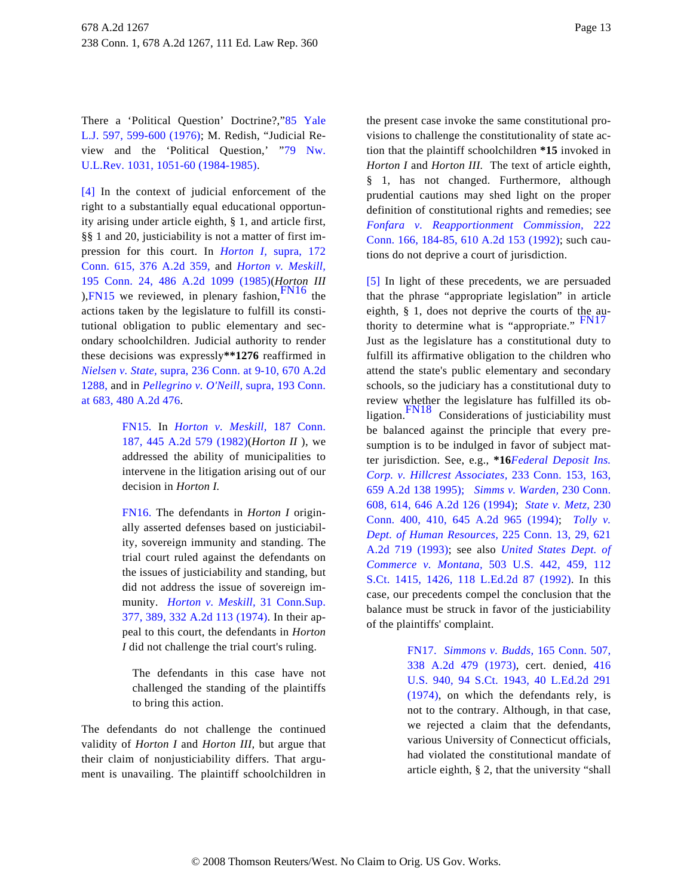There a 'Political Question' [Doctrine?,"85 Yale](http://www.westlaw.com/Find/Default.wl?rs=dfa1.0&vr=2.0&DB=1292&FindType=Y&ReferencePositionType=S&SerialNum=0332812290&ReferencePosition=599) [L.J. 597, 599-600 \(1976](http://www.westlaw.com/Find/Default.wl?rs=dfa1.0&vr=2.0&DB=1292&FindType=Y&ReferencePositionType=S&SerialNum=0332812290&ReferencePosition=599)); M. Redish, "Judicial Review and the 'Political Question,' ["79 Nw](http://www.westlaw.com/Find/Default.wl?rs=dfa1.0&vr=2.0&DB=1214&FindType=Y&ReferencePositionType=S&SerialNum=0102729964&ReferencePosition=1051). [U.L.Rev. 1031, 1051-60 \(1984-1985\)](http://www.westlaw.com/Find/Default.wl?rs=dfa1.0&vr=2.0&DB=1214&FindType=Y&ReferencePositionType=S&SerialNum=0102729964&ReferencePosition=1051).

<span id="page-12-4"></span><span id="page-12-1"></span><span id="page-12-0"></span>[\[4\]](#page-1-2) In the context of judicial enforcement of the right to a substantially equal educational opportunity arising under article eighth, § 1, and article first, §§ 1 and 20, justiciability is not a matter of first impression for this court. In *[Horton](http://www.westlaw.com/Find/Default.wl?rs=dfa1.0&vr=2.0&DB=162&FindType=Y&SerialNum=1977120164) I,* [supra, 17](http://www.westlaw.com/Find/Default.wl?rs=dfa1.0&vr=2.0&DB=162&FindType=Y&SerialNum=1977120164)2 [Conn. 615, 376 A.2d 35](http://www.westlaw.com/Find/Default.wl?rs=dfa1.0&vr=2.0&DB=162&FindType=Y&SerialNum=1977120164)9, and *[Horton v. Meskill](http://www.westlaw.com/Find/Default.wl?rs=dfa1.0&vr=2.0&DB=162&FindType=Y&SerialNum=1985102767),* [195 Conn. 24, 486 A.2d 1099 \(19](http://www.westlaw.com/Find/Default.wl?rs=dfa1.0&vr=2.0&DB=162&FindType=Y&SerialNum=1985102767)85)(*Horton III* ), FN15 we reviewed, in plenary fashion,  $\frac{FN16}{FN16}$  $\frac{FN16}{FN16}$  $\frac{FN16}{FN16}$  the actions taken by the legislature to fulfill its constitutional obligation to public elementary and secondary schoolchildren. Judicial authority to render these decisions was expressly**\*\*1276** reaffirmed in *[Nielsen v. State](http://www.westlaw.com/Find/Default.wl?rs=dfa1.0&vr=2.0&DB=162&FindType=Y&SerialNum=1996045969),* [supra, 236 Conn. at 9-10, 670 A.2d](http://www.westlaw.com/Find/Default.wl?rs=dfa1.0&vr=2.0&DB=162&FindType=Y&SerialNum=1996045969) [1288,](http://www.westlaw.com/Find/Default.wl?rs=dfa1.0&vr=2.0&DB=162&FindType=Y&SerialNum=1996045969) and in *[Pellegrino v. O'Neill](http://www.westlaw.com/Find/Default.wl?rs=dfa1.0&vr=2.0&DB=162&FindType=Y&SerialNum=1984134613),* [supra, 193 Conn.](http://www.westlaw.com/Find/Default.wl?rs=dfa1.0&vr=2.0&DB=162&FindType=Y&SerialNum=1984134613) [at 683, 480 A.2d 476](http://www.westlaw.com/Find/Default.wl?rs=dfa1.0&vr=2.0&DB=162&FindType=Y&SerialNum=1984134613).

> <span id="page-12-7"></span><span id="page-12-6"></span><span id="page-12-2"></span>[FN15.](#page-12-4) In *[Horton v. Meski](http://www.westlaw.com/Find/Default.wl?rs=dfa1.0&vr=2.0&DB=162&FindType=Y&SerialNum=1982123329)ll,* [187 Conn](http://www.westlaw.com/Find/Default.wl?rs=dfa1.0&vr=2.0&DB=162&FindType=Y&SerialNum=1982123329). [187, 445 A.2d 579 \(1982](http://www.westlaw.com/Find/Default.wl?rs=dfa1.0&vr=2.0&DB=162&FindType=Y&SerialNum=1982123329))(*Horton II* ), we addressed the ability of municipalities to intervene in the litigation arising out of our decision in *Horton I.*

> <span id="page-12-3"></span>[FN16.](#page-12-4) The defendants in *Horton I* originally asserted defenses based on justiciability, sovereign immunity and standing. The trial court ruled against the defendants on the issues of justiciability and standing, but did not address the issue of sovereign immunity. *[Horton v. Meskill](http://www.westlaw.com/Find/Default.wl?rs=dfa1.0&vr=2.0&DB=162&FindType=Y&SerialNum=1974103387),* [31 Conn.Sup](http://www.westlaw.com/Find/Default.wl?rs=dfa1.0&vr=2.0&DB=162&FindType=Y&SerialNum=1974103387). [377, 389, 332 A.2d 113 \(1974\)](http://www.westlaw.com/Find/Default.wl?rs=dfa1.0&vr=2.0&DB=162&FindType=Y&SerialNum=1974103387). In their appeal to this court, the defendants in *Horton I* did not challenge the trial court's ruling.

<span id="page-12-5"></span>The defendants in this case have not challenged the standing of the plaintiffs to bring this action.

The defendants do not challenge the continued validity of *Horton I* and *Horton III,* but argue that their claim of nonjusticiability differs. That argument is unavailing. The plaintiff schoolchildren in

the present case invoke the same constitutional provisions to challenge the constitutionality of state action that the plaintiff schoolchildren **\*15** invoked in *Horton I* and *Horton III.* The text of article eighth, § 1, has not changed. Furthermore, although prudential cautions may shed light on the proper definition of constitutional rights and remedies; see *[Fonfara v. Reapportionment Commission,](http://www.westlaw.com/Find/Default.wl?rs=dfa1.0&vr=2.0&DB=162&FindType=Y&SerialNum=1992098211)* 222 [Conn. 166, 184-85, 610 A.2d 153 \(1992](http://www.westlaw.com/Find/Default.wl?rs=dfa1.0&vr=2.0&DB=162&FindType=Y&SerialNum=1992098211)); such cautions do not deprive a court of jurisdiction.

[\[5\]](#page-1-3) In light of these precedents, we are persuaded that the phrase "appropriate legislation" in article eighth, § 1, does not deprive the courts of the au-thority to determine what is "appropriate." [FN17](#page-12-5) Just as the legislature has a constitutional duty to fulfill its affirmative obligation to the children who attend the state's public elementary and secondary schools, so the judiciary has a constitutional duty to review whether the legislature has fulfilled its ob-<br>ligation. [FN18](#page-13-1) Considerations of justiciability must be balanced against the principle that every presumption is to be indulged in favor of subject matter jurisdiction. See, e.g., **\*16***[Federal Deposit Ins](http://www.westlaw.com/Find/Default.wl?rs=dfa1.0&vr=2.0&DB=162&FindType=Y&SerialNum=1995109158). [Corp. v. Hillcrest Associates](http://www.westlaw.com/Find/Default.wl?rs=dfa1.0&vr=2.0&DB=162&FindType=Y&SerialNum=1995109158),* [233 Conn. 153, 163](http://www.westlaw.com/Find/Default.wl?rs=dfa1.0&vr=2.0&DB=162&FindType=Y&SerialNum=1995109158), [659 A.2d 138 1995\)](http://www.westlaw.com/Find/Default.wl?rs=dfa1.0&vr=2.0&DB=162&FindType=Y&SerialNum=1995109158); *[Simms v. Warden](http://www.westlaw.com/Find/Default.wl?rs=dfa1.0&vr=2.0&DB=162&FindType=Y&SerialNum=1994168442),* [230 Conn.](http://www.westlaw.com/Find/Default.wl?rs=dfa1.0&vr=2.0&DB=162&FindType=Y&SerialNum=1994168442) [608, 614, 646 A.2d 126 \(1994](http://www.westlaw.com/Find/Default.wl?rs=dfa1.0&vr=2.0&DB=162&FindType=Y&SerialNum=1994168442)); *[State v. Metz,](http://www.westlaw.com/Find/Default.wl?rs=dfa1.0&vr=2.0&DB=162&FindType=Y&SerialNum=1994163846)* 230 [Conn. 400, 410, 645 A.2d 965 \(19](http://www.westlaw.com/Find/Default.wl?rs=dfa1.0&vr=2.0&DB=162&FindType=Y&SerialNum=1994163846)94); *[Tolly v.](http://www.westlaw.com/Find/Default.wl?rs=dfa1.0&vr=2.0&DB=162&FindType=Y&SerialNum=1993065276) [Dept. of Human Resources](http://www.westlaw.com/Find/Default.wl?rs=dfa1.0&vr=2.0&DB=162&FindType=Y&SerialNum=1993065276),* [225 Conn. 13, 29, 621](http://www.westlaw.com/Find/Default.wl?rs=dfa1.0&vr=2.0&DB=162&FindType=Y&SerialNum=1993065276) [A.2d 719 \(1993](http://www.westlaw.com/Find/Default.wl?rs=dfa1.0&vr=2.0&DB=162&FindType=Y&SerialNum=1993065276)); see also *[United States Dept. o](http://www.westlaw.com/Find/Default.wl?rs=dfa1.0&vr=2.0&DB=708&FindType=Y&ReferencePositionType=S&SerialNum=1992065817&ReferencePosition=1426)f [Commerce v. Montan](http://www.westlaw.com/Find/Default.wl?rs=dfa1.0&vr=2.0&DB=708&FindType=Y&ReferencePositionType=S&SerialNum=1992065817&ReferencePosition=1426)a,* [503 U.S. 442, 459, 1](http://www.westlaw.com/Find/Default.wl?rs=dfa1.0&vr=2.0&DB=708&FindType=Y&ReferencePositionType=S&SerialNum=1992065817&ReferencePosition=1426)12 [S.Ct. 1415, 1426, 118 L.Ed.2d 87 \(199](http://www.westlaw.com/Find/Default.wl?rs=dfa1.0&vr=2.0&DB=708&FindType=Y&ReferencePositionType=S&SerialNum=1992065817&ReferencePosition=1426)2). In this case, our precedents compel the conclusion that the balance must be struck in favor of the justiciability of the plaintiffs' complaint.

> [FN17.](#page-12-6) *[Simmons v. Budds](http://www.westlaw.com/Find/Default.wl?rs=dfa1.0&vr=2.0&DB=162&FindType=Y&SerialNum=1973103222),* [165 Conn. 507,](http://www.westlaw.com/Find/Default.wl?rs=dfa1.0&vr=2.0&DB=162&FindType=Y&SerialNum=1973103222) [338 A.2d 479 \(197](http://www.westlaw.com/Find/Default.wl?rs=dfa1.0&vr=2.0&DB=162&FindType=Y&SerialNum=1973103222)3), cert. denied, [416](http://www.westlaw.com/Find/Default.wl?rs=dfa1.0&vr=2.0&DB=708&FindType=Y&SerialNum=1974241094) [U.S. 940, 94 S.Ct. 1943, 40 L.Ed.2d 2](http://www.westlaw.com/Find/Default.wl?rs=dfa1.0&vr=2.0&DB=708&FindType=Y&SerialNum=1974241094)91 [\(1974\),](http://www.westlaw.com/Find/Default.wl?rs=dfa1.0&vr=2.0&DB=708&FindType=Y&SerialNum=1974241094) on which the defendants rely, is not to the contrary. Although, in that case, we rejected a claim that the defendants, various University of Connecticut officials, had violated the constitutional mandate of article eighth, § 2, that the university "shall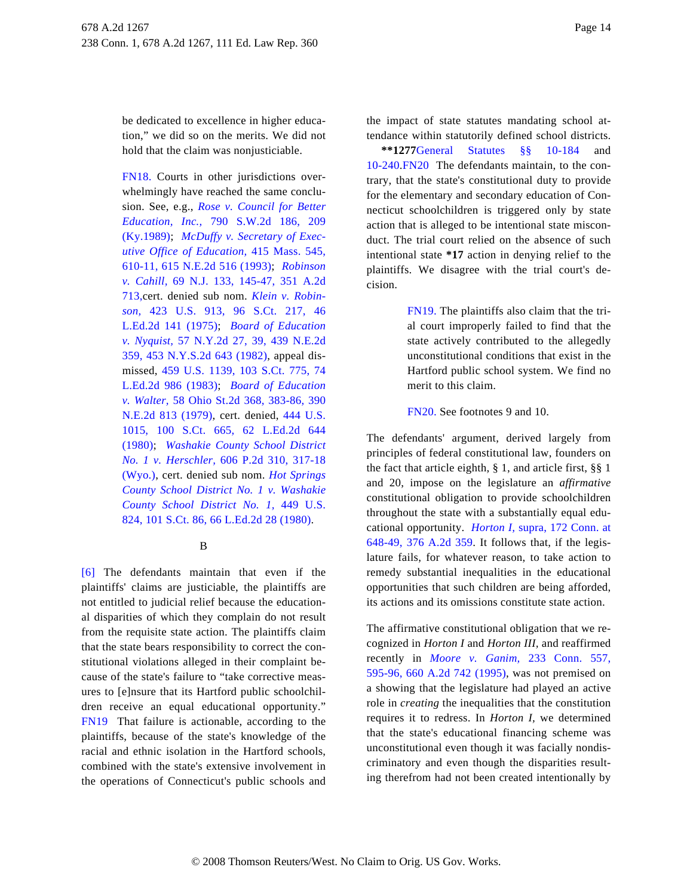be dedicated to excellence in higher education," we did so on the merits. We did not hold that the claim was nonjusticiable.

<span id="page-13-5"></span><span id="page-13-2"></span><span id="page-13-1"></span>[FN18.](#page-12-7) Courts in other jurisdictions overwhelmingly have reached the same conclusion. See, e.g., *[Rose v. Council for Bette](http://www.westlaw.com/Find/Default.wl?rs=dfa1.0&vr=2.0&DB=713&FindType=Y&ReferencePositionType=S&SerialNum=1989086076&ReferencePosition=209)r [Education, Inc](http://www.westlaw.com/Find/Default.wl?rs=dfa1.0&vr=2.0&DB=713&FindType=Y&ReferencePositionType=S&SerialNum=1989086076&ReferencePosition=209).,* [790 S.W.2d 186,](http://www.westlaw.com/Find/Default.wl?rs=dfa1.0&vr=2.0&DB=713&FindType=Y&ReferencePositionType=S&SerialNum=1989086076&ReferencePosition=209) 209 [\(Ky.1989\);](http://www.westlaw.com/Find/Default.wl?rs=dfa1.0&vr=2.0&DB=713&FindType=Y&ReferencePositionType=S&SerialNum=1989086076&ReferencePosition=209) *[McDuffy v. Secretary of Exec](http://www.westlaw.com/Find/Default.wl?rs=dfa1.0&vr=2.0&DB=578&FindType=Y&SerialNum=1993126175)[utive Office of Education](http://www.westlaw.com/Find/Default.wl?rs=dfa1.0&vr=2.0&DB=578&FindType=Y&SerialNum=1993126175),* [415 Mass. 545](http://www.westlaw.com/Find/Default.wl?rs=dfa1.0&vr=2.0&DB=578&FindType=Y&SerialNum=1993126175), [610-11, 615 N.E.2d 516 \(1993](http://www.westlaw.com/Find/Default.wl?rs=dfa1.0&vr=2.0&DB=578&FindType=Y&SerialNum=1993126175)); *[Robinson](http://www.westlaw.com/Find/Default.wl?rs=dfa1.0&vr=2.0&DB=162&FindType=Y&SerialNum=1975103743) [v. Cahill](http://www.westlaw.com/Find/Default.wl?rs=dfa1.0&vr=2.0&DB=162&FindType=Y&SerialNum=1975103743),* [69 N.J. 133, 145-47, 351 A.](http://www.westlaw.com/Find/Default.wl?rs=dfa1.0&vr=2.0&DB=162&FindType=Y&SerialNum=1975103743)2d [713,](http://www.westlaw.com/Find/Default.wl?rs=dfa1.0&vr=2.0&DB=162&FindType=Y&SerialNum=1975103743)cert. denied sub nom. *[Klein v. Robin](http://www.westlaw.com/Find/Default.wl?rs=dfa1.0&vr=2.0&DB=708&FindType=Y&SerialNum=1975208746)[son,](http://www.westlaw.com/Find/Default.wl?rs=dfa1.0&vr=2.0&DB=708&FindType=Y&SerialNum=1975208746)* [423 U.S. 913, 96 S.Ct. 2](http://www.westlaw.com/Find/Default.wl?rs=dfa1.0&vr=2.0&DB=708&FindType=Y&SerialNum=1975208746)17, 46 [L.Ed.2d 141 \(1975](http://www.westlaw.com/Find/Default.wl?rs=dfa1.0&vr=2.0&DB=708&FindType=Y&SerialNum=1975208746)); *[Board of Education](http://www.westlaw.com/Find/Default.wl?rs=dfa1.0&vr=2.0&DB=602&FindType=Y&SerialNum=1982138502) [v. Nyquist](http://www.westlaw.com/Find/Default.wl?rs=dfa1.0&vr=2.0&DB=602&FindType=Y&SerialNum=1982138502),* [57 N.Y.2d 27, 39, 439 N.E.2](http://www.westlaw.com/Find/Default.wl?rs=dfa1.0&vr=2.0&DB=602&FindType=Y&SerialNum=1982138502)d [359, 453 N.Y.S.2d 643 \(1982](http://www.westlaw.com/Find/Default.wl?rs=dfa1.0&vr=2.0&DB=602&FindType=Y&SerialNum=1982138502)), appeal dismissed, [459 U.S. 1139, 103 S.Ct. 775, 7](http://www.westlaw.com/Find/Default.wl?rs=dfa1.0&vr=2.0&DB=708&FindType=Y&SerialNum=1983203012)4 [L.Ed.2d 986 \(1983](http://www.westlaw.com/Find/Default.wl?rs=dfa1.0&vr=2.0&DB=708&FindType=Y&SerialNum=1983203012)); *[Board of Education](http://www.westlaw.com/Find/Default.wl?rs=dfa1.0&vr=2.0&DB=578&FindType=Y&SerialNum=1979121067) [v. Walter](http://www.westlaw.com/Find/Default.wl?rs=dfa1.0&vr=2.0&DB=578&FindType=Y&SerialNum=1979121067),* [58 Ohio St.2d 368, 383-86, 390](http://www.westlaw.com/Find/Default.wl?rs=dfa1.0&vr=2.0&DB=578&FindType=Y&SerialNum=1979121067) [N.E.2d 813 \(1979](http://www.westlaw.com/Find/Default.wl?rs=dfa1.0&vr=2.0&DB=578&FindType=Y&SerialNum=1979121067)), cert. denied, [444 U.S.](http://www.westlaw.com/Find/Default.wl?rs=dfa1.0&vr=2.0&DB=708&FindType=Y&SerialNum=1980238257) [1015, 100 S.Ct. 665, 62 L.Ed.2](http://www.westlaw.com/Find/Default.wl?rs=dfa1.0&vr=2.0&DB=708&FindType=Y&SerialNum=1980238257)d 644 [\(1980\);](http://www.westlaw.com/Find/Default.wl?rs=dfa1.0&vr=2.0&DB=708&FindType=Y&SerialNum=1980238257) *[Washakie County School Distric](http://www.westlaw.com/Find/Default.wl?rs=dfa1.0&vr=2.0&DB=661&FindType=Y&ReferencePositionType=S&SerialNum=1980104035&ReferencePosition=317)t [No. 1 v. Herschle](http://www.westlaw.com/Find/Default.wl?rs=dfa1.0&vr=2.0&DB=661&FindType=Y&ReferencePositionType=S&SerialNum=1980104035&ReferencePosition=317)r,* [606 P.2d 310, 317-18](http://www.westlaw.com/Find/Default.wl?rs=dfa1.0&vr=2.0&DB=661&FindType=Y&ReferencePositionType=S&SerialNum=1980104035&ReferencePosition=317) [\(Wyo.\)](http://www.westlaw.com/Find/Default.wl?rs=dfa1.0&vr=2.0&DB=661&FindType=Y&ReferencePositionType=S&SerialNum=1980104035&ReferencePosition=317), cert. denied sub nom. *[Hot Springs](http://www.westlaw.com/Find/Default.wl?rs=dfa1.0&vr=2.0&DB=708&FindType=Y&SerialNum=1980224050) [County School District No. 1 v. Washak](http://www.westlaw.com/Find/Default.wl?rs=dfa1.0&vr=2.0&DB=708&FindType=Y&SerialNum=1980224050)ie [County School District No.](http://www.westlaw.com/Find/Default.wl?rs=dfa1.0&vr=2.0&DB=708&FindType=Y&SerialNum=1980224050) 1,* [449 U.S](http://www.westlaw.com/Find/Default.wl?rs=dfa1.0&vr=2.0&DB=708&FindType=Y&SerialNum=1980224050). [824, 101 S.Ct. 86, 66 L.Ed.2d 28 \(1980\)](http://www.westlaw.com/Find/Default.wl?rs=dfa1.0&vr=2.0&DB=708&FindType=Y&SerialNum=1980224050).

## B

<span id="page-13-4"></span><span id="page-13-3"></span><span id="page-13-0"></span>[\[6\]](#page-1-4) The defendants maintain that even if the plaintiffs' claims are justiciable, the plaintiffs are not entitled to judicial relief because the educational disparities of which they complain do not result from the requisite state action. The plaintiffs claim that the state bears responsibility to correct the constitutional violations alleged in their complaint because of the state's failure to "take corrective measures to [e]nsure that its Hartford public schoolchildren receive an equal educational opportunity." [FN19](#page-13-2) That failure is actionable, according to the plaintiffs, because of the state's knowledge of the racial and ethnic isolation in the Hartford schools, combined with the state's extensive involvement in the operations of Connecticut's public schools and the impact of state statutes mandating school attendance within statutorily defined school districts. **\*\*1277**[General Statutes §§](http://www.westlaw.com/Find/Default.wl?rs=dfa1.0&vr=2.0&DB=1000264&DocName=CTSTS10-184&FindType=L) 1[0-184](http://www.westlaw.com/Find/Default.wl?rs=dfa1.0&vr=2.0&DB=1000264&DocName=CTSTS10-240&FindType=L) and [10-24](#page-13-3)0.FN20 The defendants maintain, to the contrary, that the state's constitutional duty to provide for the elementary and secondary education of Connecticut schoolchildren is triggered only by state action that is alleged to be intentional state misconduct. The trial court relied on the absence of such intentional state **\*17** action in denying relief to the plaintiffs. We disagree with the trial court's decision.

> [FN19.](#page-13-4) The plaintiffs also claim that the trial court improperly failed to find that the state actively contributed to the allegedly unconstitutional conditions that exist in the Hartford public school system. We find no merit to this claim.

[FN20.](#page-13-5) See footnotes 9 and 10.

The defendants' argument, derived largely from principles of federal constitutional law, founders on the fact that article eighth, § 1, and article first, §§ 1 and 20, impose on the legislature an *affirmative* constitutional obligation to provide schoolchildren throughout the state with a substantially equal educational opportunity. *[Horton I](http://www.westlaw.com/Find/Default.wl?rs=dfa1.0&vr=2.0&DB=162&FindType=Y&SerialNum=1977120164),* [supra, 172 Conn. at](http://www.westlaw.com/Find/Default.wl?rs=dfa1.0&vr=2.0&DB=162&FindType=Y&SerialNum=1977120164) [648-49, 376 A.2d 35](http://www.westlaw.com/Find/Default.wl?rs=dfa1.0&vr=2.0&DB=162&FindType=Y&SerialNum=1977120164)9. It follows that, if the legislature fails, for whatever reason, to take action to remedy substantial inequalities in the educational opportunities that such children are being afforded, its actions and its omissions constitute state action.

The affirmative constitutional obligation that we recognized in *Horton I* and *Horton III,* and reaffirmed recently in *[Moore v. Gani](http://www.westlaw.com/Find/Default.wl?rs=dfa1.0&vr=2.0&DB=162&FindType=Y&SerialNum=1995132705)m,* [233 Conn. 5](http://www.westlaw.com/Find/Default.wl?rs=dfa1.0&vr=2.0&DB=162&FindType=Y&SerialNum=1995132705)57, [595-96, 660 A.2d 742 \(1995](http://www.westlaw.com/Find/Default.wl?rs=dfa1.0&vr=2.0&DB=162&FindType=Y&SerialNum=1995132705)), was not premised on a showing that the legislature had played an active role in *creating* the inequalities that the constitution requires it to redress. In *Horton I,* we determined that the state's educational financing scheme was unconstitutional even though it was facially nondiscriminatory and even though the disparities resulting therefrom had not been created intentionally by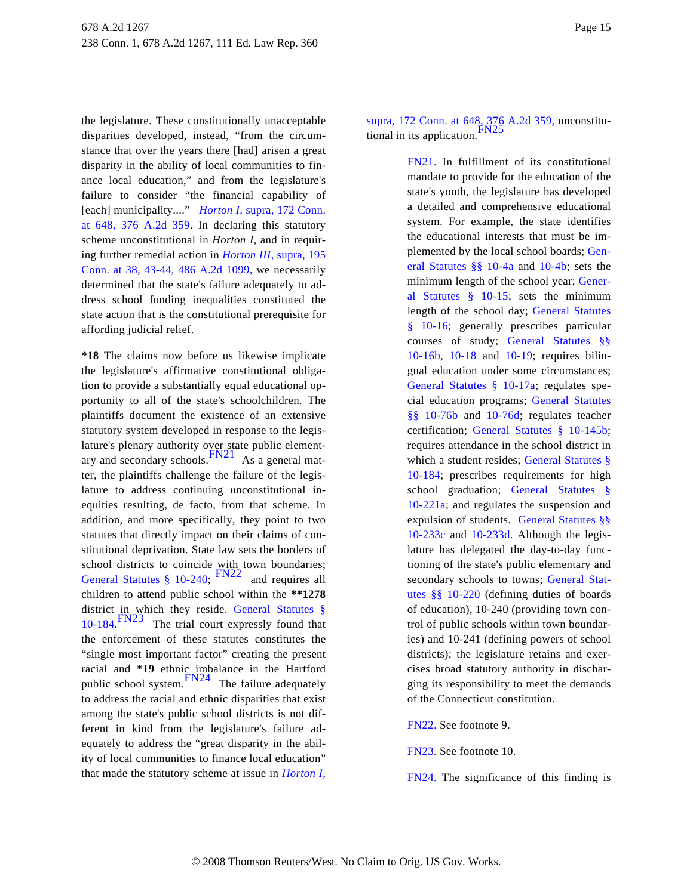<span id="page-14-8"></span><span id="page-14-0"></span>the legislature. These constitutionally unacceptable disparities developed, instead, "from the circumstance that over the years there [had] arisen a great disparity in the ability of local communities to finance local education," and from the legislature's failure to consider "the financial capability of [each] municipality...." *[Horton I,](http://www.westlaw.com/Find/Default.wl?rs=dfa1.0&vr=2.0&DB=162&FindType=Y&SerialNum=1977120164)* [supra, 172 Conn.](http://www.westlaw.com/Find/Default.wl?rs=dfa1.0&vr=2.0&DB=162&FindType=Y&SerialNum=1977120164) [at 648, 376 A.2d 3](http://www.westlaw.com/Find/Default.wl?rs=dfa1.0&vr=2.0&DB=162&FindType=Y&SerialNum=1977120164)59. In declaring this statutory scheme unconstitutional in *Horton I,* and in requiring further remedial action in *[Horton III](http://www.westlaw.com/Find/Default.wl?rs=dfa1.0&vr=2.0&DB=162&FindType=Y&SerialNum=1985102767),* [supra, 195](http://www.westlaw.com/Find/Default.wl?rs=dfa1.0&vr=2.0&DB=162&FindType=Y&SerialNum=1985102767) [Conn. at 38, 43-44, 486 A.2d 1099](http://www.westlaw.com/Find/Default.wl?rs=dfa1.0&vr=2.0&DB=162&FindType=Y&SerialNum=1985102767), we necessarily determined that the state's failure adequately to address school funding inequalities constituted the state action that is the constitutional prerequisite for affording judicial relief.

<span id="page-14-7"></span><span id="page-14-6"></span><span id="page-14-5"></span><span id="page-14-4"></span>**\*18** The claims now before us likewise implicate the legislature's affirmative constitutional obligation to provide a substantially equal educational opportunity to all of the state's schoolchildren. The plaintiffs document the existence of an extensive statutory system developed in response to the legislature's plenary authority over state public elementary and secondary schools. $\frac{FN21}{}\$  $\frac{FN21}{}\$  $\frac{FN21}{}\$ As a general matter, the plaintiffs challenge the failure of the legislature to address continuing unconstitutional inequities resulting, de facto, from that scheme. In addition, and more specifically, they point to two statutes that directly impact on their claims of constitutional deprivation. State law sets the borders of school districts to coincide with town boundaries; General Statutes  $\S$  10-240; [FN22](#page-14-1) and requires all children to attend public school within the **\*\*1278** district in which they reside. [General Statutes](http://www.westlaw.com/Find/Default.wl?rs=dfa1.0&vr=2.0&DB=1000264&DocName=CTSTS10-184&FindType=L) § [10-184](http://www.westlaw.com/Find/Default.wl?rs=dfa1.0&vr=2.0&DB=1000264&DocName=CTSTS10-184&FindType=L). [FN23](#page-14-2) The trial court expressly found that the enforcement of these statutes constitutes the "single most important factor" creating the present racial and \*19 ethnic imbalance in the Hartford public school system.  $FN24$  The failure adequately to address the racial and ethnic disparities that exist among the state's public school districts is not different in kind from the legislature's failure adequately to address the "great disparity in the ability of local communities to finance local education" that made the statutory scheme at issue in *[Horton I](http://www.westlaw.com/Find/Default.wl?rs=dfa1.0&vr=2.0&DB=162&FindType=Y&SerialNum=1977120164),*

[supra, 172 Conn. at 648, 376 A.2d 359](http://www.westlaw.com/Find/Default.wl?rs=dfa1.0&vr=2.0&DB=162&FindType=Y&SerialNum=1977120164), unconstitutional in its application.

[FN21.](#page-14-4) In fulfillment of its constitutional mandate to provide for the education of the state's youth, the legislature has developed a detailed and comprehensive educational system. For example, the state identifies the educational interests that must be implemented by the local school boards; [Gen](http://www.westlaw.com/Find/Default.wl?rs=dfa1.0&vr=2.0&DB=1000264&DocName=CTSTS10-4A&FindType=L)[eral Statutes §§ 10-4](http://www.westlaw.com/Find/Default.wl?rs=dfa1.0&vr=2.0&DB=1000264&DocName=CTSTS10-4A&FindType=L)a and [10-4b](http://www.westlaw.com/Find/Default.wl?rs=dfa1.0&vr=2.0&DB=1000264&DocName=CTSTS10-4B&FindType=L); sets the minimum length of the school year; [Gener](http://www.westlaw.com/Find/Default.wl?rs=dfa1.0&vr=2.0&DB=1000264&DocName=CTSTS10-15&FindType=L)[al Statutes § 10](http://www.westlaw.com/Find/Default.wl?rs=dfa1.0&vr=2.0&DB=1000264&DocName=CTSTS10-15&FindType=L)-15; sets the minimum length of the school day; [General Statutes](http://www.westlaw.com/Find/Default.wl?rs=dfa1.0&vr=2.0&DB=1000264&DocName=CTSTS10-16&FindType=L) [§ 10-1](http://www.westlaw.com/Find/Default.wl?rs=dfa1.0&vr=2.0&DB=1000264&DocName=CTSTS10-16&FindType=L)6; generally prescribes particular courses of study; [General Statutes §](http://www.westlaw.com/Find/Default.wl?rs=dfa1.0&vr=2.0&DB=1000264&DocName=CTSTS10-16B&FindType=L)§ [10-16b](http://www.westlaw.com/Find/Default.wl?rs=dfa1.0&vr=2.0&DB=1000264&DocName=CTSTS10-16B&FindType=L), [10-18](http://www.westlaw.com/Find/Default.wl?rs=dfa1.0&vr=2.0&DB=1000264&DocName=CTSTS10-18&FindType=L) and [10-19](http://www.westlaw.com/Find/Default.wl?rs=dfa1.0&vr=2.0&DB=1000264&DocName=CTSTS10-19&FindType=L); requires bilingual education under some circumstances; [General Statutes § 10-17](http://www.westlaw.com/Find/Default.wl?rs=dfa1.0&vr=2.0&DB=1000264&DocName=CTSTS10-17A&FindType=L)a; regulates special education programs; [General Statutes](http://www.westlaw.com/Find/Default.wl?rs=dfa1.0&vr=2.0&DB=1000264&DocName=CTSTS10-76B&FindType=L) [§§ 10-76](http://www.westlaw.com/Find/Default.wl?rs=dfa1.0&vr=2.0&DB=1000264&DocName=CTSTS10-76B&FindType=L)b and [10-76d](http://www.westlaw.com/Find/Default.wl?rs=dfa1.0&vr=2.0&DB=1000264&DocName=CTSTS10-76D&FindType=L); regulates teacher certification; [General Statutes § 10-145](http://www.westlaw.com/Find/Default.wl?rs=dfa1.0&vr=2.0&DB=1000264&DocName=CTSTS10-145B&FindType=L)b; requires attendance in the school district in which a student resides; [General Statutes §](http://www.westlaw.com/Find/Default.wl?rs=dfa1.0&vr=2.0&DB=1000264&DocName=CTSTS10-184&FindType=L) [10-184](http://www.westlaw.com/Find/Default.wl?rs=dfa1.0&vr=2.0&DB=1000264&DocName=CTSTS10-184&FindType=L); prescribes requirements for high school graduation; [General Statutes](http://www.westlaw.com/Find/Default.wl?rs=dfa1.0&vr=2.0&DB=1000264&DocName=CTSTS10-221A&FindType=L) § [10-221a;](http://www.westlaw.com/Find/Default.wl?rs=dfa1.0&vr=2.0&DB=1000264&DocName=CTSTS10-221A&FindType=L) and regulates the suspension and expulsion of students. [General Statutes §§](http://www.westlaw.com/Find/Default.wl?rs=dfa1.0&vr=2.0&DB=1000264&DocName=CTSTS10-233C&FindType=L) [10-233c](http://www.westlaw.com/Find/Default.wl?rs=dfa1.0&vr=2.0&DB=1000264&DocName=CTSTS10-233C&FindType=L) and [10-233d](http://www.westlaw.com/Find/Default.wl?rs=dfa1.0&vr=2.0&DB=1000264&DocName=CTSTS10-233D&FindType=L). Although the legislature has delegated the day-to-day functioning of the state's public elementary and secondary schools to towns; [General Stat](http://www.westlaw.com/Find/Default.wl?rs=dfa1.0&vr=2.0&DB=1000264&DocName=CTSTS10-220&FindType=L)[utes §§ 10-22](http://www.westlaw.com/Find/Default.wl?rs=dfa1.0&vr=2.0&DB=1000264&DocName=CTSTS10-220&FindType=L)0 (defining duties of boards of education), 10-240 (providing town control of public schools within town boundaries) and 10-241 (defining powers of school districts); the legislature retains and exercises broad statutory authority in discharging its responsibility to meet the demands of the Connecticut constitution.

<span id="page-14-1"></span>[FN22.](#page-14-5) See footnote 9.

<span id="page-14-2"></span>[FN23.](#page-14-6) See footnote 10.

<span id="page-14-3"></span>[FN24.](#page-14-7) The significance of this finding is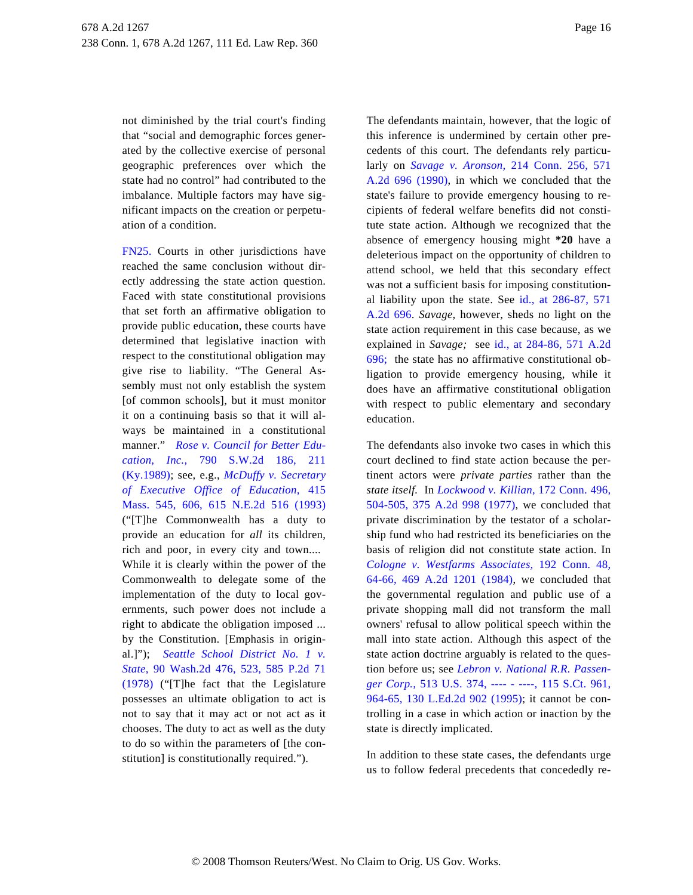not diminished by the trial court's finding that "social and demographic forces generated by the collective exercise of personal geographic preferences over which the state had no control" had contributed to the imbalance. Multiple factors may have significant impacts on the creation or perpetuation of a condition.

<span id="page-15-0"></span>[FN25.](#page-14-8) Courts in other jurisdictions have reached the same conclusion without directly addressing the state action question. Faced with state constitutional provisions that set forth an affirmative obligation to provide public education, these courts have determined that legislative inaction with respect to the constitutional obligation may give rise to liability. "The General Assembly must not only establish the system [of common schools], but it must monitor it on a continuing basis so that it will always be maintained in a constitutional manner." *[Rose v. Council for Better Edu](http://www.westlaw.com/Find/Default.wl?rs=dfa1.0&vr=2.0&DB=713&FindType=Y&ReferencePositionType=S&SerialNum=1989086076&ReferencePosition=211)[cation, In](http://www.westlaw.com/Find/Default.wl?rs=dfa1.0&vr=2.0&DB=713&FindType=Y&ReferencePositionType=S&SerialNum=1989086076&ReferencePosition=211)c.,* [790 S.W.2d 186](http://www.westlaw.com/Find/Default.wl?rs=dfa1.0&vr=2.0&DB=713&FindType=Y&ReferencePositionType=S&SerialNum=1989086076&ReferencePosition=211), 211 [\(Ky.1989\);](http://www.westlaw.com/Find/Default.wl?rs=dfa1.0&vr=2.0&DB=713&FindType=Y&ReferencePositionType=S&SerialNum=1989086076&ReferencePosition=211) see, e.g., *[McDuffy v. Secretary](http://www.westlaw.com/Find/Default.wl?rs=dfa1.0&vr=2.0&DB=578&FindType=Y&SerialNum=1993126175) [of Executive Office of Education,](http://www.westlaw.com/Find/Default.wl?rs=dfa1.0&vr=2.0&DB=578&FindType=Y&SerialNum=1993126175)* 415 [Mass. 545, 606, 615 N.E.2d 516 \(1](http://www.westlaw.com/Find/Default.wl?rs=dfa1.0&vr=2.0&DB=578&FindType=Y&SerialNum=1993126175)993) ("[T]he Commonwealth has a duty to provide an education for *all* its children, rich and poor, in every city and town.... While it is clearly within the power of the Commonwealth to delegate some of the implementation of the duty to local governments, such power does not include a right to abdicate the obligation imposed ... by the Constitution. [Emphasis in original.]"); *[Seattle School District No. 1](http://www.westlaw.com/Find/Default.wl?rs=dfa1.0&vr=2.0&DB=661&FindType=Y&SerialNum=1978130912) v. [State,](http://www.westlaw.com/Find/Default.wl?rs=dfa1.0&vr=2.0&DB=661&FindType=Y&SerialNum=1978130912)* [90 Wash.2d 476, 523, 585 P.2d](http://www.westlaw.com/Find/Default.wl?rs=dfa1.0&vr=2.0&DB=661&FindType=Y&SerialNum=1978130912) 71 [\(1978\)](http://www.westlaw.com/Find/Default.wl?rs=dfa1.0&vr=2.0&DB=661&FindType=Y&SerialNum=1978130912) ("[T]he fact that the Legislature possesses an ultimate obligation to act is not to say that it may act or not act as it chooses. The duty to act as well as the duty to do so within the parameters of [the constitution] is constitutionally required.").

The defendants maintain, however, that the logic of this inference is undermined by certain other precedents of this court. The defendants rely particularly on *[Savage v. Aronson](http://www.westlaw.com/Find/Default.wl?rs=dfa1.0&vr=2.0&DB=162&FindType=Y&SerialNum=1990052258),* [214 Conn. 256, 57](http://www.westlaw.com/Find/Default.wl?rs=dfa1.0&vr=2.0&DB=162&FindType=Y&SerialNum=1990052258)1 [A.2d 696 \(1990](http://www.westlaw.com/Find/Default.wl?rs=dfa1.0&vr=2.0&DB=162&FindType=Y&SerialNum=1990052258)), in which we concluded that the state's failure to provide emergency housing to recipients of federal welfare benefits did not constitute state action. Although we recognized that the absence of emergency housing might **\*20** have a deleterious impact on the opportunity of children to attend school, we held that this secondary effect was not a sufficient basis for imposing constitutional liability upon the state. See [id., at 286-87, 571](http://www.westlaw.com/Find/Default.wl?rs=dfa1.0&vr=2.0&DB=162&FindType=Y&SerialNum=1990052258) [A.2d 696](http://www.westlaw.com/Find/Default.wl?rs=dfa1.0&vr=2.0&DB=162&FindType=Y&SerialNum=1990052258). *Savage,* however, sheds no light on the state action requirement in this case because, as we explained in *Savage;* see [id., at 284-86, 571 A.2d](http://www.westlaw.com/Find/Default.wl?rs=dfa1.0&vr=2.0&DB=162&FindType=Y&SerialNum=1990052258) [696;](http://www.westlaw.com/Find/Default.wl?rs=dfa1.0&vr=2.0&DB=162&FindType=Y&SerialNum=1990052258) the state has no affirmative constitutional obligation to provide emergency housing, while it does have an affirmative constitutional obligation with respect to public elementary and secondary education.

The defendants also invoke two cases in which this court declined to find state action because the pertinent actors were *private parties* rather than the *state itself.* In *[Lockwood v. Killian](http://www.westlaw.com/Find/Default.wl?rs=dfa1.0&vr=2.0&DB=162&FindType=Y&SerialNum=1977120009),* [172 Conn. 496,](http://www.westlaw.com/Find/Default.wl?rs=dfa1.0&vr=2.0&DB=162&FindType=Y&SerialNum=1977120009) [504-505, 375 A.2d 998 \(1977](http://www.westlaw.com/Find/Default.wl?rs=dfa1.0&vr=2.0&DB=162&FindType=Y&SerialNum=1977120009)), we concluded that private discrimination by the testator of a scholarship fund who had restricted its beneficiaries on the basis of religion did not constitute state action. In *[Cologne v. Westfarms Associate](http://www.westlaw.com/Find/Default.wl?rs=dfa1.0&vr=2.0&DB=162&FindType=Y&SerialNum=1984103470)s,* [192 Conn. 4](http://www.westlaw.com/Find/Default.wl?rs=dfa1.0&vr=2.0&DB=162&FindType=Y&SerialNum=1984103470)8, [64-66, 469 A.2d 1201 \(198](http://www.westlaw.com/Find/Default.wl?rs=dfa1.0&vr=2.0&DB=162&FindType=Y&SerialNum=1984103470)4), we concluded that the governmental regulation and public use of a private shopping mall did not transform the mall owners' refusal to allow political speech within the mall into state action. Although this aspect of the state action doctrine arguably is related to the question before us; see *[Lebron v. National R.R. Passen](http://www.westlaw.com/Find/Default.wl?rs=dfa1.0&vr=2.0&DB=708&FindType=Y&ReferencePositionType=S&SerialNum=1995051868&ReferencePosition=964)[ger Corp.](http://www.westlaw.com/Find/Default.wl?rs=dfa1.0&vr=2.0&DB=708&FindType=Y&ReferencePositionType=S&SerialNum=1995051868&ReferencePosition=964),* [513 U.S. 374, ---- - ----, 115 S.Ct. 96](http://www.westlaw.com/Find/Default.wl?rs=dfa1.0&vr=2.0&DB=708&FindType=Y&ReferencePositionType=S&SerialNum=1995051868&ReferencePosition=964)1, [964-65, 130 L.Ed.2d 902 \(1995](http://www.westlaw.com/Find/Default.wl?rs=dfa1.0&vr=2.0&DB=708&FindType=Y&ReferencePositionType=S&SerialNum=1995051868&ReferencePosition=964)); it cannot be controlling in a case in which action or inaction by the state is directly implicated.

In addition to these state cases, the defendants urge us to follow federal precedents that concededly re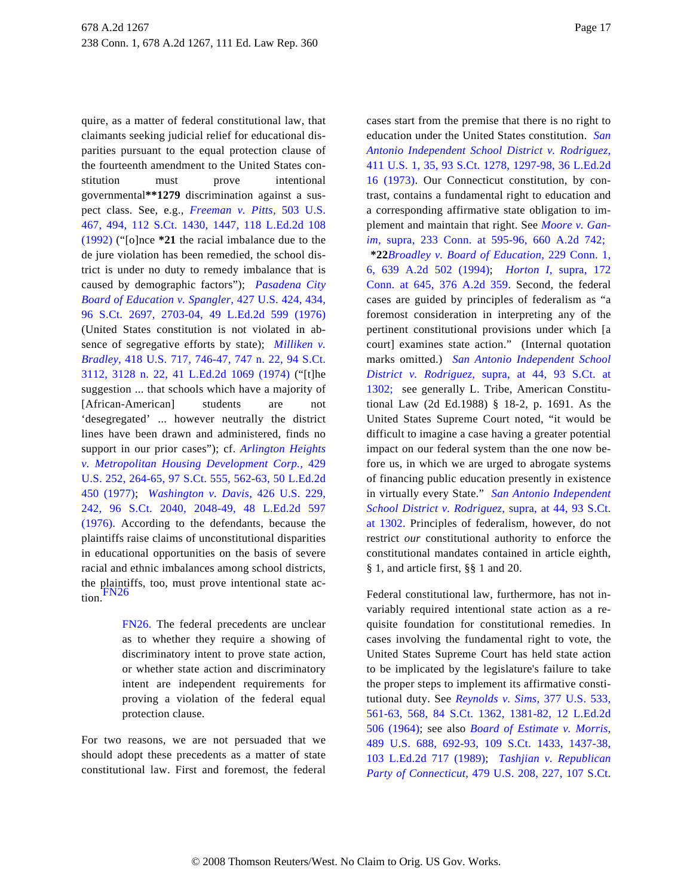quire, as a matter of federal constitutional law, that claimants seeking judicial relief for educational disparities pursuant to the equal protection clause of the fourteenth amendment to the United States constitution must prove intentional governmental**\*\*1279** discrimination against a suspect class. See, e.g., *[Freeman v. Pitt](http://www.westlaw.com/Find/Default.wl?rs=dfa1.0&vr=2.0&DB=708&FindType=Y&ReferencePositionType=S&SerialNum=1992065816&ReferencePosition=1447)s,* [503 U.S](http://www.westlaw.com/Find/Default.wl?rs=dfa1.0&vr=2.0&DB=708&FindType=Y&ReferencePositionType=S&SerialNum=1992065816&ReferencePosition=1447). [467, 494, 112 S.Ct. 1430, 1447, 118 L.Ed.2d 1](http://www.westlaw.com/Find/Default.wl?rs=dfa1.0&vr=2.0&DB=708&FindType=Y&ReferencePositionType=S&SerialNum=1992065816&ReferencePosition=1447)08 [\(1992\)](http://www.westlaw.com/Find/Default.wl?rs=dfa1.0&vr=2.0&DB=708&FindType=Y&ReferencePositionType=S&SerialNum=1992065816&ReferencePosition=1447) ("[o]nce **\*21** the racial imbalance due to the de jure violation has been remedied, the school district is under no duty to remedy imbalance that is caused by demographic factors"); *[Pasadena City](http://www.westlaw.com/Find/Default.wl?rs=dfa1.0&vr=2.0&DB=708&FindType=Y&ReferencePositionType=S&SerialNum=1976142434&ReferencePosition=2703) [Board of Education v. Spangler](http://www.westlaw.com/Find/Default.wl?rs=dfa1.0&vr=2.0&DB=708&FindType=Y&ReferencePositionType=S&SerialNum=1976142434&ReferencePosition=2703),* [427 U.S. 424, 434,](http://www.westlaw.com/Find/Default.wl?rs=dfa1.0&vr=2.0&DB=708&FindType=Y&ReferencePositionType=S&SerialNum=1976142434&ReferencePosition=2703) [96 S.Ct. 2697, 2703-04, 49 L.Ed.2d 599 \(1](http://www.westlaw.com/Find/Default.wl?rs=dfa1.0&vr=2.0&DB=708&FindType=Y&ReferencePositionType=S&SerialNum=1976142434&ReferencePosition=2703)976) (United States constitution is not violated in absence of segregative efforts by state); *[Milliken v.](http://www.westlaw.com/Find/Default.wl?rs=dfa1.0&vr=2.0&DB=708&FindType=Y&ReferencePositionType=S&SerialNum=1974127253&ReferencePosition=3128) [Bradley,](http://www.westlaw.com/Find/Default.wl?rs=dfa1.0&vr=2.0&DB=708&FindType=Y&ReferencePositionType=S&SerialNum=1974127253&ReferencePosition=3128)* [418 U.S. 717, 746-47, 747 n. 22, 94 S.C](http://www.westlaw.com/Find/Default.wl?rs=dfa1.0&vr=2.0&DB=708&FindType=Y&ReferencePositionType=S&SerialNum=1974127253&ReferencePosition=3128)t. [3112, 3128 n. 22, 41 L.Ed.2d 1069 \(197](http://www.westlaw.com/Find/Default.wl?rs=dfa1.0&vr=2.0&DB=708&FindType=Y&ReferencePositionType=S&SerialNum=1974127253&ReferencePosition=3128)4) ("[t]he suggestion ... that schools which have a majority of [African-American] students are not 'desegregated' ... however neutrally the district lines have been drawn and administered, finds no support in our prior cases"); cf. *[Arlington Heights](http://www.westlaw.com/Find/Default.wl?rs=dfa1.0&vr=2.0&DB=708&FindType=Y&ReferencePositionType=S&SerialNum=1977118707&ReferencePosition=562) [v. Metropolitan Housing Development Corp.,](http://www.westlaw.com/Find/Default.wl?rs=dfa1.0&vr=2.0&DB=708&FindType=Y&ReferencePositionType=S&SerialNum=1977118707&ReferencePosition=562)* 429 [U.S. 252, 264-65, 97 S.Ct. 555, 562-63, 50 L.Ed.2d](http://www.westlaw.com/Find/Default.wl?rs=dfa1.0&vr=2.0&DB=708&FindType=Y&ReferencePositionType=S&SerialNum=1977118707&ReferencePosition=562) [450 \(1977](http://www.westlaw.com/Find/Default.wl?rs=dfa1.0&vr=2.0&DB=708&FindType=Y&ReferencePositionType=S&SerialNum=1977118707&ReferencePosition=562)); *[Washington v. Davis](http://www.westlaw.com/Find/Default.wl?rs=dfa1.0&vr=2.0&DB=708&FindType=Y&ReferencePositionType=S&SerialNum=1976142392&ReferencePosition=2048),* [426 U.S. 229](http://www.westlaw.com/Find/Default.wl?rs=dfa1.0&vr=2.0&DB=708&FindType=Y&ReferencePositionType=S&SerialNum=1976142392&ReferencePosition=2048), [242, 96 S.Ct. 2040, 2048-49, 48 L.Ed.2](http://www.westlaw.com/Find/Default.wl?rs=dfa1.0&vr=2.0&DB=708&FindType=Y&ReferencePositionType=S&SerialNum=1976142392&ReferencePosition=2048)d 597 [\(1976\).](http://www.westlaw.com/Find/Default.wl?rs=dfa1.0&vr=2.0&DB=708&FindType=Y&ReferencePositionType=S&SerialNum=1976142392&ReferencePosition=2048) According to the defendants, because the plaintiffs raise claims of unconstitutional disparities in educational opportunities on the basis of severe racial and ethnic imbalances among school districts, the plaintiffs, too, must prove intentional state ac-tion.<sup>[FN26](#page-16-0)</sup>

> <span id="page-16-1"></span><span id="page-16-0"></span>[FN26.](#page-16-1) The federal precedents are unclear as to whether they require a showing of discriminatory intent to prove state action, or whether state action and discriminatory intent are independent requirements for proving a violation of the federal equal protection clause.

For two reasons, we are not persuaded that we should adopt these precedents as a matter of state constitutional law. First and foremost, the federal

cases start from the premise that there is no right to education under the United States constitution. *[San](http://www.westlaw.com/Find/Default.wl?rs=dfa1.0&vr=2.0&DB=708&FindType=Y&ReferencePositionType=S&SerialNum=1973126364&ReferencePosition=1297) [Antonio Independent School District v. Rodriguez](http://www.westlaw.com/Find/Default.wl?rs=dfa1.0&vr=2.0&DB=708&FindType=Y&ReferencePositionType=S&SerialNum=1973126364&ReferencePosition=1297),* [411 U.S. 1, 35, 93 S.Ct. 1278, 1297-98, 36 L.Ed.2d](http://www.westlaw.com/Find/Default.wl?rs=dfa1.0&vr=2.0&DB=708&FindType=Y&ReferencePositionType=S&SerialNum=1973126364&ReferencePosition=1297) [16 \(1973](http://www.westlaw.com/Find/Default.wl?rs=dfa1.0&vr=2.0&DB=708&FindType=Y&ReferencePositionType=S&SerialNum=1973126364&ReferencePosition=1297)). Our Connecticut constitution, by contrast, contains a fundamental right to education and a corresponding affirmative state obligation to implement and maintain that right. See *[Moore v. Gan](http://www.westlaw.com/Find/Default.wl?rs=dfa1.0&vr=2.0&DB=162&FindType=Y&SerialNum=1995132705)[im,](http://www.westlaw.com/Find/Default.wl?rs=dfa1.0&vr=2.0&DB=162&FindType=Y&SerialNum=1995132705)* [supra, 233 Conn. at 595-96, 660 A.2d](http://www.westlaw.com/Find/Default.wl?rs=dfa1.0&vr=2.0&DB=162&FindType=Y&SerialNum=1995132705) 742; **\*22***[Broadley v. Board of Education](http://www.westlaw.com/Find/Default.wl?rs=dfa1.0&vr=2.0&DB=162&FindType=Y&SerialNum=1994077716),* [229 Conn. 1](http://www.westlaw.com/Find/Default.wl?rs=dfa1.0&vr=2.0&DB=162&FindType=Y&SerialNum=1994077716), [6, 639 A.2d 502 \(19](http://www.westlaw.com/Find/Default.wl?rs=dfa1.0&vr=2.0&DB=162&FindType=Y&SerialNum=1994077716)94); *[Horton I](http://www.westlaw.com/Find/Default.wl?rs=dfa1.0&vr=2.0&DB=162&FindType=Y&SerialNum=1977120164),* [supra, 17](http://www.westlaw.com/Find/Default.wl?rs=dfa1.0&vr=2.0&DB=162&FindType=Y&SerialNum=1977120164)2 [Conn. at 645, 376 A.2d 3](http://www.westlaw.com/Find/Default.wl?rs=dfa1.0&vr=2.0&DB=162&FindType=Y&SerialNum=1977120164)59. Second, the federal cases are guided by principles of federalism as "a foremost consideration in interpreting any of the pertinent constitutional provisions under which [a court] examines state action." (Internal quotation marks omitted.) *[San Antonio Independent Schoo](http://www.westlaw.com/Find/Default.wl?rs=dfa1.0&vr=2.0&DB=708&FindType=Y&ReferencePositionType=S&SerialNum=1973126364&ReferencePosition=1302)l [District v. Rodrigue](http://www.westlaw.com/Find/Default.wl?rs=dfa1.0&vr=2.0&DB=708&FindType=Y&ReferencePositionType=S&SerialNum=1973126364&ReferencePosition=1302)z,* [supra, at 44, 93 S.Ct. at](http://www.westlaw.com/Find/Default.wl?rs=dfa1.0&vr=2.0&DB=708&FindType=Y&ReferencePositionType=S&SerialNum=1973126364&ReferencePosition=1302) 1302; see generally L. Tribe, American Constitutional Law (2d Ed.1988) § 18-2, p. 1691. As the United States Supreme Court noted, "it would be difficult to imagine a case having a greater potential impact on our federal system than the one now before us, in which we are urged to abrogate systems of financing public education presently in existence in virtually every State." *[San Antonio Independent](http://www.westlaw.com/Find/Default.wl?rs=dfa1.0&vr=2.0&DB=708&FindType=Y&ReferencePositionType=S&SerialNum=1973126364&ReferencePosition=1302) [School District v. Rodriguez](http://www.westlaw.com/Find/Default.wl?rs=dfa1.0&vr=2.0&DB=708&FindType=Y&ReferencePositionType=S&SerialNum=1973126364&ReferencePosition=1302),* [supra, at 44, 93 S.Ct](http://www.westlaw.com/Find/Default.wl?rs=dfa1.0&vr=2.0&DB=708&FindType=Y&ReferencePositionType=S&SerialNum=1973126364&ReferencePosition=1302). [at 1302](http://www.westlaw.com/Find/Default.wl?rs=dfa1.0&vr=2.0&DB=708&FindType=Y&ReferencePositionType=S&SerialNum=1973126364&ReferencePosition=1302). Principles of federalism, however, do not restrict *our* constitutional authority to enforce the constitutional mandates contained in article eighth, § 1, and article first, §§ 1 and 20.

Federal constitutional law, furthermore, has not invariably required intentional state action as a requisite foundation for constitutional remedies. In cases involving the fundamental right to vote, the United States Supreme Court has held state action to be implicated by the legislature's failure to take the proper steps to implement its affirmative constitutional duty. See *[Reynolds v. Sims](http://www.westlaw.com/Find/Default.wl?rs=dfa1.0&vr=2.0&DB=708&FindType=Y&ReferencePositionType=S&SerialNum=1964124843&ReferencePosition=1381),* [377 U.S. 533](http://www.westlaw.com/Find/Default.wl?rs=dfa1.0&vr=2.0&DB=708&FindType=Y&ReferencePositionType=S&SerialNum=1964124843&ReferencePosition=1381), [561-63, 568, 84 S.Ct. 1362, 1381-82, 12 L.Ed](http://www.westlaw.com/Find/Default.wl?rs=dfa1.0&vr=2.0&DB=708&FindType=Y&ReferencePositionType=S&SerialNum=1964124843&ReferencePosition=1381).2d [506 \(1964](http://www.westlaw.com/Find/Default.wl?rs=dfa1.0&vr=2.0&DB=708&FindType=Y&ReferencePositionType=S&SerialNum=1964124843&ReferencePosition=1381)); see also *[Board of Estimate v. Morris](http://www.westlaw.com/Find/Default.wl?rs=dfa1.0&vr=2.0&DB=708&FindType=Y&ReferencePositionType=S&SerialNum=1989042740&ReferencePosition=1437),* [489 U.S. 688, 692-93, 109 S.Ct. 1433, 1437](http://www.westlaw.com/Find/Default.wl?rs=dfa1.0&vr=2.0&DB=708&FindType=Y&ReferencePositionType=S&SerialNum=1989042740&ReferencePosition=1437)-38, [103 L.Ed.2d 717 \(1989](http://www.westlaw.com/Find/Default.wl?rs=dfa1.0&vr=2.0&DB=708&FindType=Y&ReferencePositionType=S&SerialNum=1989042740&ReferencePosition=1437)); *[Tashjian v. Republican](http://www.westlaw.com/Find/Default.wl?rs=dfa1.0&vr=2.0&DB=708&FindType=Y&ReferencePositionType=S&SerialNum=1986160455&ReferencePosition=555) [Party of Connecticut](http://www.westlaw.com/Find/Default.wl?rs=dfa1.0&vr=2.0&DB=708&FindType=Y&ReferencePositionType=S&SerialNum=1986160455&ReferencePosition=555),* 479 U.S. 208, 227, 107 S.Ct.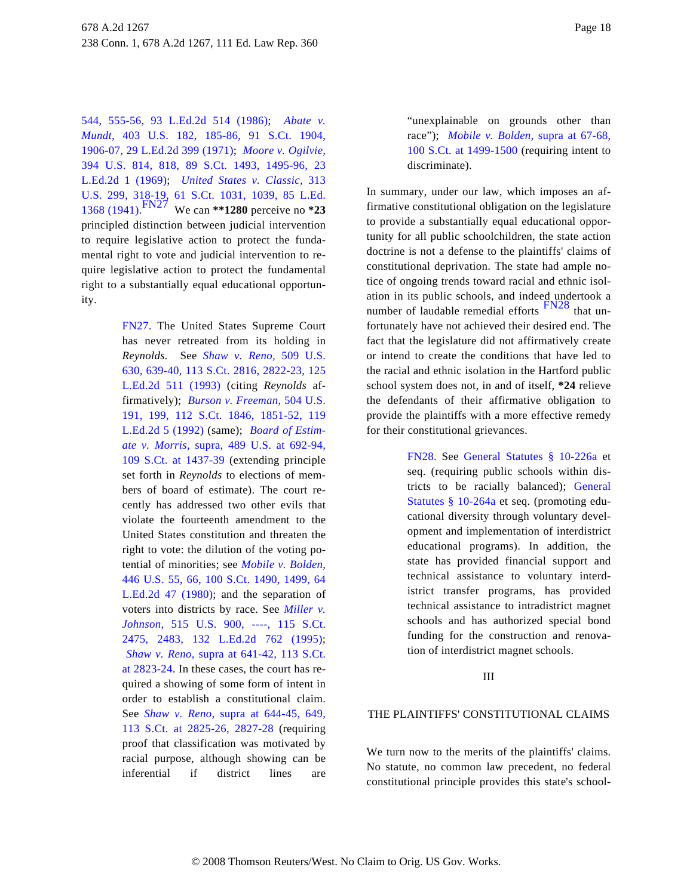<span id="page-17-1"></span>[544, 555-56, 93 L.Ed.2d 514 \(19](http://www.westlaw.com/Find/Default.wl?rs=dfa1.0&vr=2.0&DB=708&FindType=Y&ReferencePositionType=S&SerialNum=1986160455&ReferencePosition=555)86); *[Abate v](http://www.westlaw.com/Find/Default.wl?rs=dfa1.0&vr=2.0&DB=708&FindType=Y&ReferencePositionType=S&SerialNum=1971127099&ReferencePosition=1906). [Mundt,](http://www.westlaw.com/Find/Default.wl?rs=dfa1.0&vr=2.0&DB=708&FindType=Y&ReferencePositionType=S&SerialNum=1971127099&ReferencePosition=1906)* [403 U.S. 182, 185-86, 91 S.Ct.](http://www.westlaw.com/Find/Default.wl?rs=dfa1.0&vr=2.0&DB=708&FindType=Y&ReferencePositionType=S&SerialNum=1971127099&ReferencePosition=1906) 1904, [1906-07, 29 L.Ed.2d 399 \(1971\)](http://www.westlaw.com/Find/Default.wl?rs=dfa1.0&vr=2.0&DB=708&FindType=Y&ReferencePositionType=S&SerialNum=1971127099&ReferencePosition=1906); *[Moore v. Ogilvie](http://www.westlaw.com/Find/Default.wl?rs=dfa1.0&vr=2.0&DB=708&FindType=Y&ReferencePositionType=S&SerialNum=1969132981&ReferencePosition=1495),* [394 U.S. 814, 818, 89 S.Ct. 1493, 1495-9](http://www.westlaw.com/Find/Default.wl?rs=dfa1.0&vr=2.0&DB=708&FindType=Y&ReferencePositionType=S&SerialNum=1969132981&ReferencePosition=1495)6, 23 [L.Ed.2d 1 \(1969](http://www.westlaw.com/Find/Default.wl?rs=dfa1.0&vr=2.0&DB=708&FindType=Y&ReferencePositionType=S&SerialNum=1969132981&ReferencePosition=1495)); *[United States v. Classic,](http://www.westlaw.com/Find/Default.wl?rs=dfa1.0&vr=2.0&DB=708&FindType=Y&ReferencePositionType=S&SerialNum=1941125394&ReferencePosition=1039)* 313 [U.S. 299, 318-19, 61 S.Ct. 1031, 1039, 85 L.](http://www.westlaw.com/Find/Default.wl?rs=dfa1.0&vr=2.0&DB=708&FindType=Y&ReferencePositionType=S&SerialNum=1941125394&ReferencePosition=1039)Ed. [1368 \(1941\)](http://www.westlaw.com/Find/Default.wl?rs=dfa1.0&vr=2.0&DB=708&FindType=Y&ReferencePositionType=S&SerialNum=1941125394&ReferencePosition=1039). [FN27](#page-17-0) We can **\*\*1280** perceive no **\*23** principled distinction between judicial intervention to require legislative action to protect the fundamental right to vote and judicial intervention to require legislative action to protect the fundamental right to a substantially equal educational opportunity.

> <span id="page-17-3"></span><span id="page-17-2"></span><span id="page-17-0"></span>[FN27.](#page-17-1) The United States Supreme Court has never retreated from its holding in *Reynolds.* See *[Shaw v. Ren](http://www.westlaw.com/Find/Default.wl?rs=dfa1.0&vr=2.0&DB=708&FindType=Y&ReferencePositionType=S&SerialNum=1993130653&ReferencePosition=2822)o,* [509 U.S](http://www.westlaw.com/Find/Default.wl?rs=dfa1.0&vr=2.0&DB=708&FindType=Y&ReferencePositionType=S&SerialNum=1993130653&ReferencePosition=2822). [630, 639-40, 113 S.Ct. 2816, 2822-23, 125](http://www.westlaw.com/Find/Default.wl?rs=dfa1.0&vr=2.0&DB=708&FindType=Y&ReferencePositionType=S&SerialNum=1993130653&ReferencePosition=2822) [L.Ed.2d 511 \(1993](http://www.westlaw.com/Find/Default.wl?rs=dfa1.0&vr=2.0&DB=708&FindType=Y&ReferencePositionType=S&SerialNum=1993130653&ReferencePosition=2822)) (citing *Reynolds* affirmatively); *[Burson v. Freeman,](http://www.westlaw.com/Find/Default.wl?rs=dfa1.0&vr=2.0&DB=708&FindType=Y&ReferencePositionType=S&SerialNum=1992095635&ReferencePosition=1851)* 504 U.S. [191, 199, 112 S.Ct. 1846, 1851-52,](http://www.westlaw.com/Find/Default.wl?rs=dfa1.0&vr=2.0&DB=708&FindType=Y&ReferencePositionType=S&SerialNum=1992095635&ReferencePosition=1851) 119 [L.Ed.2d 5 \(1992](http://www.westlaw.com/Find/Default.wl?rs=dfa1.0&vr=2.0&DB=708&FindType=Y&ReferencePositionType=S&SerialNum=1992095635&ReferencePosition=1851)) (same); *[Board of Estim](http://www.westlaw.com/Find/Default.wl?rs=dfa1.0&vr=2.0&DB=708&FindType=Y&ReferencePositionType=S&SerialNum=1989042740&ReferencePosition=1437)[ate v. Morris](http://www.westlaw.com/Find/Default.wl?rs=dfa1.0&vr=2.0&DB=708&FindType=Y&ReferencePositionType=S&SerialNum=1989042740&ReferencePosition=1437),* [supra, 489 U.S. at 692-9](http://www.westlaw.com/Find/Default.wl?rs=dfa1.0&vr=2.0&DB=708&FindType=Y&ReferencePositionType=S&SerialNum=1989042740&ReferencePosition=1437)4, [109 S.Ct. at 1437-3](http://www.westlaw.com/Find/Default.wl?rs=dfa1.0&vr=2.0&DB=708&FindType=Y&ReferencePositionType=S&SerialNum=1989042740&ReferencePosition=1437)9 (extending principle set forth in *Reynolds* to elections of members of board of estimate). The court recently has addressed two other evils that violate the fourteenth amendment to the United States constitution and threaten the right to vote: the dilution of the voting potential of minorities; see *[Mobile v. Bolden](http://www.westlaw.com/Find/Default.wl?rs=dfa1.0&vr=2.0&DB=708&FindType=Y&ReferencePositionType=S&SerialNum=1980111419&ReferencePosition=1499),* [446 U.S. 55, 66, 100 S.Ct. 1490, 1499, 6](http://www.westlaw.com/Find/Default.wl?rs=dfa1.0&vr=2.0&DB=708&FindType=Y&ReferencePositionType=S&SerialNum=1980111419&ReferencePosition=1499)4 [L.Ed.2d 47 \(1980](http://www.westlaw.com/Find/Default.wl?rs=dfa1.0&vr=2.0&DB=708&FindType=Y&ReferencePositionType=S&SerialNum=1980111419&ReferencePosition=1499)); and the separation of voters into districts by race. See *[Miller v.](http://www.westlaw.com/Find/Default.wl?rs=dfa1.0&vr=2.0&DB=708&FindType=Y&ReferencePositionType=S&SerialNum=1995137594&ReferencePosition=2483) [Johnson,](http://www.westlaw.com/Find/Default.wl?rs=dfa1.0&vr=2.0&DB=708&FindType=Y&ReferencePositionType=S&SerialNum=1995137594&ReferencePosition=2483)* [515 U.S. 900, ----, 115](http://www.westlaw.com/Find/Default.wl?rs=dfa1.0&vr=2.0&DB=708&FindType=Y&ReferencePositionType=S&SerialNum=1995137594&ReferencePosition=2483) S.Ct. [2475, 2483, 132 L.Ed.2d 762](http://www.westlaw.com/Find/Default.wl?rs=dfa1.0&vr=2.0&DB=708&FindType=Y&ReferencePositionType=S&SerialNum=1995137594&ReferencePosition=2483) (1995); *[Shaw v. Reno](http://www.westlaw.com/Find/Default.wl?rs=dfa1.0&vr=2.0&DB=708&FindType=Y&ReferencePositionType=S&SerialNum=1993130653&ReferencePosition=2823),* [supra at 641-42, 113 S.Ct](http://www.westlaw.com/Find/Default.wl?rs=dfa1.0&vr=2.0&DB=708&FindType=Y&ReferencePositionType=S&SerialNum=1993130653&ReferencePosition=2823). [at 2823-24](http://www.westlaw.com/Find/Default.wl?rs=dfa1.0&vr=2.0&DB=708&FindType=Y&ReferencePositionType=S&SerialNum=1993130653&ReferencePosition=2823). In these cases, the court has required a showing of some form of intent in order to establish a constitutional claim. See *[Shaw v. Reno](http://www.westlaw.com/Find/Default.wl?rs=dfa1.0&vr=2.0&DB=708&FindType=Y&ReferencePositionType=S&SerialNum=1993130653&ReferencePosition=2825),* [supra at 644-45, 64](http://www.westlaw.com/Find/Default.wl?rs=dfa1.0&vr=2.0&DB=708&FindType=Y&ReferencePositionType=S&SerialNum=1993130653&ReferencePosition=2825)9, [113 S.Ct. at 2825-26, 2827-](http://www.westlaw.com/Find/Default.wl?rs=dfa1.0&vr=2.0&DB=708&FindType=Y&ReferencePositionType=S&SerialNum=1993130653&ReferencePosition=2825)28 (requiring proof that classification was motivated by racial purpose, although showing can be inferential if district lines are

"unexplainable on grounds other than race"); *[Mobile v. Bolden](http://www.westlaw.com/Find/Default.wl?rs=dfa1.0&vr=2.0&DB=708&FindType=Y&ReferencePositionType=S&SerialNum=1980111419&ReferencePosition=1499),* [supra at 67-68](http://www.westlaw.com/Find/Default.wl?rs=dfa1.0&vr=2.0&DB=708&FindType=Y&ReferencePositionType=S&SerialNum=1980111419&ReferencePosition=1499), [100 S.Ct. at 1499-1500](http://www.westlaw.com/Find/Default.wl?rs=dfa1.0&vr=2.0&DB=708&FindType=Y&ReferencePositionType=S&SerialNum=1980111419&ReferencePosition=1499) (requiring intent to discriminate).

In summary, under our law, which imposes an affirmative constitutional obligation on the legislature to provide a substantially equal educational opportunity for all public schoolchildren, the state action doctrine is not a defense to the plaintiffs' claims of constitutional deprivation. The state had ample notice of ongoing trends toward racial and ethnic isolation in its public schools, and indeed undertook a number of laudable remedial efforts  $\frac{FN28}{FN28}$  $\frac{FN28}{FN28}$  $\frac{FN28}{FN28}$  that unfortunately have not achieved their desired end. The fact that the legislature did not affirmatively create or intend to create the conditions that have led to the racial and ethnic isolation in the Hartford public school system does not, in and of itself, **\*24** relieve the defendants of their affirmative obligation to provide the plaintiffs with a more effective remedy for their constitutional grievances.

> [FN28.](#page-17-3) See [General Statutes § 10-226](http://www.westlaw.com/Find/Default.wl?rs=dfa1.0&vr=2.0&DB=1000264&DocName=CTSTS10-226A&FindType=L)a et seq. (requiring public schools within districts to be racially balanced); [General](http://www.westlaw.com/Find/Default.wl?rs=dfa1.0&vr=2.0&DB=1000264&DocName=CTSTS10-264A&FindType=L) [Statutes § 10-264a](http://www.westlaw.com/Find/Default.wl?rs=dfa1.0&vr=2.0&DB=1000264&DocName=CTSTS10-264A&FindType=L) et seq. (promoting educational diversity through voluntary development and implementation of interdistrict educational programs). In addition, the state has provided financial support and technical assistance to voluntary interdistrict transfer programs, has provided technical assistance to intradistrict magnet schools and has authorized special bond funding for the construction and renovation of interdistrict magnet schools.

#### III

# THE PLAINTIFFS' CONSTITUTIONAL CLAIMS

We turn now to the merits of the plaintiffs' claims. No statute, no common law precedent, no federal constitutional principle provides this state's school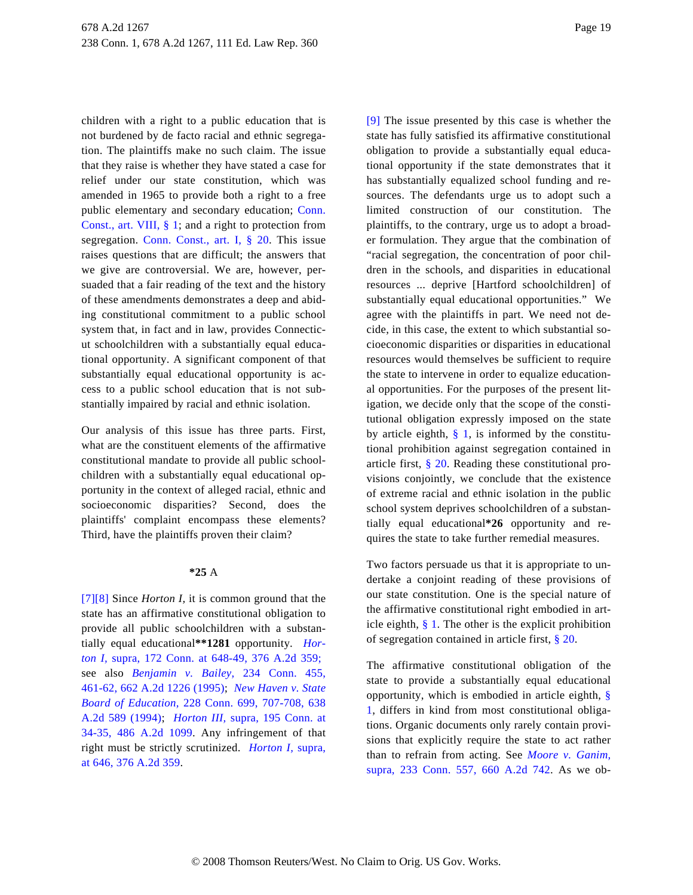<span id="page-18-1"></span>children with a right to a public education that is not burdened by de facto racial and ethnic segregation. The plaintiffs make no such claim. The issue that they raise is whether they have stated a case for relief under our state constitution, which was amended in 1965 to provide both a right to a free public elementary and secondary education; [Conn.](http://www.westlaw.com/Find/Default.wl?rs=dfa1.0&vr=2.0&DB=1000264&DocName=CTCNART8S1&FindType=L) [Const., art. VIII, § 1](http://www.westlaw.com/Find/Default.wl?rs=dfa1.0&vr=2.0&DB=1000264&DocName=CTCNART8S1&FindType=L); and a right to protection from segregation. [Conn. Const., art. I, §](http://www.westlaw.com/Find/Default.wl?rs=dfa1.0&vr=2.0&DB=1000264&DocName=CTCNART1S20&FindType=L) 20. This issue raises questions that are difficult; the answers that we give are controversial. We are, however, persuaded that a fair reading of the text and the history of these amendments demonstrates a deep and abiding constitutional commitment to a public school system that, in fact and in law, provides Connecticut schoolchildren with a substantially equal educational opportunity. A significant component of that substantially equal educational opportunity is access to a public school education that is not substantially impaired by racial and ethnic isolation.

Our analysis of this issue has three parts. First, what are the constituent elements of the affirmative constitutional mandate to provide all public schoolchildren with a substantially equal educational opportunity in the context of alleged racial, ethnic and socioeconomic disparities? Second, does the plaintiffs' complaint encompass these elements? Third, have the plaintiffs proven their claim?

#### **\*25** A

<span id="page-18-0"></span>[\[7\]](#page-2-0)[\[8\]](#page-2-1) Since *Horton I,* it is common ground that the state has an affirmative constitutional obligation to provide all public schoolchildren with a substantially equal educational**\*\*1281** opportunity. *[Hor](http://www.westlaw.com/Find/Default.wl?rs=dfa1.0&vr=2.0&DB=162&FindType=Y&SerialNum=1977120164)[ton I](http://www.westlaw.com/Find/Default.wl?rs=dfa1.0&vr=2.0&DB=162&FindType=Y&SerialNum=1977120164),* [supra, 172 Conn. at 648-49, 376 A.2d 35](http://www.westlaw.com/Find/Default.wl?rs=dfa1.0&vr=2.0&DB=162&FindType=Y&SerialNum=1977120164)9; see also *[Benjamin v. Bail](http://www.westlaw.com/Find/Default.wl?rs=dfa1.0&vr=2.0&DB=162&FindType=Y&SerialNum=1995154646)ey,* [234 Conn. 4](http://www.westlaw.com/Find/Default.wl?rs=dfa1.0&vr=2.0&DB=162&FindType=Y&SerialNum=1995154646)55, [461-62, 662 A.2d 1226 \(1995\)](http://www.westlaw.com/Find/Default.wl?rs=dfa1.0&vr=2.0&DB=162&FindType=Y&SerialNum=1995154646); *[New Haven v. State](http://www.westlaw.com/Find/Default.wl?rs=dfa1.0&vr=2.0&DB=162&FindType=Y&SerialNum=1994065520) [Board of Education](http://www.westlaw.com/Find/Default.wl?rs=dfa1.0&vr=2.0&DB=162&FindType=Y&SerialNum=1994065520),* [228 Conn. 699, 707-708, 63](http://www.westlaw.com/Find/Default.wl?rs=dfa1.0&vr=2.0&DB=162&FindType=Y&SerialNum=1994065520)8 [A.2d 589 \(1994](http://www.westlaw.com/Find/Default.wl?rs=dfa1.0&vr=2.0&DB=162&FindType=Y&SerialNum=1994065520)); *[Horton III](http://www.westlaw.com/Find/Default.wl?rs=dfa1.0&vr=2.0&DB=162&FindType=Y&SerialNum=1985102767),* [supra, 195 Conn. a](http://www.westlaw.com/Find/Default.wl?rs=dfa1.0&vr=2.0&DB=162&FindType=Y&SerialNum=1985102767)t [34-35, 486 A.2d 109](http://www.westlaw.com/Find/Default.wl?rs=dfa1.0&vr=2.0&DB=162&FindType=Y&SerialNum=1985102767)9. Any infringement of that right must be strictly scrutinized. *[Horton I](http://www.westlaw.com/Find/Default.wl?rs=dfa1.0&vr=2.0&DB=162&FindType=Y&SerialNum=1977120164),* [supra,](http://www.westlaw.com/Find/Default.wl?rs=dfa1.0&vr=2.0&DB=162&FindType=Y&SerialNum=1977120164) [at 646, 376 A.2d 359](http://www.westlaw.com/Find/Default.wl?rs=dfa1.0&vr=2.0&DB=162&FindType=Y&SerialNum=1977120164).

[\[9\]](#page-2-2) The issue presented by this case is whether the state has fully satisfied its affirmative constitutional obligation to provide a substantially equal educational opportunity if the state demonstrates that it has substantially equalized school funding and resources. The defendants urge us to adopt such a limited construction of our constitution. The plaintiffs, to the contrary, urge us to adopt a broader formulation. They argue that the combination of "racial segregation, the concentration of poor children in the schools, and disparities in educational resources ... deprive [Hartford schoolchildren] of substantially equal educational opportunities." We agree with the plaintiffs in part. We need not decide, in this case, the extent to which substantial socioeconomic disparities or disparities in educational resources would themselves be sufficient to require the state to intervene in order to equalize educational opportunities. For the purposes of the present litigation, we decide only that the scope of the constitutional obligation expressly imposed on the state by article eighth,  $\S$  1, is informed by the constitutional prohibition against segregation contained in article first,  $\S$  20. Reading these constitutional provisions conjointly, we conclude that the existence of extreme racial and ethnic isolation in the public school system deprives schoolchildren of a substantially equal educational**\*26** opportunity and requires the state to take further remedial measures.

Two factors persuade us that it is appropriate to undertake a conjoint reading of these provisions of our state constitution. One is the special nature of the affirmative constitutional right embodied in article eighth,  $\S$  1. The other is the explicit prohibition of segregation contained in article first, [§ 20](http://www.westlaw.com/Find/Default.wl?rs=dfa1.0&vr=2.0&DB=1000264&DocName=CTCNART1S20&FindType=L).

The affirmative constitutional obligation of the state to provide a substantially equal educational opportunity, which is embodied in article eighth, [§](http://www.westlaw.com/Find/Default.wl?rs=dfa1.0&vr=2.0&DB=1000264&DocName=CTCNART8S1&FindType=L) [1](http://www.westlaw.com/Find/Default.wl?rs=dfa1.0&vr=2.0&DB=1000264&DocName=CTCNART8S1&FindType=L), differs in kind from most constitutional obligations. Organic documents only rarely contain provisions that explicitly require the state to act rather than to refrain from acting. See *[Moore v. Ganim](http://www.westlaw.com/Find/Default.wl?rs=dfa1.0&vr=2.0&DB=162&FindType=Y&SerialNum=1995132705),* [supra, 233 Conn. 557, 660 A.2d 7](http://www.westlaw.com/Find/Default.wl?rs=dfa1.0&vr=2.0&DB=162&FindType=Y&SerialNum=1995132705)42. As we ob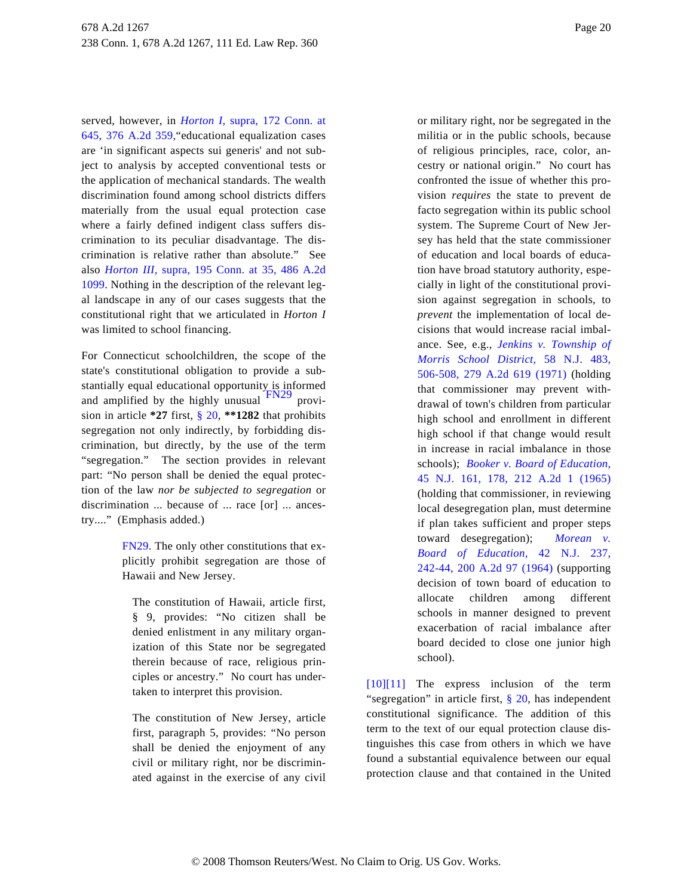served, however, in *[Horton I](http://www.westlaw.com/Find/Default.wl?rs=dfa1.0&vr=2.0&DB=162&FindType=Y&SerialNum=1977120164),* [supra, 172 Conn. a](http://www.westlaw.com/Find/Default.wl?rs=dfa1.0&vr=2.0&DB=162&FindType=Y&SerialNum=1977120164)t [645, 376 A.2d 359](http://www.westlaw.com/Find/Default.wl?rs=dfa1.0&vr=2.0&DB=162&FindType=Y&SerialNum=1977120164),"educational equalization cases are 'in significant aspects sui generis' and not subject to analysis by accepted conventional tests or the application of mechanical standards. The wealth discrimination found among school districts differs materially from the usual equal protection case where a fairly defined indigent class suffers discrimination to its peculiar disadvantage. The discrimination is relative rather than absolute." See also *[Horton III](http://www.westlaw.com/Find/Default.wl?rs=dfa1.0&vr=2.0&DB=162&FindType=Y&SerialNum=1985102767),* [supra, 195 Conn. at 35, 486 A.2](http://www.westlaw.com/Find/Default.wl?rs=dfa1.0&vr=2.0&DB=162&FindType=Y&SerialNum=1985102767)d [1099.](http://www.westlaw.com/Find/Default.wl?rs=dfa1.0&vr=2.0&DB=162&FindType=Y&SerialNum=1985102767) Nothing in the description of the relevant legal landscape in any of our cases suggests that the constitutional right that we articulated in *Horton I* was limited to school financing.

<span id="page-19-2"></span>For Connecticut schoolchildren, the scope of the state's constitutional obligation to provide a substantially equal educational opportunity is informed and amplified by the highly unusual [FN29](#page-19-1) provision in article **\*27** first, [§ 20](http://www.westlaw.com/Find/Default.wl?rs=dfa1.0&vr=2.0&DB=1000264&DocName=CTCNART1S20&FindType=L), **\*\*1282** that prohibits segregation not only indirectly, by forbidding discrimination, but directly, by the use of the term "segregation." The section provides in relevant part: "No person shall be denied the equal protection of the law *nor be subjected to segregation* or discrimination ... because of ... race [or] ... ancestry...." (Emphasis added.)

> <span id="page-19-1"></span>[FN29.](#page-19-2) The only other constitutions that explicitly prohibit segregation are those of Hawaii and New Jersey.

The constitution of Hawaii, article first, § 9, provides: "No citizen shall be denied enlistment in any military organization of this State nor be segregated therein because of race, religious principles or ancestry." No court has undertaken to interpret this provision.

<span id="page-19-0"></span>The constitution of New Jersey, article first, paragraph 5, provides: "No person shall be denied the enjoyment of any civil or military right, nor be discriminated against in the exercise of any civil

or military right, nor be segregated in the militia or in the public schools, because of religious principles, race, color, ancestry or national origin." No court has confronted the issue of whether this provision *requires* the state to prevent de facto segregation within its public school system. The Supreme Court of New Jersey has held that the state commissioner of education and local boards of education have broad statutory authority, especially in light of the constitutional provision against segregation in schools, to *prevent* the implementation of local decisions that would increase racial imbalance. See, e.g., *[Jenkins v. Township o](http://www.westlaw.com/Find/Default.wl?rs=dfa1.0&vr=2.0&DB=162&FindType=Y&SerialNum=1971101461)f [Morris School Distri](http://www.westlaw.com/Find/Default.wl?rs=dfa1.0&vr=2.0&DB=162&FindType=Y&SerialNum=1971101461)ct,* [58 N.J. 4](http://www.westlaw.com/Find/Default.wl?rs=dfa1.0&vr=2.0&DB=162&FindType=Y&SerialNum=1971101461)83, [506-508, 279 A.2d 619 \(1971](http://www.westlaw.com/Find/Default.wl?rs=dfa1.0&vr=2.0&DB=162&FindType=Y&SerialNum=1971101461)) (holding that commissioner may prevent withdrawal of town's children from particular high school and enrollment in different high school if that change would result in increase in racial imbalance in those schools); *[Booker v. Board of Education](http://www.westlaw.com/Find/Default.wl?rs=dfa1.0&vr=2.0&DB=162&FindType=Y&SerialNum=1965107906),* [45 N.J. 161, 178, 212 A.2d 1 \(1](http://www.westlaw.com/Find/Default.wl?rs=dfa1.0&vr=2.0&DB=162&FindType=Y&SerialNum=1965107906)965) (holding that commissioner, in reviewing local desegregation plan, must determine if plan takes sufficient and proper steps toward desegregation); *[Morean v](http://www.westlaw.com/Find/Default.wl?rs=dfa1.0&vr=2.0&DB=162&FindType=Y&SerialNum=1964107574). [Board of Education,](http://www.westlaw.com/Find/Default.wl?rs=dfa1.0&vr=2.0&DB=162&FindType=Y&SerialNum=1964107574)* 42 N.J. 237, [242-44, 200 A.2d 97 \(1964](http://www.westlaw.com/Find/Default.wl?rs=dfa1.0&vr=2.0&DB=162&FindType=Y&SerialNum=1964107574)) (supporting decision of town board of education to allocate children among different schools in manner designed to prevent exacerbation of racial imbalance after board decided to close one junior high school).

[\[10\]](#page-2-3)[\[11\]](#page-2-4) The express inclusion of the term "segregation" in article first, [§ 20](http://www.westlaw.com/Find/Default.wl?rs=dfa1.0&vr=2.0&DB=1000264&DocName=CTCNART1S20&FindType=L), has independent constitutional significance. The addition of this term to the text of our equal protection clause distinguishes this case from others in which we have found a substantial equivalence between our equal protection clause and that contained in the United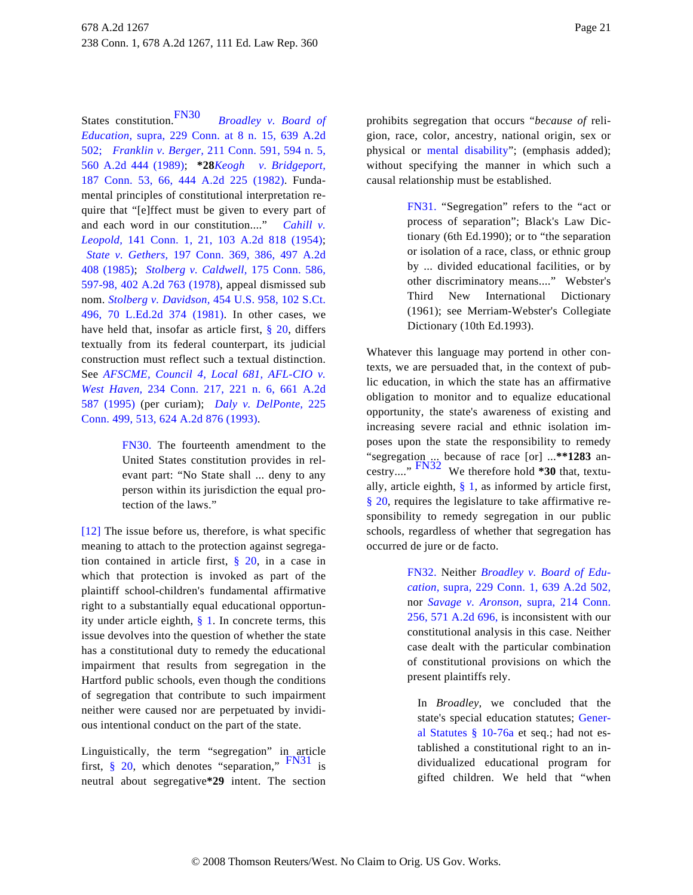<span id="page-20-3"></span><span id="page-20-2"></span>States constitution.[FN30](#page-20-1) *[Broadley v. Board o](http://www.westlaw.com/Find/Default.wl?rs=dfa1.0&vr=2.0&DB=162&FindType=Y&SerialNum=1994077716)f [Education,](http://www.westlaw.com/Find/Default.wl?rs=dfa1.0&vr=2.0&DB=162&FindType=Y&SerialNum=1994077716)* [supra, 229 Conn. at 8 n. 15, 639 A](http://www.westlaw.com/Find/Default.wl?rs=dfa1.0&vr=2.0&DB=162&FindType=Y&SerialNum=1994077716).2d [502;](http://www.westlaw.com/Find/Default.wl?rs=dfa1.0&vr=2.0&DB=162&FindType=Y&SerialNum=1994077716) *[Franklin v. Berger](http://www.westlaw.com/Find/Default.wl?rs=dfa1.0&vr=2.0&DB=162&FindType=Y&SerialNum=1989092604),* [211 Conn. 591, 594 n. 5](http://www.westlaw.com/Find/Default.wl?rs=dfa1.0&vr=2.0&DB=162&FindType=Y&SerialNum=1989092604), [560 A.2d 444 \(1989](http://www.westlaw.com/Find/Default.wl?rs=dfa1.0&vr=2.0&DB=162&FindType=Y&SerialNum=1989092604)); **[\\*28](http://www.westlaw.com/Find/Default.wl?rs=dfa1.0&vr=2.0&DB=162&FindType=Y&SerialNum=1982120128)***[Keogh v. Bridgeport](http://www.westlaw.com/Find/Default.wl?rs=dfa1.0&vr=2.0&DB=162&FindType=Y&SerialNum=1982120128),* [187 Conn. 53, 66, 444 A.2d 225 \(19](http://www.westlaw.com/Find/Default.wl?rs=dfa1.0&vr=2.0&DB=162&FindType=Y&SerialNum=1982120128)82). Fundamental principles of constitutional interpretation require that "[e]ffect must be given to every part of and each word in our constitution...." *[Cahill v.](http://www.westlaw.com/Find/Default.wl?rs=dfa1.0&vr=2.0&DB=162&FindType=Y&SerialNum=1954112067) [Leopold,](http://www.westlaw.com/Find/Default.wl?rs=dfa1.0&vr=2.0&DB=162&FindType=Y&SerialNum=1954112067)* [141 Conn. 1, 21, 103 A.2d 818 \(19](http://www.westlaw.com/Find/Default.wl?rs=dfa1.0&vr=2.0&DB=162&FindType=Y&SerialNum=1954112067)54); *[State v. Gether](http://www.westlaw.com/Find/Default.wl?rs=dfa1.0&vr=2.0&DB=162&FindType=Y&SerialNum=1985144385)s,* [197 Conn. 369, 386, 497 A.](http://www.westlaw.com/Find/Default.wl?rs=dfa1.0&vr=2.0&DB=162&FindType=Y&SerialNum=1985144385)2d [408 \(1985](http://www.westlaw.com/Find/Default.wl?rs=dfa1.0&vr=2.0&DB=162&FindType=Y&SerialNum=1985144385)); *[Stolberg v. Caldwell](http://www.westlaw.com/Find/Default.wl?rs=dfa1.0&vr=2.0&DB=162&FindType=Y&SerialNum=1978141184),* [175 Conn. 586](http://www.westlaw.com/Find/Default.wl?rs=dfa1.0&vr=2.0&DB=162&FindType=Y&SerialNum=1978141184), [597-98, 402 A.2d 763 \(1978](http://www.westlaw.com/Find/Default.wl?rs=dfa1.0&vr=2.0&DB=162&FindType=Y&SerialNum=1978141184)), appeal dismissed sub nom. *[Stolberg v. Davidson](http://www.westlaw.com/Find/Default.wl?rs=dfa1.0&vr=2.0&DB=708&FindType=Y&SerialNum=1981243259),* [454 U.S. 958, 102 S.Ct.](http://www.westlaw.com/Find/Default.wl?rs=dfa1.0&vr=2.0&DB=708&FindType=Y&SerialNum=1981243259) [496, 70 L.Ed.2d 374 \(19](http://www.westlaw.com/Find/Default.wl?rs=dfa1.0&vr=2.0&DB=708&FindType=Y&SerialNum=1981243259)81). In other cases, we have held that, insofar as article first,  $\S$  20, differs textually from its federal counterpart, its judicial construction must reflect such a textual distinction. See *[AFSCME, Council 4, Local 681, AFL-CIO](http://www.westlaw.com/Find/Default.wl?rs=dfa1.0&vr=2.0&DB=162&FindType=Y&SerialNum=1995147602) v. [West Haven](http://www.westlaw.com/Find/Default.wl?rs=dfa1.0&vr=2.0&DB=162&FindType=Y&SerialNum=1995147602),* [234 Conn. 217, 221 n. 6, 661 A](http://www.westlaw.com/Find/Default.wl?rs=dfa1.0&vr=2.0&DB=162&FindType=Y&SerialNum=1995147602).2d [587 \(1995](http://www.westlaw.com/Find/Default.wl?rs=dfa1.0&vr=2.0&DB=162&FindType=Y&SerialNum=1995147602)) (per curiam); *[Daly v. DelPonte,](http://www.westlaw.com/Find/Default.wl?rs=dfa1.0&vr=2.0&DB=162&FindType=Y&SerialNum=1993097380)* 225 [Conn. 499, 513, 624 A.2d 876 \(1993\)](http://www.westlaw.com/Find/Default.wl?rs=dfa1.0&vr=2.0&DB=162&FindType=Y&SerialNum=1993097380).

> <span id="page-20-6"></span><span id="page-20-1"></span>[FN30.](#page-20-2) The fourteenth amendment to the United States constitution provides in relevant part: "No State shall ... deny to any person within its jurisdiction the equal protection of the laws."

<span id="page-20-5"></span><span id="page-20-0"></span>[\[12\]](#page-2-5) The issue before us, therefore, is what specific meaning to attach to the protection against segregation contained in article first,  $\S$  20, in a case in which that protection is invoked as part of the plaintiff school-children's fundamental affirmative right to a substantially equal educational opportunity under article eighth, [§ 1](http://www.westlaw.com/Find/Default.wl?rs=dfa1.0&vr=2.0&DB=1000264&DocName=CTCNART8S1&FindType=L). In concrete terms, this issue devolves into the question of whether the state has a constitutional duty to remedy the educational impairment that results from segregation in the Hartford public schools, even though the conditions of segregation that contribute to such impairment neither were caused nor are perpetuated by invidious intentional conduct on the part of the state.

<span id="page-20-4"></span>Linguistically, the term "segregation" in article first,  $\frac{8}{9}$  20, which denotes "separation,"  $\frac{F[N31]}{1}$  is neutral about segregative**\*29** intent. The section prohibits segregation that occurs "*because of* religion, race, color, ancestry, national origin, sex or physical or [mental disabilit](http://www.westlaw.com/Find/Default.wl?rs=dfa1.0&vr=2.0&CMD=ML&DocName=Ic94ca545475411db9765f9243f53508a&FindType=UM)y"; (emphasis added); without specifying the manner in which such a causal relationship must be established.

> [FN31.](#page-20-4) "Segregation" refers to the "act or process of separation"; Black's Law Dictionary (6th Ed.1990); or to "the separation or isolation of a race, class, or ethnic group by ... divided educational facilities, or by other discriminatory means...." Webster's Third New International Dictionary (1961); see Merriam-Webster's Collegiate Dictionary (10th Ed.1993).

Whatever this language may portend in other contexts, we are persuaded that, in the context of public education, in which the state has an affirmative obligation to monitor and to equalize educational opportunity, the state's awareness of existing and increasing severe racial and ethnic isolation imposes upon the state the responsibility to remedy "segregation ... because of race [or] ...**\*\*1283** an-cestry...." [FN32](#page-20-5) We therefore hold **\*30** that, textually, article eighth,  $\S$  1, as informed by article first, [§ 20](http://www.westlaw.com/Find/Default.wl?rs=dfa1.0&vr=2.0&DB=1000264&DocName=CTCNART1S20&FindType=L), requires the legislature to take affirmative responsibility to remedy segregation in our public schools, regardless of whether that segregation has occurred de jure or de facto.

> [FN32.](#page-20-6) Neither *[Broadley v. Board of Edu](http://www.westlaw.com/Find/Default.wl?rs=dfa1.0&vr=2.0&DB=162&FindType=Y&SerialNum=1994077716)[cation,](http://www.westlaw.com/Find/Default.wl?rs=dfa1.0&vr=2.0&DB=162&FindType=Y&SerialNum=1994077716)* [supra, 229 Conn. 1, 639 A.2d 50](http://www.westlaw.com/Find/Default.wl?rs=dfa1.0&vr=2.0&DB=162&FindType=Y&SerialNum=1994077716)2, nor *[Savage v. Aronson](http://www.westlaw.com/Find/Default.wl?rs=dfa1.0&vr=2.0&DB=162&FindType=Y&SerialNum=1990052258),* [supra, 214 Conn](http://www.westlaw.com/Find/Default.wl?rs=dfa1.0&vr=2.0&DB=162&FindType=Y&SerialNum=1990052258). [256, 571 A.2d 696](http://www.westlaw.com/Find/Default.wl?rs=dfa1.0&vr=2.0&DB=162&FindType=Y&SerialNum=1990052258), is inconsistent with our constitutional analysis in this case. Neither case dealt with the particular combination of constitutional provisions on which the present plaintiffs rely.

In *Broadley,* we concluded that the state's special education statutes; [Gener](http://www.westlaw.com/Find/Default.wl?rs=dfa1.0&vr=2.0&DB=1000264&DocName=CTSTS10-76A&FindType=L)[al Statutes § 10-76](http://www.westlaw.com/Find/Default.wl?rs=dfa1.0&vr=2.0&DB=1000264&DocName=CTSTS10-76A&FindType=L)a et seq.; had not established a constitutional right to an individualized educational program for gifted children. We held that "when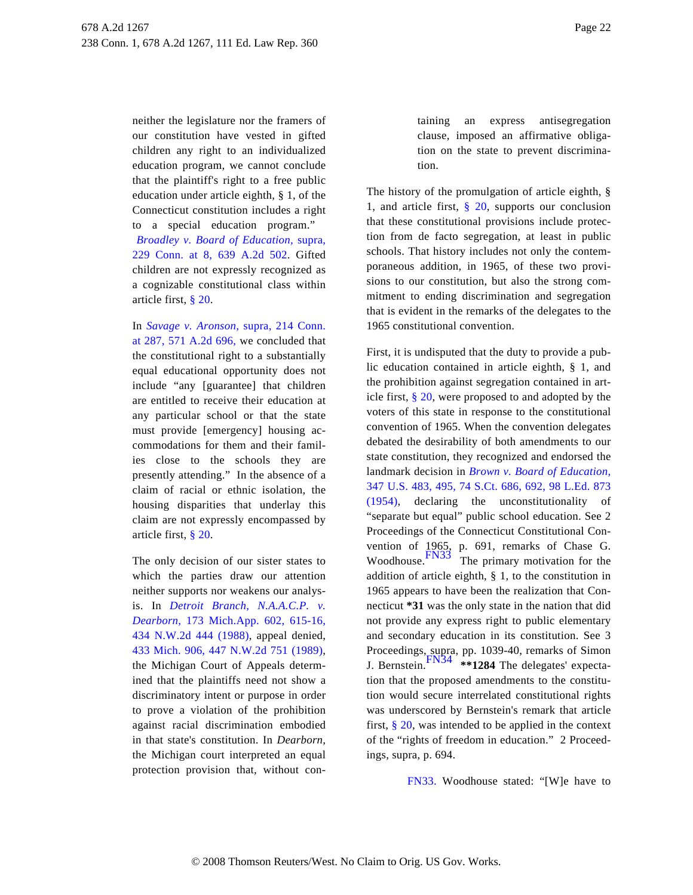neither the legislature nor the framers of our constitution have vested in gifted children any right to an individualized education program, we cannot conclude that the plaintiff's right to a free public education under article eighth, § 1, of the Connecticut constitution includes a right to a special education program." *[Broadley v. Board of Education,](http://www.westlaw.com/Find/Default.wl?rs=dfa1.0&vr=2.0&DB=162&FindType=Y&SerialNum=1994077716)* supra, [229 Conn. at 8, 639 A.2d](http://www.westlaw.com/Find/Default.wl?rs=dfa1.0&vr=2.0&DB=162&FindType=Y&SerialNum=1994077716) 502. Gifted children are not expressly recognized as a cognizable constitutional class within article first, [§ 20](http://www.westlaw.com/Find/Default.wl?rs=dfa1.0&vr=2.0&DB=1000264&DocName=CTCNART1S20&FindType=L).

In *[Savage v. Aronson](http://www.westlaw.com/Find/Default.wl?rs=dfa1.0&vr=2.0&DB=162&FindType=Y&SerialNum=1990052258),* [supra, 214 Conn](http://www.westlaw.com/Find/Default.wl?rs=dfa1.0&vr=2.0&DB=162&FindType=Y&SerialNum=1990052258). [at 287, 571 A.2d 696](http://www.westlaw.com/Find/Default.wl?rs=dfa1.0&vr=2.0&DB=162&FindType=Y&SerialNum=1990052258), we concluded that the constitutional right to a substantially equal educational opportunity does not include "any [guarantee] that children are entitled to receive their education at any particular school or that the state must provide [emergency] housing accommodations for them and their families close to the schools they are presently attending." In the absence of a claim of racial or ethnic isolation, the housing disparities that underlay this claim are not expressly encompassed by article first, [§ 20](http://www.westlaw.com/Find/Default.wl?rs=dfa1.0&vr=2.0&DB=1000264&DocName=CTCNART1S20&FindType=L).

<span id="page-21-2"></span><span id="page-21-1"></span><span id="page-21-0"></span>The only decision of our sister states to which the parties draw our attention neither supports nor weakens our analysis. In *[Detroit Branch, N.A.A.C.P.](http://www.westlaw.com/Find/Default.wl?rs=dfa1.0&vr=2.0&DB=595&FindType=Y&SerialNum=1989018095) v. [Dearborn,](http://www.westlaw.com/Find/Default.wl?rs=dfa1.0&vr=2.0&DB=595&FindType=Y&SerialNum=1989018095)* [173 Mich.App. 602, 615-16](http://www.westlaw.com/Find/Default.wl?rs=dfa1.0&vr=2.0&DB=595&FindType=Y&SerialNum=1989018095), [434 N.W.2d 444 \(1988](http://www.westlaw.com/Find/Default.wl?rs=dfa1.0&vr=2.0&DB=595&FindType=Y&SerialNum=1989018095)), appeal denied, [433 Mich. 906, 447 N.W.2d 751 \(1989](http://www.westlaw.com/Find/Default.wl?rs=dfa1.0&vr=2.0&DB=595&FindType=Y&SerialNum=1989166739)), the Michigan Court of Appeals determined that the plaintiffs need not show a discriminatory intent or purpose in order to prove a violation of the prohibition against racial discrimination embodied in that state's constitution. In *Dearborn,* the Michigan court interpreted an equal protection provision that, without containing an express antisegregation clause, imposed an affirmative obligation on the state to prevent discrimina-

The history of the promulgation of article eighth, § 1, and article first,  $\S$  20, supports our conclusion that these constitutional provisions include protection from de facto segregation, at least in public schools. That history includes not only the contemporaneous addition, in 1965, of these two provisions to our constitution, but also the strong commitment to ending discrimination and segregation that is evident in the remarks of the delegates to the 1965 constitutional convention.

tion.

First, it is undisputed that the duty to provide a public education contained in article eighth, § 1, and the prohibition against segregation contained in article first, [§ 20](http://www.westlaw.com/Find/Default.wl?rs=dfa1.0&vr=2.0&DB=1000264&DocName=CTCNART1S20&FindType=L), were proposed to and adopted by the voters of this state in response to the constitutional convention of 1965. When the convention delegates debated the desirability of both amendments to our state constitution, they recognized and endorsed the landmark decision in *[Brown v. Board of Education](http://www.westlaw.com/Find/Default.wl?rs=dfa1.0&vr=2.0&DB=708&FindType=Y&ReferencePositionType=S&SerialNum=1954121869&ReferencePosition=692),* [347 U.S. 483, 495, 74 S.Ct. 686, 692, 98 L.Ed. 873](http://www.westlaw.com/Find/Default.wl?rs=dfa1.0&vr=2.0&DB=708&FindType=Y&ReferencePositionType=S&SerialNum=1954121869&ReferencePosition=692) [\(1954\),](http://www.westlaw.com/Find/Default.wl?rs=dfa1.0&vr=2.0&DB=708&FindType=Y&ReferencePositionType=S&SerialNum=1954121869&ReferencePosition=692) declaring the unconstitutionality of "separate but equal" public school education. See 2 Proceedings of the Connecticut Constitutional Convention of  $1965$ , p. 691, remarks of Chase G. Woodhouse. $\frac{\Gamma^{13}33}{\Gamma^{11}31}$  The primary motivation for the addition of article eighth, § 1, to the constitution in 1965 appears to have been the realization that Connecticut **\*31** was the only state in the nation that did not provide any express right to public elementary and secondary education in its constitution. See 3 Proceedings, supra, pp. 1039-40, remarks of Simon J. Bernstein.[FN34](#page-22-0) **\*\*1284** The delegates' expectation that the proposed amendments to the constitution would secure interrelated constitutional rights was underscored by Bernstein's remark that article first,  $\S 20$ , was intended to be applied in the context of the "rights of freedom in education." 2 Proceedings, supra, p. 694.

[FN33.](#page-21-1) Woodhouse stated: "[W]e have to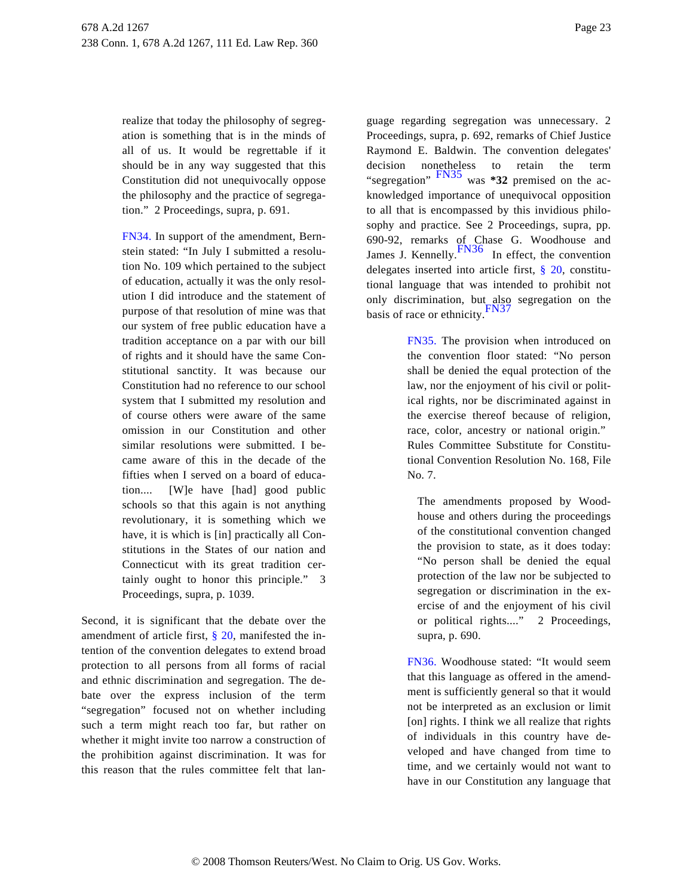<span id="page-22-3"></span>realize that today the philosophy of segregation is something that is in the minds of all of us. It would be regrettable if it should be in any way suggested that this Constitution did not unequivocally oppose the philosophy and the practice of segregation." 2 Proceedings, supra, p. 691.

<span id="page-22-5"></span><span id="page-22-4"></span><span id="page-22-1"></span><span id="page-22-0"></span>[FN34.](#page-21-2) In support of the amendment, Bernstein stated: "In July I submitted a resolution No. 109 which pertained to the subject of education, actually it was the only resolution I did introduce and the statement of purpose of that resolution of mine was that our system of free public education have a tradition acceptance on a par with our bill of rights and it should have the same Constitutional sanctity. It was because our Constitution had no reference to our school system that I submitted my resolution and of course others were aware of the same omission in our Constitution and other similar resolutions were submitted. I became aware of this in the decade of the fifties when I served on a board of education.... [W]e have [had] good public schools so that this again is not anything revolutionary, it is something which we have, it is which is [in] practically all Constitutions in the States of our nation and Connecticut with its great tradition certainly ought to honor this principle." 3 Proceedings, supra, p. 1039.

<span id="page-22-2"></span>Second, it is significant that the debate over the amendment of article first, [§ 20](http://www.westlaw.com/Find/Default.wl?rs=dfa1.0&vr=2.0&DB=1000264&DocName=CTCNART1S20&FindType=L), manifested the intention of the convention delegates to extend broad protection to all persons from all forms of racial and ethnic discrimination and segregation. The debate over the express inclusion of the term "segregation" focused not on whether including such a term might reach too far, but rather on whether it might invite too narrow a construction of the prohibition against discrimination. It was for this reason that the rules committee felt that lan-

guage regarding segregation was unnecessary. 2 Proceedings, supra, p. 692, remarks of Chief Justice Raymond E. Baldwin. The convention delegates' decision nonetheless to retain the term "segregation" [FN35](#page-22-1) was **\*32** premised on the acknowledged importance of unequivocal opposition to all that is encompassed by this invidious philosophy and practice. See 2 Proceedings, supra, pp. 690-92, remarks of Chase G. Woodhouse and James J. Kennelly. $\frac{FN36}{}$  $\frac{FN36}{}$  $\frac{FN36}{}$  In effect, the convention delegates inserted into article first, [§ 20](http://www.westlaw.com/Find/Default.wl?rs=dfa1.0&vr=2.0&DB=1000264&DocName=CTCNART1S20&FindType=L), constitutional language that was intended to prohibit not only discrimination, but also segregation on the basis of race or ethnicity. FN3

> [FN35.](#page-22-3) The provision when introduced on the convention floor stated: "No person shall be denied the equal protection of the law, nor the enjoyment of his civil or political rights, nor be discriminated against in the exercise thereof because of religion, race, color, ancestry or national origin." Rules Committee Substitute for Constitutional Convention Resolution No. 168, File No. 7.

The amendments proposed by Woodhouse and others during the proceedings of the constitutional convention changed the provision to state, as it does today: "No person shall be denied the equal protection of the law nor be subjected to segregation or discrimination in the exercise of and the enjoyment of his civil or political rights...." 2 Proceedings, supra, p. 690.

[FN36.](#page-22-4) Woodhouse stated: "It would seem that this language as offered in the amendment is sufficiently general so that it would not be interpreted as an exclusion or limit [on] rights. I think we all realize that rights of individuals in this country have developed and have changed from time to time, and we certainly would not want to have in our Constitution any language that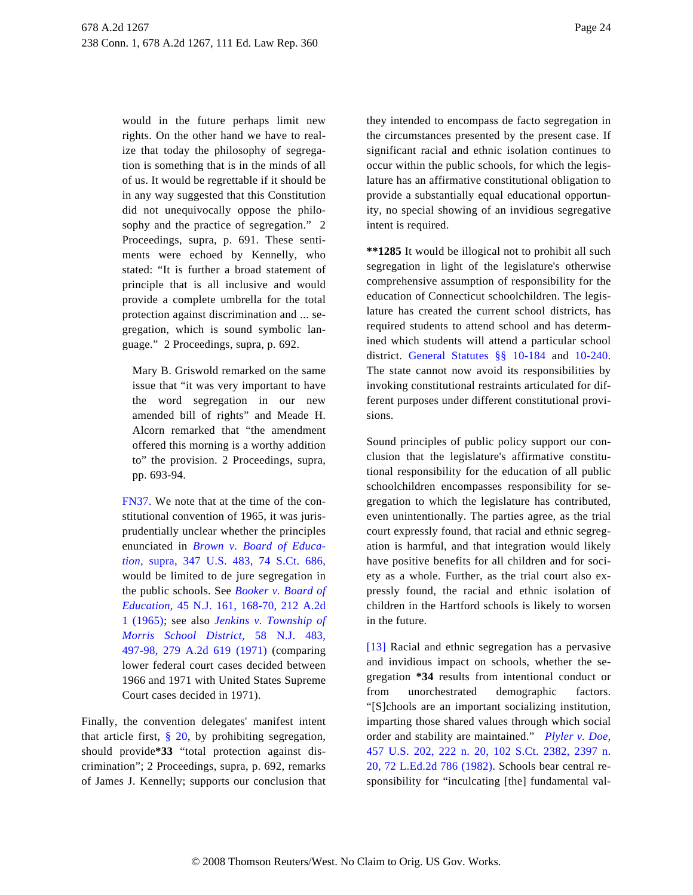would in the future perhaps limit new rights. On the other hand we have to realize that today the philosophy of segregation is something that is in the minds of all of us. It would be regrettable if it should be in any way suggested that this Constitution did not unequivocally oppose the philosophy and the practice of segregation." 2 Proceedings, supra, p. 691. These sentiments were echoed by Kennelly, who stated: "It is further a broad statement of principle that is all inclusive and would provide a complete umbrella for the total protection against discrimination and ... segregation, which is sound symbolic language." 2 Proceedings, supra, p. 692.

Mary B. Griswold remarked on the same issue that "it was very important to have the word segregation in our new amended bill of rights" and Meade H. Alcorn remarked that "the amendment offered this morning is a worthy addition to" the provision. 2 Proceedings, supra, pp. 693-94.

<span id="page-23-1"></span>[FN37.](#page-22-5) We note that at the time of the constitutional convention of 1965, it was jurisprudentially unclear whether the principles enunciated in *[Brown v. Board of Educ](http://www.westlaw.com/Find/Default.wl?rs=dfa1.0&vr=2.0&DB=708&FindType=Y&SerialNum=1954121869)a[tion,](http://www.westlaw.com/Find/Default.wl?rs=dfa1.0&vr=2.0&DB=708&FindType=Y&SerialNum=1954121869)* [supra, 347 U.S. 483, 74 S.Ct.](http://www.westlaw.com/Find/Default.wl?rs=dfa1.0&vr=2.0&DB=708&FindType=Y&SerialNum=1954121869) 686, would be limited to de jure segregation in the public schools. See *[Booker v. Board of](http://www.westlaw.com/Find/Default.wl?rs=dfa1.0&vr=2.0&DB=162&FindType=Y&SerialNum=1965107906) [Education,](http://www.westlaw.com/Find/Default.wl?rs=dfa1.0&vr=2.0&DB=162&FindType=Y&SerialNum=1965107906)* [45 N.J. 161, 168-70, 212 A.2](http://www.westlaw.com/Find/Default.wl?rs=dfa1.0&vr=2.0&DB=162&FindType=Y&SerialNum=1965107906)d [1 \(1965](http://www.westlaw.com/Find/Default.wl?rs=dfa1.0&vr=2.0&DB=162&FindType=Y&SerialNum=1965107906)); see also *[Jenkins v. Township o](http://www.westlaw.com/Find/Default.wl?rs=dfa1.0&vr=2.0&DB=162&FindType=Y&SerialNum=1971101461)f [Morris School Distr](http://www.westlaw.com/Find/Default.wl?rs=dfa1.0&vr=2.0&DB=162&FindType=Y&SerialNum=1971101461)ict,* [58 N.J. 4](http://www.westlaw.com/Find/Default.wl?rs=dfa1.0&vr=2.0&DB=162&FindType=Y&SerialNum=1971101461)83, [497-98, 279 A.2d 619 \(197](http://www.westlaw.com/Find/Default.wl?rs=dfa1.0&vr=2.0&DB=162&FindType=Y&SerialNum=1971101461)1) (comparing lower federal court cases decided between 1966 and 1971 with United States Supreme Court cases decided in 1971).

<span id="page-23-0"></span>Finally, the convention delegates' manifest intent that article first,  $\S$  20, by prohibiting segregation, should provide**\*33** "total protection against discrimination"; 2 Proceedings, supra, p. 692, remarks of James J. Kennelly; supports our conclusion that they intended to encompass de facto segregation in the circumstances presented by the present case. If significant racial and ethnic isolation continues to occur within the public schools, for which the legislature has an affirmative constitutional obligation to provide a substantially equal educational opportunity, no special showing of an invidious segregative intent is required.

**\*\*1285** It would be illogical not to prohibit all such segregation in light of the legislature's otherwise comprehensive assumption of responsibility for the education of Connecticut schoolchildren. The legislature has created the current school districts, has required students to attend school and has determined which students will attend a particular school district. [General Statutes §§ 10-1](http://www.westlaw.com/Find/Default.wl?rs=dfa1.0&vr=2.0&DB=1000264&DocName=CTSTS10-184&FindType=L)84 and [10-240](http://www.westlaw.com/Find/Default.wl?rs=dfa1.0&vr=2.0&DB=1000264&DocName=CTSTS10-240&FindType=L). The state cannot now avoid its responsibilities by invoking constitutional restraints articulated for different purposes under different constitutional provisions.

Sound principles of public policy support our conclusion that the legislature's affirmative constitutional responsibility for the education of all public schoolchildren encompasses responsibility for segregation to which the legislature has contributed, even unintentionally. The parties agree, as the trial court expressly found, that racial and ethnic segregation is harmful, and that integration would likely have positive benefits for all children and for society as a whole. Further, as the trial court also expressly found, the racial and ethnic isolation of children in the Hartford schools is likely to worsen in the future.

[\[13\]](#page-3-0) Racial and ethnic segregation has a pervasive and invidious impact on schools, whether the segregation **\*34** results from intentional conduct or from unorchestrated demographic factors. "[S]chools are an important socializing institution, imparting those shared values through which social order and stability are maintained." *[Plyler v. Doe](http://www.westlaw.com/Find/Default.wl?rs=dfa1.0&vr=2.0&DB=708&FindType=Y&ReferencePositionType=S&SerialNum=1982126797&ReferencePosition=2397),* [457 U.S. 202, 222 n. 20, 102 S.Ct. 2382, 2397](http://www.westlaw.com/Find/Default.wl?rs=dfa1.0&vr=2.0&DB=708&FindType=Y&ReferencePositionType=S&SerialNum=1982126797&ReferencePosition=2397) n. [20, 72 L.Ed.2d 786 \(1982](http://www.westlaw.com/Find/Default.wl?rs=dfa1.0&vr=2.0&DB=708&FindType=Y&ReferencePositionType=S&SerialNum=1982126797&ReferencePosition=2397)). Schools bear central responsibility for "inculcating [the] fundamental val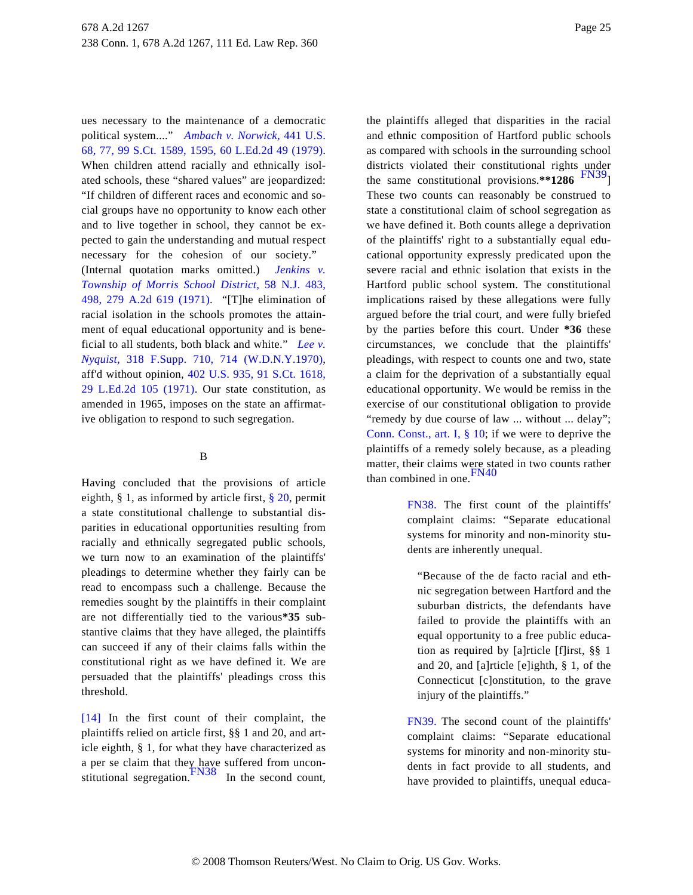<span id="page-24-4"></span>ues necessary to the maintenance of a democratic political system...." *[Ambach v. Norwick,](http://www.westlaw.com/Find/Default.wl?rs=dfa1.0&vr=2.0&DB=708&FindType=Y&ReferencePositionType=S&SerialNum=1979135091&ReferencePosition=1595)* 441 U.S. [68, 77, 99 S.Ct. 1589, 1595, 60 L.Ed.2d 49 \(1979](http://www.westlaw.com/Find/Default.wl?rs=dfa1.0&vr=2.0&DB=708&FindType=Y&ReferencePositionType=S&SerialNum=1979135091&ReferencePosition=1595)). When children attend racially and ethnically isolated schools, these "shared values" are jeopardized: "If children of different races and economic and social groups have no opportunity to know each other and to live together in school, they cannot be expected to gain the understanding and mutual respect necessary for the cohesion of our society." (Internal quotation marks omitted.) *[Jenkins v](http://www.westlaw.com/Find/Default.wl?rs=dfa1.0&vr=2.0&DB=162&FindType=Y&SerialNum=1971101461). [Township of Morris School Distri](http://www.westlaw.com/Find/Default.wl?rs=dfa1.0&vr=2.0&DB=162&FindType=Y&SerialNum=1971101461)ct,* [58 N.J. 483](http://www.westlaw.com/Find/Default.wl?rs=dfa1.0&vr=2.0&DB=162&FindType=Y&SerialNum=1971101461), [498, 279 A.2d 619 \(1971](http://www.westlaw.com/Find/Default.wl?rs=dfa1.0&vr=2.0&DB=162&FindType=Y&SerialNum=1971101461)). "[T]he elimination of racial isolation in the schools promotes the attainment of equal educational opportunity and is beneficial to all students, both black and white." *[Lee v.](http://www.westlaw.com/Find/Default.wl?rs=dfa1.0&vr=2.0&DB=345&FindType=Y&ReferencePositionType=S&SerialNum=1970115043&ReferencePosition=714) [Nyquist,](http://www.westlaw.com/Find/Default.wl?rs=dfa1.0&vr=2.0&DB=345&FindType=Y&ReferencePositionType=S&SerialNum=1970115043&ReferencePosition=714)* [318 F.Supp. 710, 714 \(W.D.N.Y.19](http://www.westlaw.com/Find/Default.wl?rs=dfa1.0&vr=2.0&DB=345&FindType=Y&ReferencePositionType=S&SerialNum=1970115043&ReferencePosition=714)70), aff'd without opinion, [402 U.S. 935, 91 S.Ct. 1618](http://www.westlaw.com/Find/Default.wl?rs=dfa1.0&vr=2.0&DB=708&DocName=91SCT1618&FindType=Y), [29 L.Ed.2d 105 \(1971](http://www.westlaw.com/Find/Default.wl?rs=dfa1.0&vr=2.0&DB=708&DocName=91SCT1618&FindType=Y)). Our state constitution, as amended in 1965, imposes on the state an affirmative obligation to respond to such segregation.

## B

<span id="page-24-5"></span><span id="page-24-1"></span>Having concluded that the provisions of article eighth,  $\S$  1, as informed by article first,  $\S$  20, permit a state constitutional challenge to substantial disparities in educational opportunities resulting from racially and ethnically segregated public schools, we turn now to an examination of the plaintiffs' pleadings to determine whether they fairly can be read to encompass such a challenge. Because the remedies sought by the plaintiffs in their complaint are not differentially tied to the various**\*35** substantive claims that they have alleged, the plaintiffs can succeed if any of their claims falls within the constitutional right as we have defined it. We are persuaded that the plaintiffs' pleadings cross this threshold.

<span id="page-24-3"></span><span id="page-24-2"></span><span id="page-24-0"></span>[\[14\]](#page-3-1) In the first count of their complaint, the plaintiffs relied on article first, §§ 1 and 20, and article eighth, § 1, for what they have characterized as a per se claim that they have suffered from uncon-stitutional segregation. [FN38](#page-24-1) In the second count,

the plaintiffs alleged that disparities in the racial and ethnic composition of Hartford public schools as compared with schools in the surrounding school districts violated their constitutional rights under the same constitutional provisions.**\*\*1286** [FN39](#page-24-2)] These two counts can reasonably be construed to state a constitutional claim of school segregation as we have defined it. Both counts allege a deprivation of the plaintiffs' right to a substantially equal educational opportunity expressly predicated upon the severe racial and ethnic isolation that exists in the Hartford public school system. The constitutional implications raised by these allegations were fully argued before the trial court, and were fully briefed by the parties before this court. Under **\*36** these circumstances, we conclude that the plaintiffs' pleadings, with respect to counts one and two, state a claim for the deprivation of a substantially equal educational opportunity. We would be remiss in the exercise of our constitutional obligation to provide "remedy by due course of law ... without ... delay"; Conn. Const., art. I,  $\S$  10; if we were to deprive the plaintiffs of a remedy solely because, as a pleading matter, their claims were stated in two counts rather<br>than combined in one.

> [FN38.](#page-24-3) The first count of the plaintiffs' complaint claims: "Separate educational systems for minority and non-minority students are inherently unequal.

"Because of the de facto racial and ethnic segregation between Hartford and the suburban districts, the defendants have failed to provide the plaintiffs with an equal opportunity to a free public education as required by [a]rticle [f]irst, §§ 1 and 20, and [a]rticle [e]ighth, § 1, of the Connecticut [c]onstitution, to the grave injury of the plaintiffs."

[FN39.](#page-24-4) The second count of the plaintiffs' complaint claims: "Separate educational systems for minority and non-minority students in fact provide to all students, and have provided to plaintiffs, unequal educa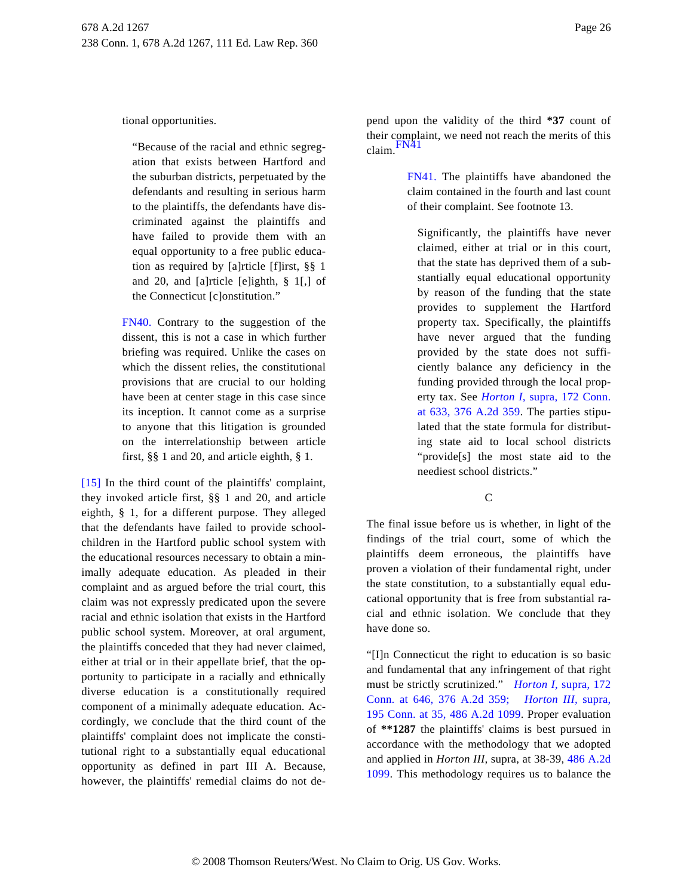<span id="page-25-3"></span>tional opportunities.

<span id="page-25-2"></span>"Because of the racial and ethnic segregation that exists between Hartford and the suburban districts, perpetuated by the defendants and resulting in serious harm to the plaintiffs, the defendants have discriminated against the plaintiffs and have failed to provide them with an equal opportunity to a free public education as required by [a]rticle [f]irst, §§ 1 and 20, and [a]rticle [e]ighth, § 1[,] of the Connecticut [c]onstitution."

<span id="page-25-1"></span>[FN40.](#page-24-5) Contrary to the suggestion of the dissent, this is not a case in which further briefing was required. Unlike the cases on which the dissent relies, the constitutional provisions that are crucial to our holding have been at center stage in this case since its inception. It cannot come as a surprise to anyone that this litigation is grounded on the interrelationship between article first, §§ 1 and 20, and article eighth, § 1.

<span id="page-25-0"></span>[\[15\]](#page-3-2) In the third count of the plaintiffs' complaint, they invoked article first, §§ 1 and 20, and article eighth, § 1, for a different purpose. They alleged that the defendants have failed to provide schoolchildren in the Hartford public school system with the educational resources necessary to obtain a minimally adequate education. As pleaded in their complaint and as argued before the trial court, this claim was not expressly predicated upon the severe racial and ethnic isolation that exists in the Hartford public school system. Moreover, at oral argument, the plaintiffs conceded that they had never claimed, either at trial or in their appellate brief, that the opportunity to participate in a racially and ethnically diverse education is a constitutionally required component of a minimally adequate education. Accordingly, we conclude that the third count of the plaintiffs' complaint does not implicate the constitutional right to a substantially equal educational opportunity as defined in part III A. Because, however, the plaintiffs' remedial claims do not depend upon the validity of the third **\*37** count of their complaint, we need not reach the merits of this claim.<sup>[FN41](#page-25-2)</sup>

> [FN41.](#page-25-3) The plaintiffs have abandoned the claim contained in the fourth and last count of their complaint. See footnote 13.

Significantly, the plaintiffs have never claimed, either at trial or in this court, that the state has deprived them of a substantially equal educational opportunity by reason of the funding that the state provides to supplement the Hartford property tax. Specifically, the plaintiffs have never argued that the funding provided by the state does not sufficiently balance any deficiency in the funding provided through the local property tax. See *[Horton I](http://www.westlaw.com/Find/Default.wl?rs=dfa1.0&vr=2.0&DB=162&FindType=Y&SerialNum=1977120164),* [supra, 172 Conn.](http://www.westlaw.com/Find/Default.wl?rs=dfa1.0&vr=2.0&DB=162&FindType=Y&SerialNum=1977120164) [at 633, 376 A.2d 35](http://www.westlaw.com/Find/Default.wl?rs=dfa1.0&vr=2.0&DB=162&FindType=Y&SerialNum=1977120164)9. The parties stipulated that the state formula for distributing state aid to local school districts "provide[s] the most state aid to the neediest school districts."

C

The final issue before us is whether, in light of the findings of the trial court, some of which the plaintiffs deem erroneous, the plaintiffs have proven a violation of their fundamental right, under the state constitution, to a substantially equal educational opportunity that is free from substantial racial and ethnic isolation. We conclude that they have done so.

"[I]n Connecticut the right to education is so basic and fundamental that any infringement of that right must be strictly scrutinized." *[Horton I](http://www.westlaw.com/Find/Default.wl?rs=dfa1.0&vr=2.0&DB=162&FindType=Y&SerialNum=1977120164),* [supra, 172](http://www.westlaw.com/Find/Default.wl?rs=dfa1.0&vr=2.0&DB=162&FindType=Y&SerialNum=1977120164) [Conn. at 646, 376 A.2d 35](http://www.westlaw.com/Find/Default.wl?rs=dfa1.0&vr=2.0&DB=162&FindType=Y&SerialNum=1977120164)9; *[Horton III](http://www.westlaw.com/Find/Default.wl?rs=dfa1.0&vr=2.0&DB=162&FindType=Y&SerialNum=1985102767),* [supra,](http://www.westlaw.com/Find/Default.wl?rs=dfa1.0&vr=2.0&DB=162&FindType=Y&SerialNum=1985102767) [195 Conn. at 35, 486 A.2d 109](http://www.westlaw.com/Find/Default.wl?rs=dfa1.0&vr=2.0&DB=162&FindType=Y&SerialNum=1985102767)9. Proper evaluation of **\*\*1287** the plaintiffs' claims is best pursued in accordance with the methodology that we adopted and applied in *Horton III,* supra, at 38-39, [486 A.2d](http://www.westlaw.com/Find/Default.wl?rs=dfa1.0&vr=2.0&DB=162&FindType=Y&SerialNum=1985102767) [1099.](http://www.westlaw.com/Find/Default.wl?rs=dfa1.0&vr=2.0&DB=162&FindType=Y&SerialNum=1985102767) This methodology requires us to balance the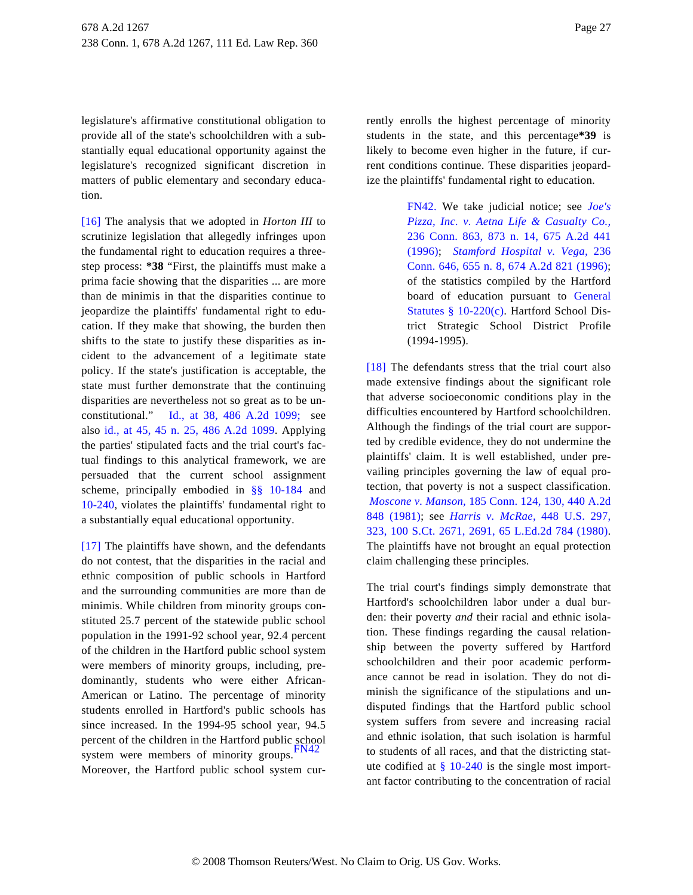legislature's affirmative constitutional obligation to provide all of the state's schoolchildren with a substantially equal educational opportunity against the legislature's recognized significant discretion in matters of public elementary and secondary education.

<span id="page-26-3"></span><span id="page-26-2"></span><span id="page-26-0"></span>[\[16\]](#page-3-3) The analysis that we adopted in *Horton III* to scrutinize legislation that allegedly infringes upon the fundamental right to education requires a threestep process: **\*38** "First, the plaintiffs must make a prima facie showing that the disparities ... are more than de minimis in that the disparities continue to jeopardize the plaintiffs' fundamental right to education. If they make that showing, the burden then shifts to the state to justify these disparities as incident to the advancement of a legitimate state policy. If the state's justification is acceptable, the state must further demonstrate that the continuing disparities are nevertheless not so great as to be unconstitutional." [Id., at 3](http://www.westlaw.com/Find/Default.wl?rs=dfa1.0&vr=2.0&FindType=Y&SerialNum=1985102767)[8, 486 A.2d 109](http://www.westlaw.com/Find/Default.wl?rs=dfa1.0&vr=2.0&DB=162&FindType=Y&SerialNum=1985102767)9; see also [id., at 45, 45 n. 25, 486 A.2d 10](http://www.westlaw.com/Find/Default.wl?rs=dfa1.0&vr=2.0&DB=162&FindType=Y&SerialNum=1985102767)99. Applying the parties' stipulated facts and the trial court's factual findings to this analytical framework, we are persuaded that the current school assignment scheme, principally embodied in [§§ 10-18](http://www.westlaw.com/Find/Default.wl?rs=dfa1.0&vr=2.0&DB=1000264&DocName=CTSTS10-184&FindType=L)4 and [10-240](http://www.westlaw.com/Find/Default.wl?rs=dfa1.0&vr=2.0&DB=1000264&DocName=CTSTS10-240&FindType=L), violates the plaintiffs' fundamental right to a substantially equal educational opportunity.

<span id="page-26-4"></span><span id="page-26-1"></span>[\[17\]](#page-4-0) The plaintiffs have shown, and the defendants do not contest, that the disparities in the racial and ethnic composition of public schools in Hartford and the surrounding communities are more than de minimis. While children from minority groups constituted 25.7 percent of the statewide public school population in the 1991-92 school year, 92.4 percent of the children in the Hartford public school system were members of minority groups, including, predominantly, students who were either African-American or Latino. The percentage of minority students enrolled in Hartford's public schools has since increased. In the 1994-95 school year, 94.5 percent of the children in the Hartford public school system were members of minority groups.  $F_N$ <sup>HN42</sup> Moreover, the Hartford public school system currently enrolls the highest percentage of minority students in the state, and this percentage**\*39** is likely to become even higher in the future, if current conditions continue. These disparities jeopardize the plaintiffs' fundamental right to education.

> [FN42.](#page-26-4) We take judicial notice; see *[Joe's](http://www.westlaw.com/Find/Default.wl?rs=dfa1.0&vr=2.0&DB=162&FindType=Y&SerialNum=1996111505) [Pizza, Inc. v. Aetna Life & Casualty Co.](http://www.westlaw.com/Find/Default.wl?rs=dfa1.0&vr=2.0&DB=162&FindType=Y&SerialNum=1996111505),* [236 Conn. 863, 873 n. 14, 675 A.2d 4](http://www.westlaw.com/Find/Default.wl?rs=dfa1.0&vr=2.0&DB=162&FindType=Y&SerialNum=1996111505)41 [\(1996\);](http://www.westlaw.com/Find/Default.wl?rs=dfa1.0&vr=2.0&DB=162&FindType=Y&SerialNum=1996111505) *[Stamford Hospital v. Vega,](http://www.westlaw.com/Find/Default.wl?rs=dfa1.0&vr=2.0&DB=162&FindType=Y&SerialNum=1996099021)* 236 [Conn. 646, 655 n. 8, 674 A.2d 821 \(1996](http://www.westlaw.com/Find/Default.wl?rs=dfa1.0&vr=2.0&DB=162&FindType=Y&SerialNum=1996099021)); of the statistics compiled by the Hartford board of education pursuant to [General](http://www.westlaw.com/Find/Default.wl?rs=dfa1.0&vr=2.0&DB=1000264&DocName=CTSTS10-220&FindType=L) [Statutes § 10-220\(c](http://www.westlaw.com/Find/Default.wl?rs=dfa1.0&vr=2.0&DB=1000264&DocName=CTSTS10-220&FindType=L)). Hartford School District Strategic School District Profile (1994-1995).

[\[18\]](#page-4-1) The defendants stress that the trial court also made extensive findings about the significant role that adverse socioeconomic conditions play in the difficulties encountered by Hartford schoolchildren. Although the findings of the trial court are supported by credible evidence, they do not undermine the plaintiffs' claim. It is well established, under prevailing principles governing the law of equal protection, that poverty is not a suspect classification. *[Moscone v. Manson](http://www.westlaw.com/Find/Default.wl?rs=dfa1.0&vr=2.0&DB=162&FindType=Y&SerialNum=1981132883),* [185 Conn. 124, 130, 440 A.2d](http://www.westlaw.com/Find/Default.wl?rs=dfa1.0&vr=2.0&DB=162&FindType=Y&SerialNum=1981132883) [848 \(1981](http://www.westlaw.com/Find/Default.wl?rs=dfa1.0&vr=2.0&DB=162&FindType=Y&SerialNum=1981132883)); see *[Harris v. McRae](http://www.westlaw.com/Find/Default.wl?rs=dfa1.0&vr=2.0&DB=708&FindType=Y&ReferencePositionType=S&SerialNum=1980116807&ReferencePosition=2691),* [448 U.S. 297](http://www.westlaw.com/Find/Default.wl?rs=dfa1.0&vr=2.0&DB=708&FindType=Y&ReferencePositionType=S&SerialNum=1980116807&ReferencePosition=2691), [323, 100 S.Ct. 2671, 2691, 65 L.Ed.2d 784 \(1980](http://www.westlaw.com/Find/Default.wl?rs=dfa1.0&vr=2.0&DB=708&FindType=Y&ReferencePositionType=S&SerialNum=1980116807&ReferencePosition=2691)). The plaintiffs have not brought an equal protection claim challenging these principles.

The trial court's findings simply demonstrate that Hartford's schoolchildren labor under a dual burden: their poverty *and* their racial and ethnic isolation. These findings regarding the causal relationship between the poverty suffered by Hartford schoolchildren and their poor academic performance cannot be read in isolation. They do not diminish the significance of the stipulations and undisputed findings that the Hartford public school system suffers from severe and increasing racial and ethnic isolation, that such isolation is harmful to students of all races, and that the districting statute codified at  $\S$  10-240 is the single most important factor contributing to the concentration of racial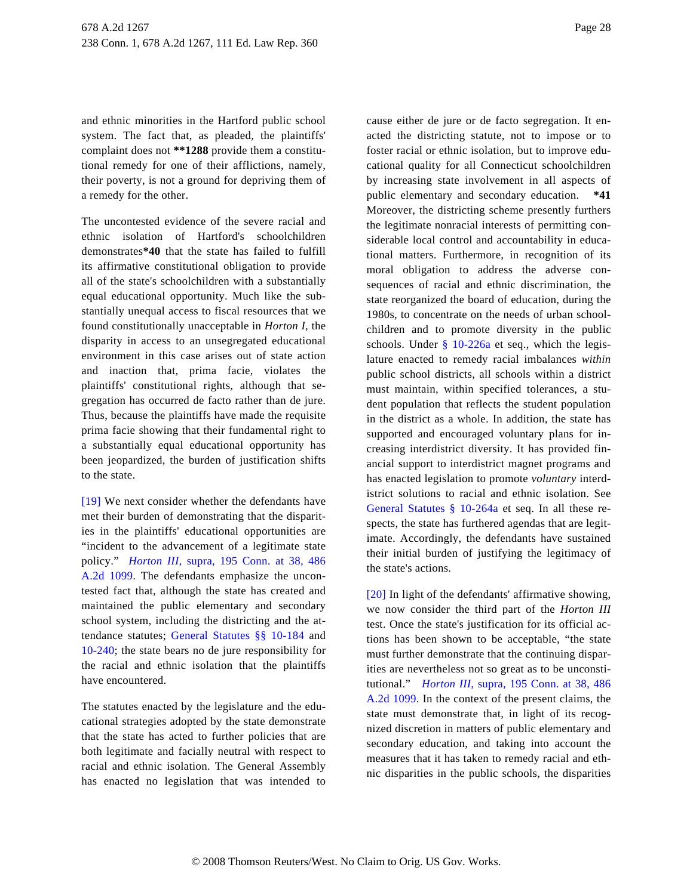and ethnic minorities in the Hartford public school system. The fact that, as pleaded, the plaintiffs' complaint does not **\*\*1288** provide them a constitutional remedy for one of their afflictions, namely, their poverty, is not a ground for depriving them of a remedy for the other.

The uncontested evidence of the severe racial and ethnic isolation of Hartford's schoolchildren demonstrates**\*40** that the state has failed to fulfill its affirmative constitutional obligation to provide all of the state's schoolchildren with a substantially equal educational opportunity. Much like the substantially unequal access to fiscal resources that we found constitutionally unacceptable in *Horton I,* the disparity in access to an unsegregated educational environment in this case arises out of state action and inaction that, prima facie, violates the plaintiffs' constitutional rights, although that segregation has occurred de facto rather than de jure. Thus, because the plaintiffs have made the requisite prima facie showing that their fundamental right to a substantially equal educational opportunity has been jeopardized, the burden of justification shifts to the state.

<span id="page-27-1"></span><span id="page-27-0"></span>[\[19\]](#page-4-2) We next consider whether the defendants have met their burden of demonstrating that the disparities in the plaintiffs' educational opportunities are "incident to the advancement of a legitimate state policy." *[Horton III](http://www.westlaw.com/Find/Default.wl?rs=dfa1.0&vr=2.0&DB=162&FindType=Y&SerialNum=1985102767),* [supra, 195 Conn. at 38, 48](http://www.westlaw.com/Find/Default.wl?rs=dfa1.0&vr=2.0&DB=162&FindType=Y&SerialNum=1985102767)6 [A.2d 1099](http://www.westlaw.com/Find/Default.wl?rs=dfa1.0&vr=2.0&DB=162&FindType=Y&SerialNum=1985102767). The defendants emphasize the uncontested fact that, although the state has created and maintained the public elementary and secondary school system, including the districting and the attendance statutes; [General Statutes §§ 10-18](http://www.westlaw.com/Find/Default.wl?rs=dfa1.0&vr=2.0&DB=1000264&DocName=CTSTS10-184&FindType=L)4 and [10-240](http://www.westlaw.com/Find/Default.wl?rs=dfa1.0&vr=2.0&DB=1000264&DocName=CTSTS10-240&FindType=L); the state bears no de jure responsibility for the racial and ethnic isolation that the plaintiffs have encountered.

The statutes enacted by the legislature and the educational strategies adopted by the state demonstrate that the state has acted to further policies that are both legitimate and facially neutral with respect to racial and ethnic isolation. The General Assembly has enacted no legislation that was intended to cause either de jure or de facto segregation. It enacted the districting statute, not to impose or to foster racial or ethnic isolation, but to improve educational quality for all Connecticut schoolchildren by increasing state involvement in all aspects of public elementary and secondary education. **\*41** Moreover, the districting scheme presently furthers the legitimate nonracial interests of permitting considerable local control and accountability in educational matters. Furthermore, in recognition of its moral obligation to address the adverse consequences of racial and ethnic discrimination, the state reorganized the board of education, during the 1980s, to concentrate on the needs of urban schoolchildren and to promote diversity in the public schools. Under [§ 10-226a](http://www.westlaw.com/Find/Default.wl?rs=dfa1.0&vr=2.0&DB=1000264&DocName=CTSTS10-226A&FindType=L) et seq., which the legislature enacted to remedy racial imbalances *within* public school districts, all schools within a district must maintain, within specified tolerances, a student population that reflects the student population in the district as a whole. In addition, the state has supported and encouraged voluntary plans for increasing interdistrict diversity. It has provided financial support to interdistrict magnet programs and has enacted legislation to promote *voluntary* interdistrict solutions to racial and ethnic isolation. See [General Statutes § 10-264](http://www.westlaw.com/Find/Default.wl?rs=dfa1.0&vr=2.0&DB=1000264&DocName=CTSTS10-264A&FindType=L)a et seq. In all these respects, the state has furthered agendas that are legitimate. Accordingly, the defendants have sustained their initial burden of justifying the legitimacy of the state's actions.

[\[20\]](#page-5-0) In light of the defendants' affirmative showing, we now consider the third part of the *Horton III* test. Once the state's justification for its official actions has been shown to be acceptable, "the state must further demonstrate that the continuing disparities are nevertheless not so great as to be unconstitutional." *[Horton III](http://www.westlaw.com/Find/Default.wl?rs=dfa1.0&vr=2.0&DB=162&FindType=Y&SerialNum=1985102767),* [supra, 195 Conn. at 38, 486](http://www.westlaw.com/Find/Default.wl?rs=dfa1.0&vr=2.0&DB=162&FindType=Y&SerialNum=1985102767) [A.2d 1099](http://www.westlaw.com/Find/Default.wl?rs=dfa1.0&vr=2.0&DB=162&FindType=Y&SerialNum=1985102767). In the context of the present claims, the state must demonstrate that, in light of its recognized discretion in matters of public elementary and secondary education, and taking into account the measures that it has taken to remedy racial and ethnic disparities in the public schools, the disparities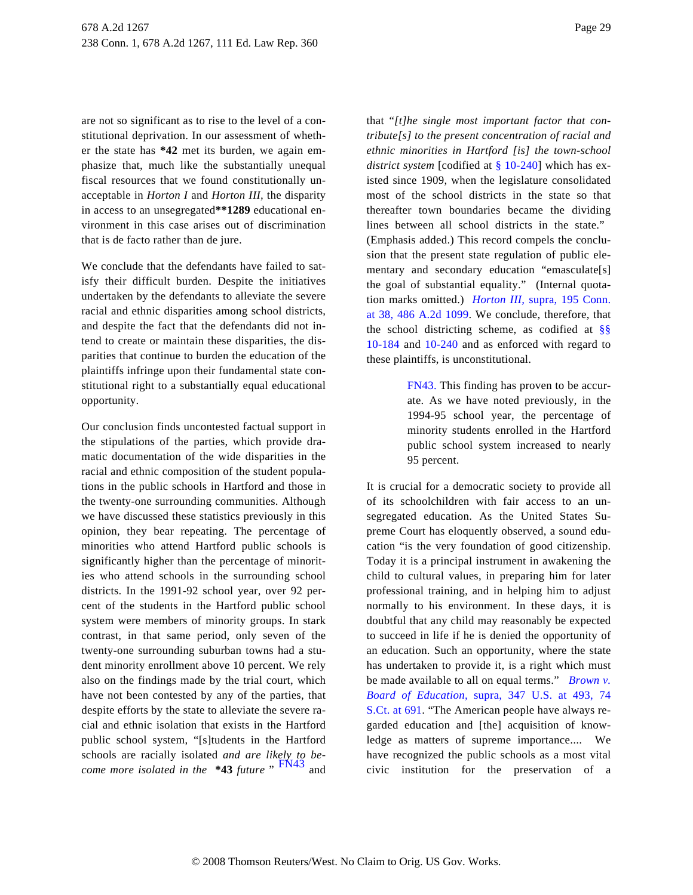are not so significant as to rise to the level of a constitutional deprivation. In our assessment of whether the state has **\*42** met its burden, we again emphasize that, much like the substantially unequal fiscal resources that we found constitutionally unacceptable in *Horton I* and *Horton III,* the disparity in access to an unsegregated**\*\*1289** educational environment in this case arises out of discrimination that is de facto rather than de jure.

We conclude that the defendants have failed to satisfy their difficult burden. Despite the initiatives undertaken by the defendants to alleviate the severe racial and ethnic disparities among school districts, and despite the fact that the defendants did not intend to create or maintain these disparities, the disparities that continue to burden the education of the plaintiffs infringe upon their fundamental state constitutional right to a substantially equal educational opportunity.

<span id="page-28-1"></span><span id="page-28-0"></span>Our conclusion finds uncontested factual support in the stipulations of the parties, which provide dramatic documentation of the wide disparities in the racial and ethnic composition of the student populations in the public schools in Hartford and those in the twenty-one surrounding communities. Although we have discussed these statistics previously in this opinion, they bear repeating. The percentage of minorities who attend Hartford public schools is significantly higher than the percentage of minorities who attend schools in the surrounding school districts. In the 1991-92 school year, over 92 percent of the students in the Hartford public school system were members of minority groups. In stark contrast, in that same period, only seven of the twenty-one surrounding suburban towns had a student minority enrollment above 10 percent. We rely also on the findings made by the trial court, which have not been contested by any of the parties, that despite efforts by the state to alleviate the severe racial and ethnic isolation that exists in the Hartford public school system, "[s]tudents in the Hartford schools are racially isolated *and are likely to become more isolated in the* **\*43** *future* " [FN43](#page-28-0) and

that "*[t]he single most important factor that contribute[s] to the present concentration of racial and ethnic minorities in Hartford [is] the town-school district system* [codified at [§ 10-240](http://www.westlaw.com/Find/Default.wl?rs=dfa1.0&vr=2.0&DB=1000264&DocName=CTSTS10-240&FindType=L)] which has existed since 1909, when the legislature consolidated most of the school districts in the state so that thereafter town boundaries became the dividing lines between all school districts in the state." (Emphasis added.) This record compels the conclusion that the present state regulation of public elementary and secondary education "emasculate[s] the goal of substantial equality." (Internal quotation marks omitted.) *[Horton III](http://www.westlaw.com/Find/Default.wl?rs=dfa1.0&vr=2.0&DB=162&FindType=Y&SerialNum=1985102767),* [supra, 195 Conn](http://www.westlaw.com/Find/Default.wl?rs=dfa1.0&vr=2.0&DB=162&FindType=Y&SerialNum=1985102767). [at 38, 486 A.2d 109](http://www.westlaw.com/Find/Default.wl?rs=dfa1.0&vr=2.0&DB=162&FindType=Y&SerialNum=1985102767)9. We conclude, therefore, that the school districting scheme, as codified at [§§](http://www.westlaw.com/Find/Default.wl?rs=dfa1.0&vr=2.0&DB=1000264&DocName=CTSTS10-184&FindType=L) [10-184](http://www.westlaw.com/Find/Default.wl?rs=dfa1.0&vr=2.0&DB=1000264&DocName=CTSTS10-184&FindType=L) and [10-240](http://www.westlaw.com/Find/Default.wl?rs=dfa1.0&vr=2.0&DB=1000264&DocName=CTSTS10-240&FindType=L) and as enforced with regard to these plaintiffs, is unconstitutional.

> [FN43.](#page-28-1) This finding has proven to be accurate. As we have noted previously, in the 1994-95 school year, the percentage of minority students enrolled in the Hartford public school system increased to nearly 95 percent.

It is crucial for a democratic society to provide all of its schoolchildren with fair access to an unsegregated education. As the United States Supreme Court has eloquently observed, a sound education "is the very foundation of good citizenship. Today it is a principal instrument in awakening the child to cultural values, in preparing him for later professional training, and in helping him to adjust normally to his environment. In these days, it is doubtful that any child may reasonably be expected to succeed in life if he is denied the opportunity of an education. Such an opportunity, where the state has undertaken to provide it, is a right which must be made available to all on equal terms." *[Brown v.](http://www.westlaw.com/Find/Default.wl?rs=dfa1.0&vr=2.0&DB=708&FindType=Y&ReferencePositionType=S&SerialNum=1954121869&ReferencePosition=691) [Board of Educatio](http://www.westlaw.com/Find/Default.wl?rs=dfa1.0&vr=2.0&DB=708&FindType=Y&ReferencePositionType=S&SerialNum=1954121869&ReferencePosition=691)n,* [supra, 347 U.S. at 493,](http://www.westlaw.com/Find/Default.wl?rs=dfa1.0&vr=2.0&DB=708&FindType=Y&ReferencePositionType=S&SerialNum=1954121869&ReferencePosition=691) 74 [S.Ct. at 691](http://www.westlaw.com/Find/Default.wl?rs=dfa1.0&vr=2.0&DB=708&FindType=Y&ReferencePositionType=S&SerialNum=1954121869&ReferencePosition=691). "The American people have always regarded education and [the] acquisition of knowledge as matters of supreme importance.... We have recognized the public schools as a most vital civic institution for the preservation of a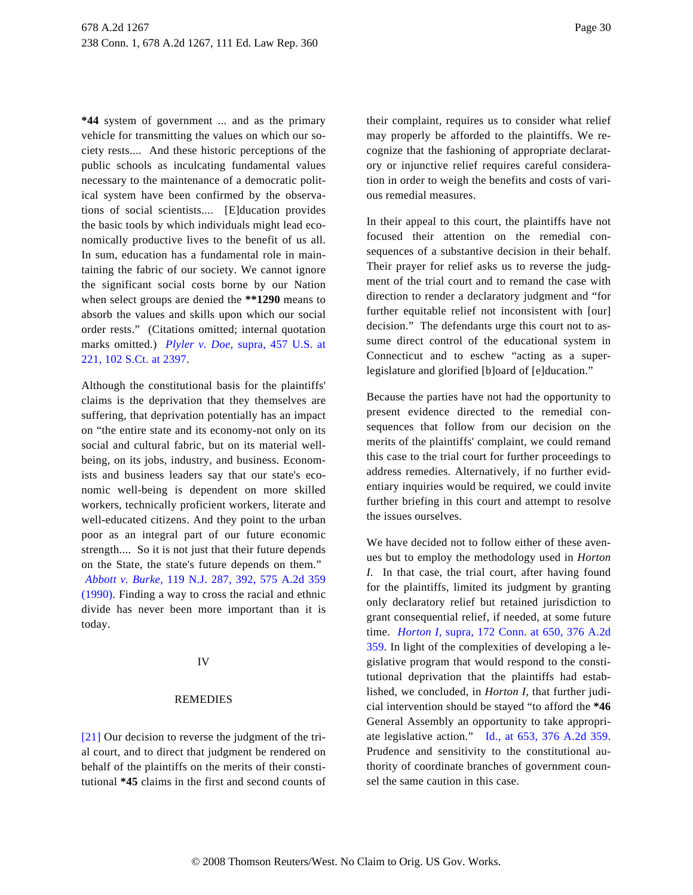**\*44** system of government ... and as the primary vehicle for transmitting the values on which our society rests.... And these historic perceptions of the public schools as inculcating fundamental values necessary to the maintenance of a democratic political system have been confirmed by the observations of social scientists.... [E]ducation provides the basic tools by which individuals might lead economically productive lives to the benefit of us all. In sum, education has a fundamental role in maintaining the fabric of our society. We cannot ignore the significant social costs borne by our Nation when select groups are denied the **\*\*1290** means to absorb the values and skills upon which our social order rests." (Citations omitted; internal quotation marks omitted.) *[Plyler v. Doe](http://www.westlaw.com/Find/Default.wl?rs=dfa1.0&vr=2.0&DB=708&FindType=Y&ReferencePositionType=S&SerialNum=1982126797&ReferencePosition=2397),* [supra, 457 U.S. a](http://www.westlaw.com/Find/Default.wl?rs=dfa1.0&vr=2.0&DB=708&FindType=Y&ReferencePositionType=S&SerialNum=1982126797&ReferencePosition=2397)t [221, 102 S.Ct. at 2397](http://www.westlaw.com/Find/Default.wl?rs=dfa1.0&vr=2.0&DB=708&FindType=Y&ReferencePositionType=S&SerialNum=1982126797&ReferencePosition=2397).

Although the constitutional basis for the plaintiffs' claims is the deprivation that they themselves are suffering, that deprivation potentially has an impact on "the entire state and its economy-not only on its social and cultural fabric, but on its material wellbeing, on its jobs, industry, and business. Economists and business leaders say that our state's economic well-being is dependent on more skilled workers, technically proficient workers, literate and well-educated citizens. And they point to the urban poor as an integral part of our future economic strength.... So it is not just that their future depends on the State, the state's future depends on them." *[Abbott v. Burke](http://www.westlaw.com/Find/Default.wl?rs=dfa1.0&vr=2.0&DB=162&FindType=Y&SerialNum=1990088478),* [119 N.J. 287, 392, 575 A.2d 35](http://www.westlaw.com/Find/Default.wl?rs=dfa1.0&vr=2.0&DB=162&FindType=Y&SerialNum=1990088478)9 [\(1990\).](http://www.westlaw.com/Find/Default.wl?rs=dfa1.0&vr=2.0&DB=162&FindType=Y&SerialNum=1990088478) Finding a way to cross the racial and ethnic divide has never been more important than it is today.

## IV

## REMEDIES

<span id="page-29-0"></span>[\[21\]](#page-5-1) Our decision to reverse the judgment of the trial court, and to direct that judgment be rendered on behalf of the plaintiffs on the merits of their constitutional **\*45** claims in the first and second counts of their complaint, requires us to consider what relief may properly be afforded to the plaintiffs. We recognize that the fashioning of appropriate declaratory or injunctive relief requires careful consideration in order to weigh the benefits and costs of various remedial measures.

In their appeal to this court, the plaintiffs have not focused their attention on the remedial consequences of a substantive decision in their behalf. Their prayer for relief asks us to reverse the judgment of the trial court and to remand the case with direction to render a declaratory judgment and "for further equitable relief not inconsistent with [our] decision." The defendants urge this court not to assume direct control of the educational system in Connecticut and to eschew "acting as a superlegislature and glorified [b]oard of [e]ducation."

Because the parties have not had the opportunity to present evidence directed to the remedial consequences that follow from our decision on the merits of the plaintiffs' complaint, we could remand this case to the trial court for further proceedings to address remedies. Alternatively, if no further evidentiary inquiries would be required, we could invite further briefing in this court and attempt to resolve the issues ourselves.

We have decided not to follow either of these avenues but to employ the methodology used in *Horton I.* In that case, the trial court, after having found for the plaintiffs, limited its judgment by granting only declaratory relief but retained jurisdiction to grant consequential relief, if needed, at some future time. *[Horton I](http://www.westlaw.com/Find/Default.wl?rs=dfa1.0&vr=2.0&DB=162&FindType=Y&SerialNum=1977120164),* [supra, 172 Conn. at 650, 376 A.2d](http://www.westlaw.com/Find/Default.wl?rs=dfa1.0&vr=2.0&DB=162&FindType=Y&SerialNum=1977120164) [359](http://www.westlaw.com/Find/Default.wl?rs=dfa1.0&vr=2.0&DB=162&FindType=Y&SerialNum=1977120164). In light of the complexities of developing a legislative program that would respond to the constitutional deprivation that the plaintiffs had established, we concluded, in *Horton I,* that further judicial intervention should be stayed "to afford the **\*46** General Assembly an opportunity to take appropriate legislative action." [Id., at 65](http://www.westlaw.com/Find/Default.wl?rs=dfa1.0&vr=2.0&FindType=Y&SerialNum=1977120164)[3, 376 A.2d 35](http://www.westlaw.com/Find/Default.wl?rs=dfa1.0&vr=2.0&DB=162&FindType=Y&SerialNum=1977120164)9. Prudence and sensitivity to the constitutional authority of coordinate branches of government counsel the same caution in this case.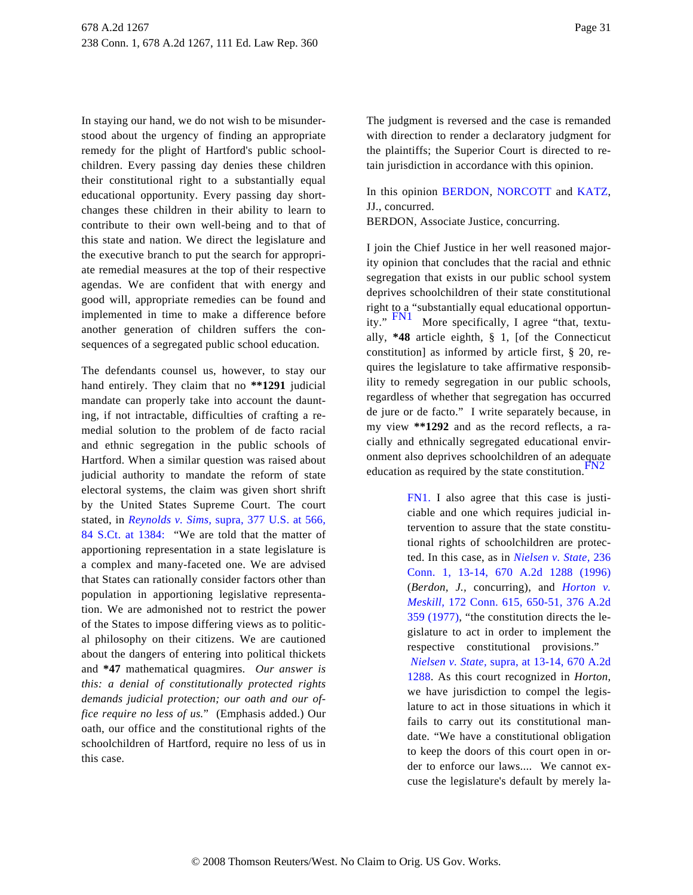In staying our hand, we do not wish to be misunderstood about the urgency of finding an appropriate remedy for the plight of Hartford's public schoolchildren. Every passing day denies these children their constitutional right to a substantially equal educational opportunity. Every passing day shortchanges these children in their ability to learn to contribute to their own well-being and to that of this state and nation. We direct the legislature and the executive branch to put the search for appropriate remedial measures at the top of their respective agendas. We are confident that with energy and good will, appropriate remedies can be found and implemented in time to make a difference before another generation of children suffers the consequences of a segregated public school education.

<span id="page-30-2"></span><span id="page-30-1"></span><span id="page-30-0"></span>The defendants counsel us, however, to stay our hand entirely. They claim that no **\*\*1291** judicial mandate can properly take into account the daunting, if not intractable, difficulties of crafting a remedial solution to the problem of de facto racial and ethnic segregation in the public schools of Hartford. When a similar question was raised about judicial authority to mandate the reform of state electoral systems, the claim was given short shrift by the United States Supreme Court. The court stated, in *[Reynolds v. Sims](http://www.westlaw.com/Find/Default.wl?rs=dfa1.0&vr=2.0&DB=708&FindType=Y&ReferencePositionType=S&SerialNum=1964124843&ReferencePosition=1384),* [supra, 377 U.S. at 566](http://www.westlaw.com/Find/Default.wl?rs=dfa1.0&vr=2.0&DB=708&FindType=Y&ReferencePositionType=S&SerialNum=1964124843&ReferencePosition=1384), [84 S.Ct. at 1384](http://www.westlaw.com/Find/Default.wl?rs=dfa1.0&vr=2.0&DB=708&FindType=Y&ReferencePositionType=S&SerialNum=1964124843&ReferencePosition=1384): "We are told that the matter of apportioning representation in a state legislature is a complex and many-faceted one. We are advised that States can rationally consider factors other than population in apportioning legislative representation. We are admonished not to restrict the power of the States to impose differing views as to political philosophy on their citizens. We are cautioned about the dangers of entering into political thickets and **\*47** mathematical quagmires. *Our answer is this: a denial of constitutionally protected rights demands judicial protection; our oath and our office require no less of us.*" (Emphasis added.) Our oath, our office and the constitutional rights of the schoolchildren of Hartford, require no less of us in this case.

The judgment is reversed and the case is remanded with direction to render a declaratory judgment for the plaintiffs; the Superior Court is directed to retain jurisdiction in accordance with this opinion.

In this opinion [BERDON](http://www.westlaw.com/Find/Default.wl?rs=dfa1.0&vr=2.0&DB=PROFILER-WLD&DocName=0263549401&FindType=h), [NORCOTT](http://www.westlaw.com/Find/Default.wl?rs=dfa1.0&vr=2.0&DB=PROFILER-WLD&DocName=0118247201&FindType=h) and [KATZ](http://www.westlaw.com/Find/Default.wl?rs=dfa1.0&vr=2.0&DB=PROFILER-WLD&DocName=0106186701&FindType=h), JJ., concurred.

BERDON, Associate Justice, concurring.

I join the Chief Justice in her well reasoned majority opinion that concludes that the racial and ethnic segregation that exists in our public school system deprives schoolchildren of their state constitutional right to a "substantially equal educational opportun-ity." [FN1](#page-30-0) More specifically, I agree "that, textually, **\*48** article eighth, § 1, [of the Connecticut constitution] as informed by article first, § 20, requires the legislature to take affirmative responsibility to remedy segregation in our public schools, regardless of whether that segregation has occurred de jure or de facto." I write separately because, in my view **\*\*1292** and as the record reflects, a racially and ethnically segregated educational environment also deprives schoolchildren of an adequate education as required by the state constitution.  $F_{1}^{1}$ 

> [FN1.](#page-30-1) I also agree that this case is justiciable and one which requires judicial intervention to assure that the state constitutional rights of schoolchildren are protected. In this case, as in *[Nielsen v. State,](http://www.westlaw.com/Find/Default.wl?rs=dfa1.0&vr=2.0&DB=162&FindType=Y&SerialNum=1996045969)* 236 [Conn. 1, 13-14, 670 A.2d 1288 \(1](http://www.westlaw.com/Find/Default.wl?rs=dfa1.0&vr=2.0&DB=162&FindType=Y&SerialNum=1996045969)996) (*Berdon, J.,* concurring), and *[Horton v](http://www.westlaw.com/Find/Default.wl?rs=dfa1.0&vr=2.0&DB=162&FindType=Y&SerialNum=1977120164). [Meskill,](http://www.westlaw.com/Find/Default.wl?rs=dfa1.0&vr=2.0&DB=162&FindType=Y&SerialNum=1977120164)* [172 Conn. 615, 650-51, 376 A.2d](http://www.westlaw.com/Find/Default.wl?rs=dfa1.0&vr=2.0&DB=162&FindType=Y&SerialNum=1977120164) [359 \(1977\)](http://www.westlaw.com/Find/Default.wl?rs=dfa1.0&vr=2.0&DB=162&FindType=Y&SerialNum=1977120164), "the constitution directs the legislature to act in order to implement the respective constitutional provisions." *[Nielsen v. State](http://www.westlaw.com/Find/Default.wl?rs=dfa1.0&vr=2.0&DB=162&FindType=Y&SerialNum=1996045969),* [supra, at 13-14, 670 A.2d](http://www.westlaw.com/Find/Default.wl?rs=dfa1.0&vr=2.0&DB=162&FindType=Y&SerialNum=1996045969) [1288.](http://www.westlaw.com/Find/Default.wl?rs=dfa1.0&vr=2.0&DB=162&FindType=Y&SerialNum=1996045969) As this court recognized in *Horton,* we have jurisdiction to compel the legislature to act in those situations in which it fails to carry out its constitutional mandate. "We have a constitutional obligation to keep the doors of this court open in order to enforce our laws.... We cannot excuse the legislature's default by merely la-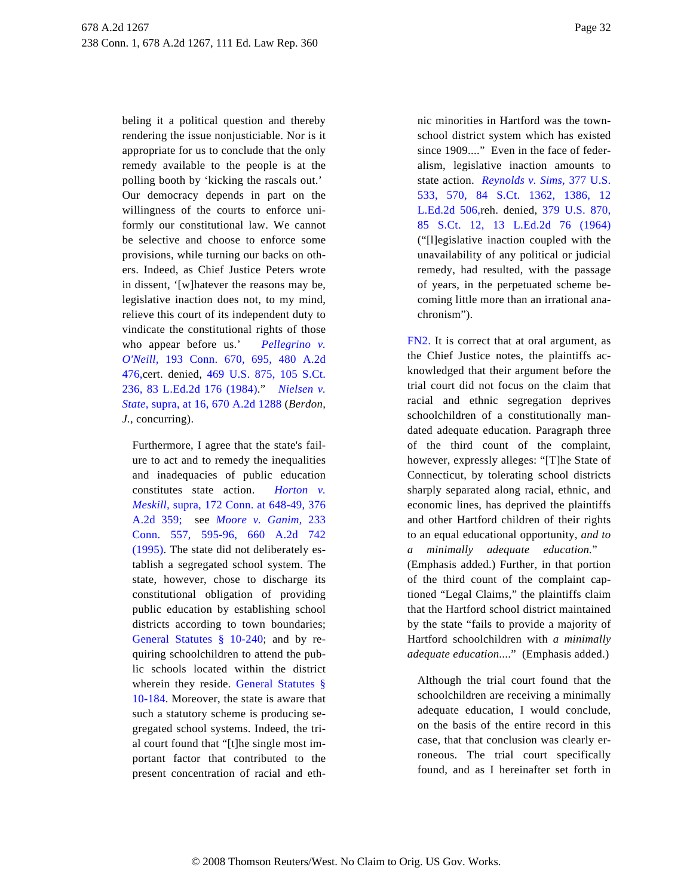beling it a political question and thereby rendering the issue nonjusticiable. Nor is it appropriate for us to conclude that the only remedy available to the people is at the polling booth by 'kicking the rascals out.' Our democracy depends in part on the willingness of the courts to enforce uniformly our constitutional law. We cannot be selective and choose to enforce some provisions, while turning our backs on others. Indeed, as Chief Justice Peters wrote in dissent, '[w]hatever the reasons may be, legislative inaction does not, to my mind, relieve this court of its independent duty to vindicate the constitutional rights of those who appear before us.' *[Pellegrino v](http://www.westlaw.com/Find/Default.wl?rs=dfa1.0&vr=2.0&DB=162&FindType=Y&SerialNum=1984134613). [O'Neill,](http://www.westlaw.com/Find/Default.wl?rs=dfa1.0&vr=2.0&DB=162&FindType=Y&SerialNum=1984134613)* [193 Conn. 670, 695, 480 A](http://www.westlaw.com/Find/Default.wl?rs=dfa1.0&vr=2.0&DB=162&FindType=Y&SerialNum=1984134613).2d [476,](http://www.westlaw.com/Find/Default.wl?rs=dfa1.0&vr=2.0&DB=162&FindType=Y&SerialNum=1984134613)cert. denied, [469 U.S. 875, 105 S.C](http://www.westlaw.com/Find/Default.wl?rs=dfa1.0&vr=2.0&DB=708&FindType=Y&SerialNum=1984240050)t. [236, 83 L.Ed.2d 176 \(1984](http://www.westlaw.com/Find/Default.wl?rs=dfa1.0&vr=2.0&DB=708&FindType=Y&SerialNum=1984240050))." *[Nielsen v.](http://www.westlaw.com/Find/Default.wl?rs=dfa1.0&vr=2.0&DB=162&FindType=Y&SerialNum=1996045969) [State,](http://www.westlaw.com/Find/Default.wl?rs=dfa1.0&vr=2.0&DB=162&FindType=Y&SerialNum=1996045969)* [supra, at 16, 670 A.2d 1288](http://www.westlaw.com/Find/Default.wl?rs=dfa1.0&vr=2.0&DB=162&FindType=Y&SerialNum=1996045969) (*Berdon, J.,* concurring).

<span id="page-31-0"></span>Furthermore, I agree that the state's failure to act and to remedy the inequalities and inadequacies of public education constitutes state action. *[Horton v](http://www.westlaw.com/Find/Default.wl?rs=dfa1.0&vr=2.0&DB=162&FindType=Y&SerialNum=1977120164). [Meskill,](http://www.westlaw.com/Find/Default.wl?rs=dfa1.0&vr=2.0&DB=162&FindType=Y&SerialNum=1977120164)* [supra, 172 Conn. at 648-49, 376](http://www.westlaw.com/Find/Default.wl?rs=dfa1.0&vr=2.0&DB=162&FindType=Y&SerialNum=1977120164) [A.2d 359](http://www.westlaw.com/Find/Default.wl?rs=dfa1.0&vr=2.0&DB=162&FindType=Y&SerialNum=1977120164); see *[Moore v. Ganim,](http://www.westlaw.com/Find/Default.wl?rs=dfa1.0&vr=2.0&DB=162&FindType=Y&SerialNum=1995132705)* 233 [Conn. 557, 595-96, 660 A.2d 742](http://www.westlaw.com/Find/Default.wl?rs=dfa1.0&vr=2.0&DB=162&FindType=Y&SerialNum=1995132705) (1995). The state did not deliberately establish a segregated school system. The state, however, chose to discharge its constitutional obligation of providing public education by establishing school districts according to town boundaries; [General Statutes § 10-2](http://www.westlaw.com/Find/Default.wl?rs=dfa1.0&vr=2.0&DB=1000264&DocName=CTSTS10-240&FindType=L)40; and by requiring schoolchildren to attend the public schools located within the district wherein they reside. [General Statutes §](http://www.westlaw.com/Find/Default.wl?rs=dfa1.0&vr=2.0&DB=1000264&DocName=CTSTS10-184&FindType=L) [10-184](http://www.westlaw.com/Find/Default.wl?rs=dfa1.0&vr=2.0&DB=1000264&DocName=CTSTS10-184&FindType=L). Moreover, the state is aware that such a statutory scheme is producing segregated school systems. Indeed, the trial court found that "[t]he single most important factor that contributed to the present concentration of racial and ethnic minorities in Hartford was the townschool district system which has existed since 1909...." Even in the face of federalism, legislative inaction amounts to state action. *[Reynolds v. Sims](http://www.westlaw.com/Find/Default.wl?rs=dfa1.0&vr=2.0&DB=708&FindType=Y&ReferencePositionType=S&SerialNum=1964124843&ReferencePosition=1386),* [377 U.S.](http://www.westlaw.com/Find/Default.wl?rs=dfa1.0&vr=2.0&DB=708&FindType=Y&ReferencePositionType=S&SerialNum=1964124843&ReferencePosition=1386) [533, 570, 84 S.Ct. 1362, 138](http://www.westlaw.com/Find/Default.wl?rs=dfa1.0&vr=2.0&DB=708&FindType=Y&ReferencePositionType=S&SerialNum=1964124843&ReferencePosition=1386)6, 12 [L.Ed.2d 506](http://www.westlaw.com/Find/Default.wl?rs=dfa1.0&vr=2.0&DB=708&FindType=Y&ReferencePositionType=S&SerialNum=1964124843&ReferencePosition=1386),reh. denied, [379 U.S. 870](http://www.westlaw.com/Find/Default.wl?rs=dfa1.0&vr=2.0&DB=708&FindType=Y&SerialNum=1964201854), [85 S.Ct. 12, 13 L.Ed.2d 76](http://www.westlaw.com/Find/Default.wl?rs=dfa1.0&vr=2.0&DB=708&FindType=Y&SerialNum=1964201854) (1964) ("[l]egislative inaction coupled with the unavailability of any political or judicial remedy, had resulted, with the passage of years, in the perpetuated scheme becoming little more than an irrational anachronism").

[FN2.](#page-30-2) It is correct that at oral argument, as the Chief Justice notes, the plaintiffs acknowledged that their argument before the trial court did not focus on the claim that racial and ethnic segregation deprives schoolchildren of a constitutionally mandated adequate education. Paragraph three of the third count of the complaint, however, expressly alleges: "[T]he State of Connecticut, by tolerating school districts sharply separated along racial, ethnic, and economic lines, has deprived the plaintiffs and other Hartford children of their rights to an equal educational opportunity, *and to a minimally adequate education.*" (Emphasis added.) Further, in that portion of the third count of the complaint captioned "Legal Claims," the plaintiffs claim that the Hartford school district maintained by the state "fails to provide a majority of Hartford schoolchildren with *a minimally adequate education*...." (Emphasis added.)

Although the trial court found that the schoolchildren are receiving a minimally adequate education, I would conclude, on the basis of the entire record in this case, that that conclusion was clearly erroneous. The trial court specifically found, and as I hereinafter set forth in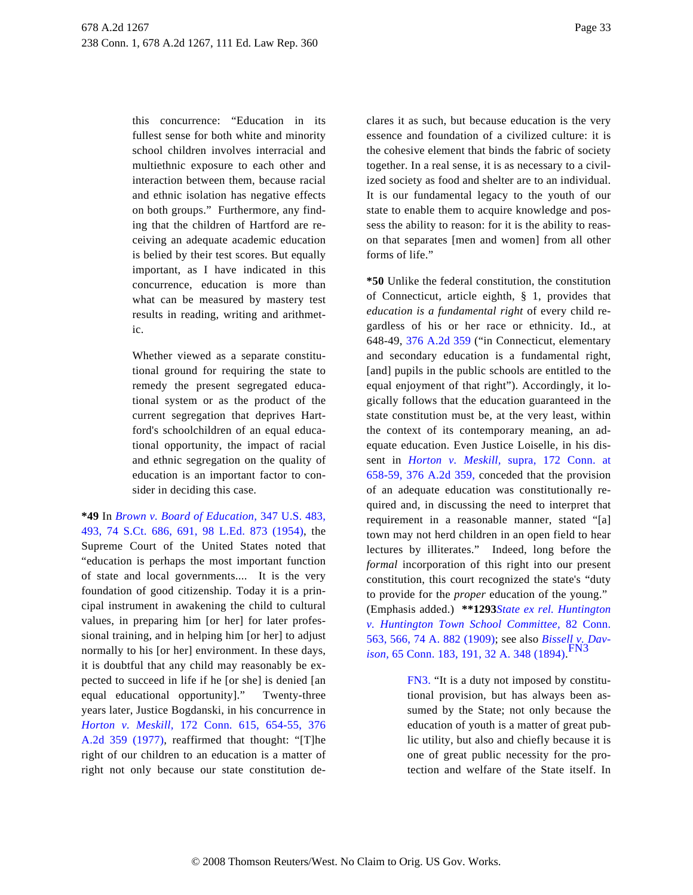this concurrence: "Education in its fullest sense for both white and minority school children involves interracial and multiethnic exposure to each other and interaction between them, because racial and ethnic isolation has negative effects on both groups." Furthermore, any finding that the children of Hartford are receiving an adequate academic education is belied by their test scores. But equally important, as I have indicated in this concurrence, education is more than what can be measured by mastery test results in reading, writing and arithmetic.

Whether viewed as a separate constitutional ground for requiring the state to remedy the present segregated educational system or as the product of the current segregation that deprives Hartford's schoolchildren of an equal educational opportunity, the impact of racial and ethnic segregation on the quality of education is an important factor to consider in deciding this case.

<span id="page-32-1"></span><span id="page-32-0"></span>**\*49** In *[Brown v. Board of Education](http://www.westlaw.com/Find/Default.wl?rs=dfa1.0&vr=2.0&DB=708&FindType=Y&ReferencePositionType=S&SerialNum=1954121869&ReferencePosition=691),* [347 U.S. 483,](http://www.westlaw.com/Find/Default.wl?rs=dfa1.0&vr=2.0&DB=708&FindType=Y&ReferencePositionType=S&SerialNum=1954121869&ReferencePosition=691) [493, 74 S.Ct. 686, 691, 98 L.Ed. 873 \(19](http://www.westlaw.com/Find/Default.wl?rs=dfa1.0&vr=2.0&DB=708&FindType=Y&ReferencePositionType=S&SerialNum=1954121869&ReferencePosition=691)54), the Supreme Court of the United States noted that "education is perhaps the most important function of state and local governments.... It is the very foundation of good citizenship. Today it is a principal instrument in awakening the child to cultural values, in preparing him [or her] for later professional training, and in helping him [or her] to adjust normally to his [or her] environment. In these days, it is doubtful that any child may reasonably be expected to succeed in life if he [or she] is denied [an equal educational opportunity]." Twenty-three years later, Justice Bogdanski, in his concurrence in *[Horton v. Meski](http://www.westlaw.com/Find/Default.wl?rs=dfa1.0&vr=2.0&DB=162&FindType=Y&SerialNum=1977120164)ll,* [172 Conn. 615, 654-55,](http://www.westlaw.com/Find/Default.wl?rs=dfa1.0&vr=2.0&DB=162&FindType=Y&SerialNum=1977120164) 376 [A.2d 359 \(1977](http://www.westlaw.com/Find/Default.wl?rs=dfa1.0&vr=2.0&DB=162&FindType=Y&SerialNum=1977120164)), reaffirmed that thought: "[T]he right of our children to an education is a matter of right not only because our state constitution declares it as such, but because education is the very essence and foundation of a civilized culture: it is the cohesive element that binds the fabric of society together. In a real sense, it is as necessary to a civilized society as food and shelter are to an individual. It is our fundamental legacy to the youth of our state to enable them to acquire knowledge and pos-

sess the ability to reason: for it is the ability to reason that separates [men and women] from all other

forms of life."

**\*50** Unlike the federal constitution, the constitution of Connecticut, article eighth, § 1, provides that *education is a fundamental right* of every child regardless of his or her race or ethnicity. Id., at 648-49, [376 A.2d 359](http://www.westlaw.com/Find/Default.wl?rs=dfa1.0&vr=2.0&DB=162&FindType=Y&SerialNum=1977120164) ("in Connecticut, elementary and secondary education is a fundamental right, [and] pupils in the public schools are entitled to the equal enjoyment of that right"). Accordingly, it logically follows that the education guaranteed in the state constitution must be, at the very least, within the context of its contemporary meaning, an adequate education. Even Justice Loiselle, in his dissent in *[Horton v. Meski](http://www.westlaw.com/Find/Default.wl?rs=dfa1.0&vr=2.0&DB=162&FindType=Y&SerialNum=1977120164)ll,* [supra, 172 Conn.](http://www.westlaw.com/Find/Default.wl?rs=dfa1.0&vr=2.0&DB=162&FindType=Y&SerialNum=1977120164) at [658-59, 376 A.2d 359](http://www.westlaw.com/Find/Default.wl?rs=dfa1.0&vr=2.0&DB=162&FindType=Y&SerialNum=1977120164), conceded that the provision of an adequate education was constitutionally required and, in discussing the need to interpret that requirement in a reasonable manner, stated "[a] town may not herd children in an open field to hear lectures by illiterates." Indeed, long before the *formal* incorporation of this right into our present constitution, this court recognized the state's "duty to provide for the *proper* education of the young." (Emphasis added.) **\*\*1293***[State ex rel. Huntington](http://www.westlaw.com/Find/Default.wl?rs=dfa1.0&vr=2.0&DB=161&FindType=Y&SerialNum=1909018608) [v. Huntington Town School Committee,](http://www.westlaw.com/Find/Default.wl?rs=dfa1.0&vr=2.0&DB=161&FindType=Y&SerialNum=1909018608)* 82 Conn. [563, 566, 74 A. 882 \(1909](http://www.westlaw.com/Find/Default.wl?rs=dfa1.0&vr=2.0&DB=161&FindType=Y&SerialNum=1909018608)); see also *[Bissell v. Dav](http://www.westlaw.com/Find/Default.wl?rs=dfa1.0&vr=2.0&DB=161&FindType=Y&SerialNum=1894013997)[ison,](http://www.westlaw.com/Find/Default.wl?rs=dfa1.0&vr=2.0&DB=161&FindType=Y&SerialNum=1894013997)* [65 Conn. 183, 191, 32 A. 348 \(1894\)](http://www.westlaw.com/Find/Default.wl?rs=dfa1.0&vr=2.0&DB=161&FindType=Y&SerialNum=1894013997). [FN3](#page-32-0)

> [FN3.](#page-32-1) "It is a duty not imposed by constitutional provision, but has always been assumed by the State; not only because the education of youth is a matter of great public utility, but also and chiefly because it is one of great public necessity for the protection and welfare of the State itself. In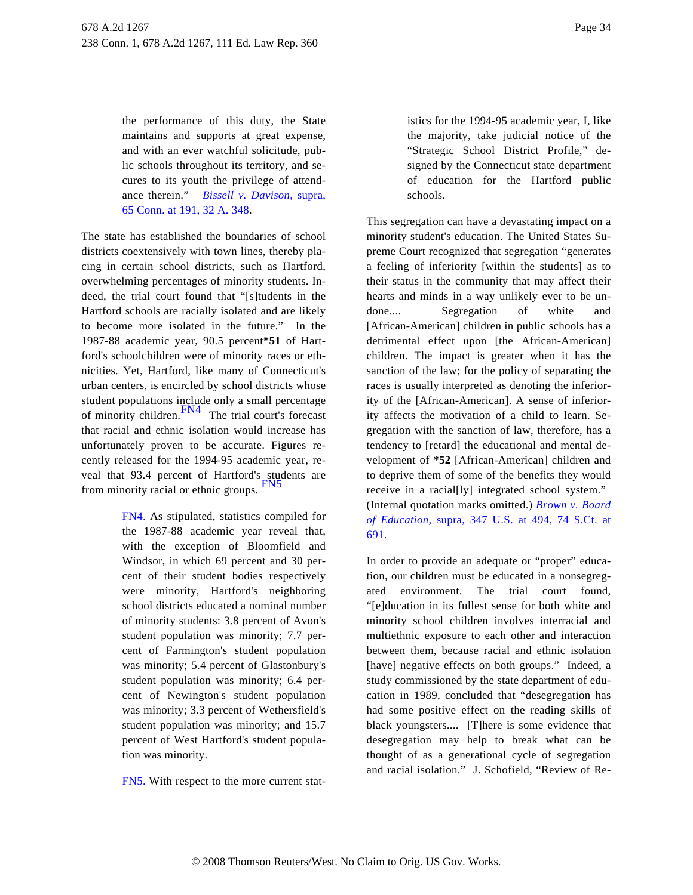the performance of this duty, the State maintains and supports at great expense, and with an ever watchful solicitude, public schools throughout its territory, and secures to its youth the privilege of attendance therein." *[Bissell v. Davison,](http://www.westlaw.com/Find/Default.wl?rs=dfa1.0&vr=2.0&DB=161&FindType=Y&SerialNum=1894013997)* supra, [65 Conn. at 191, 32 A. 348](http://www.westlaw.com/Find/Default.wl?rs=dfa1.0&vr=2.0&DB=161&FindType=Y&SerialNum=1894013997).

The state has established the boundaries of school districts coextensively with town lines, thereby placing in certain school districts, such as Hartford, overwhelming percentages of minority students. Indeed, the trial court found that "[s]tudents in the Hartford schools are racially isolated and are likely to become more isolated in the future." In the 1987-88 academic year, 90.5 percent**\*51** of Hartford's schoolchildren were of minority races or ethnicities. Yet, Hartford, like many of Connecticut's urban centers, is encircled by school districts whose student populations include only a small percentage<br>of minority children.<sup>[FN4](#page-33-0)</sup> The trial court's forecast that racial and ethnic isolation would increase has unfortunately proven to be accurate. Figures recently released for the 1994-95 academic year, reveal that 93.4 percent of Hartford's students are from minority racial or ethnic groups.

> <span id="page-33-3"></span><span id="page-33-2"></span><span id="page-33-0"></span>[FN4.](#page-33-2) As stipulated, statistics compiled for the 1987-88 academic year reveal that, with the exception of Bloomfield and Windsor, in which 69 percent and 30 percent of their student bodies respectively were minority, Hartford's neighboring school districts educated a nominal number of minority students: 3.8 percent of Avon's student population was minority; 7.7 percent of Farmington's student population was minority; 5.4 percent of Glastonbury's student population was minority; 6.4 percent of Newington's student population was minority; 3.3 percent of Wethersfield's student population was minority; and 15.7 percent of West Hartford's student population was minority.

<span id="page-33-1"></span>[FN5.](#page-33-3) With respect to the more current stat-

istics for the 1994-95 academic year, I, like the majority, take judicial notice of the "Strategic School District Profile," designed by the Connecticut state department of education for the Hartford public schools.

This segregation can have a devastating impact on a minority student's education. The United States Supreme Court recognized that segregation "generates a feeling of inferiority [within the students] as to their status in the community that may affect their hearts and minds in a way unlikely ever to be undone.... Segregation of white and [African-American] children in public schools has a detrimental effect upon [the African-American] children. The impact is greater when it has the sanction of the law; for the policy of separating the races is usually interpreted as denoting the inferiority of the [African-American]. A sense of inferiority affects the motivation of a child to learn. Segregation with the sanction of law, therefore, has a tendency to [retard] the educational and mental development of **\*52** [African-American] children and to deprive them of some of the benefits they would receive in a racial[ly] integrated school system." (Internal quotation marks omitted.) *[Brown v. Board](http://www.westlaw.com/Find/Default.wl?rs=dfa1.0&vr=2.0&DB=708&FindType=Y&ReferencePositionType=S&SerialNum=1954121869&ReferencePosition=691) [of Education](http://www.westlaw.com/Find/Default.wl?rs=dfa1.0&vr=2.0&DB=708&FindType=Y&ReferencePositionType=S&SerialNum=1954121869&ReferencePosition=691),* [supra, 347 U.S. at 494, 74 S.Ct.](http://www.westlaw.com/Find/Default.wl?rs=dfa1.0&vr=2.0&DB=708&FindType=Y&ReferencePositionType=S&SerialNum=1954121869&ReferencePosition=691) at [691](http://www.westlaw.com/Find/Default.wl?rs=dfa1.0&vr=2.0&DB=708&FindType=Y&ReferencePositionType=S&SerialNum=1954121869&ReferencePosition=691).

In order to provide an adequate or "proper" education, our children must be educated in a nonsegregated environment. The trial court found, "[e]ducation in its fullest sense for both white and minority school children involves interracial and multiethnic exposure to each other and interaction between them, because racial and ethnic isolation [have] negative effects on both groups." Indeed, a study commissioned by the state department of education in 1989, concluded that "desegregation has had some positive effect on the reading skills of black youngsters.... [T]here is some evidence that desegregation may help to break what can be thought of as a generational cycle of segregation and racial isolation." J. Schofield, "Review of Re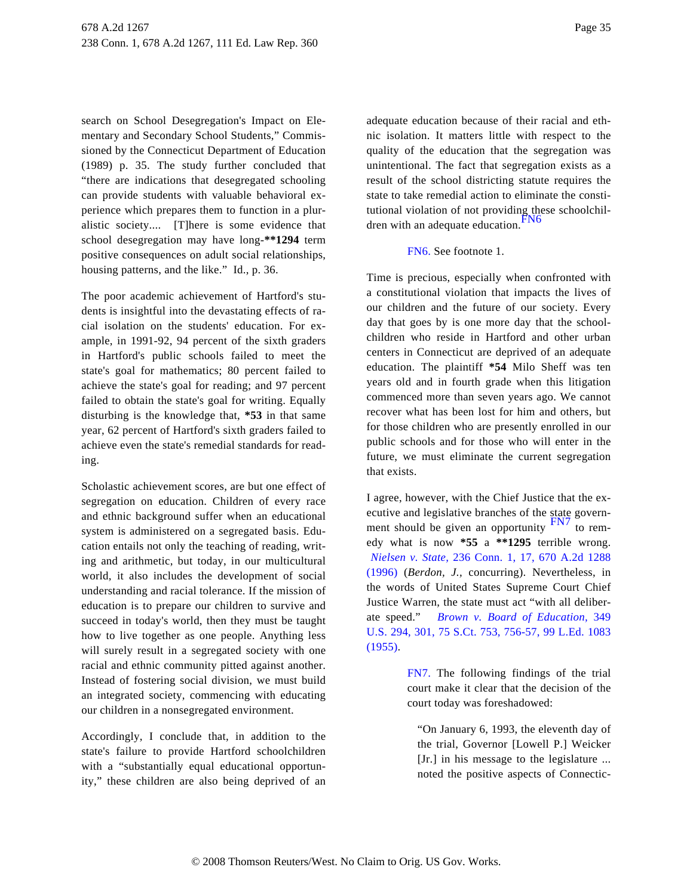search on School Desegregation's Impact on Elementary and Secondary School Students," Commissioned by the Connecticut Department of Education (1989) p. 35. The study further concluded that "there are indications that desegregated schooling can provide students with valuable behavioral experience which prepares them to function in a pluralistic society.... [T]here is some evidence that school desegregation may have long-**\*\*1294** term positive consequences on adult social relationships, housing patterns, and the like." Id., p. 36.

<span id="page-34-1"></span><span id="page-34-0"></span>The poor academic achievement of Hartford's students is insightful into the devastating effects of racial isolation on the students' education. For example, in 1991-92, 94 percent of the sixth graders in Hartford's public schools failed to meet the state's goal for mathematics; 80 percent failed to achieve the state's goal for reading; and 97 percent failed to obtain the state's goal for writing. Equally disturbing is the knowledge that, **\*53** in that same year, 62 percent of Hartford's sixth graders failed to achieve even the state's remedial standards for reading.

<span id="page-34-3"></span>Scholastic achievement scores, are but one effect of segregation on education. Children of every race and ethnic background suffer when an educational system is administered on a segregated basis. Education entails not only the teaching of reading, writing and arithmetic, but today, in our multicultural world, it also includes the development of social understanding and racial tolerance. If the mission of education is to prepare our children to survive and succeed in today's world, then they must be taught how to live together as one people. Anything less will surely result in a segregated society with one racial and ethnic community pitted against another. Instead of fostering social division, we must build an integrated society, commencing with educating our children in a nonsegregated environment.

<span id="page-34-2"></span>Accordingly, I conclude that, in addition to the state's failure to provide Hartford schoolchildren with a "substantially equal educational opportunity," these children are also being deprived of an

adequate education because of their racial and ethnic isolation. It matters little with respect to the quality of the education that the segregation was unintentional. The fact that segregation exists as a result of the school districting statute requires the state to take remedial action to eliminate the constitutional violation of not providing these schoolchil-dren with an adequate education.<sup>[FN6](#page-34-0)</sup>

## [FN6.](#page-34-1) See footnote 1.

Time is precious, especially when confronted with a constitutional violation that impacts the lives of our children and the future of our society. Every day that goes by is one more day that the schoolchildren who reside in Hartford and other urban centers in Connecticut are deprived of an adequate education. The plaintiff **\*54** Milo Sheff was ten years old and in fourth grade when this litigation commenced more than seven years ago. We cannot recover what has been lost for him and others, but for those children who are presently enrolled in our public schools and for those who will enter in the future, we must eliminate the current segregation that exists.

I agree, however, with the Chief Justice that the executive and legislative branches of the state government should be given an opportunity  $F_{N7}$  to remedy what is now **\*55** a **\*\*1295** terrible wrong. *[Nielsen v. State](http://www.westlaw.com/Find/Default.wl?rs=dfa1.0&vr=2.0&DB=162&FindType=Y&SerialNum=1996045969),* [236 Conn. 1, 17, 670 A.2d 128](http://www.westlaw.com/Find/Default.wl?rs=dfa1.0&vr=2.0&DB=162&FindType=Y&SerialNum=1996045969)8 [\(1996\)](http://www.westlaw.com/Find/Default.wl?rs=dfa1.0&vr=2.0&DB=162&FindType=Y&SerialNum=1996045969) (*Berdon, J.,* concurring). Nevertheless, in the words of United States Supreme Court Chief Justice Warren, the state must act "with all deliberate speed." *[Brown v. Board of Education,](http://www.westlaw.com/Find/Default.wl?rs=dfa1.0&vr=2.0&DB=708&FindType=Y&ReferencePositionType=S&SerialNum=1955122456&ReferencePosition=756)* 349 [U.S. 294, 301, 75 S.Ct. 753, 756-57, 99 L.Ed. 1083](http://www.westlaw.com/Find/Default.wl?rs=dfa1.0&vr=2.0&DB=708&FindType=Y&ReferencePositionType=S&SerialNum=1955122456&ReferencePosition=756) [\(1955\).](http://www.westlaw.com/Find/Default.wl?rs=dfa1.0&vr=2.0&DB=708&FindType=Y&ReferencePositionType=S&SerialNum=1955122456&ReferencePosition=756)

> [FN7.](#page-34-3) The following findings of the trial court make it clear that the decision of the court today was foreshadowed:

"On January 6, 1993, the eleventh day of the trial, Governor [Lowell P.] Weicker [Jr.] in his message to the legislature ... noted the positive aspects of Connectic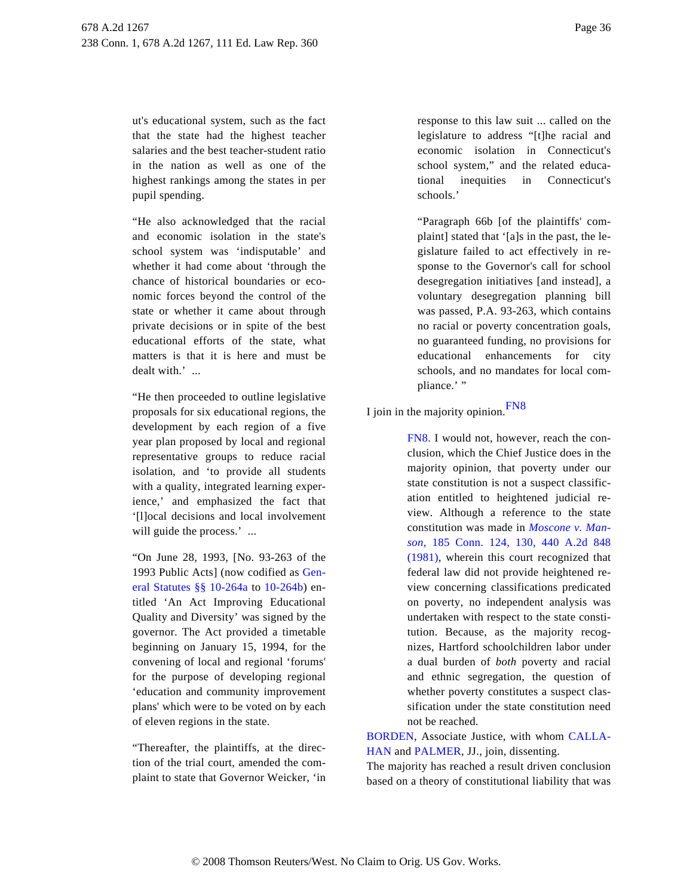ut's educational system, such as the fact that the state had the highest teacher salaries and the best teacher-student ratio in the nation as well as one of the highest rankings among the states in per pupil spending.

"He also acknowledged that the racial and economic isolation in the state's school system was 'indisputable' and whether it had come about 'through the chance of historical boundaries or economic forces beyond the control of the state or whether it came about through private decisions or in spite of the best educational efforts of the state, what matters is that it is here and must be dealt with.' ...

<span id="page-35-1"></span><span id="page-35-0"></span>"He then proceeded to outline legislative proposals for six educational regions, the development by each region of a five year plan proposed by local and regional representative groups to reduce racial isolation, and 'to provide all students with a quality, integrated learning experience,' and emphasized the fact that '[l]ocal decisions and local involvement will guide the process.'...

"On June 28, 1993, [No. 93-263 of the 1993 Public Acts] (now codified as [Gen](http://www.westlaw.com/Find/Default.wl?rs=dfa1.0&vr=2.0&DB=1000264&DocName=CTSTS10-264A&FindType=L)[eral Statutes §§ 10-264a](http://www.westlaw.com/Find/Default.wl?rs=dfa1.0&vr=2.0&DB=1000264&DocName=CTSTS10-264A&FindType=L) to [10-264b](http://www.westlaw.com/Find/Default.wl?rs=dfa1.0&vr=2.0&DB=1000264&DocName=CTSTS10-264B&FindType=L)) entitled 'An Act Improving Educational Quality and Diversity' was signed by the governor. The Act provided a timetable beginning on January 15, 1994, for the convening of local and regional 'forums' for the purpose of developing regional 'education and community improvement plans' which were to be voted on by each of eleven regions in the state.

"Thereafter, the plaintiffs, at the direction of the trial court, amended the complaint to state that Governor Weicker, 'in response to this law suit ... called on the legislature to address "[t]he racial and economic isolation in Connecticut's school system," and the related educational inequities in Connecticut's schools.'

"Paragraph 66b [of the plaintiffs' complaint] stated that '[a]s in the past, the legislature failed to act effectively in response to the Governor's call for school desegregation initiatives [and instead], a voluntary desegregation planning bill was passed, P.A. 93-263, which contains no racial or poverty concentration goals, no guaranteed funding, no provisions for educational enhancements for city schools, and no mandates for local compliance.'"

I join in the majority opinion. [FN8](#page-35-0)

[FN8.](#page-35-1) I would not, however, reach the conclusion, which the Chief Justice does in the majority opinion, that poverty under our state constitution is not a suspect classification entitled to heightened judicial review. Although a reference to the state constitution was made in *[Moscone v. Man](http://www.westlaw.com/Find/Default.wl?rs=dfa1.0&vr=2.0&DB=162&FindType=Y&SerialNum=1981132883)[son,](http://www.westlaw.com/Find/Default.wl?rs=dfa1.0&vr=2.0&DB=162&FindType=Y&SerialNum=1981132883)* [185 Conn. 124, 130, 440 A.2d](http://www.westlaw.com/Find/Default.wl?rs=dfa1.0&vr=2.0&DB=162&FindType=Y&SerialNum=1981132883) 848 [\(1981\),](http://www.westlaw.com/Find/Default.wl?rs=dfa1.0&vr=2.0&DB=162&FindType=Y&SerialNum=1981132883) wherein this court recognized that federal law did not provide heightened review concerning classifications predicated on poverty, no independent analysis was undertaken with respect to the state constitution. Because, as the majority recognizes, Hartford schoolchildren labor under a dual burden of *both* poverty and racial and ethnic segregation, the question of whether poverty constitutes a suspect classification under the state constitution need not be reached.

[BORDEN,](http://www.westlaw.com/Find/Default.wl?rs=dfa1.0&vr=2.0&DB=PROFILER-WLD&DocName=0263762101&FindType=h) Associate Justice, with whom [CALLA-](http://www.westlaw.com/Find/Default.wl?rs=dfa1.0&vr=2.0&DB=PROFILER-WLD&DocName=0233669401&FindType=h)[HAN](http://www.westlaw.com/Find/Default.wl?rs=dfa1.0&vr=2.0&DB=PROFILER-WLD&DocName=0233669401&FindType=h) and [PALMER](http://www.westlaw.com/Find/Default.wl?rs=dfa1.0&vr=2.0&DB=PROFILER-WLD&DocName=0121362501&FindType=h), JJ., join, dissenting.

The majority has reached a result driven conclusion based on a theory of constitutional liability that was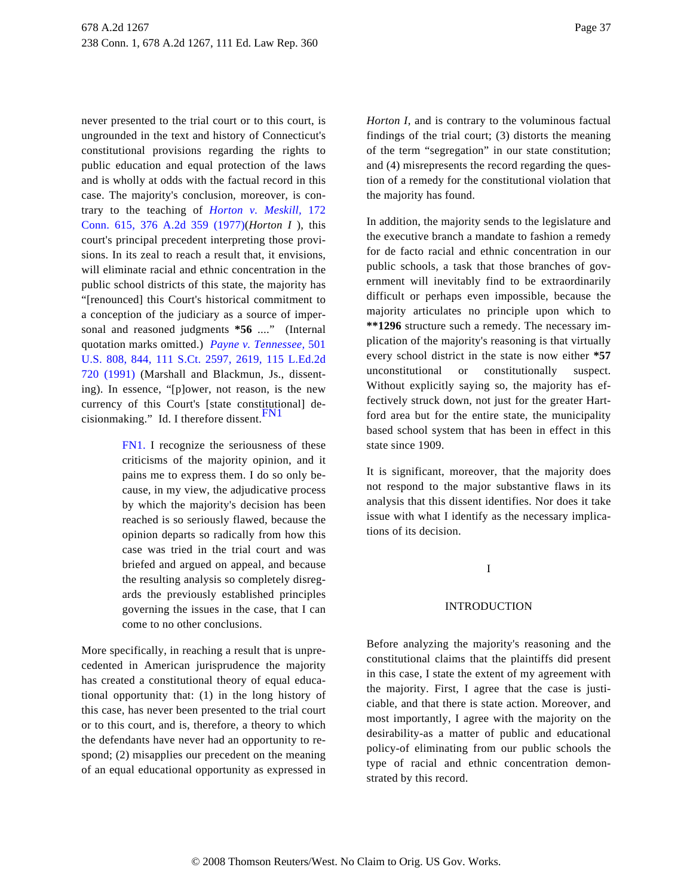never presented to the trial court or to this court, is ungrounded in the text and history of Connecticut's constitutional provisions regarding the rights to public education and equal protection of the laws and is wholly at odds with the factual record in this case. The majority's conclusion, moreover, is contrary to the teaching of *[Horton v. Meskill,](http://www.westlaw.com/Find/Default.wl?rs=dfa1.0&vr=2.0&DB=162&FindType=Y&SerialNum=1977120164)* 172 [Conn. 615, 376 A.2d 359 \(197](http://www.westlaw.com/Find/Default.wl?rs=dfa1.0&vr=2.0&DB=162&FindType=Y&SerialNum=1977120164)7)(*Horton I* ), this court's principal precedent interpreting those provisions. In its zeal to reach a result that, it envisions, will eliminate racial and ethnic concentration in the public school districts of this state, the majority has "[renounced] this Court's historical commitment to a conception of the judiciary as a source of impersonal and reasoned judgments **\*56** ...." (Internal quotation marks omitted.) *[Payne v. Tennessee,](http://www.westlaw.com/Find/Default.wl?rs=dfa1.0&vr=2.0&DB=708&FindType=Y&ReferencePositionType=S&SerialNum=1991116033&ReferencePosition=2619)* 501 [U.S. 808, 844, 111 S.Ct. 2597, 2619, 115 L.Ed.2](http://www.westlaw.com/Find/Default.wl?rs=dfa1.0&vr=2.0&DB=708&FindType=Y&ReferencePositionType=S&SerialNum=1991116033&ReferencePosition=2619)d [720 \(1991](http://www.westlaw.com/Find/Default.wl?rs=dfa1.0&vr=2.0&DB=708&FindType=Y&ReferencePositionType=S&SerialNum=1991116033&ReferencePosition=2619)) (Marshall and Blackmun, Js., dissenting). In essence, "[p]ower, not reason, is the new currency of this Court's [state constitutional] de-cisionmaking." Id. I therefore dissent.<sup>[FN1](#page-36-0)</sup>

> <span id="page-36-1"></span><span id="page-36-0"></span>[FN1.](#page-36-1) I recognize the seriousness of these criticisms of the majority opinion, and it pains me to express them. I do so only because, in my view, the adjudicative process by which the majority's decision has been reached is so seriously flawed, because the opinion departs so radically from how this case was tried in the trial court and was briefed and argued on appeal, and because the resulting analysis so completely disregards the previously established principles governing the issues in the case, that I can come to no other conclusions.

More specifically, in reaching a result that is unprecedented in American jurisprudence the majority has created a constitutional theory of equal educational opportunity that: (1) in the long history of this case, has never been presented to the trial court or to this court, and is, therefore, a theory to which the defendants have never had an opportunity to respond; (2) misapplies our precedent on the meaning of an equal educational opportunity as expressed in *Horton I,* and is contrary to the voluminous factual findings of the trial court; (3) distorts the meaning of the term "segregation" in our state constitution; and (4) misrepresents the record regarding the question of a remedy for the constitutional violation that the majority has found.

In addition, the majority sends to the legislature and the executive branch a mandate to fashion a remedy for de facto racial and ethnic concentration in our public schools, a task that those branches of government will inevitably find to be extraordinarily difficult or perhaps even impossible, because the majority articulates no principle upon which to **\*\*1296** structure such a remedy. The necessary implication of the majority's reasoning is that virtually every school district in the state is now either **\*57** unconstitutional or constitutionally suspect. Without explicitly saying so, the majority has effectively struck down, not just for the greater Hartford area but for the entire state, the municipality based school system that has been in effect in this state since 1909.

It is significant, moreover, that the majority does not respond to the major substantive flaws in its analysis that this dissent identifies. Nor does it take issue with what I identify as the necessary implications of its decision.

### I

#### INTRODUCTION

Before analyzing the majority's reasoning and the constitutional claims that the plaintiffs did present in this case, I state the extent of my agreement with the majority. First, I agree that the case is justiciable, and that there is state action. Moreover, and most importantly, I agree with the majority on the desirability-as a matter of public and educational policy-of eliminating from our public schools the type of racial and ethnic concentration demonstrated by this record.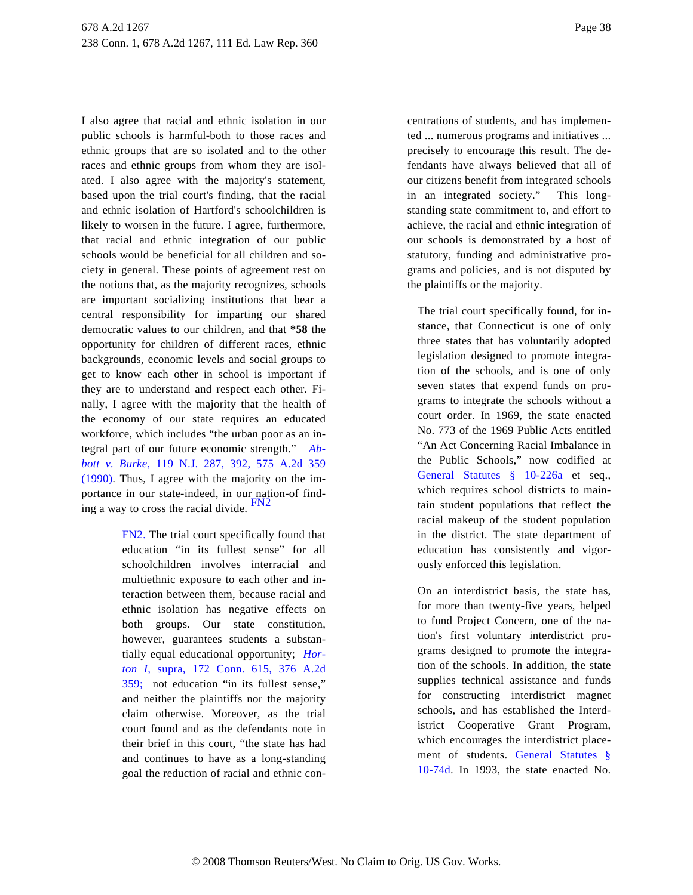I also agree that racial and ethnic isolation in our public schools is harmful-both to those races and ethnic groups that are so isolated and to the other races and ethnic groups from whom they are isolated. I also agree with the majority's statement, based upon the trial court's finding, that the racial and ethnic isolation of Hartford's schoolchildren is likely to worsen in the future. I agree, furthermore, that racial and ethnic integration of our public schools would be beneficial for all children and society in general. These points of agreement rest on the notions that, as the majority recognizes, schools are important socializing institutions that bear a central responsibility for imparting our shared democratic values to our children, and that **\*58** the opportunity for children of different races, ethnic backgrounds, economic levels and social groups to get to know each other in school is important if they are to understand and respect each other. Finally, I agree with the majority that the health of the economy of our state requires an educated workforce, which includes "the urban poor as an integral part of our future economic strength." *[Ab](http://www.westlaw.com/Find/Default.wl?rs=dfa1.0&vr=2.0&DB=162&FindType=Y&SerialNum=1990088478)[bott v. Burk](http://www.westlaw.com/Find/Default.wl?rs=dfa1.0&vr=2.0&DB=162&FindType=Y&SerialNum=1990088478)e,* [119 N.J. 287, 392, 575 A.2d](http://www.westlaw.com/Find/Default.wl?rs=dfa1.0&vr=2.0&DB=162&FindType=Y&SerialNum=1990088478) 359 [\(1990\).](http://www.westlaw.com/Find/Default.wl?rs=dfa1.0&vr=2.0&DB=162&FindType=Y&SerialNum=1990088478) Thus, I agree with the majority on the importance in our state-indeed, in our nation-of finding a way to cross the racial divide.  $\frac{FN2}{FN}$  $\frac{FN2}{FN}$  $\frac{FN2}{FN}$ 

> <span id="page-37-1"></span><span id="page-37-0"></span>[FN2.](#page-37-1) The trial court specifically found that education "in its fullest sense" for all schoolchildren involves interracial and multiethnic exposure to each other and interaction between them, because racial and ethnic isolation has negative effects on both groups. Our state constitution, however, guarantees students a substantially equal educational opportunity; *[Hor](http://www.westlaw.com/Find/Default.wl?rs=dfa1.0&vr=2.0&DB=162&FindType=Y&SerialNum=1977120164)[ton](http://www.westlaw.com/Find/Default.wl?rs=dfa1.0&vr=2.0&DB=162&FindType=Y&SerialNum=1977120164) I,* [supra, 172 Conn. 615, 376 A.2d](http://www.westlaw.com/Find/Default.wl?rs=dfa1.0&vr=2.0&DB=162&FindType=Y&SerialNum=1977120164) 359; not education "in its fullest sense," and neither the plaintiffs nor the majority claim otherwise. Moreover, as the trial court found and as the defendants note in their brief in this court, "the state has had and continues to have as a long-standing goal the reduction of racial and ethnic con

centrations of students, and has implemented ... numerous programs and initiatives ... precisely to encourage this result. The defendants have always believed that all of our citizens benefit from integrated schools in an integrated society." This longstanding state commitment to, and effort to achieve, the racial and ethnic integration of our schools is demonstrated by a host of statutory, funding and administrative programs and policies, and is not disputed by the plaintiffs or the majority.

The trial court specifically found, for instance, that Connecticut is one of only three states that has voluntarily adopted legislation designed to promote integration of the schools, and is one of only seven states that expend funds on programs to integrate the schools without a court order. In 1969, the state enacted No. 773 of the 1969 Public Acts entitled "An Act Concerning Racial Imbalance in the Public Schools," now codified at [General Statutes § 10-2](http://www.westlaw.com/Find/Default.wl?rs=dfa1.0&vr=2.0&DB=1000264&DocName=CTSTS10-226A&FindType=L)26a et seq., which requires school districts to maintain student populations that reflect the racial makeup of the student population in the district. The state department of education has consistently and vigorously enforced this legislation.

On an interdistrict basis, the state has, for more than twenty-five years, helped to fund Project Concern, one of the nation's first voluntary interdistrict programs designed to promote the integration of the schools. In addition, the state supplies technical assistance and funds for constructing interdistrict magnet schools, and has established the Interdistrict Cooperative Grant Program, which encourages the interdistrict placement of students. [General Statutes](http://www.westlaw.com/Find/Default.wl?rs=dfa1.0&vr=2.0&DB=1000264&DocName=CTSTS10-74D&FindType=L) § [10-74d](http://www.westlaw.com/Find/Default.wl?rs=dfa1.0&vr=2.0&DB=1000264&DocName=CTSTS10-74D&FindType=L). In 1993, the state enacted No.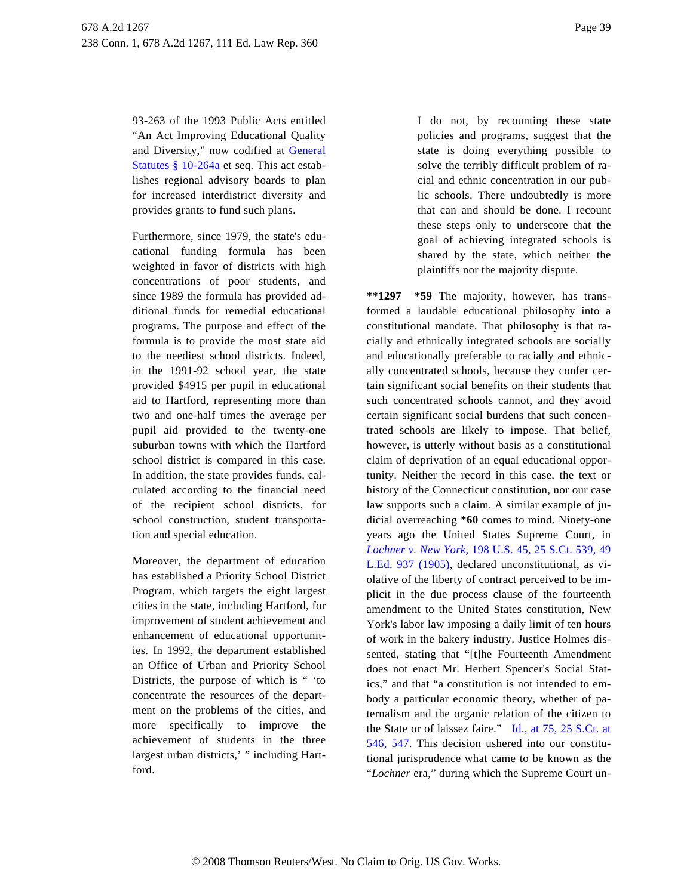93-263 of the 1993 Public Acts entitled "An Act Improving Educational Quality and Diversity," now codified at [General](http://www.westlaw.com/Find/Default.wl?rs=dfa1.0&vr=2.0&DB=1000264&DocName=CTSTS10-264A&FindType=L) [Statutes § 10-264a](http://www.westlaw.com/Find/Default.wl?rs=dfa1.0&vr=2.0&DB=1000264&DocName=CTSTS10-264A&FindType=L) et seq. This act establishes regional advisory boards to plan for increased interdistrict diversity and provides grants to fund such plans.

Furthermore, since 1979, the state's educational funding formula has been weighted in favor of districts with high concentrations of poor students, and since 1989 the formula has provided additional funds for remedial educational programs. The purpose and effect of the formula is to provide the most state aid to the neediest school districts. Indeed, in the 1991-92 school year, the state provided \$4915 per pupil in educational aid to Hartford, representing more than two and one-half times the average per pupil aid provided to the twenty-one suburban towns with which the Hartford school district is compared in this case. In addition, the state provides funds, calculated according to the financial need of the recipient school districts, for school construction, student transportation and special education.

Moreover, the department of education has established a Priority School District Program, which targets the eight largest cities in the state, including Hartford, for improvement of student achievement and enhancement of educational opportunities. In 1992, the department established an Office of Urban and Priority School Districts, the purpose of which is " 'to concentrate the resources of the department on the problems of the cities, and more specifically to improve the achievement of students in the three largest urban districts,' " including Hartford.

I do not, by recounting these state policies and programs, suggest that the state is doing everything possible to solve the terribly difficult problem of racial and ethnic concentration in our public schools. There undoubtedly is more that can and should be done. I recount these steps only to underscore that the goal of achieving integrated schools is shared by the state, which neither the plaintiffs nor the majority dispute.

**\*\*1297 \*59** The majority, however, has transformed a laudable educational philosophy into a constitutional mandate. That philosophy is that racially and ethnically integrated schools are socially and educationally preferable to racially and ethnically concentrated schools, because they confer certain significant social benefits on their students that such concentrated schools cannot, and they avoid certain significant social burdens that such concentrated schools are likely to impose. That belief, however, is utterly without basis as a constitutional claim of deprivation of an equal educational opportunity. Neither the record in this case, the text or history of the Connecticut constitution, nor our case law supports such a claim. A similar example of judicial overreaching **\*60** comes to mind. Ninety-one years ago the United States Supreme Court, in *[Lochner v. New York](http://www.westlaw.com/Find/Default.wl?rs=dfa1.0&vr=2.0&DB=708&FindType=Y&SerialNum=1905100369),* [198 U.S. 45, 25 S.Ct. 539, 49](http://www.westlaw.com/Find/Default.wl?rs=dfa1.0&vr=2.0&DB=708&FindType=Y&SerialNum=1905100369) [L.Ed. 937 \(1905](http://www.westlaw.com/Find/Default.wl?rs=dfa1.0&vr=2.0&DB=708&FindType=Y&SerialNum=1905100369)), declared unconstitutional, as violative of the liberty of contract perceived to be implicit in the due process clause of the fourteenth amendment to the United States constitution, New York's labor law imposing a daily limit of ten hours of work in the bakery industry. Justice Holmes dissented, stating that "[t]he Fourteenth Amendment does not enact Mr. Herbert Spencer's Social Statics," and that "a constitution is not intended to embody a particular economic theory, whether of paternalism and the organic relation of the citizen to the State or of laissez faire." [Id., at 75, 25 S.Ct. at](http://www.westlaw.com/Find/Default.wl?rs=dfa1.0&vr=2.0&DB=708&FindType=Y&ReferencePositionType=S&SerialNum=1905100369&ReferencePosition=546) [546, 547](http://www.westlaw.com/Find/Default.wl?rs=dfa1.0&vr=2.0&DB=708&FindType=Y&ReferencePositionType=S&SerialNum=1905100369&ReferencePosition=546). This decision ushered into our constitutional jurisprudence what came to be known as the "*Lochner* era," during which the Supreme Court un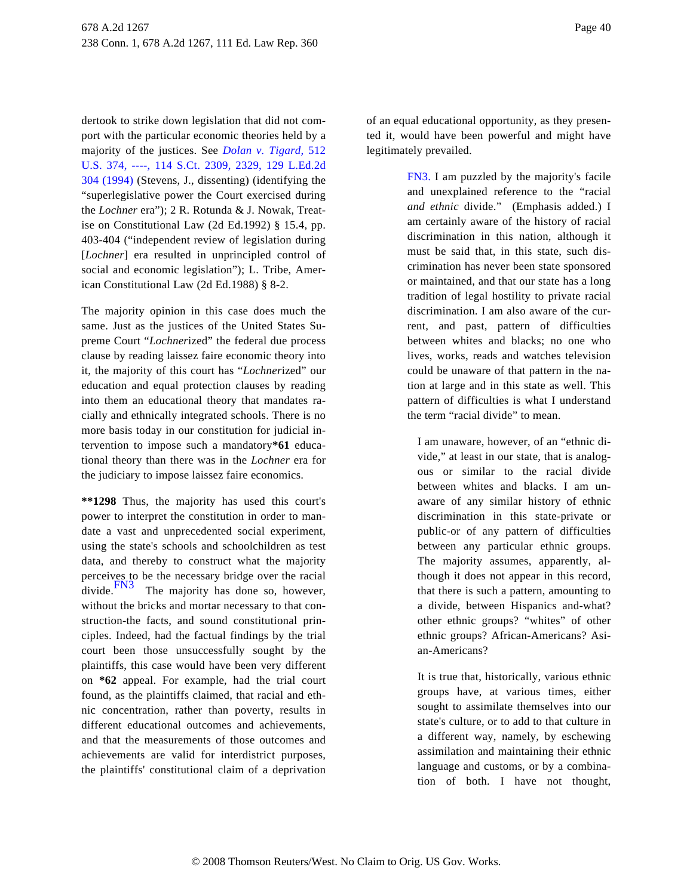<span id="page-39-0"></span>dertook to strike down legislation that did not comport with the particular economic theories held by a majority of the justices. See *[Dolan v. Tigard,](http://www.westlaw.com/Find/Default.wl?rs=dfa1.0&vr=2.0&DB=708&FindType=Y&ReferencePositionType=S&SerialNum=1994135540&ReferencePosition=2329)* 512 [U.S. 374, ----, 114 S.Ct. 2309, 2329, 129 L.Ed.](http://www.westlaw.com/Find/Default.wl?rs=dfa1.0&vr=2.0&DB=708&FindType=Y&ReferencePositionType=S&SerialNum=1994135540&ReferencePosition=2329)2d [304 \(1994\)](http://www.westlaw.com/Find/Default.wl?rs=dfa1.0&vr=2.0&DB=708&FindType=Y&ReferencePositionType=S&SerialNum=1994135540&ReferencePosition=2329) (Stevens, J., dissenting) (identifying the "superlegislative power the Court exercised during the *Lochner* era"); 2 R. Rotunda & J. Nowak, Treatise on Constitutional Law (2d Ed.1992) § 15.4, pp. 403-404 ("independent review of legislation during [*Lochner*] era resulted in unprincipled control of social and economic legislation"); L. Tribe, American Constitutional Law (2d Ed.1988) § 8-2.

The majority opinion in this case does much the same. Just as the justices of the United States Supreme Court "*Lochner*ized" the federal due process clause by reading laissez faire economic theory into it, the majority of this court has "*Lochner*ized" our education and equal protection clauses by reading into them an educational theory that mandates racially and ethnically integrated schools. There is no more basis today in our constitution for judicial intervention to impose such a mandatory**\*61** educational theory than there was in the *Lochner* era for the judiciary to impose laissez faire economics.

<span id="page-39-1"></span>**\*\*1298** Thus, the majority has used this court's power to interpret the constitution in order to mandate a vast and unprecedented social experiment, using the state's schools and schoolchildren as test data, and thereby to construct what the majority perceives to be the necessary bridge over the racial divide. [FN3](#page-39-0) The majority has done so, however, without the bricks and mortar necessary to that construction-the facts, and sound constitutional principles. Indeed, had the factual findings by the trial court been those unsuccessfully sought by the plaintiffs, this case would have been very different on **\*62** appeal. For example, had the trial court found, as the plaintiffs claimed, that racial and ethnic concentration, rather than poverty, results in different educational outcomes and achievements, and that the measurements of those outcomes and achievements are valid for interdistrict purposes, the plaintiffs' constitutional claim of a deprivation of an equal educational opportunity, as they presented it, would have been powerful and might have legitimately prevailed.

> [FN3.](#page-39-1) I am puzzled by the majority's facile and unexplained reference to the "racial *and ethnic* divide." (Emphasis added.) I am certainly aware of the history of racial discrimination in this nation, although it must be said that, in this state, such discrimination has never been state sponsored or maintained, and that our state has a long tradition of legal hostility to private racial discrimination. I am also aware of the current, and past, pattern of difficulties between whites and blacks; no one who lives, works, reads and watches television could be unaware of that pattern in the nation at large and in this state as well. This pattern of difficulties is what I understand the term "racial divide" to mean.

I am unaware, however, of an "ethnic divide," at least in our state, that is analogous or similar to the racial divide between whites and blacks. I am unaware of any similar history of ethnic discrimination in this state-private or public-or of any pattern of difficulties between any particular ethnic groups. The majority assumes, apparently, although it does not appear in this record, that there is such a pattern, amounting to a divide, between Hispanics and-what? other ethnic groups? "whites" of other ethnic groups? African-Americans? Asian-Americans?

It is true that, historically, various ethnic groups have, at various times, either sought to assimilate themselves into our state's culture, or to add to that culture in a different way, namely, by eschewing assimilation and maintaining their ethnic language and customs, or by a combination of both. I have not thought,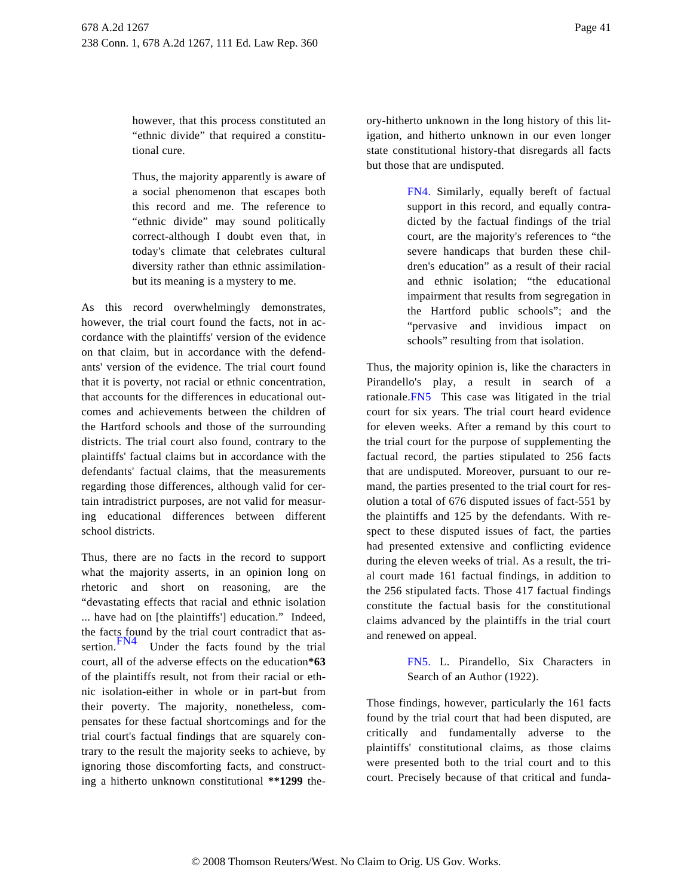however, that this process constituted an "ethnic divide" that required a constitutional cure.

<span id="page-40-0"></span>Thus, the majority apparently is aware of a social phenomenon that escapes both this record and me. The reference to "ethnic divide" may sound politically correct-although I doubt even that, in today's climate that celebrates cultural diversity rather than ethnic assimilationbut its meaning is a mystery to me.

<span id="page-40-3"></span>As this record overwhelmingly demonstrates, however, the trial court found the facts, not in accordance with the plaintiffs' version of the evidence on that claim, but in accordance with the defendants' version of the evidence. The trial court found that it is poverty, not racial or ethnic concentration, that accounts for the differences in educational outcomes and achievements between the children of the Hartford schools and those of the surrounding districts. The trial court also found, contrary to the plaintiffs' factual claims but in accordance with the defendants' factual claims, that the measurements regarding those differences, although valid for certain intradistrict purposes, are not valid for measuring educational differences between different school districts.

<span id="page-40-2"></span><span id="page-40-1"></span>Thus, there are no facts in the record to support what the majority asserts, in an opinion long on rhetoric and short on reasoning, are the "devastating effects that racial and ethnic isolation ... have had on [the plaintiffs'] education." Indeed, the facts found by the trial court contradict that assertion. $\frac{FN4}{TN4}$  $\frac{FN4}{TN4}$  $\frac{FN4}{TN4}$  Under the facts found by the trial court, all of the adverse effects on the education**\*63** of the plaintiffs result, not from their racial or ethnic isolation-either in whole or in part-but from their poverty. The majority, nonetheless, compensates for these factual shortcomings and for the trial court's factual findings that are squarely contrary to the result the majority seeks to achieve, by ignoring those discomforting facts, and constructing a hitherto unknown constitutional **\*\*1299** theory-hitherto unknown in the long history of this litigation, and hitherto unknown in our even longer state constitutional history-that disregards all facts but those that are undisputed.

> [FN4.](#page-40-1) Similarly, equally bereft of factual support in this record, and equally contradicted by the factual findings of the trial court, are the majority's references to "the severe handicaps that burden these children's education" as a result of their racial and ethnic isolation; "the educational impairment that results from segregation in the Hartford public schools"; and the "pervasive and invidious impact on schools" resulting from that isolation.

Thus, the majority opinion is, like the characters in Pirandello's play, a result in search of a [ratio](#page-40-2)nale.FN5 This case was litigated in the trial court for six years. The trial court heard evidence for eleven weeks. After a remand by this court to the trial court for the purpose of supplementing the factual record, the parties stipulated to 256 facts that are undisputed. Moreover, pursuant to our remand, the parties presented to the trial court for resolution a total of 676 disputed issues of fact-551 by the plaintiffs and 125 by the defendants. With respect to these disputed issues of fact, the parties had presented extensive and conflicting evidence during the eleven weeks of trial. As a result, the trial court made 161 factual findings, in addition to the 256 stipulated facts. Those 417 factual findings constitute the factual basis for the constitutional claims advanced by the plaintiffs in the trial court and renewed on appeal.

> [FN5.](#page-40-3) L. Pirandello, Six Characters in Search of an Author (1922).

Those findings, however, particularly the 161 facts found by the trial court that had been disputed, are critically and fundamentally adverse to the plaintiffs' constitutional claims, as those claims were presented both to the trial court and to this court. Precisely because of that critical and funda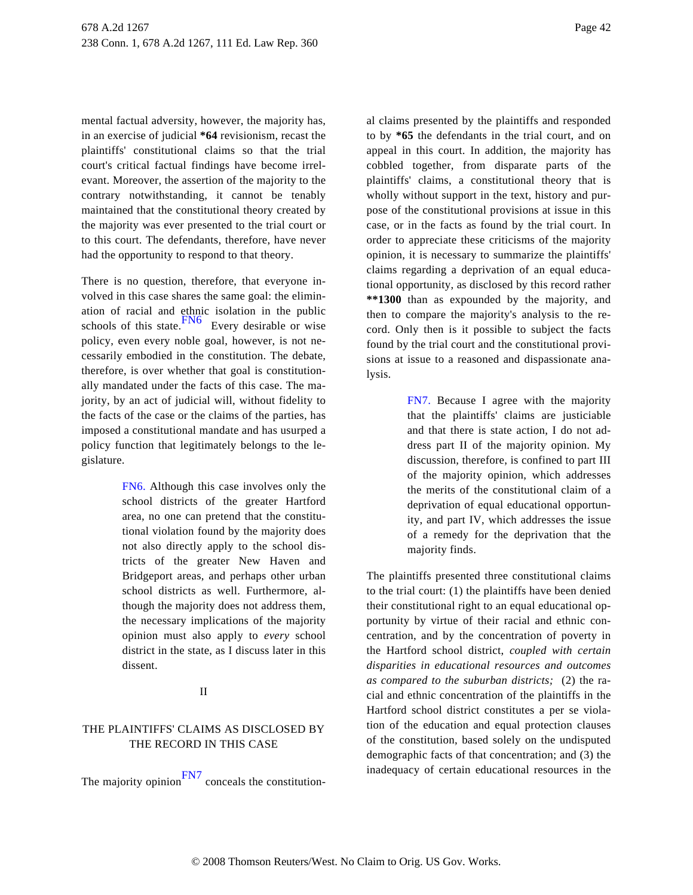mental factual adversity, however, the majority has, in an exercise of judicial **\*64** revisionism, recast the plaintiffs' constitutional claims so that the trial court's critical factual findings have become irrelevant. Moreover, the assertion of the majority to the contrary notwithstanding, it cannot be tenably maintained that the constitutional theory created by the majority was ever presented to the trial court or to this court. The defendants, therefore, have never had the opportunity to respond to that theory.

<span id="page-41-1"></span>There is no question, therefore, that everyone involved in this case shares the same goal: the elimination of racial and ethnic isolation in the public schools of this state. $F<sup>NG</sup>$  Every desirable or wise policy, even every noble goal, however, is not necessarily embodied in the constitution. The debate, therefore, is over whether that goal is constitutionally mandated under the facts of this case. The majority, by an act of judicial will, without fidelity to the facts of the case or the claims of the parties, has imposed a constitutional mandate and has usurped a policy function that legitimately belongs to the legislature.

> <span id="page-41-2"></span><span id="page-41-0"></span>[FN6.](#page-41-1) Although this case involves only the school districts of the greater Hartford area, no one can pretend that the constitutional violation found by the majority does not also directly apply to the school districts of the greater New Haven and Bridgeport areas, and perhaps other urban school districts as well. Furthermore, although the majority does not address them, the necessary implications of the majority opinion must also apply to *every* school district in the state, as I discuss later in this dissent.

## II

## THE PLAINTIFFS' CLAIMS AS DISCLOSED BY THE RECORD IN THIS CASE

<span id="page-41-3"></span>The majority opinion $\frac{FN7}{FN7}$  $\frac{FN7}{FN7}$  $\frac{FN7}{FN7}$  conceals the constitution-

al claims presented by the plaintiffs and responded to by **\*65** the defendants in the trial court, and on appeal in this court. In addition, the majority has cobbled together, from disparate parts of the plaintiffs' claims, a constitutional theory that is wholly without support in the text, history and purpose of the constitutional provisions at issue in this case, or in the facts as found by the trial court. In order to appreciate these criticisms of the majority opinion, it is necessary to summarize the plaintiffs' claims regarding a deprivation of an equal educational opportunity, as disclosed by this record rather **\*\*1300** than as expounded by the majority, and then to compare the majority's analysis to the record. Only then is it possible to subject the facts found by the trial court and the constitutional provisions at issue to a reasoned and dispassionate analysis.

> [FN7.](#page-41-3) Because I agree with the majority that the plaintiffs' claims are justiciable and that there is state action, I do not address part II of the majority opinion. My discussion, therefore, is confined to part III of the majority opinion, which addresses the merits of the constitutional claim of a deprivation of equal educational opportunity, and part IV, which addresses the issue of a remedy for the deprivation that the majority finds.

The plaintiffs presented three constitutional claims to the trial court: (1) the plaintiffs have been denied their constitutional right to an equal educational opportunity by virtue of their racial and ethnic concentration, and by the concentration of poverty in the Hartford school district, *coupled with certain disparities in educational resources and outcomes as compared to the suburban districts;* (2) the racial and ethnic concentration of the plaintiffs in the Hartford school district constitutes a per se violation of the education and equal protection clauses of the constitution, based solely on the undisputed demographic facts of that concentration; and (3) the inadequacy of certain educational resources in the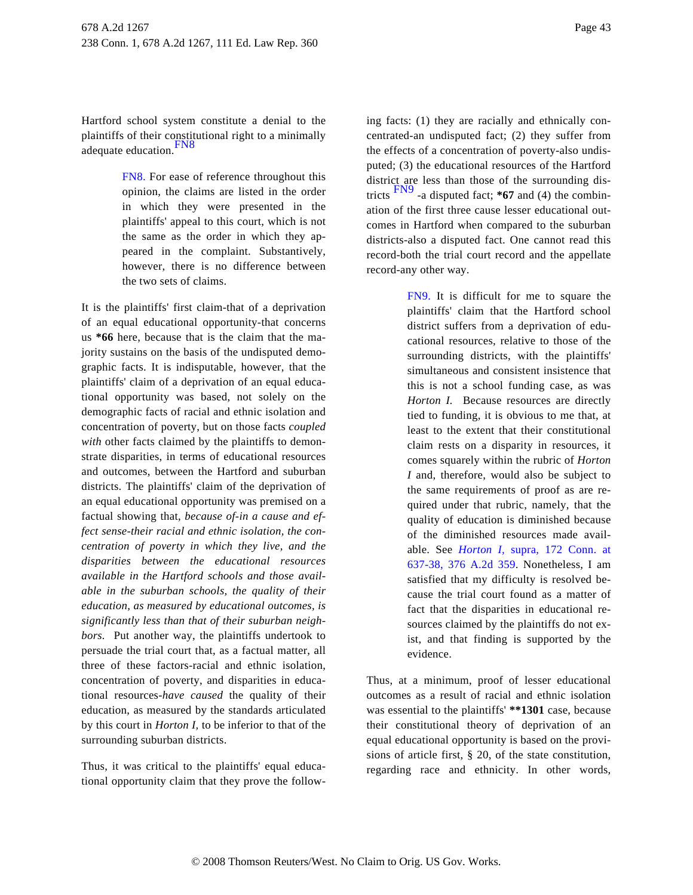<span id="page-42-1"></span>Hartford school system constitute a denial to the plaintiffs of their constitutional right to a minimally adequate education.<sup>[FN8](#page-42-0)</sup>

> <span id="page-42-3"></span><span id="page-42-0"></span>[FN8.](#page-42-1) For ease of reference throughout this opinion, the claims are listed in the order in which they were presented in the plaintiffs' appeal to this court, which is not the same as the order in which they appeared in the complaint. Substantively, however, there is no difference between the two sets of claims.

<span id="page-42-2"></span>It is the plaintiffs' first claim-that of a deprivation of an equal educational opportunity-that concerns us **\*66** here, because that is the claim that the majority sustains on the basis of the undisputed demographic facts. It is indisputable, however, that the plaintiffs' claim of a deprivation of an equal educational opportunity was based, not solely on the demographic facts of racial and ethnic isolation and concentration of poverty, but on those facts *coupled with* other facts claimed by the plaintiffs to demonstrate disparities, in terms of educational resources and outcomes, between the Hartford and suburban districts. The plaintiffs' claim of the deprivation of an equal educational opportunity was premised on a factual showing that, *because of-in a cause and effect sense-their racial and ethnic isolation, the concentration of poverty in which they live, and the disparities between the educational resources available in the Hartford schools and those available in the suburban schools, the quality of their education, as measured by educational outcomes, is significantly less than that of their suburban neighbors.* Put another way, the plaintiffs undertook to persuade the trial court that, as a factual matter, all three of these factors-racial and ethnic isolation, concentration of poverty, and disparities in educational resources-*have caused* the quality of their education, as measured by the standards articulated by this court in *Horton I,* to be inferior to that of the surrounding suburban districts.

Thus, it was critical to the plaintiffs' equal educational opportunity claim that they prove the follow-

ing facts: (1) they are racially and ethnically concentrated-an undisputed fact; (2) they suffer from the effects of a concentration of poverty-also undisputed; (3) the educational resources of the Hartford district are less than those of the surrounding districts [FN9](#page-42-2) -a disputed fact; **\*67** and (4) the combination of the first three cause lesser educational outcomes in Hartford when compared to the suburban districts-also a disputed fact. One cannot read this record-both the trial court record and the appellate record-any other way.

> [FN9.](#page-42-3) It is difficult for me to square the plaintiffs' claim that the Hartford school district suffers from a deprivation of educational resources, relative to those of the surrounding districts, with the plaintiffs' simultaneous and consistent insistence that this is not a school funding case, as was *Horton I.* Because resources are directly tied to funding, it is obvious to me that, at least to the extent that their constitutional claim rests on a disparity in resources, it comes squarely within the rubric of *Horton I* and, therefore, would also be subject to the same requirements of proof as are required under that rubric, namely, that the quality of education is diminished because of the diminished resources made available. See *[Horton I](http://www.westlaw.com/Find/Default.wl?rs=dfa1.0&vr=2.0&DB=162&FindType=Y&SerialNum=1977120164),* [supra, 172 Conn.](http://www.westlaw.com/Find/Default.wl?rs=dfa1.0&vr=2.0&DB=162&FindType=Y&SerialNum=1977120164) at [637-38, 376 A.2d 35](http://www.westlaw.com/Find/Default.wl?rs=dfa1.0&vr=2.0&DB=162&FindType=Y&SerialNum=1977120164)9. Nonetheless, I am satisfied that my difficulty is resolved because the trial court found as a matter of fact that the disparities in educational resources claimed by the plaintiffs do not exist, and that finding is supported by the evidence.

Thus, at a minimum, proof of lesser educational outcomes as a result of racial and ethnic isolation was essential to the plaintiffs' **\*\*1301** case, because their constitutional theory of deprivation of an equal educational opportunity is based on the provisions of article first, § 20, of the state constitution, regarding race and ethnicity. In other words,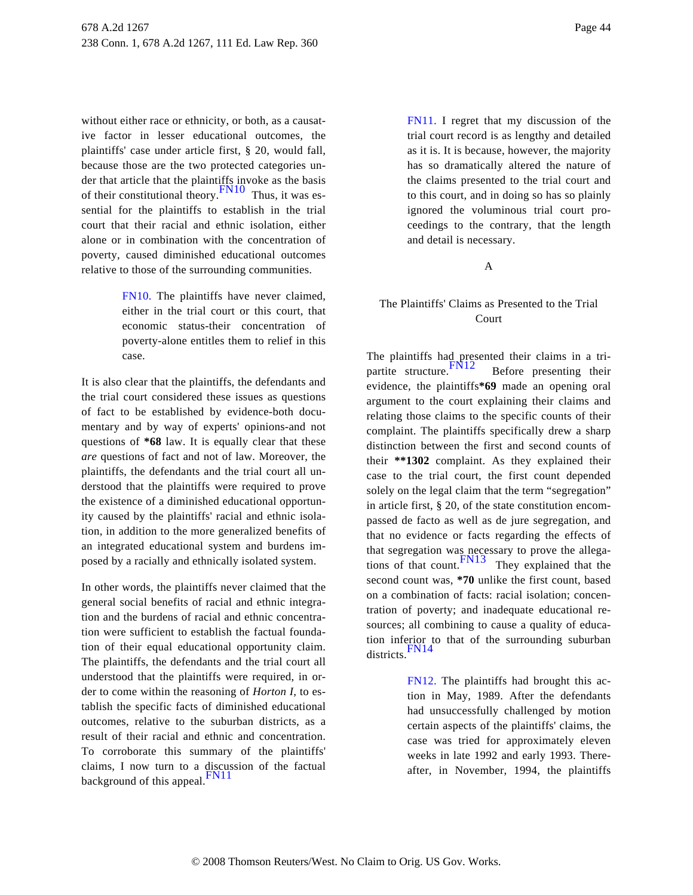<span id="page-43-2"></span><span id="page-43-1"></span>without either race or ethnicity, or both, as a causative factor in lesser educational outcomes, the plaintiffs' case under article first, § 20, would fall, because those are the two protected categories under that article that the plaintiffs invoke as the basis of their constitutional theory.  $\frac{FN10}{TN10}$  $\frac{FN10}{TN10}$  $\frac{FN10}{TN10}$  Thus, it was essential for the plaintiffs to establish in the trial court that their racial and ethnic isolation, either alone or in combination with the concentration of poverty, caused diminished educational outcomes relative to those of the surrounding communities.

> <span id="page-43-0"></span>[FN10.](#page-43-1) The plaintiffs have never claimed, either in the trial court or this court, that economic status-their concentration of poverty-alone entitles them to relief in this case.

<span id="page-43-5"></span>It is also clear that the plaintiffs, the defendants and the trial court considered these issues as questions of fact to be established by evidence-both documentary and by way of experts' opinions-and not questions of **\*68** law. It is equally clear that these *are* questions of fact and not of law. Moreover, the plaintiffs, the defendants and the trial court all understood that the plaintiffs were required to prove the existence of a diminished educational opportunity caused by the plaintiffs' racial and ethnic isolation, in addition to the more generalized benefits of an integrated educational system and burdens imposed by a racially and ethnically isolated system.

<span id="page-43-7"></span><span id="page-43-6"></span><span id="page-43-4"></span><span id="page-43-3"></span>In other words, the plaintiffs never claimed that the general social benefits of racial and ethnic integration and the burdens of racial and ethnic concentration were sufficient to establish the factual foundation of their equal educational opportunity claim. The plaintiffs, the defendants and the trial court all understood that the plaintiffs were required, in order to come within the reasoning of *Horton I,* to establish the specific facts of diminished educational outcomes, relative to the suburban districts, as a result of their racial and ethnic and concentration. To corroborate this summary of the plaintiffs' claims, I now turn to a discussion of the factual background of this appeal.<sup>[FN11](#page-43-2)</sup>

[FN11.](#page-43-3) I regret that my discussion of the trial court record is as lengthy and detailed as it is. It is because, however, the majority has so dramatically altered the nature of the claims presented to the trial court and to this court, and in doing so has so plainly ignored the voluminous trial court proceedings to the contrary, that the length and detail is necessary.

A

# The Plaintiffs' Claims as Presented to the Trial Court

The plaintiffs had presented their claims in a tri-partite structure. [FN12](#page-43-4) Before presenting their evidence, the plaintiffs**\*69** made an opening oral argument to the court explaining their claims and relating those claims to the specific counts of their complaint. The plaintiffs specifically drew a sharp distinction between the first and second counts of their **\*\*1302** complaint. As they explained their case to the trial court, the first count depended solely on the legal claim that the term "segregation" in article first, § 20, of the state constitution encompassed de facto as well as de jure segregation, and that no evidence or facts regarding the effects of that segregation was necessary to prove the allegations of that count.  $\frac{FN13}{TN13}$  $\frac{FN13}{TN13}$  $\frac{FN13}{TN13}$  They explained that the second count was, **\*70** unlike the first count, based on a combination of facts: racial isolation; concentration of poverty; and inadequate educational resources; all combining to cause a quality of education inferior to that of the surrounding suburban districts.[FN14](#page-45-0)

> [FN12.](#page-43-5) The plaintiffs had brought this action in May, 1989. After the defendants had unsuccessfully challenged by motion certain aspects of the plaintiffs' claims, the case was tried for approximately eleven weeks in late 1992 and early 1993. Thereafter, in November, 1994, the plaintiffs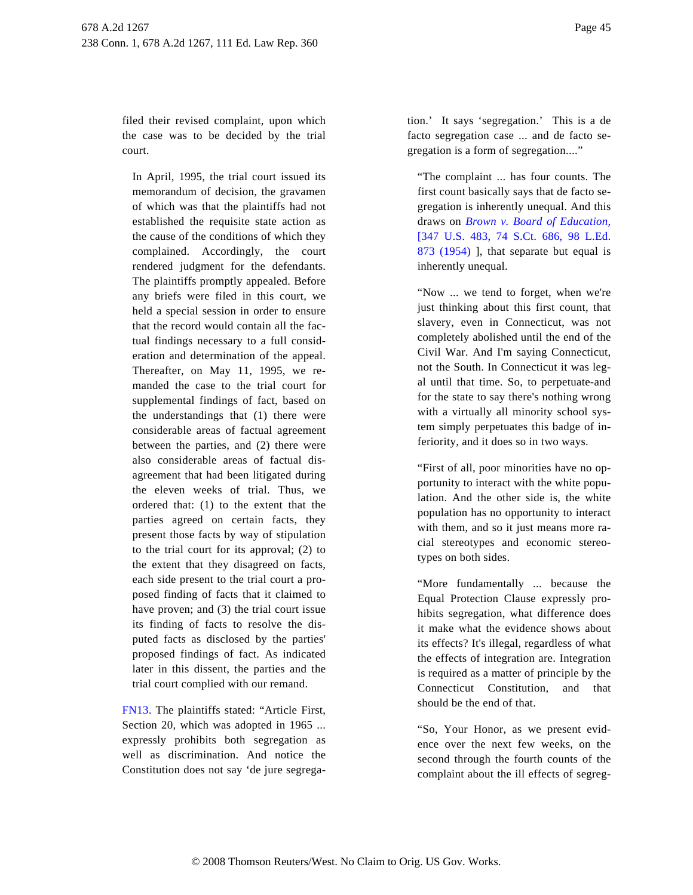filed their revised complaint, upon which the case was to be decided by the trial court.

In April, 1995, the trial court issued its memorandum of decision, the gravamen of which was that the plaintiffs had not established the requisite state action as the cause of the conditions of which they complained. Accordingly, the court rendered judgment for the defendants. The plaintiffs promptly appealed. Before any briefs were filed in this court, we held a special session in order to ensure that the record would contain all the factual findings necessary to a full consideration and determination of the appeal. Thereafter, on May 11, 1995, we remanded the case to the trial court for supplemental findings of fact, based on the understandings that (1) there were considerable areas of factual agreement between the parties, and (2) there were also considerable areas of factual disagreement that had been litigated during the eleven weeks of trial. Thus, we ordered that: (1) to the extent that the parties agreed on certain facts, they present those facts by way of stipulation to the trial court for its approval; (2) to the extent that they disagreed on facts, each side present to the trial court a proposed finding of facts that it claimed to have proven; and (3) the trial court issue its finding of facts to resolve the disputed facts as disclosed by the parties' proposed findings of fact. As indicated later in this dissent, the parties and the trial court complied with our remand.

<span id="page-44-0"></span>[FN13.](#page-43-6) The plaintiffs stated: "Article First, Section 20, which was adopted in 1965 ... expressly prohibits both segregation as well as discrimination. And notice the Constitution does not say 'de jure segregation.' It says 'segregation.' This is a de facto segregation case ... and de facto segregation is a form of segregation...."

"The complaint ... has four counts. The first count basically says that de facto segregation is inherently unequal. And this draws on *[Brown v. Board of Education](http://www.westlaw.com/Find/Default.wl?rs=dfa1.0&vr=2.0&DB=708&FindType=Y&SerialNum=1954121869),* [\[347 U.S. 483, 74 S.Ct. 686, 98 L.](http://www.westlaw.com/Find/Default.wl?rs=dfa1.0&vr=2.0&DB=708&FindType=Y&SerialNum=1954121869)Ed. [873 \(1954](http://www.westlaw.com/Find/Default.wl?rs=dfa1.0&vr=2.0&DB=708&FindType=Y&SerialNum=1954121869)) ], that separate but equal is inherently unequal.

"Now ... we tend to forget, when we're just thinking about this first count, that slavery, even in Connecticut, was not completely abolished until the end of the Civil War. And I'm saying Connecticut, not the South. In Connecticut it was legal until that time. So, to perpetuate-and for the state to say there's nothing wrong with a virtually all minority school system simply perpetuates this badge of inferiority, and it does so in two ways.

"First of all, poor minorities have no opportunity to interact with the white population. And the other side is, the white population has no opportunity to interact with them, and so it just means more racial stereotypes and economic stereotypes on both sides.

"More fundamentally ... because the Equal Protection Clause expressly prohibits segregation, what difference does it make what the evidence shows about its effects? It's illegal, regardless of what the effects of integration are. Integration is required as a matter of principle by the Connecticut Constitution, and that should be the end of that.

"So, Your Honor, as we present evidence over the next few weeks, on the second through the fourth counts of the complaint about the ill effects of segreg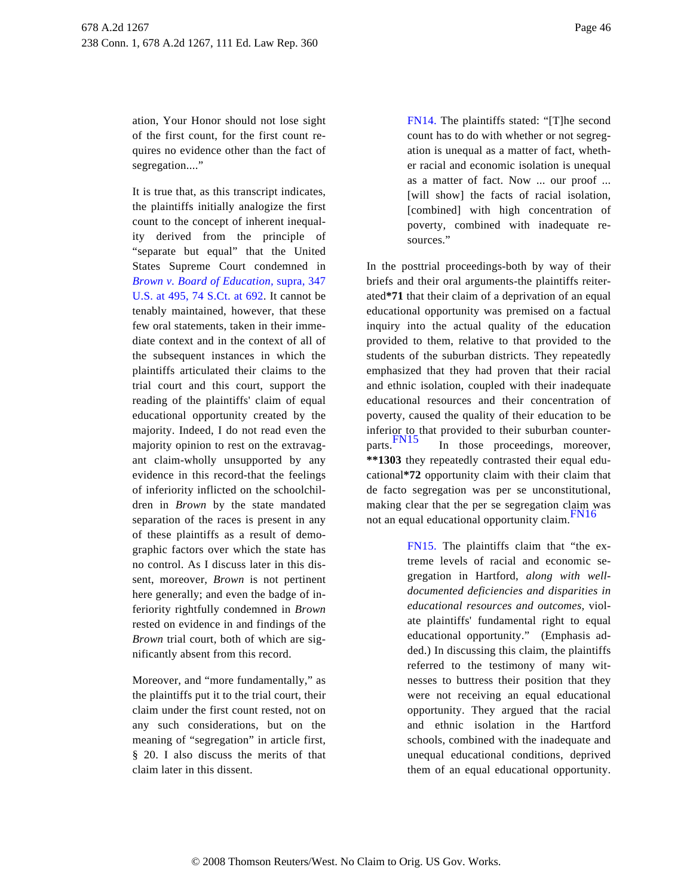<span id="page-45-0"></span>ation, Your Honor should not lose sight of the first count, for the first count requires no evidence other than the fact of segregation...."

It is true that, as this transcript indicates, the plaintiffs initially analogize the first count to the concept of inherent inequality derived from the principle of "separate but equal" that the United States Supreme Court condemned in *[Brown v. Board of Education,](http://www.westlaw.com/Find/Default.wl?rs=dfa1.0&vr=2.0&DB=708&FindType=Y&ReferencePositionType=S&SerialNum=1954121869&ReferencePosition=692)* supra, 347 [U.S. at 495, 74 S.Ct. at 692](http://www.westlaw.com/Find/Default.wl?rs=dfa1.0&vr=2.0&DB=708&FindType=Y&ReferencePositionType=S&SerialNum=1954121869&ReferencePosition=692). It cannot be tenably maintained, however, that these few oral statements, taken in their immediate context and in the context of all of the subsequent instances in which the plaintiffs articulated their claims to the trial court and this court, support the reading of the plaintiffs' claim of equal educational opportunity created by the majority. Indeed, I do not read even the majority opinion to rest on the extravagant claim-wholly unsupported by any evidence in this record-that the feelings of inferiority inflicted on the schoolchildren in *Brown* by the state mandated separation of the races is present in any of these plaintiffs as a result of demographic factors over which the state has no control. As I discuss later in this dissent, moreover, *Brown* is not pertinent here generally; and even the badge of inferiority rightfully condemned in *Brown* rested on evidence in and findings of the *Brown* trial court, both of which are significantly absent from this record.

<span id="page-45-3"></span><span id="page-45-2"></span><span id="page-45-1"></span>Moreover, and "more fundamentally," as the plaintiffs put it to the trial court, their claim under the first count rested, not on any such considerations, but on the meaning of "segregation" in article first, § 20. I also discuss the merits of that claim later in this dissent.

er racial and economic isolation is unequal as a matter of fact. Now ... our proof ... [will show] the facts of racial isolation, [combined] with high concentration of poverty, combined with inadequate resources."

In the posttrial proceedings-both by way of their briefs and their oral arguments-the plaintiffs reiterated**\*71** that their claim of a deprivation of an equal educational opportunity was premised on a factual inquiry into the actual quality of the education provided to them, relative to that provided to the students of the suburban districts. They repeatedly emphasized that they had proven that their racial and ethnic isolation, coupled with their inadequate educational resources and their concentration of poverty, caused the quality of their education to be inferior to that provided to their suburban counter-<br>parts. In those proceedings moreover In those proceedings, moreover, **\*\*1303** they repeatedly contrasted their equal educational**\*72** opportunity claim with their claim that de facto segregation was per se unconstitutional, making clear that the per se segregation claim was not an equal educational opportunity claim.<sup>[FN16](#page-46-0)</sup>

> [FN15.](#page-45-2) The plaintiffs claim that "the extreme levels of racial and economic segregation in Hartford, *along with welldocumented deficiencies and disparities in educational resources and outcomes,* violate plaintiffs' fundamental right to equal educational opportunity." (Emphasis added.) In discussing this claim, the plaintiffs referred to the testimony of many witnesses to buttress their position that they were not receiving an equal educational opportunity. They argued that the racial and ethnic isolation in the Hartford schools, combined with the inadequate and unequal educational conditions, deprived them of an equal educational opportunity.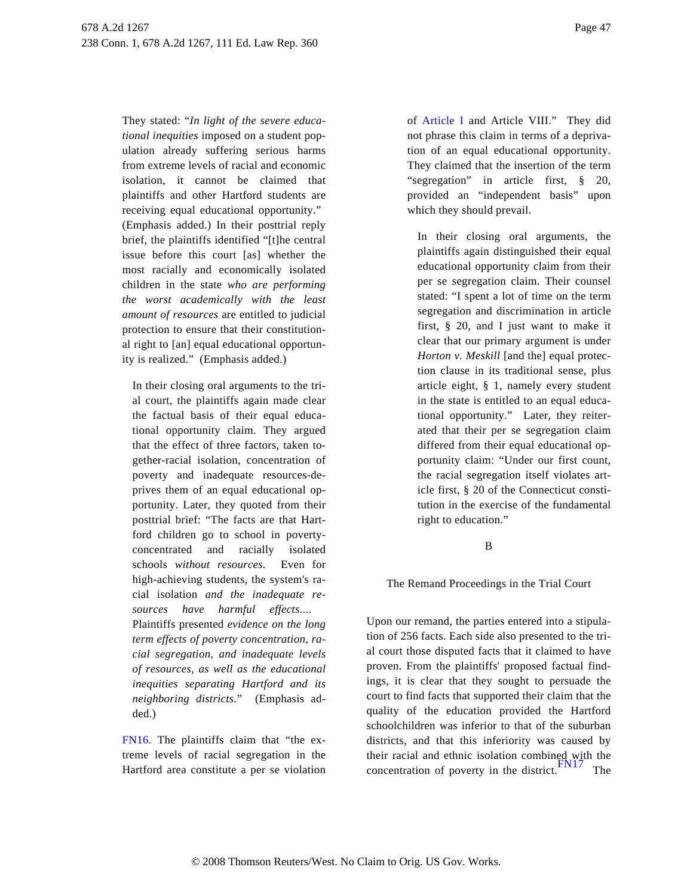They stated: "*In light of the severe educational inequities* imposed on a student population already suffering serious harms from extreme levels of racial and economic isolation, it cannot be claimed that plaintiffs and other Hartford students are receiving equal educational opportunity." (Emphasis added.) In their posttrial reply brief, the plaintiffs identified "[t]he central issue before this court [as] whether the most racially and economically isolated children in the state *who are performing the worst academically with the least amount of resources* are entitled to judicial protection to ensure that their constitutional right to [an] equal educational opportunity is realized." (Emphasis added.)

In their closing oral arguments to the trial court, the plaintiffs again made clear the factual basis of their equal educational opportunity claim. They argued that the effect of three factors, taken together-racial isolation, concentration of poverty and inadequate resources-deprives them of an equal educational opportunity. Later, they quoted from their posttrial brief: "The facts are that Hartford children go to school in povertyconcentrated and racially isolated schools *without resources.* Even for high-achieving students, the system's racial isolation *and the inadequate resources have harmful effects*....

Plaintiffs presented *evidence on the long term effects of poverty concentration, racial segregation, and inadequate levels of resources, as well as the educational inequities separating Hartford and its neighboring districts.*" (Emphasis added.)

<span id="page-46-1"></span><span id="page-46-0"></span>[FN16.](#page-45-3) The plaintiffs claim that "the extreme levels of racial segregation in the Hartford area constitute a per se violation of [Article](http://www.westlaw.com/Find/Default.wl?rs=dfa1.0&vr=2.0&DB=1000264&DocName=CTCNART1S10&FindType=L) I and Article VIII." They did not phrase this claim in terms of a deprivation of an equal educational opportunity. They claimed that the insertion of the term "segregation" in article first, § 20, provided an "independent basis" upon which they should prevail.

In their closing oral arguments, the plaintiffs again distinguished their equal educational opportunity claim from their per se segregation claim. Their counsel stated: "I spent a lot of time on the term segregation and discrimination in article first, § 20, and I just want to make it clear that our primary argument is under *Horton v. Meskill* [and the] equal protection clause in its traditional sense, plus article eight, § 1, namely every student in the state is entitled to an equal educational opportunity." Later, they reiterated that their per se segregation claim differed from their equal educational opportunity claim: "Under our first count, the racial segregation itself violates article first, § 20 of the Connecticut constitution in the exercise of the fundamental right to education."

### B

## The Remand Proceedings in the Trial Court

Upon our remand, the parties entered into a stipulation of 256 facts. Each side also presented to the trial court those disputed facts that it claimed to have proven. From the plaintiffs' proposed factual findings, it is clear that they sought to persuade the court to find facts that supported their claim that the quality of the education provided the Hartford schoolchildren was inferior to that of the suburban districts, and that this inferiority was caused by their racial and ethnic isolation combined with the concentration of poverty in the district.  $F_N$ <sup>[FN17](#page-47-0)</sup> The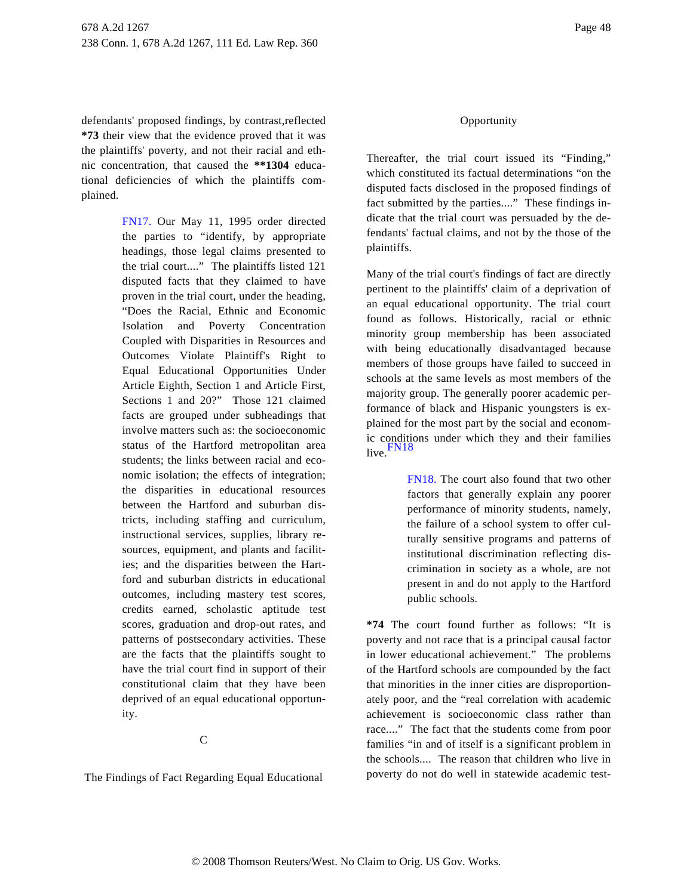defendants' proposed findings, by contrast,reflected **\*73** their view that the evidence proved that it was the plaintiffs' poverty, and not their racial and ethnic concentration, that caused the **\*\*1304** educational deficiencies of which the plaintiffs complained.

> <span id="page-47-2"></span><span id="page-47-1"></span><span id="page-47-0"></span>[FN17.](#page-46-1) Our May 11, 1995 order directed the parties to "identify, by appropriate headings, those legal claims presented to the trial court...." The plaintiffs listed 121 disputed facts that they claimed to have proven in the trial court, under the heading, "Does the Racial, Ethnic and Economic Isolation and Poverty Concentration Coupled with Disparities in Resources and Outcomes Violate Plaintiff's Right to Equal Educational Opportunities Under Article Eighth, Section 1 and Article First, Sections 1 and 20?" Those 121 claimed facts are grouped under subheadings that involve matters such as: the socioeconomic status of the Hartford metropolitan area students; the links between racial and economic isolation; the effects of integration; the disparities in educational resources between the Hartford and suburban districts, including staffing and curriculum, instructional services, supplies, library resources, equipment, and plants and facilities; and the disparities between the Hartford and suburban districts in educational outcomes, including mastery test scores, credits earned, scholastic aptitude test scores, graduation and drop-out rates, and patterns of postsecondary activities. These are the facts that the plaintiffs sought to have the trial court find in support of their constitutional claim that they have been deprived of an equal educational opportunity.

> > C

The Findings of Fact Regarding Equal Educational

### **Opportunity**

Thereafter, the trial court issued its "Finding," which constituted its factual determinations "on the disputed facts disclosed in the proposed findings of fact submitted by the parties...." These findings indicate that the trial court was persuaded by the defendants' factual claims, and not by the those of the plaintiffs.

Many of the trial court's findings of fact are directly pertinent to the plaintiffs' claim of a deprivation of an equal educational opportunity. The trial court found as follows. Historically, racial or ethnic minority group membership has been associated with being educationally disadvantaged because members of those groups have failed to succeed in schools at the same levels as most members of the majority group. The generally poorer academic performance of black and Hispanic youngsters is explained for the most part by the social and economic conditions under which they and their families live.[FN18](#page-47-1)

> [FN18.](#page-47-2) The court also found that two other factors that generally explain any poorer performance of minority students, namely, the failure of a school system to offer culturally sensitive programs and patterns of institutional discrimination reflecting discrimination in society as a whole, are not present in and do not apply to the Hartford public schools.

**\*74** The court found further as follows: "It is poverty and not race that is a principal causal factor in lower educational achievement." The problems of the Hartford schools are compounded by the fact that minorities in the inner cities are disproportionately poor, and the "real correlation with academic achievement is socioeconomic class rather than race...." The fact that the students come from poor families "in and of itself is a significant problem in the schools.... The reason that children who live in poverty do not do well in statewide academic test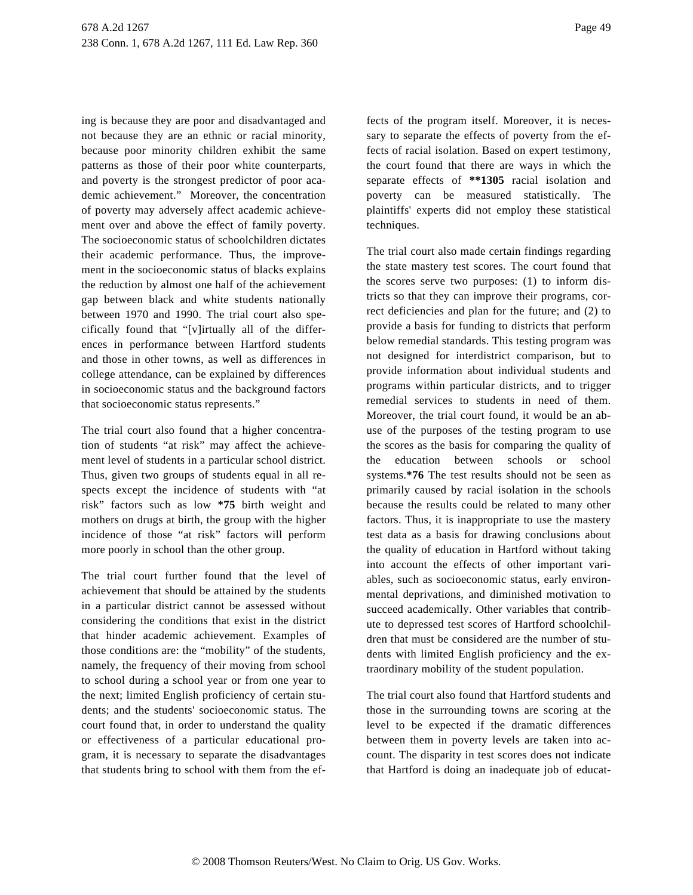ing is because they are poor and disadvantaged and not because they are an ethnic or racial minority, because poor minority children exhibit the same patterns as those of their poor white counterparts, and poverty is the strongest predictor of poor academic achievement." Moreover, the concentration of poverty may adversely affect academic achievement over and above the effect of family poverty. The socioeconomic status of schoolchildren dictates their academic performance. Thus, the improvement in the socioeconomic status of blacks explains the reduction by almost one half of the achievement gap between black and white students nationally between 1970 and 1990. The trial court also specifically found that "[v]irtually all of the differences in performance between Hartford students and those in other towns, as well as differences in college attendance, can be explained by differences in socioeconomic status and the background factors that socioeconomic status represents."

The trial court also found that a higher concentration of students "at risk" may affect the achievement level of students in a particular school district. Thus, given two groups of students equal in all respects except the incidence of students with "at risk" factors such as low **\*75** birth weight and mothers on drugs at birth, the group with the higher incidence of those "at risk" factors will perform more poorly in school than the other group.

The trial court further found that the level of achievement that should be attained by the students in a particular district cannot be assessed without considering the conditions that exist in the district that hinder academic achievement. Examples of those conditions are: the "mobility" of the students, namely, the frequency of their moving from school to school during a school year or from one year to the next; limited English proficiency of certain students; and the students' socioeconomic status. The court found that, in order to understand the quality or effectiveness of a particular educational program, it is necessary to separate the disadvantages that students bring to school with them from the effects of the program itself. Moreover, it is necessary to separate the effects of poverty from the effects of racial isolation. Based on expert testimony, the court found that there are ways in which the separate effects of **\*\*1305** racial isolation and poverty can be measured statistically. The plaintiffs' experts did not employ these statistical techniques.

The trial court also made certain findings regarding the state mastery test scores. The court found that the scores serve two purposes: (1) to inform districts so that they can improve their programs, correct deficiencies and plan for the future; and (2) to provide a basis for funding to districts that perform below remedial standards. This testing program was not designed for interdistrict comparison, but to provide information about individual students and programs within particular districts, and to trigger remedial services to students in need of them. Moreover, the trial court found, it would be an abuse of the purposes of the testing program to use the scores as the basis for comparing the quality of the education between schools or school systems.**\*76** The test results should not be seen as primarily caused by racial isolation in the schools because the results could be related to many other factors. Thus, it is inappropriate to use the mastery test data as a basis for drawing conclusions about the quality of education in Hartford without taking into account the effects of other important variables, such as socioeconomic status, early environmental deprivations, and diminished motivation to succeed academically. Other variables that contribute to depressed test scores of Hartford schoolchildren that must be considered are the number of students with limited English proficiency and the extraordinary mobility of the student population.

The trial court also found that Hartford students and those in the surrounding towns are scoring at the level to be expected if the dramatic differences between them in poverty levels are taken into account. The disparity in test scores does not indicate that Hartford is doing an inadequate job of educat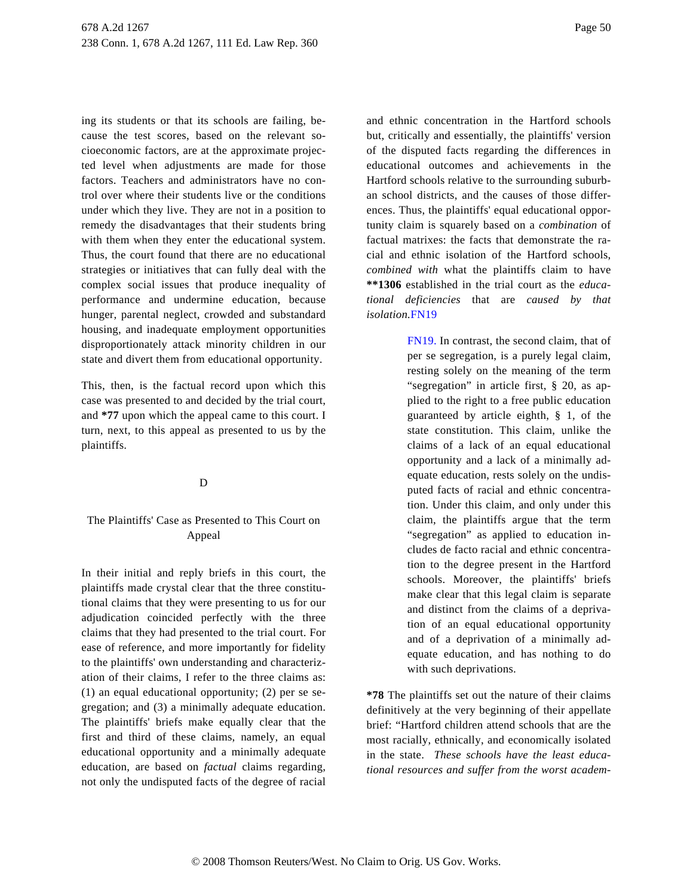ing its students or that its schools are failing, because the test scores, based on the relevant socioeconomic factors, are at the approximate projected level when adjustments are made for those factors. Teachers and administrators have no control over where their students live or the conditions under which they live. They are not in a position to remedy the disadvantages that their students bring with them when they enter the educational system. Thus, the court found that there are no educational strategies or initiatives that can fully deal with the complex social issues that produce inequality of performance and undermine education, because hunger, parental neglect, crowded and substandard housing, and inadequate employment opportunities disproportionately attack minority children in our state and divert them from educational opportunity.

<span id="page-49-1"></span><span id="page-49-0"></span>This, then, is the factual record upon which this case was presented to and decided by the trial court, and **\*77** upon which the appeal came to this court. I turn, next, to this appeal as presented to us by the plaintiffs.

### D

## The Plaintiffs' Case as Presented to This Court on Appeal

In their initial and reply briefs in this court, the plaintiffs made crystal clear that the three constitutional claims that they were presenting to us for our adjudication coincided perfectly with the three claims that they had presented to the trial court. For ease of reference, and more importantly for fidelity to the plaintiffs' own understanding and characterization of their claims, I refer to the three claims as: (1) an equal educational opportunity; (2) per se segregation; and (3) a minimally adequate education. The plaintiffs' briefs make equally clear that the first and third of these claims, namely, an equal educational opportunity and a minimally adequate education, are based on *factual* claims regarding, not only the undisputed facts of the degree of racial and ethnic concentration in the Hartford schools but, critically and essentially, the plaintiffs' version of the disputed facts regarding the differences in educational outcomes and achievements in the Hartford schools relative to the surrounding suburban school districts, and the causes of those differences. Thus, the plaintiffs' equal educational opportunity claim is squarely based on a *combination* of factual matrixes: the facts that demonstrate the racial and ethnic isolation of the Hartford schools, *combined with* what the plaintiffs claim to have **\*\*1306** established in the trial court as the *educational deficiencies* that are *caused by that [isolat](#page-49-0)ion.*FN19

> [FN19.](#page-49-1) In contrast, the second claim, that of per se segregation, is a purely legal claim, resting solely on the meaning of the term "segregation" in article first, § 20, as applied to the right to a free public education guaranteed by article eighth, § 1, of the state constitution. This claim, unlike the claims of a lack of an equal educational opportunity and a lack of a minimally adequate education, rests solely on the undisputed facts of racial and ethnic concentration. Under this claim, and only under this claim, the plaintiffs argue that the term "segregation" as applied to education includes de facto racial and ethnic concentration to the degree present in the Hartford schools. Moreover, the plaintiffs' briefs make clear that this legal claim is separate and distinct from the claims of a deprivation of an equal educational opportunity and of a deprivation of a minimally adequate education, and has nothing to do with such deprivations.

**\*78** The plaintiffs set out the nature of their claims definitively at the very beginning of their appellate brief: "Hartford children attend schools that are the most racially, ethnically, and economically isolated in the state. *These schools have the least educational resources and suffer from the worst academ-*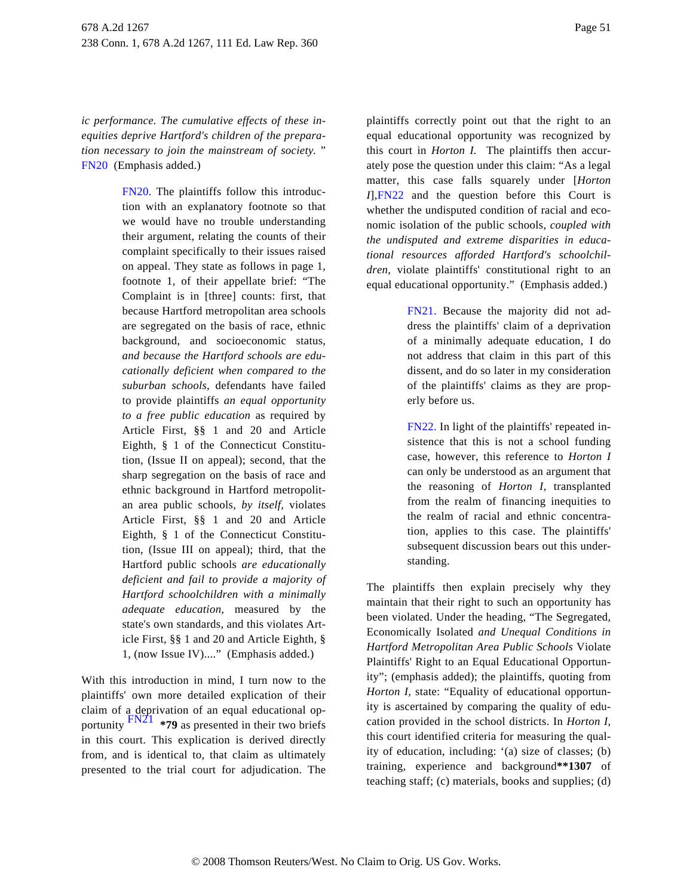<span id="page-50-1"></span>*ic performance. The cumulative effects of these inequities deprive Hartford's children of the preparation necessary to join the mainstream of society.* " [FN20](#page-50-0) (Emphasis added.)

> <span id="page-50-5"></span><span id="page-50-3"></span><span id="page-50-2"></span><span id="page-50-0"></span>[FN20.](#page-50-1) The plaintiffs follow this introduction with an explanatory footnote so that we would have no trouble understanding their argument, relating the counts of their complaint specifically to their issues raised on appeal. They state as follows in page 1, footnote 1, of their appellate brief: "The Complaint is in [three] counts: first, that because Hartford metropolitan area schools are segregated on the basis of race, ethnic background, and socioeconomic status, *and because the Hartford schools are educationally deficient when compared to the suburban schools,* defendants have failed to provide plaintiffs *an equal opportunity to a free public education* as required by Article First, §§ 1 and 20 and Article Eighth, § 1 of the Connecticut Constitution, (Issue II on appeal); second, that the sharp segregation on the basis of race and ethnic background in Hartford metropolitan area public schools, *by itself,* violates Article First, §§ 1 and 20 and Article Eighth, § 1 of the Connecticut Constitution, (Issue III on appeal); third, that the Hartford public schools *are educationally deficient and fail to provide a majority of Hartford schoolchildren with a minimally adequate education,* measured by the state's own standards, and this violates Article First, §§ 1 and 20 and Article Eighth, § 1, (now Issue IV)...." (Emphasis added.)

<span id="page-50-4"></span>With this introduction in mind, I turn now to the plaintiffs' own more detailed explication of their claim of a deprivation of an equal educational op-portunity [FN21](#page-50-2) **\*79** as presented in their two briefs in this court. This explication is derived directly from, and is identical to, that claim as ultimately presented to the trial court for adjudication. The plaintiffs correctly point out that the right to an equal educational opportunity was recognized by this court in *Horton I.* The plaintiffs then accurately pose the question under this claim: "As a legal matter, this case falls squarely under [*Horton I*[\],FN2](#page-50-3)2 and the question before this Court is whether the undisputed condition of racial and economic isolation of the public schools, *coupled with the undisputed and extreme disparities in educational resources afforded Hartford's schoolchildren,* violate plaintiffs' constitutional right to an

equal educational opportunity." (Emphasis added.)

[FN21.](#page-50-4) Because the majority did not address the plaintiffs' claim of a deprivation of a minimally adequate education, I do not address that claim in this part of this dissent, and do so later in my consideration of the plaintiffs' claims as they are properly before us.

[FN22.](#page-50-5) In light of the plaintiffs' repeated insistence that this is not a school funding case, however, this reference to *Horton I* can only be understood as an argument that the reasoning of *Horton I,* transplanted from the realm of financing inequities to the realm of racial and ethnic concentration, applies to this case. The plaintiffs' subsequent discussion bears out this understanding.

The plaintiffs then explain precisely why they maintain that their right to such an opportunity has been violated. Under the heading, "The Segregated, Economically Isolated *and Unequal Conditions in Hartford Metropolitan Area Public Schools* Violate Plaintiffs' Right to an Equal Educational Opportunity"; (emphasis added); the plaintiffs, quoting from *Horton I,* state: "Equality of educational opportunity is ascertained by comparing the quality of education provided in the school districts. In *Horton I,* this court identified criteria for measuring the quality of education, including: '(a) size of classes; (b) training, experience and background**\*\*1307** of teaching staff; (c) materials, books and supplies; (d)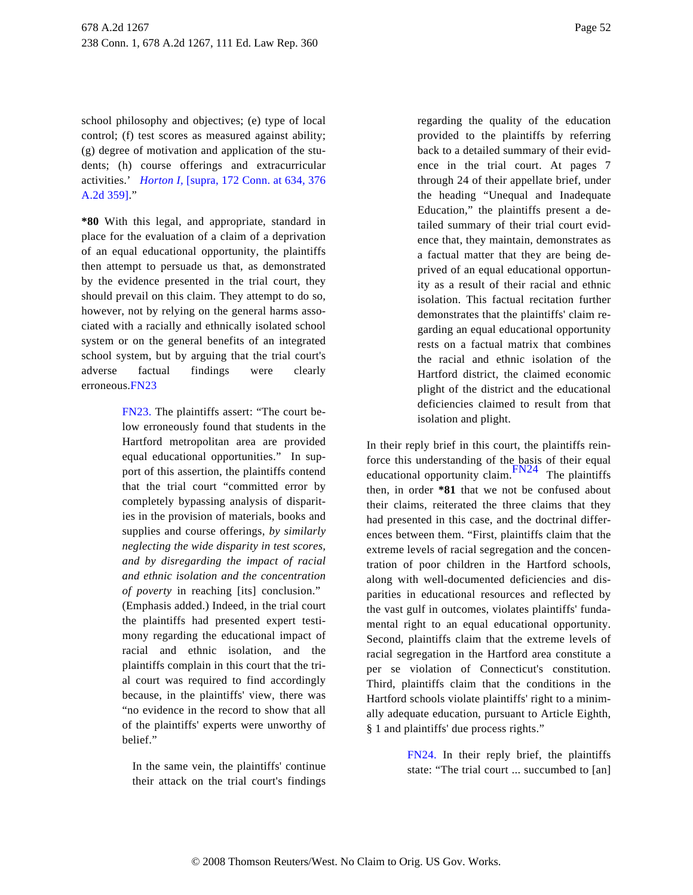school philosophy and objectives; (e) type of local control; (f) test scores as measured against ability; (g) degree of motivation and application of the students; (h) course offerings and extracurricular activities.' *[Horton I,](http://www.westlaw.com/Find/Default.wl?rs=dfa1.0&vr=2.0&DB=162&FindType=Y&SerialNum=1977120164)* [\[supra, 172 Conn. at 634, 376](http://www.westlaw.com/Find/Default.wl?rs=dfa1.0&vr=2.0&DB=162&FindType=Y&SerialNum=1977120164) [A.2d 359\]](http://www.westlaw.com/Find/Default.wl?rs=dfa1.0&vr=2.0&DB=162&FindType=Y&SerialNum=1977120164)."

**\*80** With this legal, and appropriate, standard in place for the evaluation of a claim of a deprivation of an equal educational opportunity, the plaintiffs then attempt to persuade us that, as demonstrated by the evidence presented in the trial court, they should prevail on this claim. They attempt to do so, however, not by relying on the general harms associated with a racially and ethnically isolated school system or on the general benefits of an integrated school system, but by arguing that the trial court's adverse factual findings were clearly [errone](#page-51-0)ous.FN23

> <span id="page-51-3"></span><span id="page-51-1"></span><span id="page-51-0"></span>[FN23.](#page-51-1) The plaintiffs assert: "The court below erroneously found that students in the Hartford metropolitan area are provided equal educational opportunities." In support of this assertion, the plaintiffs contend that the trial court "committed error by completely bypassing analysis of disparities in the provision of materials, books and supplies and course offerings, *by similarly neglecting the wide disparity in test scores, and by disregarding the impact of racial and ethnic isolation and the concentration of poverty* in reaching [its] conclusion." (Emphasis added.) Indeed, in the trial court the plaintiffs had presented expert testimony regarding the educational impact of racial and ethnic isolation, and the plaintiffs complain in this court that the trial court was required to find accordingly because, in the plaintiffs' view, there was "no evidence in the record to show that all of the plaintiffs' experts were unworthy of belief."

<span id="page-51-2"></span>In the same vein, the plaintiffs' continue their attack on the trial court's findings

regarding the quality of the education provided to the plaintiffs by referring back to a detailed summary of their evidence in the trial court. At pages 7 through 24 of their appellate brief, under the heading "Unequal and Inadequate Education," the plaintiffs present a detailed summary of their trial court evidence that, they maintain, demonstrates as a factual matter that they are being deprived of an equal educational opportunity as a result of their racial and ethnic isolation. This factual recitation further demonstrates that the plaintiffs' claim regarding an equal educational opportunity rests on a factual matrix that combines the racial and ethnic isolation of the Hartford district, the claimed economic plight of the district and the educational deficiencies claimed to result from that isolation and plight.

In their reply brief in this court, the plaintiffs reinforce this understanding of the basis of their equal educational opportunity claim. [FN24](#page-51-2) The plaintiffs then, in order **\*81** that we not be confused about their claims, reiterated the three claims that they had presented in this case, and the doctrinal differences between them. "First, plaintiffs claim that the extreme levels of racial segregation and the concentration of poor children in the Hartford schools, along with well-documented deficiencies and disparities in educational resources and reflected by the vast gulf in outcomes, violates plaintiffs' fundamental right to an equal educational opportunity. Second, plaintiffs claim that the extreme levels of racial segregation in the Hartford area constitute a per se violation of Connecticut's constitution. Third, plaintiffs claim that the conditions in the Hartford schools violate plaintiffs' right to a minimally adequate education, pursuant to Article Eighth, § 1 and plaintiffs' due process rights."

> [FN24.](#page-51-3) In their reply brief, the plaintiffs state: "The trial court ... succumbed to [an]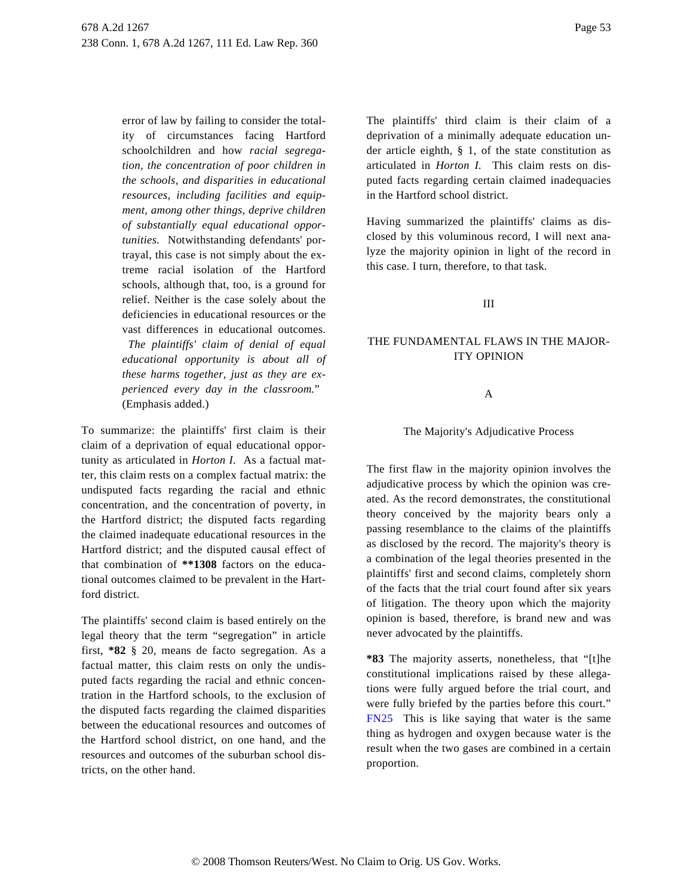error of law by failing to consider the totality of circumstances facing Hartford schoolchildren and how *racial segregation, the concentration of poor children in the schools, and disparities in educational resources, including facilities and equipment, among other things, deprive children of substantially equal educational opportunities.* Notwithstanding defendants' portrayal, this case is not simply about the extreme racial isolation of the Hartford schools, although that, too, is a ground for relief. Neither is the case solely about the deficiencies in educational resources or the vast differences in educational outcomes. *The plaintiffs' claim of denial of equal educational opportunity is about all of these harms together, just as they are experienced every day in the classroom.*" (Emphasis added.)

To summarize: the plaintiffs' first claim is their claim of a deprivation of equal educational opportunity as articulated in *Horton I.* As a factual matter, this claim rests on a complex factual matrix: the undisputed facts regarding the racial and ethnic concentration, and the concentration of poverty, in the Hartford district; the disputed facts regarding the claimed inadequate educational resources in the Hartford district; and the disputed causal effect of that combination of **\*\*1308** factors on the educational outcomes claimed to be prevalent in the Hartford district.

<span id="page-52-0"></span>The plaintiffs' second claim is based entirely on the legal theory that the term "segregation" in article first, **\*82** § 20, means de facto segregation. As a factual matter, this claim rests on only the undisputed facts regarding the racial and ethnic concentration in the Hartford schools, to the exclusion of the disputed facts regarding the claimed disparities between the educational resources and outcomes of the Hartford school district, on one hand, and the resources and outcomes of the suburban school districts, on the other hand.

The plaintiffs' third claim is their claim of a deprivation of a minimally adequate education under article eighth, § 1, of the state constitution as articulated in *Horton I.* This claim rests on disputed facts regarding certain claimed inadequacies in the Hartford school district.

Having summarized the plaintiffs' claims as disclosed by this voluminous record, I will next analyze the majority opinion in light of the record in this case. I turn, therefore, to that task.

III

## THE FUNDAMENTAL FLAWS IN THE MAJOR-ITY OPINION

### A

### The Majority's Adjudicative Process

The first flaw in the majority opinion involves the adjudicative process by which the opinion was created. As the record demonstrates, the constitutional theory conceived by the majority bears only a passing resemblance to the claims of the plaintiffs as disclosed by the record. The majority's theory is a combination of the legal theories presented in the plaintiffs' first and second claims, completely shorn of the facts that the trial court found after six years of litigation. The theory upon which the majority opinion is based, therefore, is brand new and was never advocated by the plaintiffs.

**\*83** The majority asserts, nonetheless, that "[t]he constitutional implications raised by these allegations were fully argued before the trial court, and were fully briefed by the parties before this court." [FN25](#page-53-0) This is like saying that water is the same thing as hydrogen and oxygen because water is the result when the two gases are combined in a certain proportion.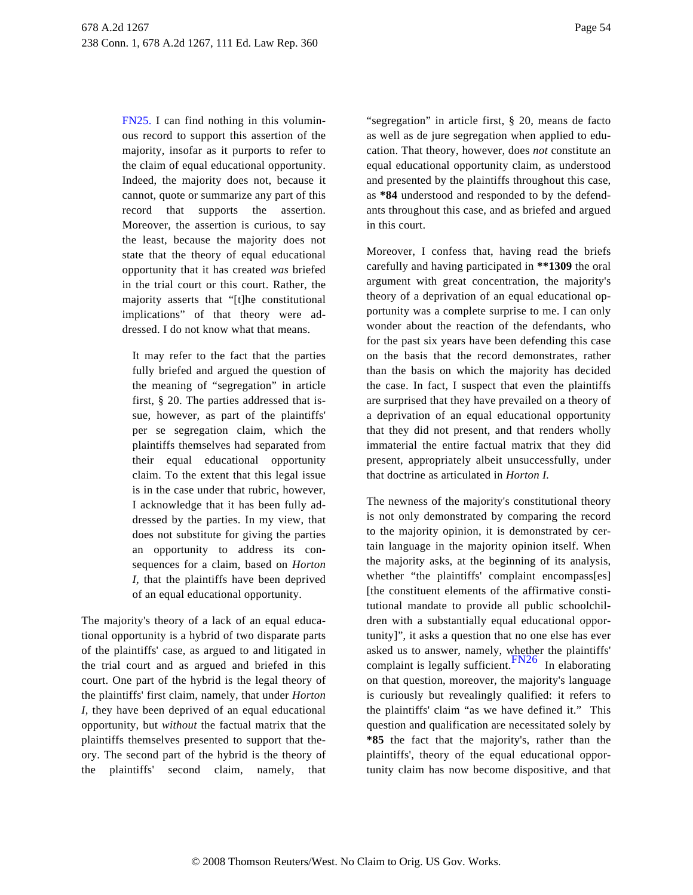<span id="page-53-0"></span>[FN25.](#page-52-0) I can find nothing in this voluminous record to support this assertion of the majority, insofar as it purports to refer to the claim of equal educational opportunity. Indeed, the majority does not, because it cannot, quote or summarize any part of this record that supports the assertion. Moreover, the assertion is curious, to say the least, because the majority does not state that the theory of equal educational opportunity that it has created *was* briefed in the trial court or this court. Rather, the majority asserts that "[t]he constitutional implications" of that theory were addressed. I do not know what that means.

It may refer to the fact that the parties fully briefed and argued the question of the meaning of "segregation" in article first, § 20. The parties addressed that issue, however, as part of the plaintiffs' per se segregation claim, which the plaintiffs themselves had separated from their equal educational opportunity claim. To the extent that this legal issue is in the case under that rubric, however, I acknowledge that it has been fully addressed by the parties. In my view, that does not substitute for giving the parties an opportunity to address its consequences for a claim, based on *Horton I,* that the plaintiffs have been deprived of an equal educational opportunity.

<span id="page-53-1"></span>The majority's theory of a lack of an equal educational opportunity is a hybrid of two disparate parts of the plaintiffs' case, as argued to and litigated in the trial court and as argued and briefed in this court. One part of the hybrid is the legal theory of the plaintiffs' first claim, namely, that under *Horton I,* they have been deprived of an equal educational opportunity, but *without* the factual matrix that the plaintiffs themselves presented to support that theory. The second part of the hybrid is the theory of the plaintiffs' second claim, namely, that "segregation" in article first, § 20, means de facto as well as de jure segregation when applied to education. That theory, however, does *not* constitute an equal educational opportunity claim, as understood and presented by the plaintiffs throughout this case, as **\*84** understood and responded to by the defendants throughout this case, and as briefed and argued in this court.

Moreover, I confess that, having read the briefs carefully and having participated in **\*\*1309** the oral argument with great concentration, the majority's theory of a deprivation of an equal educational opportunity was a complete surprise to me. I can only wonder about the reaction of the defendants, who for the past six years have been defending this case on the basis that the record demonstrates, rather than the basis on which the majority has decided the case. In fact, I suspect that even the plaintiffs are surprised that they have prevailed on a theory of a deprivation of an equal educational opportunity that they did not present, and that renders wholly immaterial the entire factual matrix that they did present, appropriately albeit unsuccessfully, under that doctrine as articulated in *Horton I.*

The newness of the majority's constitutional theory is not only demonstrated by comparing the record to the majority opinion, it is demonstrated by certain language in the majority opinion itself. When the majority asks, at the beginning of its analysis, whether "the plaintiffs' complaint encompass[es] [the constituent elements of the affirmative constitutional mandate to provide all public schoolchildren with a substantially equal educational opportunity]", it asks a question that no one else has ever asked us to answer, namely, whether the plaintiffs'<br>complaint is legally sufficient. In elaborating on that question, moreover, the majority's language is curiously but revealingly qualified: it refers to the plaintiffs' claim "as we have defined it." This question and qualification are necessitated solely by **\*85** the fact that the majority's, rather than the plaintiffs', theory of the equal educational opportunity claim has now become dispositive, and that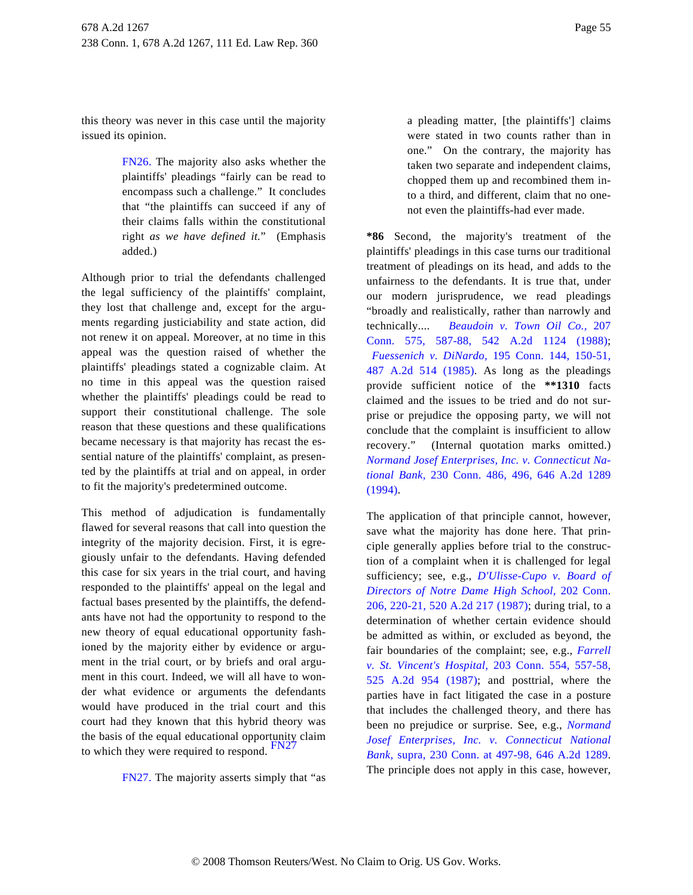<span id="page-54-0"></span>this theory was never in this case until the majority issued its opinion.

> [FN26.](#page-53-1) The majority also asks whether the plaintiffs' pleadings "fairly can be read to encompass such a challenge." It concludes that "the plaintiffs can succeed if any of their claims falls within the constitutional right *as we have defined it.*" (Emphasis added.)

Although prior to trial the defendants challenged the legal sufficiency of the plaintiffs' complaint, they lost that challenge and, except for the arguments regarding justiciability and state action, did not renew it on appeal. Moreover, at no time in this appeal was the question raised of whether the plaintiffs' pleadings stated a cognizable claim. At no time in this appeal was the question raised whether the plaintiffs' pleadings could be read to support their constitutional challenge. The sole reason that these questions and these qualifications became necessary is that majority has recast the essential nature of the plaintiffs' complaint, as presented by the plaintiffs at trial and on appeal, in order to fit the majority's predetermined outcome.

This method of adjudication is fundamentally flawed for several reasons that call into question the integrity of the majority decision. First, it is egregiously unfair to the defendants. Having defended this case for six years in the trial court, and having responded to the plaintiffs' appeal on the legal and factual bases presented by the plaintiffs, the defendants have not had the opportunity to respond to the new theory of equal educational opportunity fashioned by the majority either by evidence or argument in the trial court, or by briefs and oral argument in this court. Indeed, we will all have to wonder what evidence or arguments the defendants would have produced in the trial court and this court had they known that this hybrid theory was the basis of the equal educational opportunity claim to which they were required to respond.  $FN27$ 

<span id="page-54-2"></span><span id="page-54-1"></span>[FN27.](#page-54-2) The majority asserts simply that "as

a pleading matter, [the plaintiffs'] claims were stated in two counts rather than in one." On the contrary, the majority has taken two separate and independent claims, chopped them up and recombined them into a third, and different, claim that no onenot even the plaintiffs-had ever made.

**\*86** Second, the majority's treatment of the plaintiffs' pleadings in this case turns our traditional treatment of pleadings on its head, and adds to the unfairness to the defendants. It is true that, under our modern jurisprudence, we read pleadings "broadly and realistically, rather than narrowly and technically.... *[Beaudoin v. Town Oil Co.,](http://www.westlaw.com/Find/Default.wl?rs=dfa1.0&vr=2.0&DB=162&FindType=Y&SerialNum=1988068927)* 207 [Conn. 575, 587-88, 542 A.2d 1124](http://www.westlaw.com/Find/Default.wl?rs=dfa1.0&vr=2.0&DB=162&FindType=Y&SerialNum=1988068927) (1988); *[Fuessenich v. DiNardo](http://www.westlaw.com/Find/Default.wl?rs=dfa1.0&vr=2.0&DB=162&FindType=Y&SerialNum=1985106525),* [195 Conn. 144, 150-5](http://www.westlaw.com/Find/Default.wl?rs=dfa1.0&vr=2.0&DB=162&FindType=Y&SerialNum=1985106525)1, [487 A.2d 514 \(198](http://www.westlaw.com/Find/Default.wl?rs=dfa1.0&vr=2.0&DB=162&FindType=Y&SerialNum=1985106525)5). As long as the pleadings provide sufficient notice of the **\*\*1310** facts claimed and the issues to be tried and do not surprise or prejudice the opposing party, we will not conclude that the complaint is insufficient to allow recovery." (Internal quotation marks omitted.) *[Normand Josef Enterprises, Inc. v. Connecticut Na](http://www.westlaw.com/Find/Default.wl?rs=dfa1.0&vr=2.0&DB=162&FindType=Y&SerialNum=1994163885)[tional Bank](http://www.westlaw.com/Find/Default.wl?rs=dfa1.0&vr=2.0&DB=162&FindType=Y&SerialNum=1994163885),* [230 Conn. 486, 496, 646 A.2d 12](http://www.westlaw.com/Find/Default.wl?rs=dfa1.0&vr=2.0&DB=162&FindType=Y&SerialNum=1994163885)89 [\(1994\).](http://www.westlaw.com/Find/Default.wl?rs=dfa1.0&vr=2.0&DB=162&FindType=Y&SerialNum=1994163885)

The application of that principle cannot, however, save what the majority has done here. That principle generally applies before trial to the construction of a complaint when it is challenged for legal sufficiency; see, e.g., *[D'Ulisse-Cupo v. Board o](http://www.westlaw.com/Find/Default.wl?rs=dfa1.0&vr=2.0&DB=162&FindType=Y&SerialNum=1987014686)f [Directors of Notre Dame High Schoo](http://www.westlaw.com/Find/Default.wl?rs=dfa1.0&vr=2.0&DB=162&FindType=Y&SerialNum=1987014686)l,* [202 Conn](http://www.westlaw.com/Find/Default.wl?rs=dfa1.0&vr=2.0&DB=162&FindType=Y&SerialNum=1987014686). [206, 220-21, 520 A.2d 217 \(1987](http://www.westlaw.com/Find/Default.wl?rs=dfa1.0&vr=2.0&DB=162&FindType=Y&SerialNum=1987014686)); during trial, to a determination of whether certain evidence should be admitted as within, or excluded as beyond, the fair boundaries of the complaint; see, e.g., *[Farrell](http://www.westlaw.com/Find/Default.wl?rs=dfa1.0&vr=2.0&DB=162&FindType=Y&SerialNum=1987064167) [v. St. Vincent's Hospita](http://www.westlaw.com/Find/Default.wl?rs=dfa1.0&vr=2.0&DB=162&FindType=Y&SerialNum=1987064167)l,* [203 Conn. 554, 557-5](http://www.westlaw.com/Find/Default.wl?rs=dfa1.0&vr=2.0&DB=162&FindType=Y&SerialNum=1987064167)8, [525 A.2d 954 \(19](http://www.westlaw.com/Find/Default.wl?rs=dfa1.0&vr=2.0&DB=162&FindType=Y&SerialNum=1987064167)87); and posttrial, where the parties have in fact litigated the case in a posture that includes the challenged theory, and there has been no prejudice or surprise. See, e.g., *[Normand](http://www.westlaw.com/Find/Default.wl?rs=dfa1.0&vr=2.0&DB=162&FindType=Y&SerialNum=1994163885) [Josef Enterprises, Inc. v. Connecticut Nat](http://www.westlaw.com/Find/Default.wl?rs=dfa1.0&vr=2.0&DB=162&FindType=Y&SerialNum=1994163885)ional [Bank,](http://www.westlaw.com/Find/Default.wl?rs=dfa1.0&vr=2.0&DB=162&FindType=Y&SerialNum=1994163885)* [supra, 230 Conn. at 497-98, 646 A.2d 12](http://www.westlaw.com/Find/Default.wl?rs=dfa1.0&vr=2.0&DB=162&FindType=Y&SerialNum=1994163885)89. The principle does not apply in this case, however,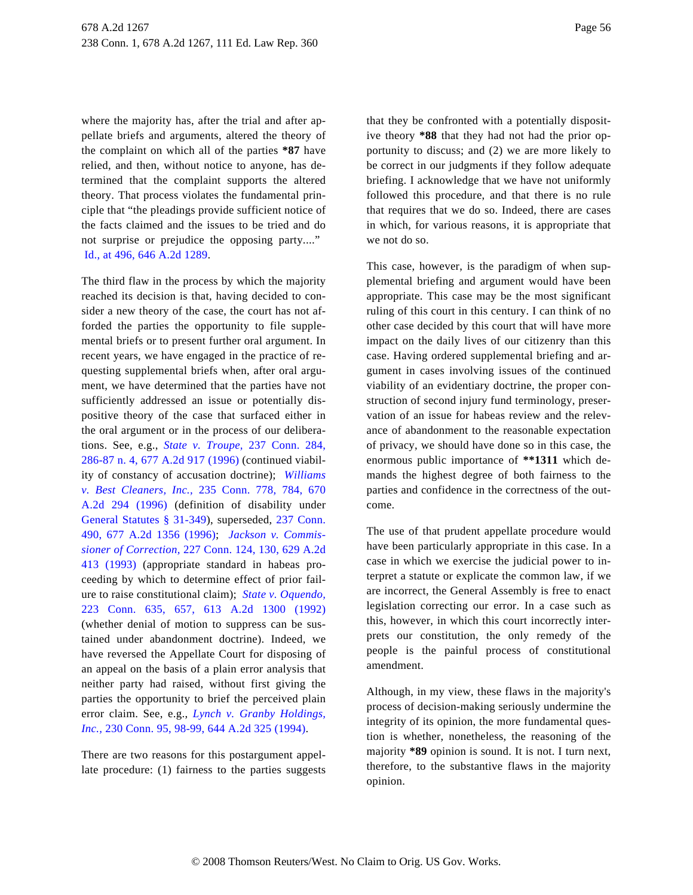where the majority has, after the trial and after appellate briefs and arguments, altered the theory of the complaint on which all of the parties **\*87** have relied, and then, without notice to anyone, has determined that the complaint supports the altered theory. That process violates the fundamental principle that "the pleadings provide sufficient notice of the facts claimed and the issues to be tried and do not surprise or prejudice the opposing party...." [Id., at 496, 646 A.2d 1289](http://www.westlaw.com/Find/Default.wl?rs=dfa1.0&vr=2.0&DB=162&FindType=Y&SerialNum=1994163885).

The third flaw in the process by which the majority reached its decision is that, having decided to consider a new theory of the case, the court has not afforded the parties the opportunity to file supplemental briefs or to present further oral argument. In recent years, we have engaged in the practice of requesting supplemental briefs when, after oral argument, we have determined that the parties have not sufficiently addressed an issue or potentially dispositive theory of the case that surfaced either in the oral argument or in the process of our deliberations. See, e.g., *[State v. Troupe](http://www.westlaw.com/Find/Default.wl?rs=dfa1.0&vr=2.0&DB=162&FindType=Y&SerialNum=1996127873),* [237 Conn. 284](http://www.westlaw.com/Find/Default.wl?rs=dfa1.0&vr=2.0&DB=162&FindType=Y&SerialNum=1996127873), [286-87 n. 4, 677 A.2d 917 \(1996\)](http://www.westlaw.com/Find/Default.wl?rs=dfa1.0&vr=2.0&DB=162&FindType=Y&SerialNum=1996127873) (continued viability of constancy of accusation doctrine); *[Williams](http://www.westlaw.com/Find/Default.wl?rs=dfa1.0&vr=2.0&DB=162&FindType=Y&SerialNum=1996035247) [v. Best Cleaners, Inc](http://www.westlaw.com/Find/Default.wl?rs=dfa1.0&vr=2.0&DB=162&FindType=Y&SerialNum=1996035247).,* [235 Conn. 778, 784, 6](http://www.westlaw.com/Find/Default.wl?rs=dfa1.0&vr=2.0&DB=162&FindType=Y&SerialNum=1996035247)70 [A.2d 294 \(199](http://www.westlaw.com/Find/Default.wl?rs=dfa1.0&vr=2.0&DB=162&FindType=Y&SerialNum=1996035247)6) (definition of disability under [General Statutes § 31-34](http://www.westlaw.com/Find/Default.wl?rs=dfa1.0&vr=2.0&DB=1000264&DocName=CTSTS31-349&FindType=L)9), superseded, [237 Conn.](http://www.westlaw.com/Find/Default.wl?rs=dfa1.0&vr=2.0&DB=162&FindType=Y&SerialNum=1996139843) [490, 677 A.2d 1356 \(199](http://www.westlaw.com/Find/Default.wl?rs=dfa1.0&vr=2.0&DB=162&FindType=Y&SerialNum=1996139843)6); *[Jackson v. Commis](http://www.westlaw.com/Find/Default.wl?rs=dfa1.0&vr=2.0&DB=162&FindType=Y&SerialNum=1993159029)[sioner of Correction](http://www.westlaw.com/Find/Default.wl?rs=dfa1.0&vr=2.0&DB=162&FindType=Y&SerialNum=1993159029),* [227 Conn. 124, 130, 629 A.2d](http://www.westlaw.com/Find/Default.wl?rs=dfa1.0&vr=2.0&DB=162&FindType=Y&SerialNum=1993159029) [413 \(1993](http://www.westlaw.com/Find/Default.wl?rs=dfa1.0&vr=2.0&DB=162&FindType=Y&SerialNum=1993159029)) (appropriate standard in habeas proceeding by which to determine effect of prior failure to raise constitutional claim); *[State v. Oquendo](http://www.westlaw.com/Find/Default.wl?rs=dfa1.0&vr=2.0&DB=162&FindType=Y&SerialNum=1992150324),* [223 Conn. 635, 657, 613 A.2d 1300](http://www.westlaw.com/Find/Default.wl?rs=dfa1.0&vr=2.0&DB=162&FindType=Y&SerialNum=1992150324) (1992) (whether denial of motion to suppress can be sustained under abandonment doctrine). Indeed, we have reversed the Appellate Court for disposing of an appeal on the basis of a plain error analysis that neither party had raised, without first giving the parties the opportunity to brief the perceived plain error claim. See, e.g., *[Lynch v. Granby Holdings](http://www.westlaw.com/Find/Default.wl?rs=dfa1.0&vr=2.0&DB=162&FindType=Y&SerialNum=1994149350), [Inc.,](http://www.westlaw.com/Find/Default.wl?rs=dfa1.0&vr=2.0&DB=162&FindType=Y&SerialNum=1994149350)* [230 Conn. 95, 98-99, 644 A.2d 325 \(1994\)](http://www.westlaw.com/Find/Default.wl?rs=dfa1.0&vr=2.0&DB=162&FindType=Y&SerialNum=1994149350).

There are two reasons for this postargument appellate procedure: (1) fairness to the parties suggests

that they be confronted with a potentially dispositive theory **\*88** that they had not had the prior opportunity to discuss; and (2) we are more likely to be correct in our judgments if they follow adequate briefing. I acknowledge that we have not uniformly followed this procedure, and that there is no rule that requires that we do so. Indeed, there are cases in which, for various reasons, it is appropriate that we not do so.

This case, however, is the paradigm of when supplemental briefing and argument would have been appropriate. This case may be the most significant ruling of this court in this century. I can think of no other case decided by this court that will have more impact on the daily lives of our citizenry than this case. Having ordered supplemental briefing and argument in cases involving issues of the continued viability of an evidentiary doctrine, the proper construction of second injury fund terminology, preservation of an issue for habeas review and the relevance of abandonment to the reasonable expectation of privacy, we should have done so in this case, the enormous public importance of **\*\*1311** which demands the highest degree of both fairness to the parties and confidence in the correctness of the outcome.

The use of that prudent appellate procedure would have been particularly appropriate in this case. In a case in which we exercise the judicial power to interpret a statute or explicate the common law, if we are incorrect, the General Assembly is free to enact legislation correcting our error. In a case such as this, however, in which this court incorrectly interprets our constitution, the only remedy of the people is the painful process of constitutional amendment.

Although, in my view, these flaws in the majority's process of decision-making seriously undermine the integrity of its opinion, the more fundamental question is whether, nonetheless, the reasoning of the majority **\*89** opinion is sound. It is not. I turn next, therefore, to the substantive flaws in the majority opinion.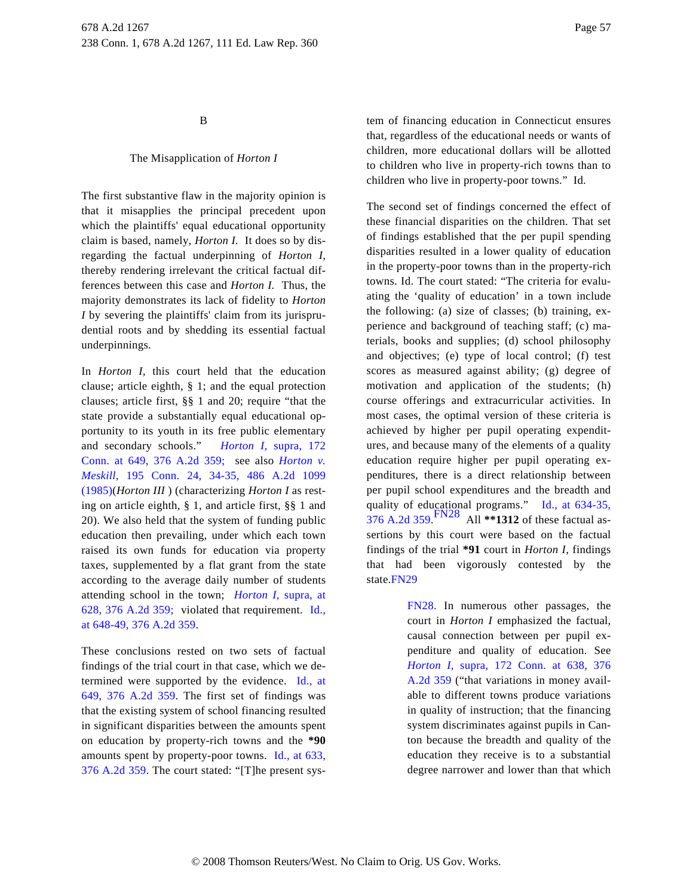#### B

#### The Misapplication of *Horton I*

The first substantive flaw in the majority opinion is that it misapplies the principal precedent upon which the plaintiffs' equal educational opportunity claim is based, namely, *Horton I.* It does so by disregarding the factual underpinning of *Horton I,* thereby rendering irrelevant the critical factual differences between this case and *Horton I.* Thus, the majority demonstrates its lack of fidelity to *Horton I* by severing the plaintiffs' claim from its jurisprudential roots and by shedding its essential factual underpinnings.

In *Horton I,* this court held that the education clause; article eighth, § 1; and the equal protection clauses; article first, §§ 1 and 20; require "that the state provide a substantially equal educational opportunity to its youth in its free public elementary and secondary schools." *[Horton I](http://www.westlaw.com/Find/Default.wl?rs=dfa1.0&vr=2.0&DB=162&FindType=Y&SerialNum=1977120164),* [supra, 17](http://www.westlaw.com/Find/Default.wl?rs=dfa1.0&vr=2.0&DB=162&FindType=Y&SerialNum=1977120164)2 [Conn. at 649, 376 A.2d 35](http://www.westlaw.com/Find/Default.wl?rs=dfa1.0&vr=2.0&DB=162&FindType=Y&SerialNum=1977120164)9; see also *[Horton v.](http://www.westlaw.com/Find/Default.wl?rs=dfa1.0&vr=2.0&DB=162&FindType=Y&SerialNum=1985102767) [Meskill,](http://www.westlaw.com/Find/Default.wl?rs=dfa1.0&vr=2.0&DB=162&FindType=Y&SerialNum=1985102767)* [195 Conn. 24, 34-35, 486 A.2d](http://www.westlaw.com/Find/Default.wl?rs=dfa1.0&vr=2.0&DB=162&FindType=Y&SerialNum=1985102767) 1099 [\(1985\)\(](http://www.westlaw.com/Find/Default.wl?rs=dfa1.0&vr=2.0&DB=162&FindType=Y&SerialNum=1985102767)*Horton III* ) (characterizing *Horton I* as resting on article eighth, § 1, and article first, §§ 1 and 20). We also held that the system of funding public education then prevailing, under which each town raised its own funds for education via property taxes, supplemented by a flat grant from the state according to the average daily number of students attending school in the town; *[Horton I](http://www.westlaw.com/Find/Default.wl?rs=dfa1.0&vr=2.0&DB=162&FindType=Y&SerialNum=1977120164),* [supra, a](http://www.westlaw.com/Find/Default.wl?rs=dfa1.0&vr=2.0&DB=162&FindType=Y&SerialNum=1977120164)t [628, 376 A.2d 359](http://www.westlaw.com/Find/Default.wl?rs=dfa1.0&vr=2.0&DB=162&FindType=Y&SerialNum=1977120164); violated that requirement. [Id.,](http://www.westlaw.com/Find/Default.wl?rs=dfa1.0&vr=2.0&DB=162&FindType=Y&SerialNum=1977120164) [at 648-49, 376 A.2d 359](http://www.westlaw.com/Find/Default.wl?rs=dfa1.0&vr=2.0&DB=162&FindType=Y&SerialNum=1977120164).

<span id="page-56-2"></span><span id="page-56-1"></span><span id="page-56-0"></span>These conclusions rested on two sets of factual findings of the trial court in that case, which we determined were supported by the evidence. [Id., at](http://www.westlaw.com/Find/Default.wl?rs=dfa1.0&vr=2.0&DB=162&FindType=Y&SerialNum=1977120164) [649, 376 A.2d 35](http://www.westlaw.com/Find/Default.wl?rs=dfa1.0&vr=2.0&DB=162&FindType=Y&SerialNum=1977120164)9. The first set of findings was that the existing system of school financing resulted in significant disparities between the amounts spent on education by property-rich towns and the **\*90** amounts spent by property-poor towns. [Id., at 633,](http://www.westlaw.com/Find/Default.wl?rs=dfa1.0&vr=2.0&DB=162&FindType=Y&SerialNum=1977120164) [376 A.2d 359](http://www.westlaw.com/Find/Default.wl?rs=dfa1.0&vr=2.0&DB=162&FindType=Y&SerialNum=1977120164). The court stated: "[T]he present system of financing education in Connecticut ensures that, regardless of the educational needs or wants of children, more educational dollars will be allotted to children who live in property-rich towns than to children who live in property-poor towns." Id.

The second set of findings concerned the effect of these financial disparities on the children. That set of findings established that the per pupil spending disparities resulted in a lower quality of education in the property-poor towns than in the property-rich towns. Id. The court stated: "The criteria for evaluating the 'quality of education' in a town include the following: (a) size of classes; (b) training, experience and background of teaching staff; (c) materials, books and supplies; (d) school philosophy and objectives; (e) type of local control; (f) test scores as measured against ability; (g) degree of motivation and application of the students; (h) course offerings and extracurricular activities. In most cases, the optimal version of these criteria is achieved by higher per pupil operating expenditures, and because many of the elements of a quality education require higher per pupil operating expenditures, there is a direct relationship between per pupil school expenditures and the breadth and quality of educational programs." [Id., at 634-35](http://www.westlaw.com/Find/Default.wl?rs=dfa1.0&vr=2.0&DB=162&FindType=Y&SerialNum=1977120164), [376 A.2d 359](http://www.westlaw.com/Find/Default.wl?rs=dfa1.0&vr=2.0&DB=162&FindType=Y&SerialNum=1977120164). [FN28](#page-56-0) All **\*\*1312** of these factual assertions by this court were based on the factual findings of the trial **\*91** court in *Horton I,* findings that had been vigorously contested by the [state.F](#page-57-0)N29

> [FN28.](#page-56-1) In numerous other passages, the court in *Horton I* emphasized the factual, causal connection between per pupil expenditure and quality of education. See *[Horton I](http://www.westlaw.com/Find/Default.wl?rs=dfa1.0&vr=2.0&DB=162&FindType=Y&SerialNum=1977120164),* [supra, 172 Conn. at 638,](http://www.westlaw.com/Find/Default.wl?rs=dfa1.0&vr=2.0&DB=162&FindType=Y&SerialNum=1977120164) 376 [A.2d 359](http://www.westlaw.com/Find/Default.wl?rs=dfa1.0&vr=2.0&DB=162&FindType=Y&SerialNum=1977120164) ("that variations in money available to different towns produce variations in quality of instruction; that the financing system discriminates against pupils in Canton because the breadth and quality of the education they receive is to a substantial degree narrower and lower than that which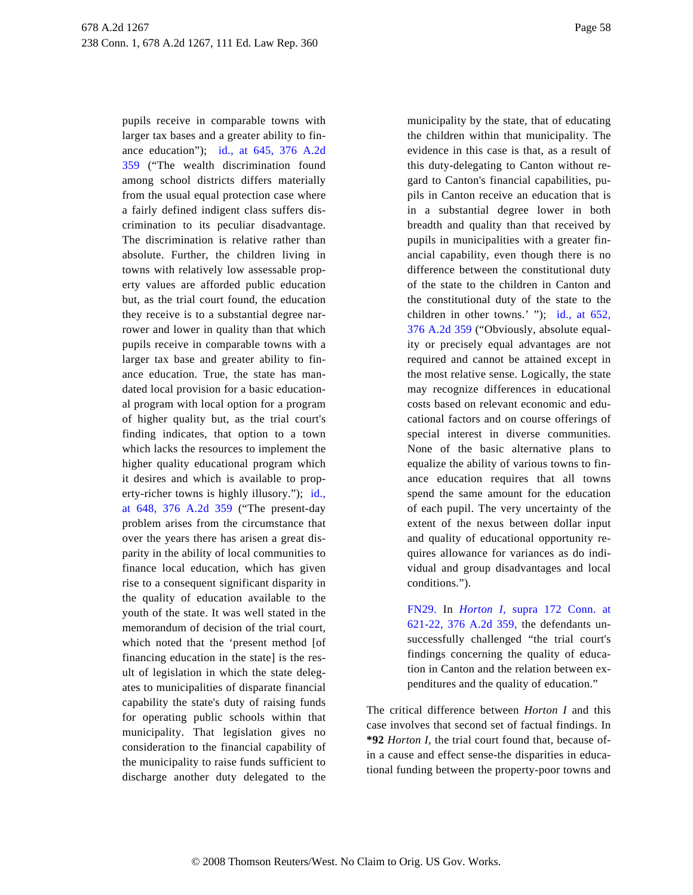pupils receive in comparable towns with larger tax bases and a greater ability to finance education"); [id., at 645, 376 A.2](http://www.westlaw.com/Find/Default.wl?rs=dfa1.0&vr=2.0&DB=162&FindType=Y&SerialNum=1977120164)d [359](http://www.westlaw.com/Find/Default.wl?rs=dfa1.0&vr=2.0&DB=162&FindType=Y&SerialNum=1977120164) ("The wealth discrimination found among school districts differs materially from the usual equal protection case where a fairly defined indigent class suffers discrimination to its peculiar disadvantage. The discrimination is relative rather than absolute. Further, the children living in towns with relatively low assessable property values are afforded public education but, as the trial court found, the education they receive is to a substantial degree narrower and lower in quality than that which pupils receive in comparable towns with a larger tax base and greater ability to finance education. True, the state has mandated local provision for a basic educational program with local option for a program of higher quality but, as the trial court's finding indicates, that option to a town which lacks the resources to implement the higher quality educational program which it desires and which is available to property-richer towns is highly illusory."); [id.,](http://www.westlaw.com/Find/Default.wl?rs=dfa1.0&vr=2.0&DB=162&FindType=Y&SerialNum=1977120164) [at 648, 376 A.2d 3](http://www.westlaw.com/Find/Default.wl?rs=dfa1.0&vr=2.0&DB=162&FindType=Y&SerialNum=1977120164)59 ("The present-day problem arises from the circumstance that over the years there has arisen a great disparity in the ability of local communities to finance local education, which has given rise to a consequent significant disparity in the quality of education available to the youth of the state. It was well stated in the memorandum of decision of the trial court, which noted that the 'present method [of financing education in the state] is the result of legislation in which the state delegates to municipalities of disparate financial capability the state's duty of raising funds for operating public schools within that municipality. That legislation gives no consideration to the financial capability of the municipality to raise funds sufficient to discharge another duty delegated to the

municipality by the state, that of educating the children within that municipality. The evidence in this case is that, as a result of this duty-delegating to Canton without regard to Canton's financial capabilities, pupils in Canton receive an education that is in a substantial degree lower in both breadth and quality than that received by pupils in municipalities with a greater financial capability, even though there is no difference between the constitutional duty of the state to the children in Canton and the constitutional duty of the state to the children in other towns.' "); [id., at 652](http://www.westlaw.com/Find/Default.wl?rs=dfa1.0&vr=2.0&DB=162&FindType=Y&SerialNum=1977120164), [376 A.2d 359](http://www.westlaw.com/Find/Default.wl?rs=dfa1.0&vr=2.0&DB=162&FindType=Y&SerialNum=1977120164) ("Obviously, absolute equality or precisely equal advantages are not required and cannot be attained except in the most relative sense. Logically, the state may recognize differences in educational costs based on relevant economic and educational factors and on course offerings of special interest in diverse communities. None of the basic alternative plans to equalize the ability of various towns to finance education requires that all towns spend the same amount for the education of each pupil. The very uncertainty of the extent of the nexus between dollar input and quality of educational opportunity requires allowance for variances as do individual and group disadvantages and local conditions.").

[FN29.](#page-56-2) In *[Horton I](http://www.westlaw.com/Find/Default.wl?rs=dfa1.0&vr=2.0&DB=162&FindType=Y&SerialNum=1977120164),* [supra 172 Conn.](http://www.westlaw.com/Find/Default.wl?rs=dfa1.0&vr=2.0&DB=162&FindType=Y&SerialNum=1977120164) at [621-22, 376 A.2d 359](http://www.westlaw.com/Find/Default.wl?rs=dfa1.0&vr=2.0&DB=162&FindType=Y&SerialNum=1977120164), the defendants unsuccessfully challenged "the trial court's findings concerning the quality of education in Canton and the relation between expenditures and the quality of education."

<span id="page-57-0"></span>The critical difference between *Horton I* and this case involves that second set of factual findings. In **\*92** *Horton I,* the trial court found that, because ofin a cause and effect sense-the disparities in educational funding between the property-poor towns and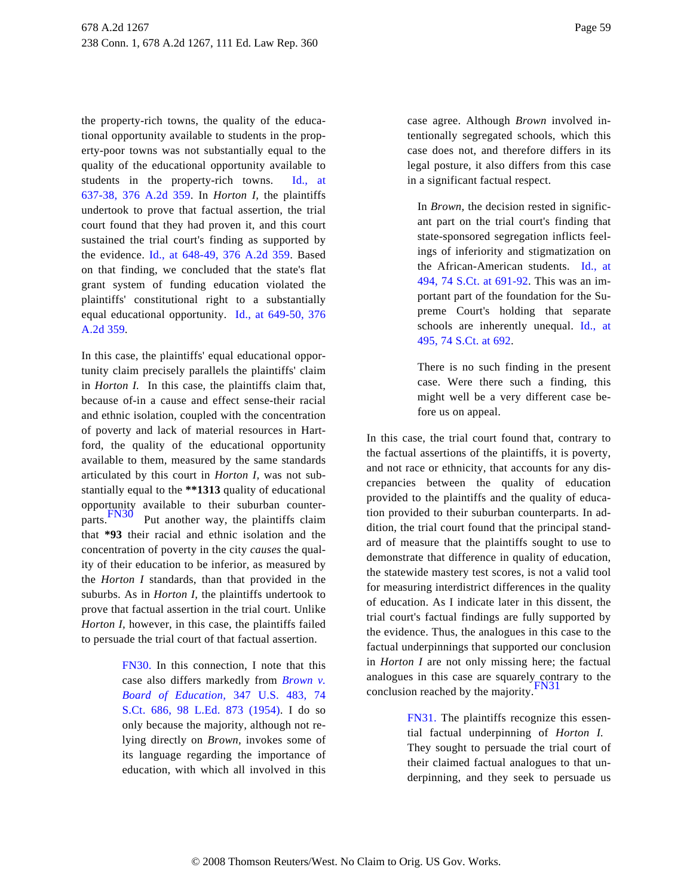the property-rich towns, the quality of the educational opportunity available to students in the property-poor towns was not substantially equal to the quality of the educational opportunity available to students in the property-rich towns. [Id., at](http://www.westlaw.com/Find/Default.wl?rs=dfa1.0&vr=2.0&FindType=Y&SerialNum=1977120164) [637-38, 376 A.2d 35](http://www.westlaw.com/Find/Default.wl?rs=dfa1.0&vr=2.0&DB=162&FindType=Y&SerialNum=1977120164)9. In *Horton I,* the plaintiffs undertook to prove that factual assertion, the trial court found that they had proven it, and this court sustained the trial court's finding as supported by the evidence. [Id., at 648-4](http://www.westlaw.com/Find/Default.wl?rs=dfa1.0&vr=2.0&FindType=Y&SerialNum=1977120164)[9, 376 A.2d 35](http://www.westlaw.com/Find/Default.wl?rs=dfa1.0&vr=2.0&DB=162&FindType=Y&SerialNum=1977120164)9. Based on that finding, we concluded that the state's flat grant system of funding education violated the plaintiffs' constitutional right to a substantially equal educational opportunity. [Id., at 649-50, 376](http://www.westlaw.com/Find/Default.wl?rs=dfa1.0&vr=2.0&DB=162&FindType=Y&SerialNum=1977120164) [A.2d 359](http://www.westlaw.com/Find/Default.wl?rs=dfa1.0&vr=2.0&DB=162&FindType=Y&SerialNum=1977120164).

<span id="page-58-1"></span>In this case, the plaintiffs' equal educational opportunity claim precisely parallels the plaintiffs' claim in *Horton I.* In this case, the plaintiffs claim that, because of-in a cause and effect sense-their racial and ethnic isolation, coupled with the concentration of poverty and lack of material resources in Hartford, the quality of the educational opportunity available to them, measured by the same standards articulated by this court in *Horton I,* was not substantially equal to the **\*\*1313** quality of educational opportunity available to their suburban counterparts.[FN30](#page-58-0) Put another way, the plaintiffs claim that **\*93** their racial and ethnic isolation and the concentration of poverty in the city *causes* the quality of their education to be inferior, as measured by the *Horton I* standards, than that provided in the suburbs. As in *Horton I,* the plaintiffs undertook to prove that factual assertion in the trial court. Unlike *Horton I,* however, in this case, the plaintiffs failed to persuade the trial court of that factual assertion.

> <span id="page-58-3"></span><span id="page-58-2"></span><span id="page-58-0"></span>[FN30.](#page-58-1) In this connection, I note that this case also differs markedly from *[Brown v.](http://www.westlaw.com/Find/Default.wl?rs=dfa1.0&vr=2.0&DB=708&FindType=Y&SerialNum=1954121869) [Board of Educatio](http://www.westlaw.com/Find/Default.wl?rs=dfa1.0&vr=2.0&DB=708&FindType=Y&SerialNum=1954121869)n,* [347 U.S. 483,](http://www.westlaw.com/Find/Default.wl?rs=dfa1.0&vr=2.0&DB=708&FindType=Y&SerialNum=1954121869) 74 [S.Ct. 686, 98 L.Ed. 873 \(19](http://www.westlaw.com/Find/Default.wl?rs=dfa1.0&vr=2.0&DB=708&FindType=Y&SerialNum=1954121869)54). I do so only because the majority, although not relying directly on *Brown,* invokes some of its language regarding the importance of education, with which all involved in this

case agree. Although *Brown* involved intentionally segregated schools, which this case does not, and therefore differs in its legal posture, it also differs from this case in a significant factual respect.

In *Brown,* the decision rested in significant part on the trial court's finding that state-sponsored segregation inflicts feelings of inferiority and stigmatization on the African-American students. [Id., at](http://www.westlaw.com/Find/Default.wl?rs=dfa1.0&vr=2.0&DB=708&FindType=Y&ReferencePositionType=S&SerialNum=1954121869&ReferencePosition=691) [494, 74 S.Ct. at 691-92](http://www.westlaw.com/Find/Default.wl?rs=dfa1.0&vr=2.0&DB=708&FindType=Y&ReferencePositionType=S&SerialNum=1954121869&ReferencePosition=691). This was an important part of the foundation for the Supreme Court's holding that separate schools are inherently unequal. [Id., a](http://www.westlaw.com/Find/Default.wl?rs=dfa1.0&vr=2.0&DB=708&FindType=Y&ReferencePositionType=S&SerialNum=1954121869&ReferencePosition=692)t [495, 74 S.Ct. at 692](http://www.westlaw.com/Find/Default.wl?rs=dfa1.0&vr=2.0&DB=708&FindType=Y&ReferencePositionType=S&SerialNum=1954121869&ReferencePosition=692).

There is no such finding in the present case. Were there such a finding, this might well be a very different case before us on appeal.

In this case, the trial court found that, contrary to the factual assertions of the plaintiffs, it is poverty, and not race or ethnicity, that accounts for any discrepancies between the quality of education provided to the plaintiffs and the quality of education provided to their suburban counterparts. In addition, the trial court found that the principal standard of measure that the plaintiffs sought to use to demonstrate that difference in quality of education, the statewide mastery test scores, is not a valid tool for measuring interdistrict differences in the quality of education. As I indicate later in this dissent, the trial court's factual findings are fully supported by the evidence. Thus, the analogues in this case to the factual underpinnings that supported our conclusion in *Horton I* are not only missing here; the factual analogues in this case are squarely contrary to the conclusion reached by the majority.<sup>1</sup>

> [FN31.](#page-58-3) The plaintiffs recognize this essential factual underpinning of *Horton I.* They sought to persuade the trial court of their claimed factual analogues to that underpinning, and they seek to persuade us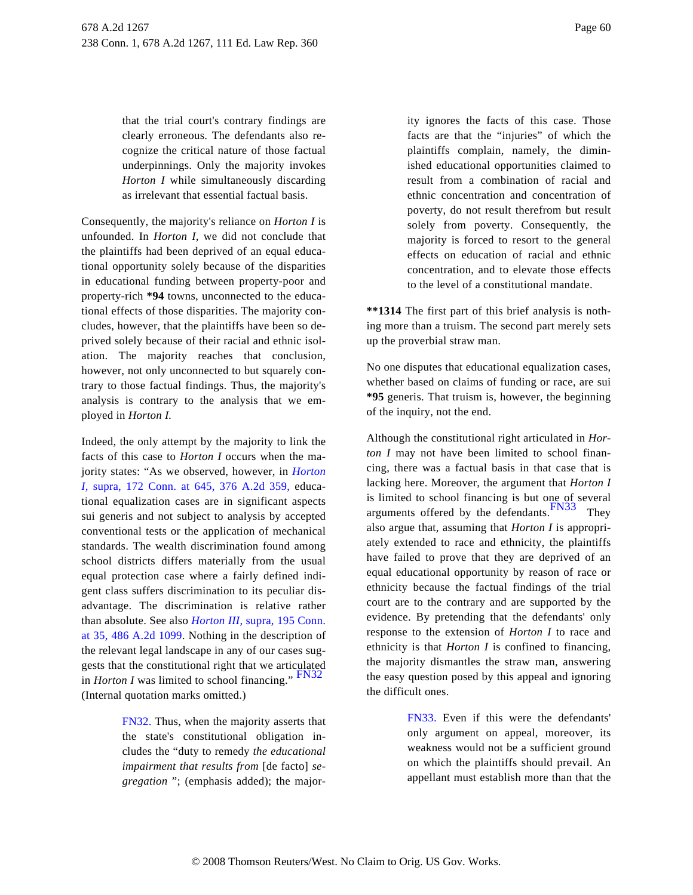that the trial court's contrary findings are clearly erroneous. The defendants also recognize the critical nature of those factual underpinnings. Only the majority invokes *Horton I* while simultaneously discarding as irrelevant that essential factual basis.

Consequently, the majority's reliance on *Horton I* is unfounded. In *Horton I,* we did not conclude that the plaintiffs had been deprived of an equal educational opportunity solely because of the disparities in educational funding between property-poor and property-rich **\*94** towns, unconnected to the educational effects of those disparities. The majority concludes, however, that the plaintiffs have been so deprived solely because of their racial and ethnic isolation. The majority reaches that conclusion, however, not only unconnected to but squarely contrary to those factual findings. Thus, the majority's analysis is contrary to the analysis that we employed in *Horton I.*

<span id="page-59-3"></span>Indeed, the only attempt by the majority to link the facts of this case to *Horton I* occurs when the majority states: "As we observed, however, in *[Horton](http://www.westlaw.com/Find/Default.wl?rs=dfa1.0&vr=2.0&DB=162&FindType=Y&SerialNum=1977120164) [I,](http://www.westlaw.com/Find/Default.wl?rs=dfa1.0&vr=2.0&DB=162&FindType=Y&SerialNum=1977120164)* [supra, 172 Conn. at 645, 376 A.2d 3](http://www.westlaw.com/Find/Default.wl?rs=dfa1.0&vr=2.0&DB=162&FindType=Y&SerialNum=1977120164)59, educational equalization cases are in significant aspects sui generis and not subject to analysis by accepted conventional tests or the application of mechanical standards. The wealth discrimination found among school districts differs materially from the usual equal protection case where a fairly defined indigent class suffers discrimination to its peculiar disadvantage. The discrimination is relative rather than absolute. See also *[Horton III,](http://www.westlaw.com/Find/Default.wl?rs=dfa1.0&vr=2.0&DB=162&FindType=Y&SerialNum=1985102767)* [supra, 195 Conn.](http://www.westlaw.com/Find/Default.wl?rs=dfa1.0&vr=2.0&DB=162&FindType=Y&SerialNum=1985102767) [at 35, 486 A.2d 1099](http://www.westlaw.com/Find/Default.wl?rs=dfa1.0&vr=2.0&DB=162&FindType=Y&SerialNum=1985102767). Nothing in the description of the relevant legal landscape in any of our cases suggests that the constitutional right that we articulated in *Horton I* was limited to school financing."  $\frac{FN32}{FN}$  $\frac{FN32}{FN}$  $\frac{FN32}{FN}$ (Internal quotation marks omitted.)

> <span id="page-59-2"></span><span id="page-59-1"></span><span id="page-59-0"></span>[FN32.](#page-59-1) Thus, when the majority asserts that the state's constitutional obligation includes the "duty to remedy *the educational impairment that results from* [de facto] *segregation* "; (emphasis added); the major

ity ignores the facts of this case. Those facts are that the "injuries" of which the plaintiffs complain, namely, the diminished educational opportunities claimed to result from a combination of racial and ethnic concentration and concentration of poverty, do not result therefrom but result solely from poverty. Consequently, the majority is forced to resort to the general effects on education of racial and ethnic concentration, and to elevate those effects to the level of a constitutional mandate.

**\*\*1314** The first part of this brief analysis is nothing more than a truism. The second part merely sets up the proverbial straw man.

No one disputes that educational equalization cases, whether based on claims of funding or race, are sui **\*95** generis. That truism is, however, the beginning of the inquiry, not the end.

Although the constitutional right articulated in *Horton I* may not have been limited to school financing, there was a factual basis in that case that is lacking here. Moreover, the argument that *Horton I* is limited to school financing is but one of several arguments offered by the defendants. They also argue that, assuming that *Horton I* is appropriately extended to race and ethnicity, the plaintiffs have failed to prove that they are deprived of an equal educational opportunity by reason of race or ethnicity because the factual findings of the trial court are to the contrary and are supported by the evidence. By pretending that the defendants' only response to the extension of *Horton I* to race and ethnicity is that *Horton I* is confined to financing, the majority dismantles the straw man, answering the easy question posed by this appeal and ignoring the difficult ones.

> [FN33.](#page-59-3) Even if this were the defendants' only argument on appeal, moreover, its weakness would not be a sufficient ground on which the plaintiffs should prevail. An appellant must establish more than that the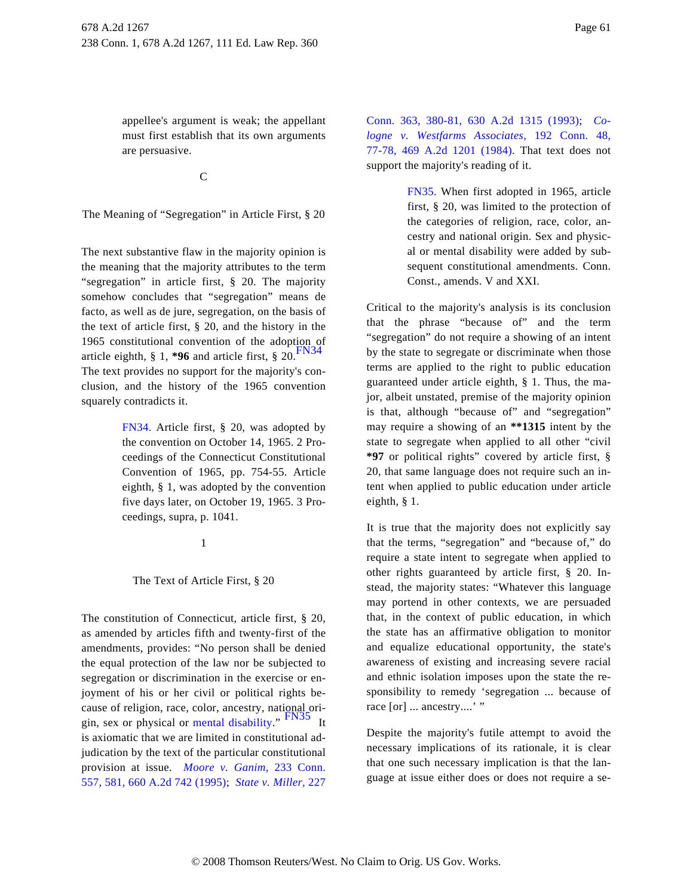appellee's argument is weak; the appellant must first establish that its own arguments are persuasive.

 $\mathcal{C}$ 

<span id="page-60-2"></span>The Meaning of "Segregation" in Article First, § 20

The next substantive flaw in the majority opinion is the meaning that the majority attributes to the term "segregation" in article first, § 20. The majority somehow concludes that "segregation" means de facto, as well as de jure, segregation, on the basis of the text of article first, § 20, and the history in the 1965 constitutional convention of the adoption of article eighth,  $\S$  1,  $*96$  and article first,  $\S$  20. [FN34](#page-60-0) The text provides no support for the majority's conclusion, and the history of the 1965 convention squarely contradicts it.

> <span id="page-60-1"></span><span id="page-60-0"></span>[FN34.](#page-60-1) Article first, § 20, was adopted by the convention on October 14, 1965. 2 Proceedings of the Connecticut Constitutional Convention of 1965, pp. 754-55. Article eighth, § 1, was adopted by the convention five days later, on October 19, 1965. 3 Proceedings, supra, p. 1041.

> > 1

The Text of Article First, § 20

<span id="page-60-3"></span>The constitution of Connecticut, article first, § 20, as amended by articles fifth and twenty-first of the amendments, provides: "No person shall be denied the equal protection of the law nor be subjected to segregation or discrimination in the exercise or enjoyment of his or her civil or political rights because of religion, race, color, ancestry, national origin, sex or physical or [mental disability](http://www.westlaw.com/Find/Default.wl?rs=dfa1.0&vr=2.0&CMD=ML&DocName=Ic94ca545475411db9765f9243f53508a&FindType=UM)." [FN35](#page-60-2) It is axiomatic that we are limited in constitutional adjudication by the text of the particular constitutional provision at issue. *[Moore v. Ganim](http://www.westlaw.com/Find/Default.wl?rs=dfa1.0&vr=2.0&DB=162&FindType=Y&SerialNum=1995132705),* [233 Conn](http://www.westlaw.com/Find/Default.wl?rs=dfa1.0&vr=2.0&DB=162&FindType=Y&SerialNum=1995132705). [557, 581, 660 A.2d 742 \(1995\)](http://www.westlaw.com/Find/Default.wl?rs=dfa1.0&vr=2.0&DB=162&FindType=Y&SerialNum=1995132705); *[State v. Miller](http://www.westlaw.com/Find/Default.wl?rs=dfa1.0&vr=2.0&DB=162&FindType=Y&SerialNum=1993167541),* 227 [Conn. 363, 380-81, 630 A.2d 1315 \(19](http://www.westlaw.com/Find/Default.wl?rs=dfa1.0&vr=2.0&DB=162&FindType=Y&SerialNum=1993167541)93); *[Co](http://www.westlaw.com/Find/Default.wl?rs=dfa1.0&vr=2.0&DB=162&FindType=Y&SerialNum=1984103470)[logne v. Westfarms Associa](http://www.westlaw.com/Find/Default.wl?rs=dfa1.0&vr=2.0&DB=162&FindType=Y&SerialNum=1984103470)tes,* [192 Conn.](http://www.westlaw.com/Find/Default.wl?rs=dfa1.0&vr=2.0&DB=162&FindType=Y&SerialNum=1984103470) 48, [77-78, 469 A.2d 1201 \(198](http://www.westlaw.com/Find/Default.wl?rs=dfa1.0&vr=2.0&DB=162&FindType=Y&SerialNum=1984103470)4). That text does not support the majority's reading of it.

> [FN35.](#page-60-3) When first adopted in 1965, article first, § 20, was limited to the protection of the categories of religion, race, color, ancestry and national origin. Sex and physical or mental disability were added by subsequent constitutional amendments. Conn. Const., amends. V and XXI.

Critical to the majority's analysis is its conclusion that the phrase "because of" and the term "segregation" do not require a showing of an intent by the state to segregate or discriminate when those terms are applied to the right to public education guaranteed under article eighth, § 1. Thus, the major, albeit unstated, premise of the majority opinion is that, although "because of" and "segregation" may require a showing of an **\*\*1315** intent by the state to segregate when applied to all other "civil **\*97** or political rights" covered by article first, § 20, that same language does not require such an intent when applied to public education under article eighth, § 1.

It is true that the majority does not explicitly say that the terms, "segregation" and "because of," do require a state intent to segregate when applied to other rights guaranteed by article first, § 20. Instead, the majority states: "Whatever this language may portend in other contexts, we are persuaded that, in the context of public education, in which the state has an affirmative obligation to monitor and equalize educational opportunity, the state's awareness of existing and increasing severe racial and ethnic isolation imposes upon the state the responsibility to remedy 'segregation ... because of race [or] ... ancestry....'"

Despite the majority's futile attempt to avoid the necessary implications of its rationale, it is clear that one such necessary implication is that the language at issue either does or does not require a se-

© 2008 Thomson Reuters/West. No Claim to Orig. US Gov. Works.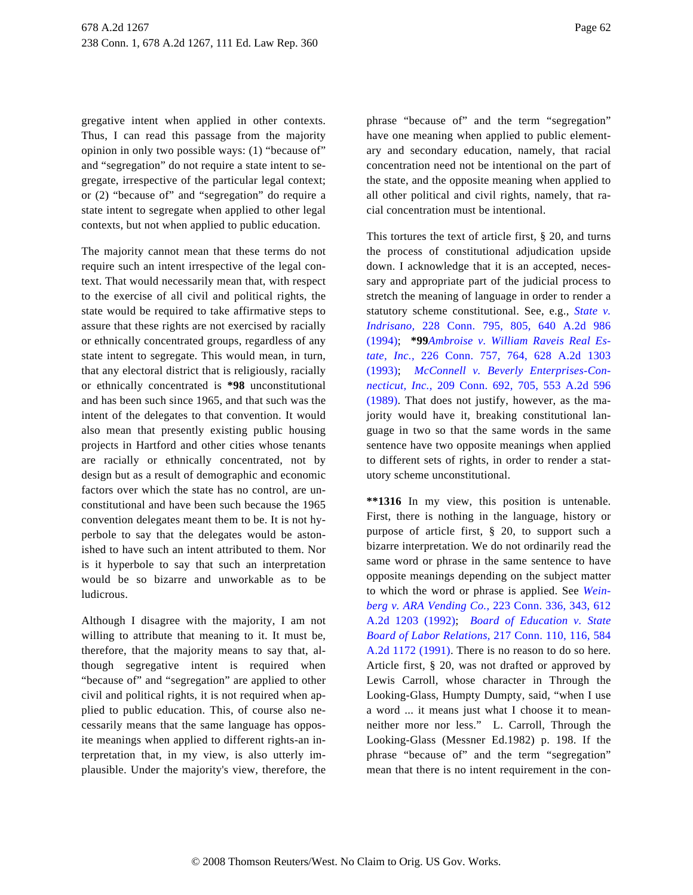gregative intent when applied in other contexts. Thus, I can read this passage from the majority opinion in only two possible ways: (1) "because of" and "segregation" do not require a state intent to segregate, irrespective of the particular legal context; or (2) "because of" and "segregation" do require a state intent to segregate when applied to other legal contexts, but not when applied to public education.

The majority cannot mean that these terms do not require such an intent irrespective of the legal context. That would necessarily mean that, with respect to the exercise of all civil and political rights, the state would be required to take affirmative steps to assure that these rights are not exercised by racially or ethnically concentrated groups, regardless of any state intent to segregate. This would mean, in turn, that any electoral district that is religiously, racially or ethnically concentrated is **\*98** unconstitutional and has been such since 1965, and that such was the intent of the delegates to that convention. It would also mean that presently existing public housing projects in Hartford and other cities whose tenants are racially or ethnically concentrated, not by design but as a result of demographic and economic factors over which the state has no control, are unconstitutional and have been such because the 1965 convention delegates meant them to be. It is not hyperbole to say that the delegates would be astonished to have such an intent attributed to them. Nor is it hyperbole to say that such an interpretation would be so bizarre and unworkable as to be ludicrous.

Although I disagree with the majority, I am not willing to attribute that meaning to it. It must be, therefore, that the majority means to say that, although segregative intent is required when "because of" and "segregation" are applied to other civil and political rights, it is not required when applied to public education. This, of course also necessarily means that the same language has opposite meanings when applied to different rights-an interpretation that, in my view, is also utterly implausible. Under the majority's view, therefore, the phrase "because of" and the term "segregation" have one meaning when applied to public elementary and secondary education, namely, that racial concentration need not be intentional on the part of the state, and the opposite meaning when applied to all other political and civil rights, namely, that racial concentration must be intentional.

This tortures the text of article first,  $\S$  20, and turns the process of constitutional adjudication upside down. I acknowledge that it is an accepted, necessary and appropriate part of the judicial process to stretch the meaning of language in order to render a statutory scheme constitutional. See, e.g., *[State v.](http://www.westlaw.com/Find/Default.wl?rs=dfa1.0&vr=2.0&DB=162&FindType=Y&SerialNum=1994077715) [Indrisano,](http://www.westlaw.com/Find/Default.wl?rs=dfa1.0&vr=2.0&DB=162&FindType=Y&SerialNum=1994077715)* [228 Conn. 795, 805, 640 A.2d](http://www.westlaw.com/Find/Default.wl?rs=dfa1.0&vr=2.0&DB=162&FindType=Y&SerialNum=1994077715) 986 [\(1994\);](http://www.westlaw.com/Find/Default.wl?rs=dfa1.0&vr=2.0&DB=162&FindType=Y&SerialNum=1994077715) **\*99***[Ambroise v. William Raveis Real E](http://www.westlaw.com/Find/Default.wl?rs=dfa1.0&vr=2.0&DB=162&FindType=Y&SerialNum=1993155629)s[tate, Inc](http://www.westlaw.com/Find/Default.wl?rs=dfa1.0&vr=2.0&DB=162&FindType=Y&SerialNum=1993155629).,* [226 Conn. 757, 764, 628 A.2d](http://www.westlaw.com/Find/Default.wl?rs=dfa1.0&vr=2.0&DB=162&FindType=Y&SerialNum=1993155629) 1303 [\(1993\);](http://www.westlaw.com/Find/Default.wl?rs=dfa1.0&vr=2.0&DB=162&FindType=Y&SerialNum=1993155629) *[McConnell v. Beverly Enterprises-Co](http://www.westlaw.com/Find/Default.wl?rs=dfa1.0&vr=2.0&DB=162&FindType=Y&SerialNum=1989019312)n[necticut, Inc.](http://www.westlaw.com/Find/Default.wl?rs=dfa1.0&vr=2.0&DB=162&FindType=Y&SerialNum=1989019312),* [209 Conn. 692, 705, 553 A.2d 5](http://www.westlaw.com/Find/Default.wl?rs=dfa1.0&vr=2.0&DB=162&FindType=Y&SerialNum=1989019312)96 [\(1989\).](http://www.westlaw.com/Find/Default.wl?rs=dfa1.0&vr=2.0&DB=162&FindType=Y&SerialNum=1989019312) That does not justify, however, as the majority would have it, breaking constitutional language in two so that the same words in the same sentence have two opposite meanings when applied to different sets of rights, in order to render a statutory scheme unconstitutional.

**\*\*1316** In my view, this position is untenable. First, there is nothing in the language, history or purpose of article first, § 20, to support such a bizarre interpretation. We do not ordinarily read the same word or phrase in the same sentence to have opposite meanings depending on the subject matter to which the word or phrase is applied. See *[Wein](http://www.westlaw.com/Find/Default.wl?rs=dfa1.0&vr=2.0&DB=162&FindType=Y&SerialNum=1992138625)[berg v. ARA Vending Co.](http://www.westlaw.com/Find/Default.wl?rs=dfa1.0&vr=2.0&DB=162&FindType=Y&SerialNum=1992138625),* [223 Conn. 336, 343, 612](http://www.westlaw.com/Find/Default.wl?rs=dfa1.0&vr=2.0&DB=162&FindType=Y&SerialNum=1992138625) [A.2d 1203 \(1992](http://www.westlaw.com/Find/Default.wl?rs=dfa1.0&vr=2.0&DB=162&FindType=Y&SerialNum=1992138625)); *[Board of Education v. Sta](http://www.westlaw.com/Find/Default.wl?rs=dfa1.0&vr=2.0&DB=162&FindType=Y&SerialNum=1991020234)te [Board of Labor Relations](http://www.westlaw.com/Find/Default.wl?rs=dfa1.0&vr=2.0&DB=162&FindType=Y&SerialNum=1991020234),* [217 Conn. 110, 116, 584](http://www.westlaw.com/Find/Default.wl?rs=dfa1.0&vr=2.0&DB=162&FindType=Y&SerialNum=1991020234) [A.2d 1172 \(1991\)](http://www.westlaw.com/Find/Default.wl?rs=dfa1.0&vr=2.0&DB=162&FindType=Y&SerialNum=1991020234). There is no reason to do so here. Article first, § 20, was not drafted or approved by Lewis Carroll, whose character in Through the Looking-Glass, Humpty Dumpty, said, "when I use a word ... it means just what I choose it to meanneither more nor less." L. Carroll, Through the Looking-Glass (Messner Ed.1982) p. 198. If the phrase "because of" and the term "segregation" mean that there is no intent requirement in the con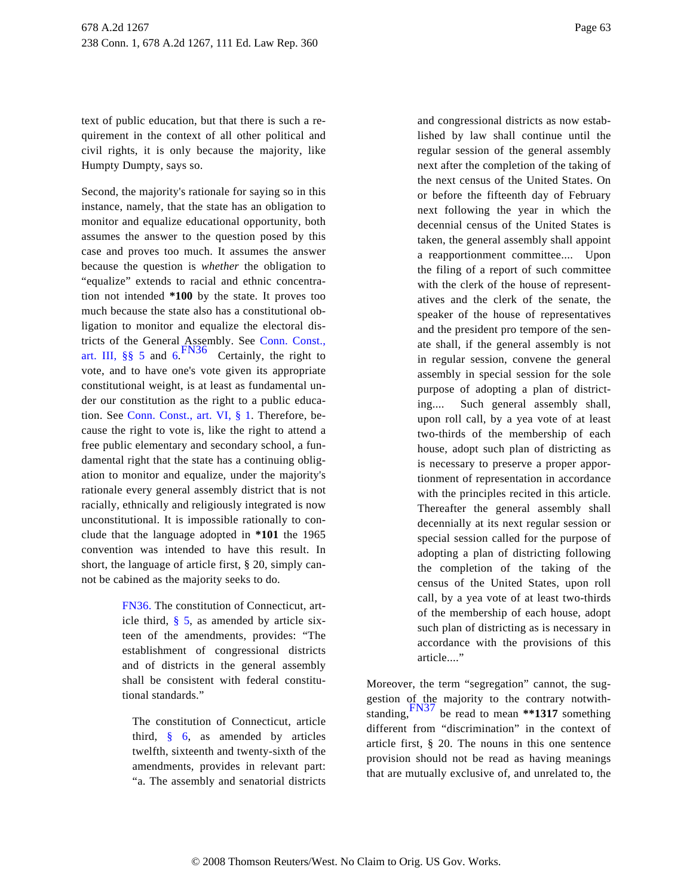text of public education, but that there is such a requirement in the context of all other political and civil rights, it is only because the majority, like Humpty Dumpty, says so.

<span id="page-62-1"></span>Second, the majority's rationale for saying so in this instance, namely, that the state has an obligation to monitor and equalize educational opportunity, both assumes the answer to the question posed by this case and proves too much. It assumes the answer because the question is *whether* the obligation to "equalize" extends to racial and ethnic concentration not intended **\*100** by the state. It proves too much because the state also has a constitutional obligation to monitor and equalize the electoral districts of the General Assembly. See [Conn. Const.,](http://www.westlaw.com/Find/Default.wl?rs=dfa1.0&vr=2.0&DB=1000264&DocName=CTCNART3S5&FindType=L) art. III,  $\S$  5 and [6](http://www.westlaw.com/Find/Default.wl?rs=dfa1.0&vr=2.0&DB=1000264&DocName=CTCNART3S6&FindType=L). [FN36](#page-62-0) Certainly, the right to vote, and to have one's vote given its appropriate constitutional weight, is at least as fundamental under our constitution as the right to a public education. See [Conn. Const., art. VI, §](http://www.westlaw.com/Find/Default.wl?rs=dfa1.0&vr=2.0&DB=1000264&DocName=CTCNART6S1&FindType=L) 1. Therefore, because the right to vote is, like the right to attend a free public elementary and secondary school, a fundamental right that the state has a continuing obligation to monitor and equalize, under the majority's rationale every general assembly district that is not racially, ethnically and religiously integrated is now unconstitutional. It is impossible rationally to conclude that the language adopted in **\*101** the 1965 convention was intended to have this result. In short, the language of article first, § 20, simply cannot be cabined as the majority seeks to do.

> <span id="page-62-0"></span>[FN36.](#page-62-1) The constitution of Connecticut, article third,  $\S$  5, as amended by article sixteen of the amendments, provides: "The establishment of congressional districts and of districts in the general assembly shall be consistent with federal constitutional standards."

<span id="page-62-2"></span>The constitution of Connecticut, article third,  $\frac{8}{9}$  6, as amended by articles twelfth, sixteenth and twenty-sixth of the amendments, provides in relevant part: "a. The assembly and senatorial districts

and congressional districts as now established by law shall continue until the regular session of the general assembly next after the completion of the taking of the next census of the United States. On or before the fifteenth day of February next following the year in which the decennial census of the United States is taken, the general assembly shall appoint a reapportionment committee.... Upon the filing of a report of such committee with the clerk of the house of representatives and the clerk of the senate, the speaker of the house of representatives and the president pro tempore of the senate shall, if the general assembly is not in regular session, convene the general assembly in special session for the sole purpose of adopting a plan of districting.... Such general assembly shall, upon roll call, by a yea vote of at least two-thirds of the membership of each house, adopt such plan of districting as is necessary to preserve a proper apportionment of representation in accordance with the principles recited in this article. Thereafter the general assembly shall decennially at its next regular session or special session called for the purpose of adopting a plan of districting following the completion of the taking of the census of the United States, upon roll call, by a yea vote of at least two-thirds of the membership of each house, adopt such plan of districting as is necessary in accordance with the provisions of this

Moreover, the term "segregation" cannot, the suggestion of the majority to the contrary notwithstanding,[FN37](#page-63-0) be read to mean **\*\*1317** something different from "discrimination" in the context of article first, § 20. The nouns in this one sentence provision should not be read as having meanings that are mutually exclusive of, and unrelated to, the

article...."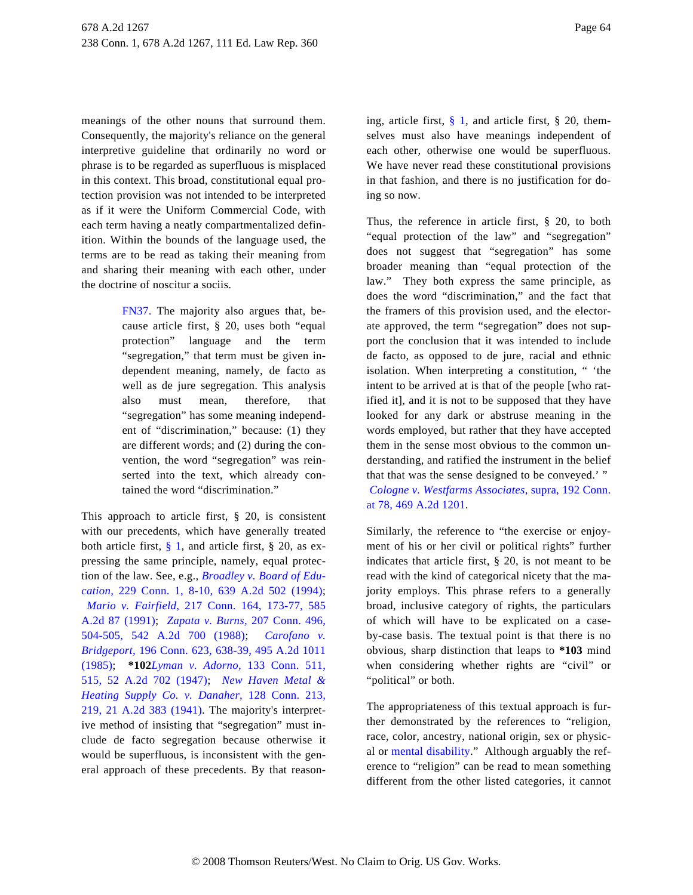meanings of the other nouns that surround them. Consequently, the majority's reliance on the general interpretive guideline that ordinarily no word or phrase is to be regarded as superfluous is misplaced in this context. This broad, constitutional equal protection provision was not intended to be interpreted as if it were the Uniform Commercial Code, with each term having a neatly compartmentalized definition. Within the bounds of the language used, the terms are to be read as taking their meaning from and sharing their meaning with each other, under the doctrine of noscitur a sociis.

> <span id="page-63-0"></span>[FN37.](#page-62-2) The majority also argues that, because article first, § 20, uses both "equal protection" language and the term "segregation," that term must be given independent meaning, namely, de facto as well as de jure segregation. This analysis also must mean, therefore, that "segregation" has some meaning independent of "discrimination," because: (1) they are different words; and (2) during the convention, the word "segregation" was reinserted into the text, which already contained the word "discrimination."

This approach to article first,  $\S$  20, is consistent with our precedents, which have generally treated both article first,  $\S$  1, and article first,  $\S$  20, as expressing the same principle, namely, equal protection of the law. See, e.g., *[Broadley v. Board of Edu](http://www.westlaw.com/Find/Default.wl?rs=dfa1.0&vr=2.0&DB=162&FindType=Y&SerialNum=1994077716)[cation,](http://www.westlaw.com/Find/Default.wl?rs=dfa1.0&vr=2.0&DB=162&FindType=Y&SerialNum=1994077716)* [229 Conn. 1, 8-10, 639 A.2d 502 \(19](http://www.westlaw.com/Find/Default.wl?rs=dfa1.0&vr=2.0&DB=162&FindType=Y&SerialNum=1994077716)94); *[Mario v. Fairfield](http://www.westlaw.com/Find/Default.wl?rs=dfa1.0&vr=2.0&DB=162&FindType=Y&SerialNum=1991027617),* [217 Conn. 164, 173-77, 5](http://www.westlaw.com/Find/Default.wl?rs=dfa1.0&vr=2.0&DB=162&FindType=Y&SerialNum=1991027617)85 [A.2d 87 \(1991](http://www.westlaw.com/Find/Default.wl?rs=dfa1.0&vr=2.0&DB=162&FindType=Y&SerialNum=1991027617)); *[Zapata v. Burns](http://www.westlaw.com/Find/Default.wl?rs=dfa1.0&vr=2.0&DB=162&FindType=Y&SerialNum=1988066061),* [207 Conn. 496](http://www.westlaw.com/Find/Default.wl?rs=dfa1.0&vr=2.0&DB=162&FindType=Y&SerialNum=1988066061), [504-505, 542 A.2d 700 \(1](http://www.westlaw.com/Find/Default.wl?rs=dfa1.0&vr=2.0&DB=162&FindType=Y&SerialNum=1988066061)988); *[Carofano v](http://www.westlaw.com/Find/Default.wl?rs=dfa1.0&vr=2.0&DB=162&FindType=Y&SerialNum=1985138332). [Bridgeport,](http://www.westlaw.com/Find/Default.wl?rs=dfa1.0&vr=2.0&DB=162&FindType=Y&SerialNum=1985138332)* [196 Conn. 623, 638-39, 495 A.2d 1011](http://www.westlaw.com/Find/Default.wl?rs=dfa1.0&vr=2.0&DB=162&FindType=Y&SerialNum=1985138332) [\(1985\);](http://www.westlaw.com/Find/Default.wl?rs=dfa1.0&vr=2.0&DB=162&FindType=Y&SerialNum=1985138332) **\*102***[Lyman v. Adorn](http://www.westlaw.com/Find/Default.wl?rs=dfa1.0&vr=2.0&DB=162&FindType=Y&SerialNum=1947110655)o,* [133 Conn. 51](http://www.westlaw.com/Find/Default.wl?rs=dfa1.0&vr=2.0&DB=162&FindType=Y&SerialNum=1947110655)1, [515, 52 A.2d 702 \(194](http://www.westlaw.com/Find/Default.wl?rs=dfa1.0&vr=2.0&DB=162&FindType=Y&SerialNum=1947110655)7); *[New Haven Metal &](http://www.westlaw.com/Find/Default.wl?rs=dfa1.0&vr=2.0&DB=162&FindType=Y&SerialNum=1941114904) [Heating Supply Co. v. Danah](http://www.westlaw.com/Find/Default.wl?rs=dfa1.0&vr=2.0&DB=162&FindType=Y&SerialNum=1941114904)er,* [128 Conn. 213](http://www.westlaw.com/Find/Default.wl?rs=dfa1.0&vr=2.0&DB=162&FindType=Y&SerialNum=1941114904), [219, 21 A.2d 383 \(1941](http://www.westlaw.com/Find/Default.wl?rs=dfa1.0&vr=2.0&DB=162&FindType=Y&SerialNum=1941114904)). The majority's interpretive method of insisting that "segregation" must include de facto segregation because otherwise it would be superfluous, is inconsistent with the general approach of these precedents. By that reasoning, article first,  $\S$  1, and article first,  $\S$  20, themselves must also have meanings independent of each other, otherwise one would be superfluous. We have never read these constitutional provisions in that fashion, and there is no justification for doing so now.

Thus, the reference in article first, § 20, to both "equal protection of the law" and "segregation" does not suggest that "segregation" has some broader meaning than "equal protection of the law." They both express the same principle, as does the word "discrimination," and the fact that the framers of this provision used, and the electorate approved, the term "segregation" does not support the conclusion that it was intended to include de facto, as opposed to de jure, racial and ethnic isolation. When interpreting a constitution, " 'the intent to be arrived at is that of the people [who ratified it], and it is not to be supposed that they have looked for any dark or abstruse meaning in the words employed, but rather that they have accepted them in the sense most obvious to the common understanding, and ratified the instrument in the belief that that was the sense designed to be conveyed.' "

*[Cologne v. Westfarms Associates,](http://www.westlaw.com/Find/Default.wl?rs=dfa1.0&vr=2.0&DB=162&FindType=Y&SerialNum=1984103470)* [supra, 192 Conn.](http://www.westlaw.com/Find/Default.wl?rs=dfa1.0&vr=2.0&DB=162&FindType=Y&SerialNum=1984103470) [at 78, 469 A.2d 1201](http://www.westlaw.com/Find/Default.wl?rs=dfa1.0&vr=2.0&DB=162&FindType=Y&SerialNum=1984103470).

Similarly, the reference to "the exercise or enjoyment of his or her civil or political rights" further indicates that article first, § 20, is not meant to be read with the kind of categorical nicety that the majority employs. This phrase refers to a generally broad, inclusive category of rights, the particulars of which will have to be explicated on a caseby-case basis. The textual point is that there is no obvious, sharp distinction that leaps to **\*103** mind when considering whether rights are "civil" or "political" or both.

The appropriateness of this textual approach is further demonstrated by the references to "religion, race, color, ancestry, national origin, sex or physical or [mental disability](http://www.westlaw.com/Find/Default.wl?rs=dfa1.0&vr=2.0&CMD=ML&DocName=Ic94ca545475411db9765f9243f53508a&FindType=UM)." Although arguably the reference to "religion" can be read to mean something different from the other listed categories, it cannot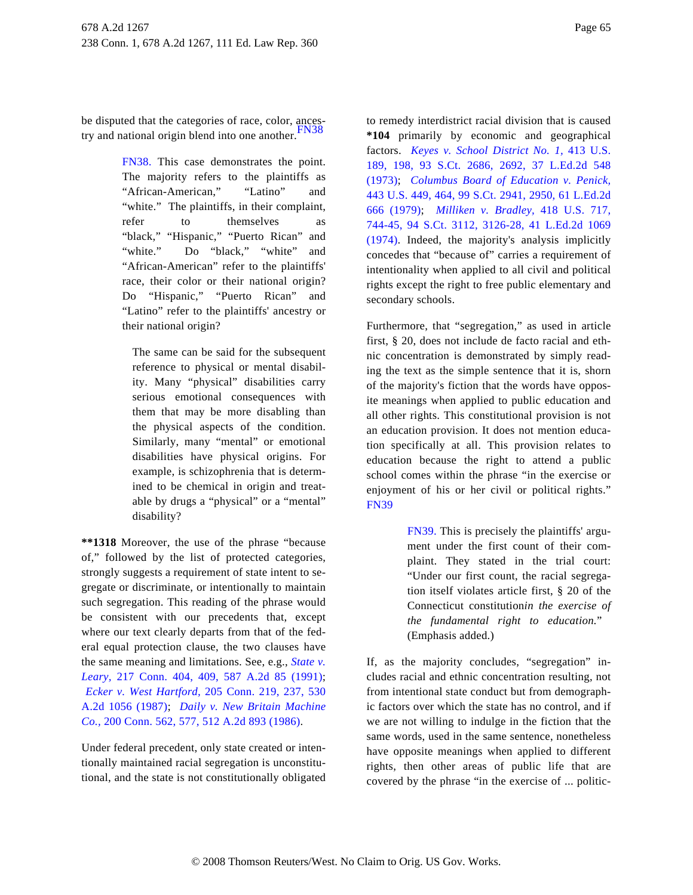<span id="page-64-1"></span><span id="page-64-0"></span>be disputed that the categories of race, color, ances-try and national origin blend into one another. [FN38](#page-64-0)

> [FN38.](#page-64-1) This case demonstrates the point. The majority refers to the plaintiffs as "African-American," "Latino" and "white." The plaintiffs, in their complaint, refer to themselves as "black," "Hispanic," "Puerto Rican" and "white." Do "black," "white" and "African-American" refer to the plaintiffs' race, their color or their national origin? Do "Hispanic," "Puerto Rican" and "Latino" refer to the plaintiffs' ancestry or their national origin?

The same can be said for the subsequent reference to physical or mental disability. Many "physical" disabilities carry serious emotional consequences with them that may be more disabling than the physical aspects of the condition. Similarly, many "mental" or emotional disabilities have physical origins. For example, is schizophrenia that is determined to be chemical in origin and treatable by drugs a "physical" or a "mental" disability?

<span id="page-64-3"></span><span id="page-64-2"></span>**\*\*1318** Moreover, the use of the phrase "because of," followed by the list of protected categories, strongly suggests a requirement of state intent to segregate or discriminate, or intentionally to maintain such segregation. This reading of the phrase would be consistent with our precedents that, except where our text clearly departs from that of the federal equal protection clause, the two clauses have the same meaning and limitations. See, e.g., *[State v.](http://www.westlaw.com/Find/Default.wl?rs=dfa1.0&vr=2.0&DB=162&FindType=Y&SerialNum=1991038319) [Leary,](http://www.westlaw.com/Find/Default.wl?rs=dfa1.0&vr=2.0&DB=162&FindType=Y&SerialNum=1991038319)* [217 Conn. 404, 409, 587 A.2d 85 \(19](http://www.westlaw.com/Find/Default.wl?rs=dfa1.0&vr=2.0&DB=162&FindType=Y&SerialNum=1991038319)91); *[Ecker v. West Hartford](http://www.westlaw.com/Find/Default.wl?rs=dfa1.0&vr=2.0&DB=162&FindType=Y&SerialNum=1987111151),* [205 Conn. 219, 237, 530](http://www.westlaw.com/Find/Default.wl?rs=dfa1.0&vr=2.0&DB=162&FindType=Y&SerialNum=1987111151) [A.2d 1056 \(1987](http://www.westlaw.com/Find/Default.wl?rs=dfa1.0&vr=2.0&DB=162&FindType=Y&SerialNum=1987111151)); *[Daily v. New Britain Machin](http://www.westlaw.com/Find/Default.wl?rs=dfa1.0&vr=2.0&DB=162&FindType=Y&SerialNum=1986138170)e [Co.,](http://www.westlaw.com/Find/Default.wl?rs=dfa1.0&vr=2.0&DB=162&FindType=Y&SerialNum=1986138170)* [200 Conn. 562, 577, 512 A.2d 893 \(1986\)](http://www.westlaw.com/Find/Default.wl?rs=dfa1.0&vr=2.0&DB=162&FindType=Y&SerialNum=1986138170).

Under federal precedent, only state created or intentionally maintained racial segregation is unconstitutional, and the state is not constitutionally obligated to remedy interdistrict racial division that is caused **\*104** primarily by economic and geographical factors. *[Keyes v. School District No.](http://www.westlaw.com/Find/Default.wl?rs=dfa1.0&vr=2.0&DB=708&FindType=Y&ReferencePositionType=S&SerialNum=1973126444&ReferencePosition=2692) 1,* [413 U.S](http://www.westlaw.com/Find/Default.wl?rs=dfa1.0&vr=2.0&DB=708&FindType=Y&ReferencePositionType=S&SerialNum=1973126444&ReferencePosition=2692). [189, 198, 93 S.Ct. 2686, 2692, 37 L.Ed.2d](http://www.westlaw.com/Find/Default.wl?rs=dfa1.0&vr=2.0&DB=708&FindType=Y&ReferencePositionType=S&SerialNum=1973126444&ReferencePosition=2692) 548 [\(1973\);](http://www.westlaw.com/Find/Default.wl?rs=dfa1.0&vr=2.0&DB=708&FindType=Y&ReferencePositionType=S&SerialNum=1973126444&ReferencePosition=2692) *[Columbus Board of Education v. Penick](http://www.westlaw.com/Find/Default.wl?rs=dfa1.0&vr=2.0&DB=708&FindType=Y&ReferencePositionType=S&SerialNum=1979135174&ReferencePosition=2950),* [443 U.S. 449, 464, 99 S.Ct. 2941, 2950, 61 L.Ed.2d](http://www.westlaw.com/Find/Default.wl?rs=dfa1.0&vr=2.0&DB=708&FindType=Y&ReferencePositionType=S&SerialNum=1979135174&ReferencePosition=2950) [666 \(1979](http://www.westlaw.com/Find/Default.wl?rs=dfa1.0&vr=2.0&DB=708&FindType=Y&ReferencePositionType=S&SerialNum=1979135174&ReferencePosition=2950)); *[Milliken v. Bradle](http://www.westlaw.com/Find/Default.wl?rs=dfa1.0&vr=2.0&DB=708&FindType=Y&ReferencePositionType=S&SerialNum=1974127253&ReferencePosition=3126)y,* [418 U.S. 71](http://www.westlaw.com/Find/Default.wl?rs=dfa1.0&vr=2.0&DB=708&FindType=Y&ReferencePositionType=S&SerialNum=1974127253&ReferencePosition=3126)7, [744-45, 94 S.Ct. 3112, 3126-28, 41 L.Ed.2d 106](http://www.westlaw.com/Find/Default.wl?rs=dfa1.0&vr=2.0&DB=708&FindType=Y&ReferencePositionType=S&SerialNum=1974127253&ReferencePosition=3126)9 [\(1974\).](http://www.westlaw.com/Find/Default.wl?rs=dfa1.0&vr=2.0&DB=708&FindType=Y&ReferencePositionType=S&SerialNum=1974127253&ReferencePosition=3126) Indeed, the majority's analysis implicitly concedes that "because of" carries a requirement of intentionality when applied to all civil and political rights except the right to free public elementary and secondary schools.

Furthermore, that "segregation," as used in article first, § 20, does not include de facto racial and ethnic concentration is demonstrated by simply reading the text as the simple sentence that it is, shorn of the majority's fiction that the words have opposite meanings when applied to public education and all other rights. This constitutional provision is not an education provision. It does not mention education specifically at all. This provision relates to education because the right to attend a public school comes within the phrase "in the exercise or enjoyment of his or her civil or political rights." [FN39](#page-64-2)

> [FN39.](#page-64-3) This is precisely the plaintiffs' argument under the first count of their complaint. They stated in the trial court: "Under our first count, the racial segregation itself violates article first, § 20 of the Connecticut constitution*in the exercise of the fundamental right to education.*" (Emphasis added.)

If, as the majority concludes, "segregation" includes racial and ethnic concentration resulting, not from intentional state conduct but from demographic factors over which the state has no control, and if we are not willing to indulge in the fiction that the same words, used in the same sentence, nonetheless have opposite meanings when applied to different rights, then other areas of public life that are covered by the phrase "in the exercise of ... politic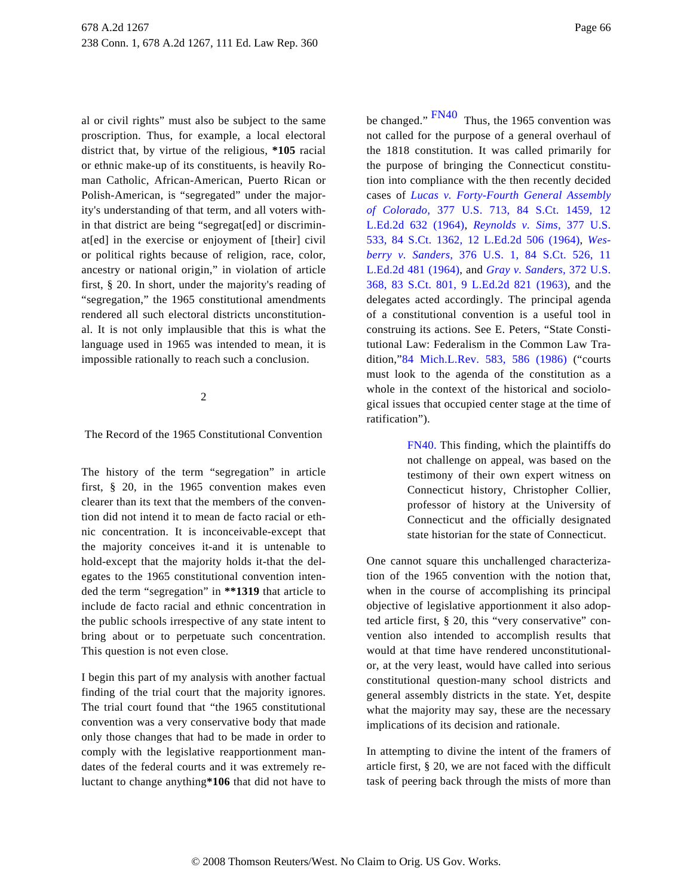<span id="page-65-1"></span>al or civil rights" must also be subject to the same proscription. Thus, for example, a local electoral district that, by virtue of the religious, **\*105** racial or ethnic make-up of its constituents, is heavily Roman Catholic, African-American, Puerto Rican or Polish-American, is "segregated" under the majority's understanding of that term, and all voters within that district are being "segregat[ed] or discriminat[ed] in the exercise or enjoyment of [their] civil or political rights because of religion, race, color, ancestry or national origin," in violation of article first, § 20. In short, under the majority's reading of "segregation," the 1965 constitutional amendments rendered all such electoral districts unconstitutional. It is not only implausible that this is what the language used in 1965 was intended to mean, it is impossible rationally to reach such a conclusion.

### 2

#### <span id="page-65-0"></span>The Record of the 1965 Constitutional Convention

The history of the term "segregation" in article first, § 20, in the 1965 convention makes even clearer than its text that the members of the convention did not intend it to mean de facto racial or ethnic concentration. It is inconceivable-except that the majority conceives it-and it is untenable to hold-except that the majority holds it-that the delegates to the 1965 constitutional convention intended the term "segregation" in **\*\*1319** that article to include de facto racial and ethnic concentration in the public schools irrespective of any state intent to bring about or to perpetuate such concentration. This question is not even close.

I begin this part of my analysis with another factual finding of the trial court that the majority ignores. The trial court found that "the 1965 constitutional convention was a very conservative body that made only those changes that had to be made in order to comply with the legislative reapportionment mandates of the federal courts and it was extremely reluctant to change anything**\*106** that did not have to

be changed." [FN40](#page-65-0) Thus, the 1965 convention was not called for the purpose of a general overhaul of the 1818 constitution. It was called primarily for the purpose of bringing the Connecticut constitution into compliance with the then recently decided cases of *[Lucas v. Forty-Fourth General Assembl](http://www.westlaw.com/Find/Default.wl?rs=dfa1.0&vr=2.0&DB=708&FindType=Y&SerialNum=1964124848)y [of Colorado](http://www.westlaw.com/Find/Default.wl?rs=dfa1.0&vr=2.0&DB=708&FindType=Y&SerialNum=1964124848),* [377 U.S. 713, 84 S.Ct. 145](http://www.westlaw.com/Find/Default.wl?rs=dfa1.0&vr=2.0&DB=708&FindType=Y&SerialNum=1964124848)9, 12 [L.Ed.2d 632 \(1964](http://www.westlaw.com/Find/Default.wl?rs=dfa1.0&vr=2.0&DB=708&FindType=Y&SerialNum=1964124848)), *[Reynolds v. Sim](http://www.westlaw.com/Find/Default.wl?rs=dfa1.0&vr=2.0&DB=708&FindType=Y&SerialNum=1964124843)s,* [377 U.S](http://www.westlaw.com/Find/Default.wl?rs=dfa1.0&vr=2.0&DB=708&FindType=Y&SerialNum=1964124843). [533, 84 S.Ct. 1362, 12 L.Ed.2d 506 \(196](http://www.westlaw.com/Find/Default.wl?rs=dfa1.0&vr=2.0&DB=708&FindType=Y&SerialNum=1964124843)4), *[Wes](http://www.westlaw.com/Find/Default.wl?rs=dfa1.0&vr=2.0&DB=708&FindType=Y&SerialNum=1964106410)[berry v. Sander](http://www.westlaw.com/Find/Default.wl?rs=dfa1.0&vr=2.0&DB=708&FindType=Y&SerialNum=1964106410)s,* [376 U.S. 1, 84 S.Ct. 526](http://www.westlaw.com/Find/Default.wl?rs=dfa1.0&vr=2.0&DB=708&FindType=Y&SerialNum=1964106410), 11 [L.Ed.2d 481 \(1964\)](http://www.westlaw.com/Find/Default.wl?rs=dfa1.0&vr=2.0&DB=708&FindType=Y&SerialNum=1964106410), and *[Gray v. Sanders,](http://www.westlaw.com/Find/Default.wl?rs=dfa1.0&vr=2.0&DB=708&FindType=Y&SerialNum=1963102082)* 372 U.S. [368, 83 S.Ct. 801, 9 L.Ed.2d 821 \(196](http://www.westlaw.com/Find/Default.wl?rs=dfa1.0&vr=2.0&DB=708&FindType=Y&SerialNum=1963102082)3), and the delegates acted accordingly. The principal agenda of a constitutional convention is a useful tool in construing its actions. See E. Peters, "State Constitutional Law: Federalism in the Common Law Tra[dition,"84 Mich.L.Rev. 583, 586 \(19](http://www.westlaw.com/Find/Default.wl?rs=dfa1.0&vr=2.0&DB=1192&FindType=Y&ReferencePositionType=S&SerialNum=0101991721&ReferencePosition=586)86) ("courts must look to the agenda of the constitution as a whole in the context of the historical and sociological issues that occupied center stage at the time of ratification").

> [FN40.](#page-65-1) This finding, which the plaintiffs do not challenge on appeal, was based on the testimony of their own expert witness on Connecticut history, Christopher Collier, professor of history at the University of Connecticut and the officially designated state historian for the state of Connecticut.

One cannot square this unchallenged characterization of the 1965 convention with the notion that, when in the course of accomplishing its principal objective of legislative apportionment it also adopted article first, § 20, this "very conservative" convention also intended to accomplish results that would at that time have rendered unconstitutionalor, at the very least, would have called into serious constitutional question-many school districts and general assembly districts in the state. Yet, despite what the majority may say, these are the necessary implications of its decision and rationale.

In attempting to divine the intent of the framers of article first, § 20, we are not faced with the difficult task of peering back through the mists of more than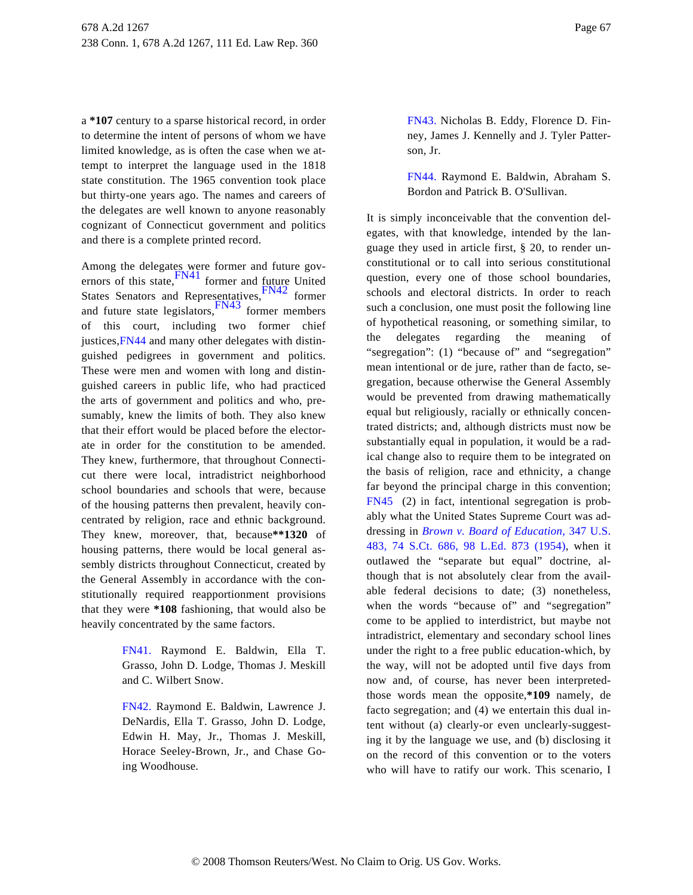<span id="page-66-3"></span><span id="page-66-2"></span>a **\*107** century to a sparse historical record, in order to determine the intent of persons of whom we have limited knowledge, as is often the case when we attempt to interpret the language used in the 1818 state constitution. The 1965 convention took place but thirty-one years ago. The names and careers of the delegates are well known to anyone reasonably cognizant of Connecticut government and politics and there is a complete printed record.

<span id="page-66-7"></span><span id="page-66-6"></span><span id="page-66-5"></span><span id="page-66-4"></span>Among the delegates were former and future governors of this state,<br>[FN41](#page-66-0) former and <u>future</u> United States Senators and Representatives, [FN42](#page-66-1) former and future state legislators, [FN43](#page-66-2) former members of this court, including two former chief [justice](#page-66-3)s, FN44 and many other delegates with distinguished pedigrees in government and politics. These were men and women with long and distinguished careers in public life, who had practiced the arts of government and politics and who, presumably, knew the limits of both. They also knew that their effort would be placed before the electorate in order for the constitution to be amended. They knew, furthermore, that throughout Connecticut there were local, intradistrict neighborhood school boundaries and schools that were, because of the housing patterns then prevalent, heavily concentrated by religion, race and ethnic background. They knew, moreover, that, because**\*\*1320** of housing patterns, there would be local general assembly districts throughout Connecticut, created by the General Assembly in accordance with the constitutionally required reapportionment provisions that they were **\*108** fashioning, that would also be heavily concentrated by the same factors.

> <span id="page-66-8"></span><span id="page-66-0"></span>[FN41.](#page-66-4) Raymond E. Baldwin, Ella T. Grasso, John D. Lodge, Thomas J. Meskill and C. Wilbert Snow.

> <span id="page-66-1"></span>[FN42.](#page-66-5) Raymond E. Baldwin, Lawrence J. DeNardis, Ella T. Grasso, John D. Lodge, Edwin H. May, Jr., Thomas J. Meskill, Horace Seeley-Brown, Jr., and Chase Going Woodhouse.

[FN43.](#page-66-6) Nicholas B. Eddy, Florence D. Finney, James J. Kennelly and J. Tyler Patterson, Jr.

[FN44.](#page-66-7) Raymond E. Baldwin, Abraham S. Bordon and Patrick B. O'Sullivan.

It is simply inconceivable that the convention delegates, with that knowledge, intended by the language they used in article first, § 20, to render unconstitutional or to call into serious constitutional question, every one of those school boundaries, schools and electoral districts. In order to reach such a conclusion, one must posit the following line of hypothetical reasoning, or something similar, to the delegates regarding the meaning of "segregation": (1) "because of" and "segregation" mean intentional or de jure, rather than de facto, segregation, because otherwise the General Assembly would be prevented from drawing mathematically equal but religiously, racially or ethnically concentrated districts; and, although districts must now be substantially equal in population, it would be a radical change also to require them to be integrated on the basis of religion, race and ethnicity, a change far beyond the principal charge in this convention; [FN45](#page-67-0) (2) in fact, intentional segregation is probably what the United States Supreme Court was addressing in *[Brown v. Board of Education,](http://www.westlaw.com/Find/Default.wl?rs=dfa1.0&vr=2.0&DB=708&FindType=Y&SerialNum=1954121869)* 347 U.S. [483, 74 S.Ct. 686, 98 L.Ed. 873 \(19](http://www.westlaw.com/Find/Default.wl?rs=dfa1.0&vr=2.0&DB=708&FindType=Y&SerialNum=1954121869)54), when it outlawed the "separate but equal" doctrine, although that is not absolutely clear from the available federal decisions to date; (3) nonetheless, when the words "because of" and "segregation" come to be applied to interdistrict, but maybe not intradistrict, elementary and secondary school lines under the right to a free public education-which, by the way, will not be adopted until five days from now and, of course, has never been interpretedthose words mean the opposite,**\*109** namely, de facto segregation; and (4) we entertain this dual intent without (a) clearly-or even unclearly-suggesting it by the language we use, and (b) disclosing it on the record of this convention or to the voters who will have to ratify our work. This scenario, I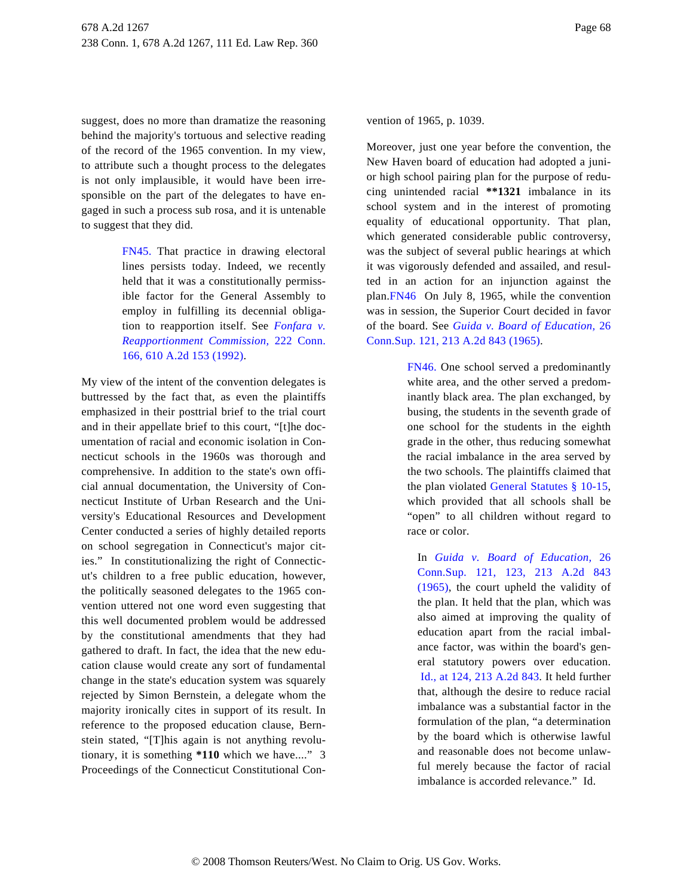suggest, does no more than dramatize the reasoning behind the majority's tortuous and selective reading of the record of the 1965 convention. In my view, to attribute such a thought process to the delegates is not only implausible, it would have been irresponsible on the part of the delegates to have engaged in such a process sub rosa, and it is untenable to suggest that they did.

> <span id="page-67-2"></span><span id="page-67-0"></span>[FN45.](#page-66-8) That practice in drawing electoral lines persists today. Indeed, we recently held that it was a constitutionally permissible factor for the General Assembly to employ in fulfilling its decennial obligation to reapportion itself. See *[Fonfara v.](http://www.westlaw.com/Find/Default.wl?rs=dfa1.0&vr=2.0&DB=162&FindType=Y&SerialNum=1992098211) [Reapportionment Commission,](http://www.westlaw.com/Find/Default.wl?rs=dfa1.0&vr=2.0&DB=162&FindType=Y&SerialNum=1992098211)* 222 Conn. [166, 610 A.2d 153 \(1992\)](http://www.westlaw.com/Find/Default.wl?rs=dfa1.0&vr=2.0&DB=162&FindType=Y&SerialNum=1992098211).

<span id="page-67-1"></span>My view of the intent of the convention delegates is buttressed by the fact that, as even the plaintiffs emphasized in their posttrial brief to the trial court and in their appellate brief to this court, "[t]he documentation of racial and economic isolation in Connecticut schools in the 1960s was thorough and comprehensive. In addition to the state's own official annual documentation, the University of Connecticut Institute of Urban Research and the University's Educational Resources and Development Center conducted a series of highly detailed reports on school segregation in Connecticut's major cities." In constitutionalizing the right of Connecticut's children to a free public education, however, the politically seasoned delegates to the 1965 convention uttered not one word even suggesting that this well documented problem would be addressed by the constitutional amendments that they had gathered to draft. In fact, the idea that the new education clause would create any sort of fundamental change in the state's education system was squarely rejected by Simon Bernstein, a delegate whom the majority ironically cites in support of its result. In reference to the proposed education clause, Bernstein stated, "[T]his again is not anything revolutionary, it is something **\*110** which we have...." 3 Proceedings of the Connecticut Constitutional Convention of 1965, p. 1039.

Moreover, just one year before the convention, the New Haven board of education had adopted a junior high school pairing plan for the purpose of reducing unintended racial **\*\*1321** imbalance in its school system and in the interest of promoting equality of educational opportunity. That plan, which generated considerable public controversy, was the subject of several public hearings at which it was vigorously defended and assailed, and resulted in an action for an injunction against the [plan.F](#page-67-1)N46 On July 8, 1965, while the convention was in session, the Superior Court decided in favor of the board. See *[Guida v. Board of Education,](http://www.westlaw.com/Find/Default.wl?rs=dfa1.0&vr=2.0&DB=162&FindType=Y&SerialNum=1965108299)* 26 [Conn.Sup. 121, 213 A.2d 843 \(1965\)](http://www.westlaw.com/Find/Default.wl?rs=dfa1.0&vr=2.0&DB=162&FindType=Y&SerialNum=1965108299).

> [FN46.](#page-67-2) One school served a predominantly white area, and the other served a predominantly black area. The plan exchanged, by busing, the students in the seventh grade of one school for the students in the eighth grade in the other, thus reducing somewhat the racial imbalance in the area served by the two schools. The plaintiffs claimed that the plan violated [General Statutes § 10-15](http://www.westlaw.com/Find/Default.wl?rs=dfa1.0&vr=2.0&DB=1000264&DocName=CTSTS10-15&FindType=L), which provided that all schools shall be "open" to all children without regard to race or color.

In *[Guida v. Board of Education,](http://www.westlaw.com/Find/Default.wl?rs=dfa1.0&vr=2.0&DB=162&FindType=Y&SerialNum=1965108299)* 26 [Conn.Sup. 121, 123, 213 A.2d](http://www.westlaw.com/Find/Default.wl?rs=dfa1.0&vr=2.0&DB=162&FindType=Y&SerialNum=1965108299) 843 [\(1965\),](http://www.westlaw.com/Find/Default.wl?rs=dfa1.0&vr=2.0&DB=162&FindType=Y&SerialNum=1965108299) the court upheld the validity of the plan. It held that the plan, which was also aimed at improving the quality of education apart from the racial imbalance factor, was within the board's general statutory powers over education. [Id., at 124, 213 A.2d 843](http://www.westlaw.com/Find/Default.wl?rs=dfa1.0&vr=2.0&DB=162&FindType=Y&SerialNum=1965108299). It held further that, although the desire to reduce racial imbalance was a substantial factor in the formulation of the plan, "a determination by the board which is otherwise lawful and reasonable does not become unlawful merely because the factor of racial imbalance is accorded relevance." Id.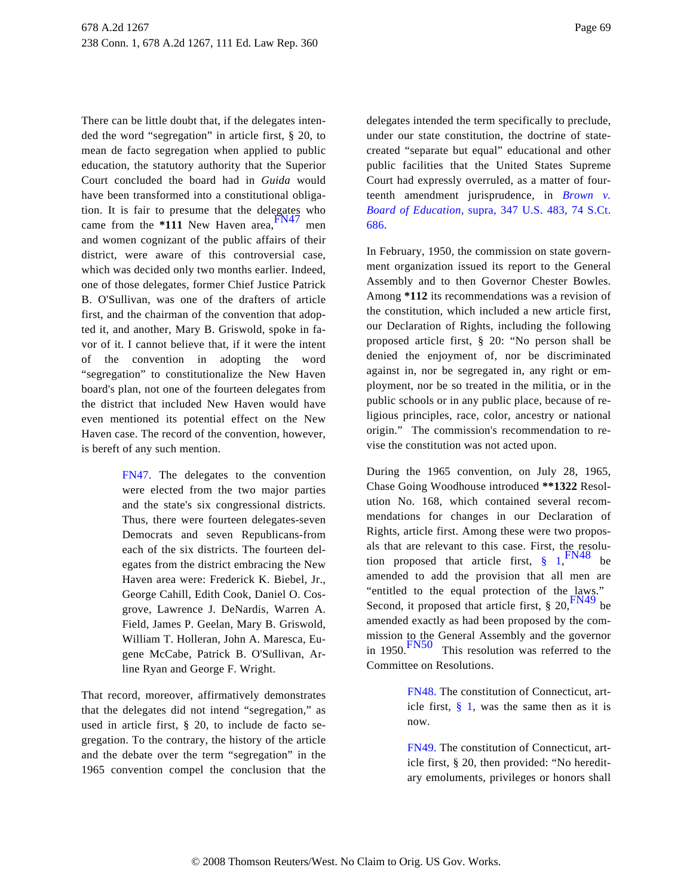<span id="page-68-1"></span>There can be little doubt that, if the delegates intended the word "segregation" in article first, § 20, to mean de facto segregation when applied to public education, the statutory authority that the Superior Court concluded the board had in *Guida* would have been transformed into a constitutional obligation. It is fair to presume that the delegates who came from the **\*111** New Haven area, [FN47](#page-68-0) men and women cognizant of the public affairs of their district, were aware of this controversial case, which was decided only two months earlier. Indeed, one of those delegates, former Chief Justice Patrick B. O'Sullivan, was one of the drafters of article first, and the chairman of the convention that adopted it, and another, Mary B. Griswold, spoke in favor of it. I cannot believe that, if it were the intent of the convention in adopting the word "segregation" to constitutionalize the New Haven board's plan, not one of the fourteen delegates from the district that included New Haven would have even mentioned its potential effect on the New Haven case. The record of the convention, however, is bereft of any such mention.

> <span id="page-68-4"></span><span id="page-68-0"></span>[FN47.](#page-68-1) The delegates to the convention were elected from the two major parties and the state's six congressional districts. Thus, there were fourteen delegates-seven Democrats and seven Republicans-from each of the six districts. The fourteen delegates from the district embracing the New Haven area were: Frederick K. Biebel, Jr., George Cahill, Edith Cook, Daniel O. Cosgrove, Lawrence J. DeNardis, Warren A. Field, James P. Geelan, Mary B. Griswold, William T. Holleran, John A. Maresca, Eugene McCabe, Patrick B. O'Sullivan, Arline Ryan and George F. Wright.

<span id="page-68-6"></span><span id="page-68-5"></span><span id="page-68-3"></span><span id="page-68-2"></span>That record, moreover, affirmatively demonstrates that the delegates did not intend "segregation," as used in article first, § 20, to include de facto segregation. To the contrary, the history of the article and the debate over the term "segregation" in the 1965 convention compel the conclusion that the

delegates intended the term specifically to preclude, under our state constitution, the doctrine of statecreated "separate but equal" educational and other public facilities that the United States Supreme Court had expressly overruled, as a matter of fourteenth amendment jurisprudence, in *[Brown v](http://www.westlaw.com/Find/Default.wl?rs=dfa1.0&vr=2.0&DB=708&FindType=Y&SerialNum=1954121869). [Board of Education](http://www.westlaw.com/Find/Default.wl?rs=dfa1.0&vr=2.0&DB=708&FindType=Y&SerialNum=1954121869),* [supra, 347 U.S. 483, 74 S.C](http://www.westlaw.com/Find/Default.wl?rs=dfa1.0&vr=2.0&DB=708&FindType=Y&SerialNum=1954121869)t. [686](http://www.westlaw.com/Find/Default.wl?rs=dfa1.0&vr=2.0&DB=708&FindType=Y&SerialNum=1954121869).

In February, 1950, the commission on state government organization issued its report to the General Assembly and to then Governor Chester Bowles. Among **\*112** its recommendations was a revision of the constitution, which included a new article first, our Declaration of Rights, including the following proposed article first, § 20: "No person shall be denied the enjoyment of, nor be discriminated against in, nor be segregated in, any right or employment, nor be so treated in the militia, or in the public schools or in any public place, because of religious principles, race, color, ancestry or national origin." The commission's recommendation to revise the constitution was not acted upon.

During the 1965 convention, on July 28, 1965, Chase Going Woodhouse introduced **\*\*1322** Resolution No. 168, which contained several recommendations for changes in our Declaration of Rights, article first. Among these were two proposals that are relevant to this case. First, the resolution proposed that article first,  $\S_1$ ,  $\overline{FN48}$  $\overline{FN48}$  $\overline{FN48}$  be amended to add the provision that all men are "entitled to the equal protection of the laws." Second, it proposed that article first,  $\S 20,$   $\frac{FN49}{}$  $\frac{FN49}{}$  $\frac{FN49}{}$  be amended exactly as had been proposed by the commission to the General Assembly and the governor in 1950. [FN50](#page-69-0) This resolution was referred to the Committee on Resolutions.

> [FN48.](#page-68-4) The constitution of Connecticut, article first,  $\S$  1, was the same then as it is now.

> [FN49.](#page-68-5) The constitution of Connecticut, article first, § 20, then provided: "No hereditary emoluments, privileges or honors shall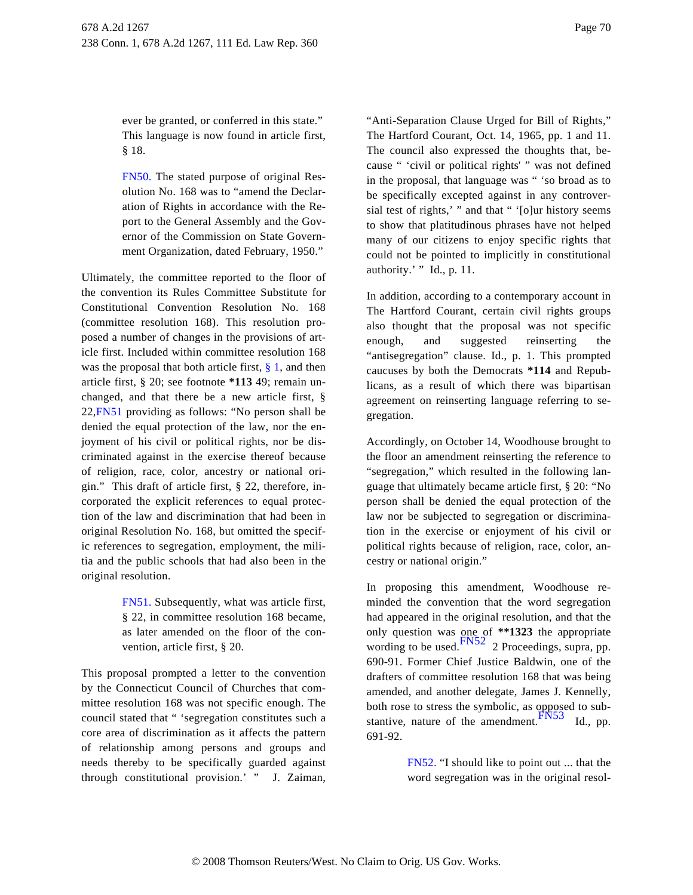ever be granted, or conferred in this state." This language is now found in article first, § 18.

<span id="page-69-0"></span>[FN50.](#page-68-6) The stated purpose of original Resolution No. 168 was to "amend the Declaration of Rights in accordance with the Report to the General Assembly and the Governor of the Commission on State Government Organization, dated February, 1950."

<span id="page-69-2"></span>Ultimately, the committee reported to the floor of the convention its Rules Committee Substitute for Constitutional Convention Resolution No. 168 (committee resolution 168). This resolution proposed a number of changes in the provisions of article first. Included within committee resolution 168 was the proposal that both article first,  $\S$  1, and then article first, § 20; see footnote **\*113** 49; remain unchanged, and that there be a new article first, § [22,FN](#page-69-1)51 providing as follows: "No person shall be denied the equal protection of the law, nor the enjoyment of his civil or political rights, nor be discriminated against in the exercise thereof because of religion, race, color, ancestry or national origin." This draft of article first, § 22, therefore, incorporated the explicit references to equal protection of the law and discrimination that had been in original Resolution No. 168, but omitted the specific references to segregation, employment, the militia and the public schools that had also been in the original resolution.

> <span id="page-69-1"></span>[FN51.](#page-69-2) Subsequently, what was article first, § 22, in committee resolution 168 became, as later amended on the floor of the convention, article first, § 20.

<span id="page-69-5"></span><span id="page-69-4"></span><span id="page-69-3"></span>This proposal prompted a letter to the convention by the Connecticut Council of Churches that committee resolution 168 was not specific enough. The council stated that " 'segregation constitutes such a core area of discrimination as it affects the pattern of relationship among persons and groups and needs thereby to be specifically guarded against through constitutional provision.' " J. Zaiman, "Anti-Separation Clause Urged for Bill of Rights," The Hartford Courant, Oct. 14, 1965, pp. 1 and 11. The council also expressed the thoughts that, because " 'civil or political rights' " was not defined in the proposal, that language was " 'so broad as to be specifically excepted against in any controversial test of rights,' " and that " '[o]ur history seems to show that platitudinous phrases have not helped many of our citizens to enjoy specific rights that could not be pointed to implicitly in constitutional authority.' " Id., p. 11.

In addition, according to a contemporary account in The Hartford Courant, certain civil rights groups also thought that the proposal was not specific enough, and suggested reinserting the "antisegregation" clause. Id., p. 1. This prompted caucuses by both the Democrats **\*114** and Republicans, as a result of which there was bipartisan agreement on reinserting language referring to segregation.

Accordingly, on October 14, Woodhouse brought to the floor an amendment reinserting the reference to "segregation," which resulted in the following language that ultimately became article first, § 20: "No person shall be denied the equal protection of the law nor be subjected to segregation or discrimination in the exercise or enjoyment of his civil or political rights because of religion, race, color, ancestry or national origin."

In proposing this amendment, Woodhouse reminded the convention that the word segregation had appeared in the original resolution, and that the only question was one of **\*\*1323** the appropriate wording to be used.  $\frac{FN52}{FN52}$  $\frac{FN52}{FN52}$  $\frac{FN52}{FN52}$  2 Proceedings, supra, pp. 690-91. Former Chief Justice Baldwin, one of the drafters of committee resolution 168 that was being amended, and another delegate, James J. Kennelly, both rose to stress the symbolic, as opposed to sub-stantive, nature of the amendment. [FN53](#page-70-0) Id., pp. 691-92.

> [FN52.](#page-69-4) "I should like to point out ... that the word segregation was in the original resol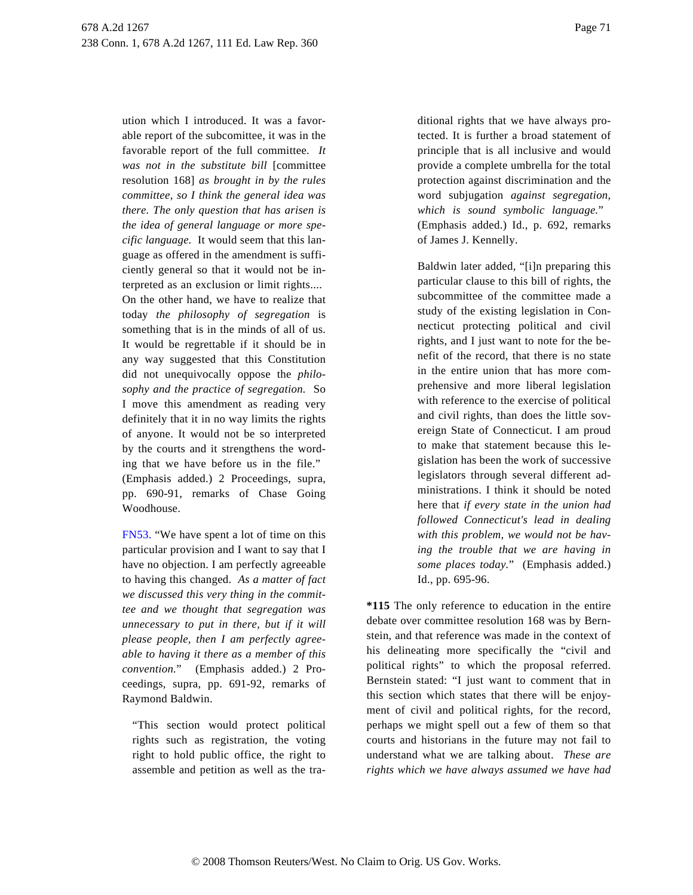ution which I introduced. It was a favorable report of the subcomittee, it was in the favorable report of the full committee. *It was not in the substitute bill* [committee resolution 168] *as brought in by the rules committee, so I think the general idea was there. The only question that has arisen is the idea of general language or more specific language.* It would seem that this language as offered in the amendment is sufficiently general so that it would not be interpreted as an exclusion or limit rights.... On the other hand, we have to realize that today *the philosophy of segregation* is something that is in the minds of all of us. It would be regrettable if it should be in any way suggested that this Constitution did not unequivocally oppose the *philosophy and the practice of segregation.* So I move this amendment as reading very definitely that it in no way limits the rights of anyone. It would not be so interpreted by the courts and it strengthens the wording that we have before us in the file." (Emphasis added.) 2 Proceedings, supra, pp. 690-91, remarks of Chase Going Woodhouse.

<span id="page-70-0"></span>[FN53.](#page-69-5) "We have spent a lot of time on this particular provision and I want to say that I have no objection. I am perfectly agreeable to having this changed. *As a matter of fact we discussed this very thing in the committee and we thought that segregation was unnecessary to put in there, but if it will please people, then I am perfectly agreeable to having it there as a member of this convention.*" (Emphasis added.) 2 Proceedings, supra, pp. 691-92, remarks of Raymond Baldwin.

"This section would protect political rights such as registration, the voting right to hold public office, the right to assemble and petition as well as the tra-

ditional rights that we have always protected. It is further a broad statement of principle that is all inclusive and would provide a complete umbrella for the total protection against discrimination and the word subjugation *against segregation, which is sound symbolic language.*" (Emphasis added.) Id., p. 692, remarks of James J. Kennelly.

Baldwin later added, "[i]n preparing this particular clause to this bill of rights, the subcommittee of the committee made a study of the existing legislation in Connecticut protecting political and civil rights, and I just want to note for the benefit of the record, that there is no state in the entire union that has more comprehensive and more liberal legislation with reference to the exercise of political and civil rights, than does the little sovereign State of Connecticut. I am proud to make that statement because this legislation has been the work of successive legislators through several different administrations. I think it should be noted here that *if every state in the union had followed Connecticut's lead in dealing with this problem, we would not be having the trouble that we are having in some places today.*" (Emphasis added.) Id., pp. 695-96.

**\*115** The only reference to education in the entire debate over committee resolution 168 was by Bernstein, and that reference was made in the context of his delineating more specifically the "civil and political rights" to which the proposal referred. Bernstein stated: "I just want to comment that in this section which states that there will be enjoyment of civil and political rights, for the record, perhaps we might spell out a few of them so that courts and historians in the future may not fail to understand what we are talking about. *These are rights which we have always assumed we have had*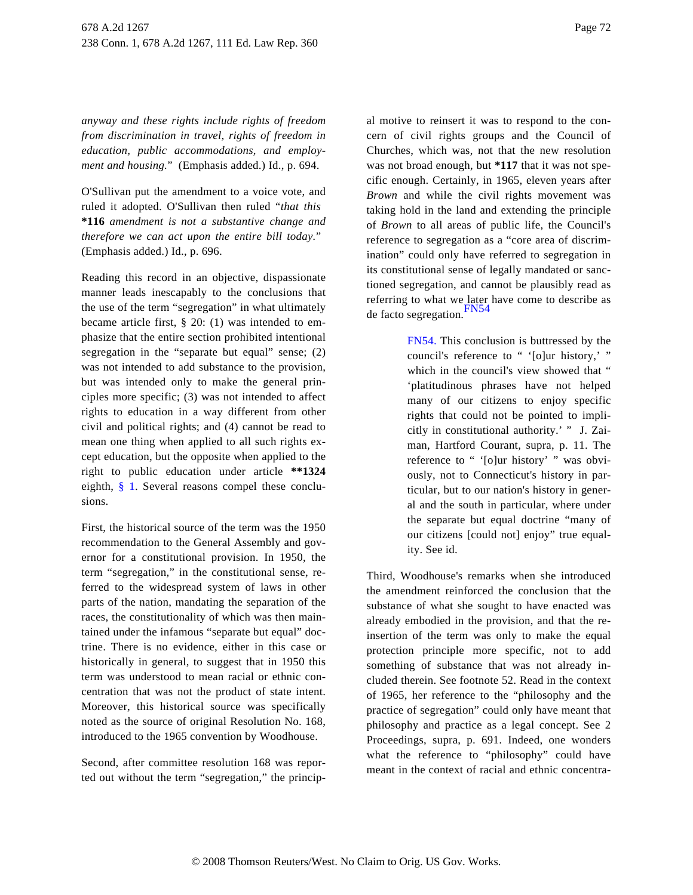*anyway and these rights include rights of freedom from discrimination in travel, rights of freedom in education, public accommodations, and employment and housing.*" (Emphasis added.) Id., p. 694.

O'Sullivan put the amendment to a voice vote, and ruled it adopted. O'Sullivan then ruled "*that this* **\*116** *amendment is not a substantive change and therefore we can act upon the entire bill today.*" (Emphasis added.) Id., p. 696.

<span id="page-71-1"></span><span id="page-71-0"></span>Reading this record in an objective, dispassionate manner leads inescapably to the conclusions that the use of the term "segregation" in what ultimately became article first, § 20: (1) was intended to emphasize that the entire section prohibited intentional segregation in the "separate but equal" sense; (2) was not intended to add substance to the provision, but was intended only to make the general principles more specific; (3) was not intended to affect rights to education in a way different from other civil and political rights; and (4) cannot be read to mean one thing when applied to all such rights except education, but the opposite when applied to the right to public education under article **\*\*1324** eighth, [§ 1](http://www.westlaw.com/Find/Default.wl?rs=dfa1.0&vr=2.0&DB=1000264&DocName=CTCNART6S1&FindType=L). Several reasons compel these conclusions.

First, the historical source of the term was the 1950 recommendation to the General Assembly and governor for a constitutional provision. In 1950, the term "segregation," in the constitutional sense, referred to the widespread system of laws in other parts of the nation, mandating the separation of the races, the constitutionality of which was then maintained under the infamous "separate but equal" doctrine. There is no evidence, either in this case or historically in general, to suggest that in 1950 this term was understood to mean racial or ethnic concentration that was not the product of state intent. Moreover, this historical source was specifically noted as the source of original Resolution No. 168, introduced to the 1965 convention by Woodhouse.

Second, after committee resolution 168 was reported out without the term "segregation," the princip-

al motive to reinsert it was to respond to the concern of civil rights groups and the Council of Churches, which was, not that the new resolution was not broad enough, but **\*117** that it was not specific enough. Certainly, in 1965, eleven years after *Brown* and while the civil rights movement was taking hold in the land and extending the principle of *Brown* to all areas of public life, the Council's reference to segregation as a "core area of discrimination" could only have referred to segregation in its constitutional sense of legally mandated or sanctioned segregation, and cannot be plausibly read as referring to what we later have come to describe as de facto segregation. [FN54](#page-71-0)

> [FN54.](#page-71-1) This conclusion is buttressed by the council's reference to " '[o]ur history,' " which in the council's view showed that " 'platitudinous phrases have not helped many of our citizens to enjoy specific rights that could not be pointed to implicitly in constitutional authority.' " J. Zaiman, Hartford Courant, supra, p. 11. The reference to " '[o]ur history' " was obviously, not to Connecticut's history in particular, but to our nation's history in general and the south in particular, where under the separate but equal doctrine "many of our citizens [could not] enjoy" true equality. See id.

Third, Woodhouse's remarks when she introduced the amendment reinforced the conclusion that the substance of what she sought to have enacted was already embodied in the provision, and that the reinsertion of the term was only to make the equal protection principle more specific, not to add something of substance that was not already included therein. See footnote 52. Read in the context of 1965, her reference to the "philosophy and the practice of segregation" could only have meant that philosophy and practice as a legal concept. See 2 Proceedings, supra, p. 691. Indeed, one wonders what the reference to "philosophy" could have meant in the context of racial and ethnic concentra-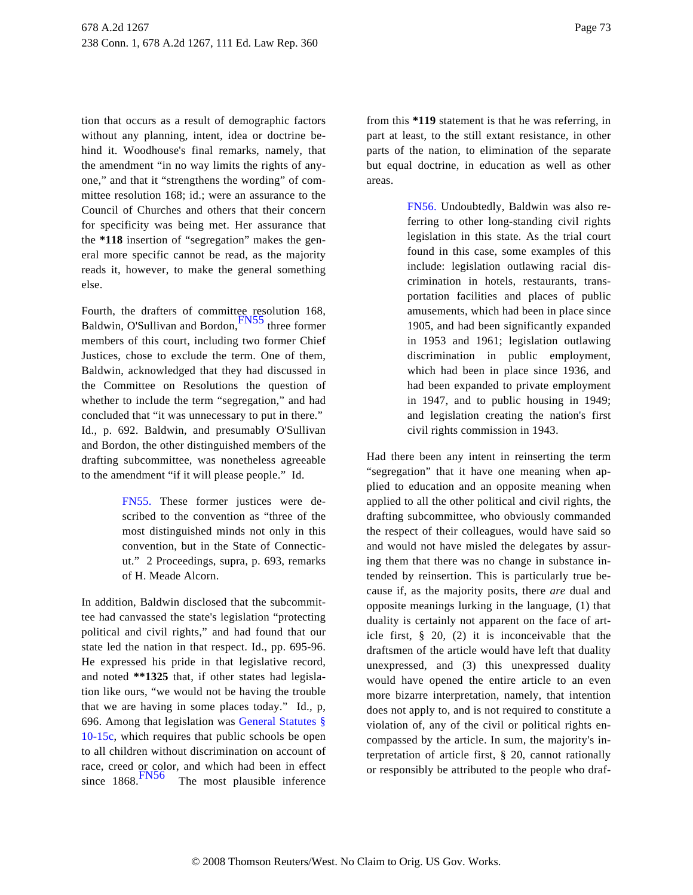<span id="page-72-2"></span>tion that occurs as a result of demographic factors without any planning, intent, idea or doctrine behind it. Woodhouse's final remarks, namely, that the amendment "in no way limits the rights of anyone," and that it "strengthens the wording" of committee resolution 168; id.; were an assurance to the Council of Churches and others that their concern for specificity was being met. Her assurance that the **\*118** insertion of "segregation" makes the general more specific cannot be read, as the majority reads it, however, to make the general something else.

<span id="page-72-1"></span>Fourth, the drafters of committee resolution 168, Baldwin, O'Sullivan and Bordon, [FN55](#page-72-0) three former members of this court, including two former Chief Justices, chose to exclude the term. One of them, Baldwin, acknowledged that they had discussed in the Committee on Resolutions the question of whether to include the term "segregation," and had concluded that "it was unnecessary to put in there." Id., p. 692. Baldwin, and presumably O'Sullivan and Bordon, the other distinguished members of the drafting subcommittee, was nonetheless agreeable to the amendment "if it will please people." Id.

> <span id="page-72-0"></span>[FN55.](#page-72-1) These former justices were described to the convention as "three of the most distinguished minds not only in this convention, but in the State of Connecticut." 2 Proceedings, supra, p. 693, remarks of H. Meade Alcorn.

<span id="page-72-3"></span>In addition, Baldwin disclosed that the subcommittee had canvassed the state's legislation "protecting political and civil rights," and had found that our state led the nation in that respect. Id., pp. 695-96. He expressed his pride in that legislative record, and noted **\*\*1325** that, if other states had legislation like ours, "we would not be having the trouble that we are having in some places today." Id., p, 696. Among that legislation was [General Statutes §](http://www.westlaw.com/Find/Default.wl?rs=dfa1.0&vr=2.0&DB=1000264&DocName=CTSTS10-15C&FindType=L) [10-15c,](http://www.westlaw.com/Find/Default.wl?rs=dfa1.0&vr=2.0&DB=1000264&DocName=CTSTS10-15C&FindType=L) which requires that public schools be open to all children without discrimination on account of race, creed or color, and which had been in effect since  $1868 \cdot$  The most plausible inference from this **\*119** statement is that he was referring, in part at least, to the still extant resistance, in other parts of the nation, to elimination of the separate but equal doctrine, in education as well as other areas.

> [FN56.](#page-72-3) Undoubtedly, Baldwin was also referring to other long-standing civil rights legislation in this state. As the trial court found in this case, some examples of this include: legislation outlawing racial discrimination in hotels, restaurants, transportation facilities and places of public amusements, which had been in place since 1905, and had been significantly expanded in 1953 and 1961; legislation outlawing discrimination in public employment, which had been in place since 1936, and had been expanded to private employment in 1947, and to public housing in 1949; and legislation creating the nation's first civil rights commission in 1943.

Had there been any intent in reinserting the term "segregation" that it have one meaning when applied to education and an opposite meaning when applied to all the other political and civil rights, the drafting subcommittee, who obviously commanded the respect of their colleagues, would have said so and would not have misled the delegates by assuring them that there was no change in substance intended by reinsertion. This is particularly true because if, as the majority posits, there *are* dual and opposite meanings lurking in the language, (1) that duality is certainly not apparent on the face of article first, § 20, (2) it is inconceivable that the draftsmen of the article would have left that duality unexpressed, and (3) this unexpressed duality would have opened the entire article to an even more bizarre interpretation, namely, that intention does not apply to, and is not required to constitute a violation of, any of the civil or political rights encompassed by the article. In sum, the majority's interpretation of article first, § 20, cannot rationally or responsibly be attributed to the people who draf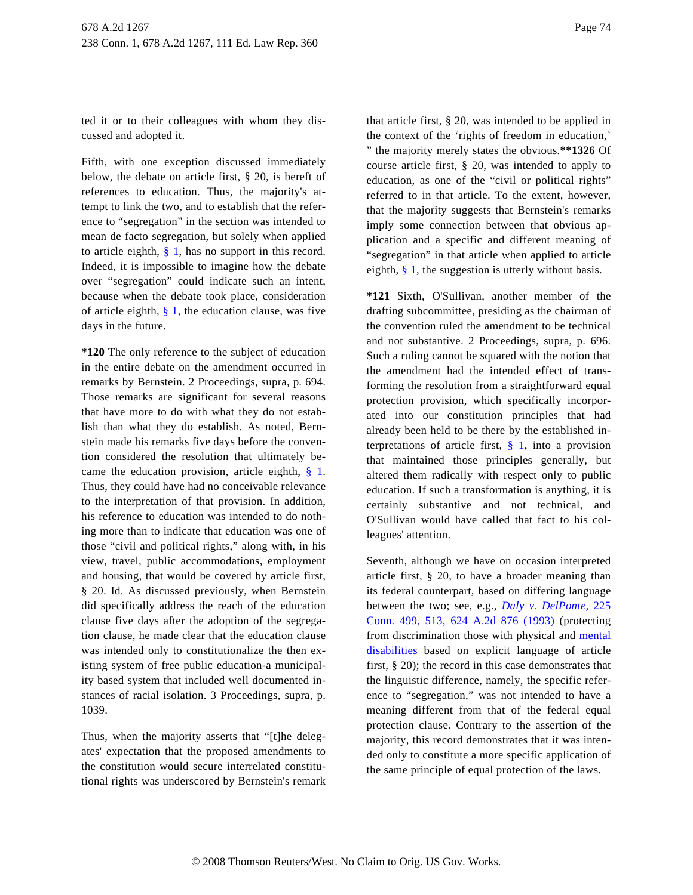ted it or to their colleagues with whom they discussed and adopted it.

Fifth, with one exception discussed immediately below, the debate on article first, § 20, is bereft of references to education. Thus, the majority's attempt to link the two, and to establish that the reference to "segregation" in the section was intended to mean de facto segregation, but solely when applied to article eighth,  $\S$  1, has no support in this record. Indeed, it is impossible to imagine how the debate over "segregation" could indicate such an intent, because when the debate took place, consideration of article eighth,  $\S$  1, the education clause, was five days in the future.

**\*120** The only reference to the subject of education in the entire debate on the amendment occurred in remarks by Bernstein. 2 Proceedings, supra, p. 694. Those remarks are significant for several reasons that have more to do with what they do not establish than what they do establish. As noted, Bernstein made his remarks five days before the convention considered the resolution that ultimately became the education provision, article eighth, [§ 1](http://www.westlaw.com/Find/Default.wl?rs=dfa1.0&vr=2.0&DB=1000264&DocName=CTCNART6S1&FindType=L). Thus, they could have had no conceivable relevance to the interpretation of that provision. In addition, his reference to education was intended to do nothing more than to indicate that education was one of those "civil and political rights," along with, in his view, travel, public accommodations, employment and housing, that would be covered by article first, § 20. Id. As discussed previously, when Bernstein did specifically address the reach of the education clause five days after the adoption of the segregation clause, he made clear that the education clause was intended only to constitutionalize the then existing system of free public education-a municipality based system that included well documented instances of racial isolation. 3 Proceedings, supra, p. 1039.

Thus, when the majority asserts that "[t]he delegates' expectation that the proposed amendments to the constitution would secure interrelated constitutional rights was underscored by Bernstein's remark that article first, § 20, was intended to be applied in the context of the 'rights of freedom in education,' " the majority merely states the obvious.**\*\*1326** Of course article first, § 20, was intended to apply to education, as one of the "civil or political rights" referred to in that article. To the extent, however, that the majority suggests that Bernstein's remarks imply some connection between that obvious application and a specific and different meaning of "segregation" in that article when applied to article eighth, [§ 1](http://www.westlaw.com/Find/Default.wl?rs=dfa1.0&vr=2.0&DB=1000264&DocName=CTCNART6S1&FindType=L), the suggestion is utterly without basis.

**\*121** Sixth, O'Sullivan, another member of the drafting subcommittee, presiding as the chairman of the convention ruled the amendment to be technical and not substantive. 2 Proceedings, supra, p. 696. Such a ruling cannot be squared with the notion that the amendment had the intended effect of transforming the resolution from a straightforward equal protection provision, which specifically incorporated into our constitution principles that had already been held to be there by the established interpretations of article first,  $\S$  1, into a provision that maintained those principles generally, but altered them radically with respect only to public education. If such a transformation is anything, it is certainly substantive and not technical, and O'Sullivan would have called that fact to his colleagues' attention.

Seventh, although we have on occasion interpreted article first, § 20, to have a broader meaning than its federal counterpart, based on differing language between the two; see, e.g., *[Daly v. DelPonte,](http://www.westlaw.com/Find/Default.wl?rs=dfa1.0&vr=2.0&DB=162&FindType=Y&SerialNum=1993097380)* 225 [Conn. 499, 513, 624 A.2d 876 \(199](http://www.westlaw.com/Find/Default.wl?rs=dfa1.0&vr=2.0&DB=162&FindType=Y&SerialNum=1993097380)3) (protecting from discrimination those with physical and [mental](http://www.westlaw.com/Find/Default.wl?rs=dfa1.0&vr=2.0&CMD=ML&DocName=Ic94ca545475411db9765f9243f53508a&FindType=UM) [disabilities](http://www.westlaw.com/Find/Default.wl?rs=dfa1.0&vr=2.0&CMD=ML&DocName=Ic94ca545475411db9765f9243f53508a&FindType=UM) based on explicit language of article first, § 20); the record in this case demonstrates that the linguistic difference, namely, the specific reference to "segregation," was not intended to have a meaning different from that of the federal equal protection clause. Contrary to the assertion of the majority, this record demonstrates that it was intended only to constitute a more specific application of the same principle of equal protection of the laws.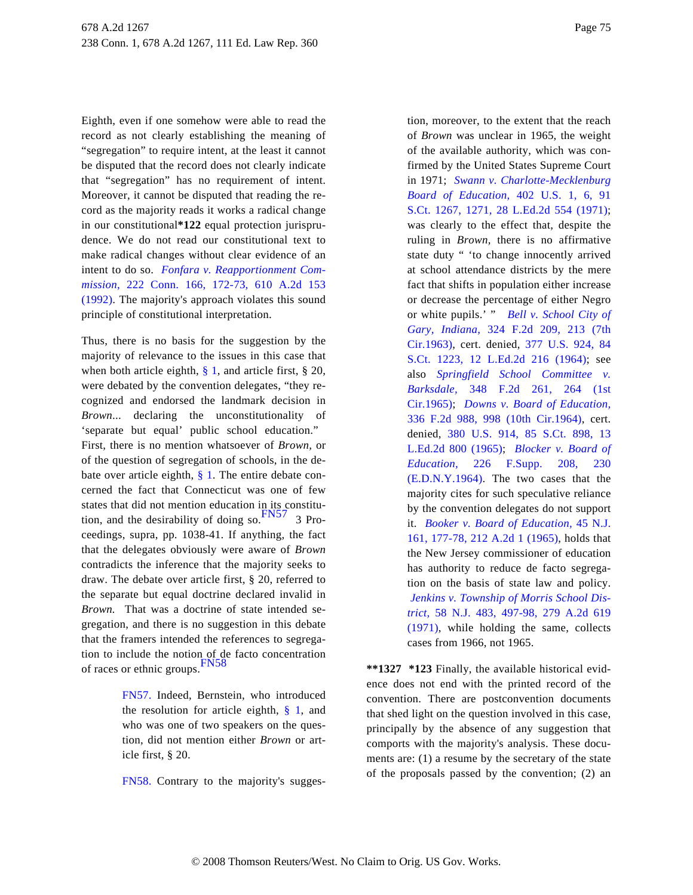Eighth, even if one somehow were able to read the record as not clearly establishing the meaning of "segregation" to require intent, at the least it cannot be disputed that the record does not clearly indicate that "segregation" has no requirement of intent. Moreover, it cannot be disputed that reading the record as the majority reads it works a radical change in our constitutional**\*122** equal protection jurisprudence. We do not read our constitutional text to make radical changes without clear evidence of an intent to do so. *[Fonfara v. Reapportionment Com](http://www.westlaw.com/Find/Default.wl?rs=dfa1.0&vr=2.0&DB=162&FindType=Y&SerialNum=1992098211)[mission,](http://www.westlaw.com/Find/Default.wl?rs=dfa1.0&vr=2.0&DB=162&FindType=Y&SerialNum=1992098211)* [222 Conn. 166, 172-73, 610 A.2d](http://www.westlaw.com/Find/Default.wl?rs=dfa1.0&vr=2.0&DB=162&FindType=Y&SerialNum=1992098211) 153 [\(1992\).](http://www.westlaw.com/Find/Default.wl?rs=dfa1.0&vr=2.0&DB=162&FindType=Y&SerialNum=1992098211) The majority's approach violates this sound principle of constitutional interpretation.

<span id="page-74-2"></span>Thus, there is no basis for the suggestion by the majority of relevance to the issues in this case that when both article eighth,  $\S$  1, and article first,  $\S$  20, were debated by the convention delegates, "they recognized and endorsed the landmark decision in *Brown*... declaring the unconstitutionality of 'separate but equal' public school education." First, there is no mention whatsoever of *Brown,* or of the question of segregation of schools, in the debate over article eighth,  $\S$  1. The entire debate concerned the fact that Connecticut was one of few states that did not mention education in its constitution, and the desirability of doing so.  $\frac{FN57}{3}$  $\frac{FN57}{3}$  $\frac{FN57}{3}$  Proceedings, supra, pp. 1038-41. If anything, the fact that the delegates obviously were aware of *Brown* contradicts the inference that the majority seeks to draw. The debate over article first, § 20, referred to the separate but equal doctrine declared invalid in *Brown.* That was a doctrine of state intended segregation, and there is no suggestion in this debate that the framers intended the references to segregation to include the notion of de facto concentration of races or ethnic groups. [FN58](#page-74-1)

> <span id="page-74-3"></span><span id="page-74-0"></span>[FN57.](#page-74-2) Indeed, Bernstein, who introduced the resolution for article eighth,  $\S$  1, and who was one of two speakers on the question, did not mention either *Brown* or article first, § 20.

<span id="page-74-1"></span>[FN58.](#page-74-3) Contrary to the majority's sugges-

tion, moreover, to the extent that the reach of *Brown* was unclear in 1965, the weight of the available authority, which was confirmed by the United States Supreme Court in 1971; *[Swann v. Charlotte-Mecklenburg](http://www.westlaw.com/Find/Default.wl?rs=dfa1.0&vr=2.0&DB=708&FindType=Y&ReferencePositionType=S&SerialNum=1971127048&ReferencePosition=1271) [Board of Educatio](http://www.westlaw.com/Find/Default.wl?rs=dfa1.0&vr=2.0&DB=708&FindType=Y&ReferencePositionType=S&SerialNum=1971127048&ReferencePosition=1271)n,* [402 U.S. 1, 6,](http://www.westlaw.com/Find/Default.wl?rs=dfa1.0&vr=2.0&DB=708&FindType=Y&ReferencePositionType=S&SerialNum=1971127048&ReferencePosition=1271) 91 [S.Ct. 1267, 1271, 28 L.Ed.2d 554 \(197](http://www.westlaw.com/Find/Default.wl?rs=dfa1.0&vr=2.0&DB=708&FindType=Y&ReferencePositionType=S&SerialNum=1971127048&ReferencePosition=1271)1); was clearly to the effect that, despite the ruling in *Brown,* there is no affirmative state duty " 'to change innocently arrived at school attendance districts by the mere fact that shifts in population either increase or decrease the percentage of either Negro or white pupils.' " *[Bell v. School City o](http://www.westlaw.com/Find/Default.wl?rs=dfa1.0&vr=2.0&DB=350&FindType=Y&ReferencePositionType=S&SerialNum=1963116217&ReferencePosition=213)f [Gary, Indiana](http://www.westlaw.com/Find/Default.wl?rs=dfa1.0&vr=2.0&DB=350&FindType=Y&ReferencePositionType=S&SerialNum=1963116217&ReferencePosition=213),* [324 F.2d 209, 213](http://www.westlaw.com/Find/Default.wl?rs=dfa1.0&vr=2.0&DB=350&FindType=Y&ReferencePositionType=S&SerialNum=1963116217&ReferencePosition=213) (7th [Cir.1963\),](http://www.westlaw.com/Find/Default.wl?rs=dfa1.0&vr=2.0&DB=350&FindType=Y&ReferencePositionType=S&SerialNum=1963116217&ReferencePosition=213) cert. denied, [377 U.S. 924, 8](http://www.westlaw.com/Find/Default.wl?rs=dfa1.0&vr=2.0&DB=708&FindType=Y&SerialNum=1964203521)4 [S.Ct. 1223, 12 L.Ed.2d 216 \(19](http://www.westlaw.com/Find/Default.wl?rs=dfa1.0&vr=2.0&DB=708&FindType=Y&SerialNum=1964203521)64); see also *[Springfield School Committee](http://www.westlaw.com/Find/Default.wl?rs=dfa1.0&vr=2.0&DB=350&FindType=Y&ReferencePositionType=S&SerialNum=1965104912&ReferencePosition=264) v. [Barksdale,](http://www.westlaw.com/Find/Default.wl?rs=dfa1.0&vr=2.0&DB=350&FindType=Y&ReferencePositionType=S&SerialNum=1965104912&ReferencePosition=264)* [348 F.2d 261, 2](http://www.westlaw.com/Find/Default.wl?rs=dfa1.0&vr=2.0&DB=350&FindType=Y&ReferencePositionType=S&SerialNum=1965104912&ReferencePosition=264)64 (1st [Cir.1965\);](http://www.westlaw.com/Find/Default.wl?rs=dfa1.0&vr=2.0&DB=350&FindType=Y&ReferencePositionType=S&SerialNum=1965104912&ReferencePosition=264) *[Downs v. Board of Education](http://www.westlaw.com/Find/Default.wl?rs=dfa1.0&vr=2.0&DB=350&FindType=Y&ReferencePositionType=S&SerialNum=1964115418&ReferencePosition=998),* [336 F.2d 988, 998 \(10th Cir.19](http://www.westlaw.com/Find/Default.wl?rs=dfa1.0&vr=2.0&DB=350&FindType=Y&ReferencePositionType=S&SerialNum=1964115418&ReferencePosition=998)64), cert. denied, [380 U.S. 914, 85 S.Ct. 898,](http://www.westlaw.com/Find/Default.wl?rs=dfa1.0&vr=2.0&DB=708&FindType=Y&SerialNum=1965202675) 13 [L.Ed.2d 800 \(1965](http://www.westlaw.com/Find/Default.wl?rs=dfa1.0&vr=2.0&DB=708&FindType=Y&SerialNum=1965202675)); *[Blocker v. Board o](http://www.westlaw.com/Find/Default.wl?rs=dfa1.0&vr=2.0&DB=345&FindType=Y&ReferencePositionType=S&SerialNum=1964100516&ReferencePosition=230)f [Education,](http://www.westlaw.com/Find/Default.wl?rs=dfa1.0&vr=2.0&DB=345&FindType=Y&ReferencePositionType=S&SerialNum=1964100516&ReferencePosition=230)* [226 F.Supp. 2](http://www.westlaw.com/Find/Default.wl?rs=dfa1.0&vr=2.0&DB=345&FindType=Y&ReferencePositionType=S&SerialNum=1964100516&ReferencePosition=230)08, 230 [\(E.D.N.Y.1964\)](http://www.westlaw.com/Find/Default.wl?rs=dfa1.0&vr=2.0&DB=345&FindType=Y&ReferencePositionType=S&SerialNum=1964100516&ReferencePosition=230). The two cases that the majority cites for such speculative reliance by the convention delegates do not support it. *[Booker v. Board of Education,](http://www.westlaw.com/Find/Default.wl?rs=dfa1.0&vr=2.0&DB=162&FindType=Y&SerialNum=1965107906)* 45 N.J. [161, 177-78, 212 A.2d 1 \(1965](http://www.westlaw.com/Find/Default.wl?rs=dfa1.0&vr=2.0&DB=162&FindType=Y&SerialNum=1965107906)), holds that the New Jersey commissioner of education has authority to reduce de facto segregation on the basis of state law and policy. *[Jenkins v. Township of Morris School Dis](http://www.westlaw.com/Find/Default.wl?rs=dfa1.0&vr=2.0&DB=162&FindType=Y&SerialNum=1971101461)[trict,](http://www.westlaw.com/Find/Default.wl?rs=dfa1.0&vr=2.0&DB=162&FindType=Y&SerialNum=1971101461)* [58 N.J. 483, 497-98, 279 A.2d 6](http://www.westlaw.com/Find/Default.wl?rs=dfa1.0&vr=2.0&DB=162&FindType=Y&SerialNum=1971101461)19 [\(1971\),](http://www.westlaw.com/Find/Default.wl?rs=dfa1.0&vr=2.0&DB=162&FindType=Y&SerialNum=1971101461) while holding the same, collects cases from 1966, not 1965.

**\*\*1327 \*123** Finally, the available historical evidence does not end with the printed record of the convention. There are postconvention documents that shed light on the question involved in this case, principally by the absence of any suggestion that comports with the majority's analysis. These documents are: (1) a resume by the secretary of the state of the proposals passed by the convention; (2) an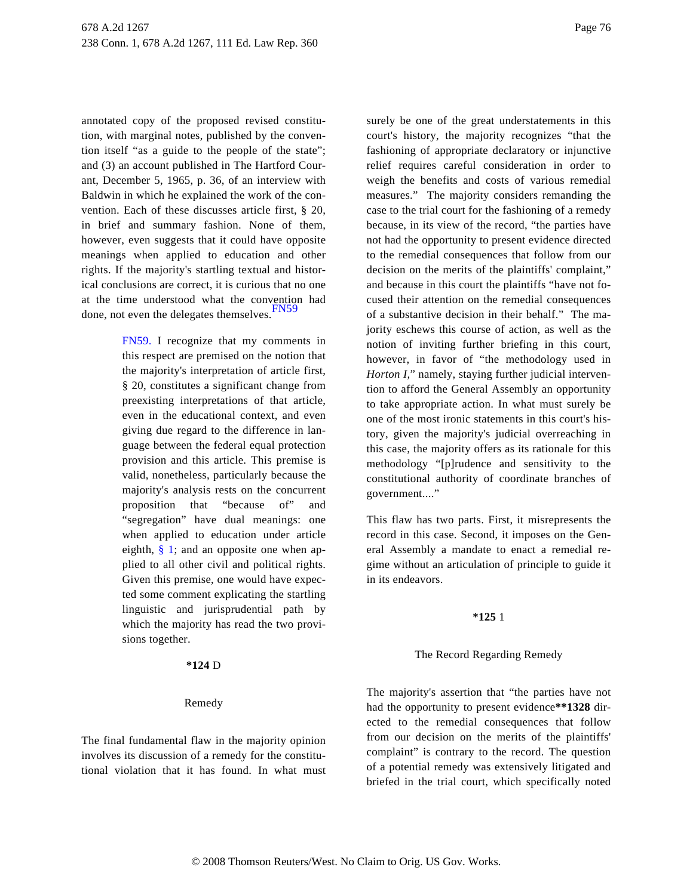annotated copy of the proposed revised constitution, with marginal notes, published by the convention itself "as a guide to the people of the state"; and (3) an account published in The Hartford Courant, December 5, 1965, p. 36, of an interview with Baldwin in which he explained the work of the convention. Each of these discusses article first, § 20, in brief and summary fashion. None of them, however, even suggests that it could have opposite meanings when applied to education and other rights. If the majority's startling textual and historical conclusions are correct, it is curious that no one at the time understood what the convention had done, not even the delegates themselves. [FN59](#page-75-0)

> <span id="page-75-1"></span><span id="page-75-0"></span>[FN59.](#page-75-1) I recognize that my comments in this respect are premised on the notion that the majority's interpretation of article first, § 20, constitutes a significant change from preexisting interpretations of that article, even in the educational context, and even giving due regard to the difference in language between the federal equal protection provision and this article. This premise is valid, nonetheless, particularly because the majority's analysis rests on the concurrent proposition that "because of" and "segregation" have dual meanings: one when applied to education under article eighth, [§ 1](http://www.westlaw.com/Find/Default.wl?rs=dfa1.0&vr=2.0&DB=1000264&DocName=CTCNART6S1&FindType=L); and an opposite one when applied to all other civil and political rights. Given this premise, one would have expected some comment explicating the startling linguistic and jurisprudential path by which the majority has read the two provisions together.

## **\*124** D

### Remedy

The final fundamental flaw in the majority opinion involves its discussion of a remedy for the constitutional violation that it has found. In what must

surely be one of the great understatements in this court's history, the majority recognizes "that the fashioning of appropriate declaratory or injunctive relief requires careful consideration in order to weigh the benefits and costs of various remedial measures." The majority considers remanding the case to the trial court for the fashioning of a remedy because, in its view of the record, "the parties have not had the opportunity to present evidence directed to the remedial consequences that follow from our decision on the merits of the plaintiffs' complaint," and because in this court the plaintiffs "have not focused their attention on the remedial consequences of a substantive decision in their behalf." The majority eschews this course of action, as well as the notion of inviting further briefing in this court, however, in favor of "the methodology used in *Horton I,*" namely, staying further judicial intervention to afford the General Assembly an opportunity to take appropriate action. In what must surely be one of the most ironic statements in this court's history, given the majority's judicial overreaching in this case, the majority offers as its rationale for this methodology "[p]rudence and sensitivity to the constitutional authority of coordinate branches of government...."

This flaw has two parts. First, it misrepresents the record in this case. Second, it imposes on the General Assembly a mandate to enact a remedial regime without an articulation of principle to guide it in its endeavors.

### **\*125** 1

### The Record Regarding Remedy

The majority's assertion that "the parties have not had the opportunity to present evidence**\*\*1328** directed to the remedial consequences that follow from our decision on the merits of the plaintiffs' complaint" is contrary to the record. The question of a potential remedy was extensively litigated and briefed in the trial court, which specifically noted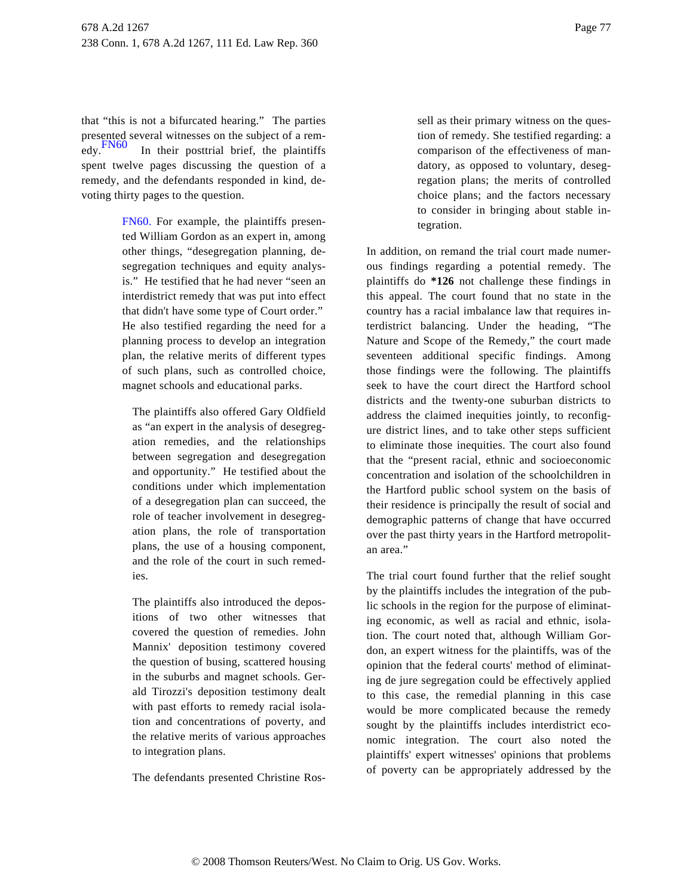<span id="page-76-1"></span>that "this is not a bifurcated hearing." The parties presented several witnesses on the subject of a rem-<br>edy. The their posttrial brief, the plaintiffs In their posttrial brief, the plaintiffs spent twelve pages discussing the question of a remedy, and the defendants responded in kind, devoting thirty pages to the question.

> <span id="page-76-0"></span>[FN60.](#page-76-1) For example, the plaintiffs presented William Gordon as an expert in, among other things, "desegregation planning, desegregation techniques and equity analysis." He testified that he had never "seen an interdistrict remedy that was put into effect that didn't have some type of Court order." He also testified regarding the need for a planning process to develop an integration plan, the relative merits of different types of such plans, such as controlled choice, magnet schools and educational parks.

The plaintiffs also offered Gary Oldfield as "an expert in the analysis of desegregation remedies, and the relationships between segregation and desegregation and opportunity." He testified about the conditions under which implementation of a desegregation plan can succeed, the role of teacher involvement in desegregation plans, the role of transportation plans, the use of a housing component, and the role of the court in such remedies.

The plaintiffs also introduced the depositions of two other witnesses that covered the question of remedies. John Mannix' deposition testimony covered the question of busing, scattered housing in the suburbs and magnet schools. Gerald Tirozzi's deposition testimony dealt with past efforts to remedy racial isolation and concentrations of poverty, and the relative merits of various approaches to integration plans.

The defendants presented Christine Ros-

sell as their primary witness on the question of remedy. She testified regarding: a comparison of the effectiveness of mandatory, as opposed to voluntary, desegregation plans; the merits of controlled choice plans; and the factors necessary to consider in bringing about stable integration.

In addition, on remand the trial court made numerous findings regarding a potential remedy. The plaintiffs do **\*126** not challenge these findings in this appeal. The court found that no state in the country has a racial imbalance law that requires interdistrict balancing. Under the heading, "The Nature and Scope of the Remedy," the court made seventeen additional specific findings. Among those findings were the following. The plaintiffs seek to have the court direct the Hartford school districts and the twenty-one suburban districts to address the claimed inequities jointly, to reconfigure district lines, and to take other steps sufficient to eliminate those inequities. The court also found that the "present racial, ethnic and socioeconomic concentration and isolation of the schoolchildren in the Hartford public school system on the basis of their residence is principally the result of social and demographic patterns of change that have occurred over the past thirty years in the Hartford metropolitan area."

The trial court found further that the relief sought by the plaintiffs includes the integration of the public schools in the region for the purpose of eliminating economic, as well as racial and ethnic, isolation. The court noted that, although William Gordon, an expert witness for the plaintiffs, was of the opinion that the federal courts' method of eliminating de jure segregation could be effectively applied to this case, the remedial planning in this case would be more complicated because the remedy sought by the plaintiffs includes interdistrict economic integration. The court also noted the plaintiffs' expert witnesses' opinions that problems of poverty can be appropriately addressed by the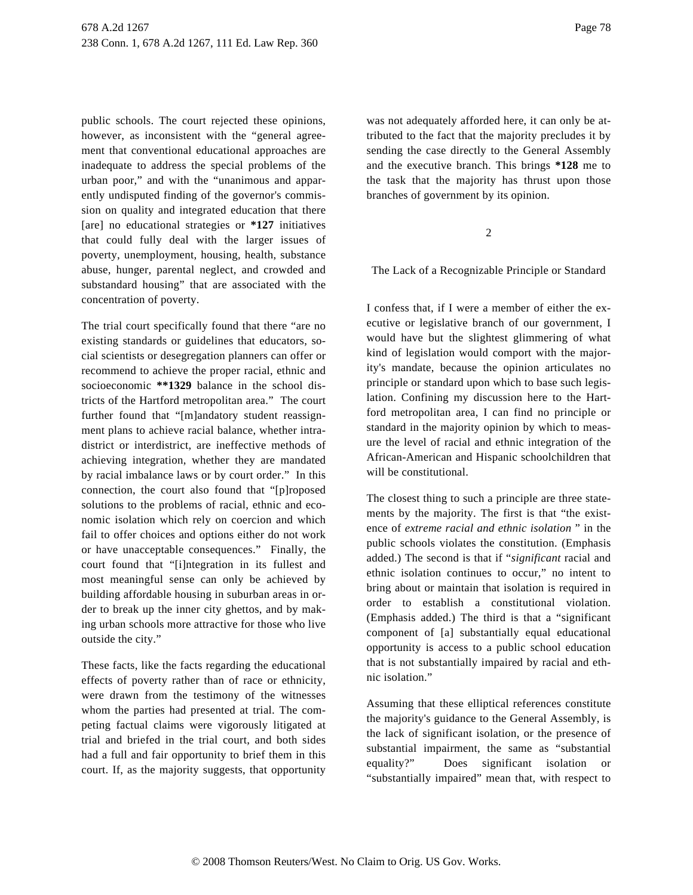public schools. The court rejected these opinions, however, as inconsistent with the "general agreement that conventional educational approaches are inadequate to address the special problems of the urban poor," and with the "unanimous and apparently undisputed finding of the governor's commission on quality and integrated education that there [are] no educational strategies or **\*127** initiatives that could fully deal with the larger issues of poverty, unemployment, housing, health, substance abuse, hunger, parental neglect, and crowded and substandard housing" that are associated with the concentration of poverty.

The trial court specifically found that there "are no existing standards or guidelines that educators, social scientists or desegregation planners can offer or recommend to achieve the proper racial, ethnic and socioeconomic **\*\*1329** balance in the school districts of the Hartford metropolitan area." The court further found that "[m]andatory student reassignment plans to achieve racial balance, whether intradistrict or interdistrict, are ineffective methods of achieving integration, whether they are mandated by racial imbalance laws or by court order." In this connection, the court also found that "[p]roposed solutions to the problems of racial, ethnic and economic isolation which rely on coercion and which fail to offer choices and options either do not work or have unacceptable consequences." Finally, the court found that "[i]ntegration in its fullest and most meaningful sense can only be achieved by building affordable housing in suburban areas in order to break up the inner city ghettos, and by making urban schools more attractive for those who live outside the city."

These facts, like the facts regarding the educational effects of poverty rather than of race or ethnicity, were drawn from the testimony of the witnesses whom the parties had presented at trial. The competing factual claims were vigorously litigated at trial and briefed in the trial court, and both sides had a full and fair opportunity to brief them in this court. If, as the majority suggests, that opportunity was not adequately afforded here, it can only be attributed to the fact that the majority precludes it by sending the case directly to the General Assembly and the executive branch. This brings **\*128** me to the task that the majority has thrust upon those branches of government by its opinion.

2

The Lack of a Recognizable Principle or Standard

I confess that, if I were a member of either the executive or legislative branch of our government, I would have but the slightest glimmering of what kind of legislation would comport with the majority's mandate, because the opinion articulates no principle or standard upon which to base such legislation. Confining my discussion here to the Hartford metropolitan area, I can find no principle or standard in the majority opinion by which to measure the level of racial and ethnic integration of the African-American and Hispanic schoolchildren that will be constitutional.

The closest thing to such a principle are three statements by the majority. The first is that "the existence of *extreme racial and ethnic isolation* " in the public schools violates the constitution. (Emphasis added.) The second is that if "*significant* racial and ethnic isolation continues to occur," no intent to bring about or maintain that isolation is required in order to establish a constitutional violation. (Emphasis added.) The third is that a "significant component of [a] substantially equal educational opportunity is access to a public school education that is not substantially impaired by racial and ethnic isolation."

Assuming that these elliptical references constitute the majority's guidance to the General Assembly, is the lack of significant isolation, or the presence of substantial impairment, the same as "substantial equality?" Does significant isolation or "substantially impaired" mean that, with respect to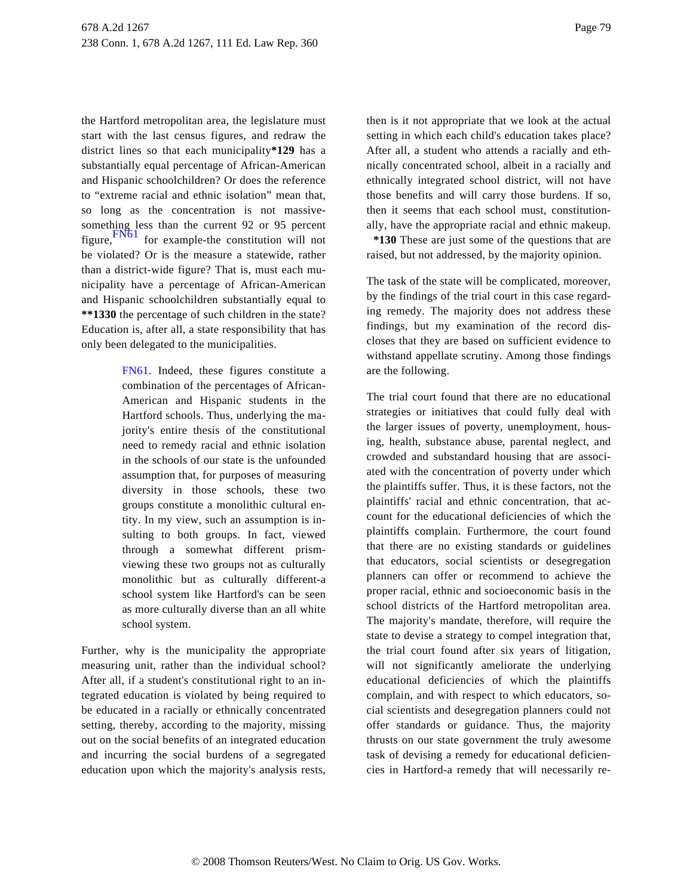<span id="page-78-1"></span>the Hartford metropolitan area, the legislature must start with the last census figures, and redraw the district lines so that each municipality**\*129** has a substantially equal percentage of African-American and Hispanic schoolchildren? Or does the reference to "extreme racial and ethnic isolation" mean that, so long as the concentration is not massivesomething less than the current 92 or 95 percent figure,[FN61](#page-78-0) for example-the constitution will not be violated? Or is the measure a statewide, rather than a district-wide figure? That is, must each municipality have a percentage of African-American and Hispanic schoolchildren substantially equal to **\*\*1330** the percentage of such children in the state? Education is, after all, a state responsibility that has only been delegated to the municipalities.

> <span id="page-78-0"></span>[FN61.](#page-78-1) Indeed, these figures constitute a combination of the percentages of African-American and Hispanic students in the Hartford schools. Thus, underlying the majority's entire thesis of the constitutional need to remedy racial and ethnic isolation in the schools of our state is the unfounded assumption that, for purposes of measuring diversity in those schools, these two groups constitute a monolithic cultural entity. In my view, such an assumption is insulting to both groups. In fact, viewed through a somewhat different prismviewing these two groups not as culturally monolithic but as culturally different-a school system like Hartford's can be seen as more culturally diverse than an all white school system.

Further, why is the municipality the appropriate measuring unit, rather than the individual school? After all, if a student's constitutional right to an integrated education is violated by being required to be educated in a racially or ethnically concentrated setting, thereby, according to the majority, missing out on the social benefits of an integrated education and incurring the social burdens of a segregated education upon which the majority's analysis rests, then is it not appropriate that we look at the actual setting in which each child's education takes place? After all, a student who attends a racially and ethnically concentrated school, albeit in a racially and ethnically integrated school district, will not have those benefits and will carry those burdens. If so, then it seems that each school must, constitutionally, have the appropriate racial and ethnic makeup.

**\*130** These are just some of the questions that are raised, but not addressed, by the majority opinion.

The task of the state will be complicated, moreover, by the findings of the trial court in this case regarding remedy. The majority does not address these findings, but my examination of the record discloses that they are based on sufficient evidence to withstand appellate scrutiny. Among those findings are the following.

The trial court found that there are no educational strategies or initiatives that could fully deal with the larger issues of poverty, unemployment, housing, health, substance abuse, parental neglect, and crowded and substandard housing that are associated with the concentration of poverty under which the plaintiffs suffer. Thus, it is these factors, not the plaintiffs' racial and ethnic concentration, that account for the educational deficiencies of which the plaintiffs complain. Furthermore, the court found that there are no existing standards or guidelines that educators, social scientists or desegregation planners can offer or recommend to achieve the proper racial, ethnic and socioeconomic basis in the school districts of the Hartford metropolitan area. The majority's mandate, therefore, will require the state to devise a strategy to compel integration that, the trial court found after six years of litigation, will not significantly ameliorate the underlying educational deficiencies of which the plaintiffs complain, and with respect to which educators, social scientists and desegregation planners could not offer standards or guidance. Thus, the majority thrusts on our state government the truly awesome task of devising a remedy for educational deficiencies in Hartford-a remedy that will necessarily re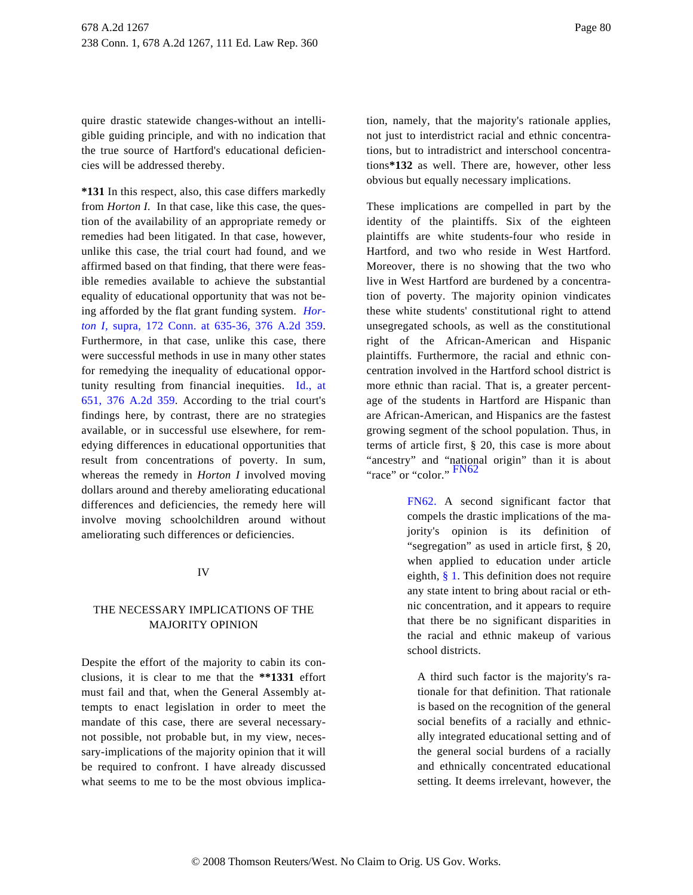quire drastic statewide changes-without an intelligible guiding principle, and with no indication that the true source of Hartford's educational deficiencies will be addressed thereby.

**\*131** In this respect, also, this case differs markedly from *Horton I*. In that case, like this case, the question of the availability of an appropriate remedy or remedies had been litigated. In that case, however, unlike this case, the trial court had found, and we affirmed based on that finding, that there were feasible remedies available to achieve the substantial equality of educational opportunity that was not being afforded by the flat grant funding system. *[Hor](http://www.westlaw.com/Find/Default.wl?rs=dfa1.0&vr=2.0&DB=162&FindType=Y&SerialNum=1977120164)[ton I](http://www.westlaw.com/Find/Default.wl?rs=dfa1.0&vr=2.0&DB=162&FindType=Y&SerialNum=1977120164),* [supra, 172 Conn. at 635-36, 376 A.2d 3](http://www.westlaw.com/Find/Default.wl?rs=dfa1.0&vr=2.0&DB=162&FindType=Y&SerialNum=1977120164)59. Furthermore, in that case, unlike this case, there were successful methods in use in many other states for remedying the inequality of educational opportunity resulting from financial inequities. [Id., at](http://www.westlaw.com/Find/Default.wl?rs=dfa1.0&vr=2.0&DB=162&FindType=Y&SerialNum=1977120164) [651, 376 A.2d 35](http://www.westlaw.com/Find/Default.wl?rs=dfa1.0&vr=2.0&DB=162&FindType=Y&SerialNum=1977120164)9. According to the trial court's findings here, by contrast, there are no strategies available, or in successful use elsewhere, for remedying differences in educational opportunities that result from concentrations of poverty. In sum, whereas the remedy in *Horton I* involved moving dollars around and thereby ameliorating educational differences and deficiencies, the remedy here will involve moving schoolchildren around without ameliorating such differences or deficiencies.

## IV

# <span id="page-79-1"></span><span id="page-79-0"></span>THE NECESSARY IMPLICATIONS OF THE MAJORITY OPINION

Despite the effort of the majority to cabin its conclusions, it is clear to me that the **\*\*1331** effort must fail and that, when the General Assembly attempts to enact legislation in order to meet the mandate of this case, there are several necessarynot possible, not probable but, in my view, necessary-implications of the majority opinion that it will be required to confront. I have already discussed what seems to me to be the most obvious implication, namely, that the majority's rationale applies, not just to interdistrict racial and ethnic concentrations, but to intradistrict and interschool concentrations**\*132** as well. There are, however, other less obvious but equally necessary implications.

These implications are compelled in part by the identity of the plaintiffs. Six of the eighteen plaintiffs are white students-four who reside in Hartford, and two who reside in West Hartford. Moreover, there is no showing that the two who live in West Hartford are burdened by a concentration of poverty. The majority opinion vindicates these white students' constitutional right to attend unsegregated schools, as well as the constitutional right of the African-American and Hispanic plaintiffs. Furthermore, the racial and ethnic concentration involved in the Hartford school district is more ethnic than racial. That is, a greater percentage of the students in Hartford are Hispanic than are African-American, and Hispanics are the fastest growing segment of the school population. Thus, in terms of article first, § 20, this case is more about "ancestry" and "national origin" than it is about "race" or "color." [FN62](#page-79-0)

> [FN62.](#page-79-1) A second significant factor that compels the drastic implications of the majority's opinion is its definition of "segregation" as used in article first, § 20, when applied to education under article eighth, [§ 1](http://www.westlaw.com/Find/Default.wl?rs=dfa1.0&vr=2.0&DB=1000264&DocName=CTCNART6S1&FindType=L). This definition does not require any state intent to bring about racial or ethnic concentration, and it appears to require that there be no significant disparities in the racial and ethnic makeup of various school districts.

A third such factor is the majority's rationale for that definition. That rationale is based on the recognition of the general social benefits of a racially and ethnically integrated educational setting and of the general social burdens of a racially and ethnically concentrated educational setting. It deems irrelevant, however, the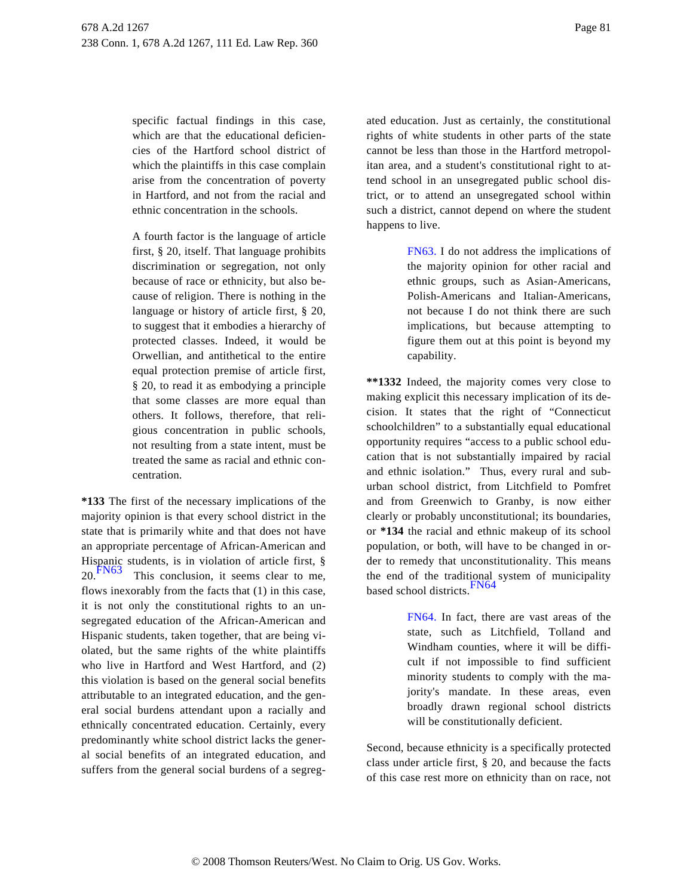specific factual findings in this case, which are that the educational deficiencies of the Hartford school district of which the plaintiffs in this case complain arise from the concentration of poverty in Hartford, and not from the racial and ethnic concentration in the schools.

<span id="page-80-0"></span>A fourth factor is the language of article first, § 20, itself. That language prohibits discrimination or segregation, not only because of race or ethnicity, but also because of religion. There is nothing in the language or history of article first, § 20, to suggest that it embodies a hierarchy of protected classes. Indeed, it would be Orwellian, and antithetical to the entire equal protection premise of article first, § 20, to read it as embodying a principle that some classes are more equal than others. It follows, therefore, that religious concentration in public schools, not resulting from a state intent, must be treated the same as racial and ethnic concentration.

<span id="page-80-3"></span><span id="page-80-2"></span><span id="page-80-1"></span>**\*133** The first of the necessary implications of the majority opinion is that every school district in the state that is primarily white and that does not have an appropriate percentage of African-American and Hispanic students, is in violation of article first, §  $20.$ <sup>[FN63](#page-80-0)</sup> This conclusion, it seems clear to me, flows inexorably from the facts that (1) in this case, it is not only the constitutional rights to an unsegregated education of the African-American and Hispanic students, taken together, that are being violated, but the same rights of the white plaintiffs who live in Hartford and West Hartford, and (2) this violation is based on the general social benefits attributable to an integrated education, and the general social burdens attendant upon a racially and ethnically concentrated education. Certainly, every predominantly white school district lacks the general social benefits of an integrated education, and suffers from the general social burdens of a segregated education. Just as certainly, the constitutional rights of white students in other parts of the state cannot be less than those in the Hartford metropolitan area, and a student's constitutional right to attend school in an unsegregated public school district, or to attend an unsegregated school within such a district, cannot depend on where the student happens to live.

> [FN63.](#page-80-1) I do not address the implications of the majority opinion for other racial and ethnic groups, such as Asian-Americans, Polish-Americans and Italian-Americans, not because I do not think there are such implications, but because attempting to figure them out at this point is beyond my capability.

**\*\*1332** Indeed, the majority comes very close to making explicit this necessary implication of its decision. It states that the right of "Connecticut schoolchildren" to a substantially equal educational opportunity requires "access to a public school education that is not substantially impaired by racial and ethnic isolation." Thus, every rural and suburban school district, from Litchfield to Pomfret and from Greenwich to Granby, is now either clearly or probably unconstitutional; its boundaries, or **\*134** the racial and ethnic makeup of its school population, or both, will have to be changed in order to remedy that unconstitutionality. This means the end of the traditional system of municipality based school districts.<sup>[FN64](#page-80-2)</sup>

> [FN64.](#page-80-3) In fact, there are vast areas of the state, such as Litchfield, Tolland and Windham counties, where it will be difficult if not impossible to find sufficient minority students to comply with the majority's mandate. In these areas, even broadly drawn regional school districts will be constitutionally deficient.

Second, because ethnicity is a specifically protected class under article first, § 20, and because the facts of this case rest more on ethnicity than on race, not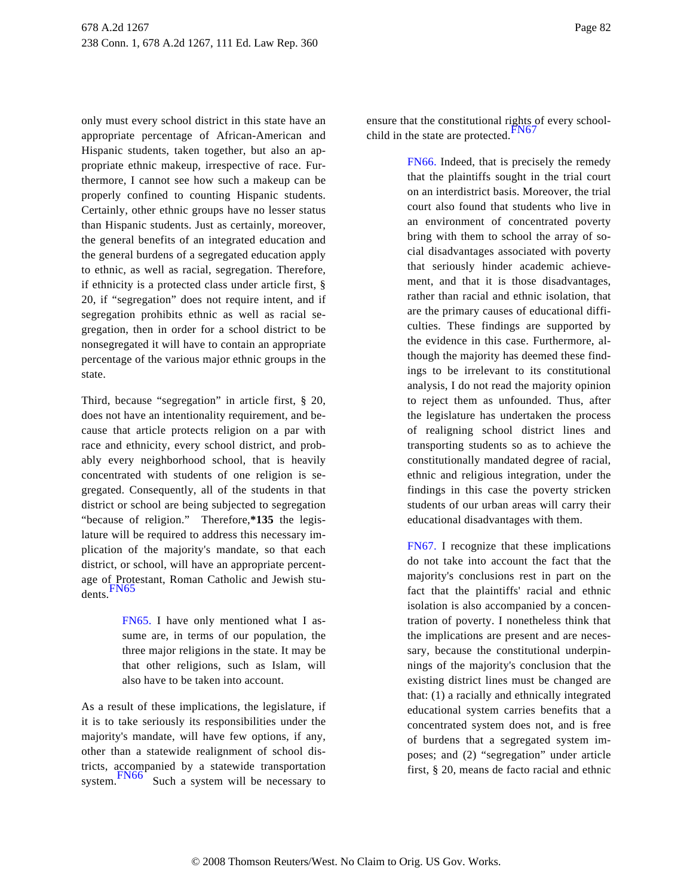<span id="page-81-5"></span><span id="page-81-2"></span>only must every school district in this state have an appropriate percentage of African-American and Hispanic students, taken together, but also an appropriate ethnic makeup, irrespective of race. Furthermore, I cannot see how such a makeup can be properly confined to counting Hispanic students. Certainly, other ethnic groups have no lesser status than Hispanic students. Just as certainly, moreover, the general benefits of an integrated education and the general burdens of a segregated education apply to ethnic, as well as racial, segregation. Therefore, if ethnicity is a protected class under article first, § 20, if "segregation" does not require intent, and if segregation prohibits ethnic as well as racial segregation, then in order for a school district to be nonsegregated it will have to contain an appropriate percentage of the various major ethnic groups in the state.

Third, because "segregation" in article first, § 20, does not have an intentionality requirement, and because that article protects religion on a par with race and ethnicity, every school district, and probably every neighborhood school, that is heavily concentrated with students of one religion is segregated. Consequently, all of the students in that district or school are being subjected to segregation "because of religion." Therefore,**\*135** the legislature will be required to address this necessary implication of the majority's mandate, so that each district, or school, will have an appropriate percentage of Protestant, Roman Catholic and Jewish students.[FN65](#page-81-0)

> <span id="page-81-3"></span><span id="page-81-1"></span><span id="page-81-0"></span>[FN65.](#page-81-1) I have only mentioned what I assume are, in terms of our population, the three major religions in the state. It may be that other religions, such as Islam, will also have to be taken into account.

<span id="page-81-4"></span>As a result of these implications, the legislature, if it is to take seriously its responsibilities under the majority's mandate, will have few options, if any, other than a statewide realignment of school districts, accompanied by a statewide transportation system. [FN66](#page-81-2) Such a system will be necessary to

ensure that the constitutional rights of every schoolchild in the state are protected. $\frac{FNO}{F}$ 

> [FN66.](#page-81-4) Indeed, that is precisely the remedy that the plaintiffs sought in the trial court on an interdistrict basis. Moreover, the trial court also found that students who live in an environment of concentrated poverty bring with them to school the array of social disadvantages associated with poverty that seriously hinder academic achievement, and that it is those disadvantages, rather than racial and ethnic isolation, that are the primary causes of educational difficulties. These findings are supported by the evidence in this case. Furthermore, although the majority has deemed these findings to be irrelevant to its constitutional analysis, I do not read the majority opinion to reject them as unfounded. Thus, after the legislature has undertaken the process of realigning school district lines and transporting students so as to achieve the constitutionally mandated degree of racial, ethnic and religious integration, under the findings in this case the poverty stricken students of our urban areas will carry their educational disadvantages with them.

> [FN67.](#page-81-5) I recognize that these implications do not take into account the fact that the majority's conclusions rest in part on the fact that the plaintiffs' racial and ethnic isolation is also accompanied by a concentration of poverty. I nonetheless think that the implications are present and are necessary, because the constitutional underpinnings of the majority's conclusion that the existing district lines must be changed are that: (1) a racially and ethnically integrated educational system carries benefits that a concentrated system does not, and is free of burdens that a segregated system imposes; and (2) "segregation" under article first, § 20, means de facto racial and ethnic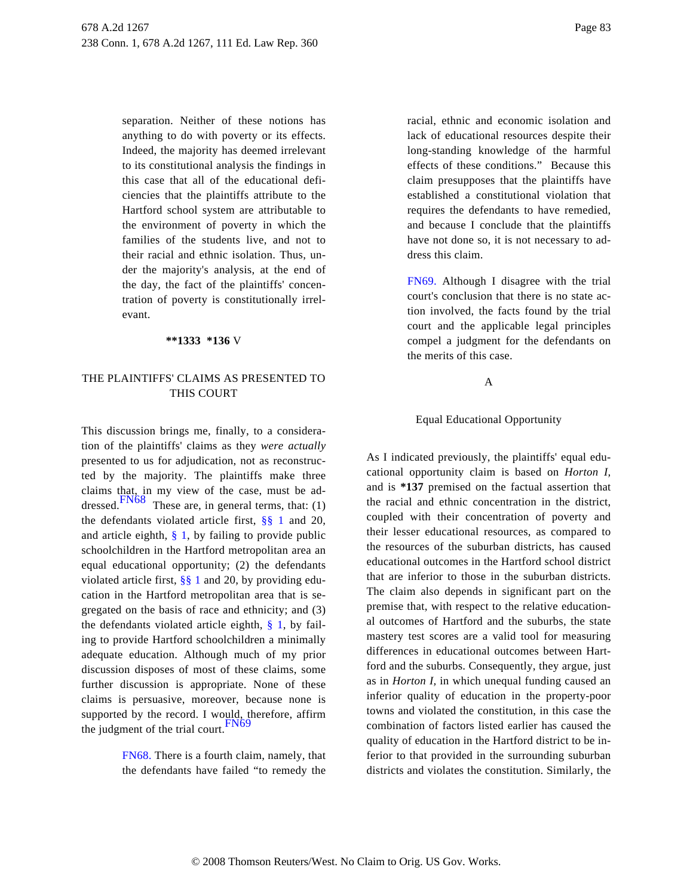separation. Neither of these notions has anything to do with poverty or its effects. Indeed, the majority has deemed irrelevant to its constitutional analysis the findings in this case that all of the educational deficiencies that the plaintiffs attribute to the Hartford school system are attributable to the environment of poverty in which the families of the students live, and not to their racial and ethnic isolation. Thus, under the majority's analysis, at the end of the day, the fact of the plaintiffs' concentration of poverty is constitutionally irrelevant.

#### **\*\*1333 \*136** V

# <span id="page-82-1"></span>THE PLAINTIFFS' CLAIMS AS PRESENTED TO THIS COURT

<span id="page-82-2"></span>This discussion brings me, finally, to a consideration of the plaintiffs' claims as they *were actually* presented to us for adjudication, not as reconstructed by the majority. The plaintiffs make three claims that, in my view of the case, must be ad-dressed. [FN68](#page-82-0) These are, in general terms, that: (1) the defendants violated article first, [§§ 1](http://www.westlaw.com/Find/Default.wl?rs=dfa1.0&vr=2.0&DB=1000264&DocName=CTCNART6S1&FindType=L) and 20, and article eighth,  $\S$  1, by failing to provide public schoolchildren in the Hartford metropolitan area an equal educational opportunity; (2) the defendants violated article first, [§§ 1](http://www.westlaw.com/Find/Default.wl?rs=dfa1.0&vr=2.0&DB=1000264&DocName=CTCNART6S1&FindType=L) and 20, by providing education in the Hartford metropolitan area that is segregated on the basis of race and ethnicity; and (3) the defendants violated article eighth,  $\S$  1, by failing to provide Hartford schoolchildren a minimally adequate education. Although much of my prior discussion disposes of most of these claims, some further discussion is appropriate. None of these claims is persuasive, moreover, because none is supported by the record. I would, therefore, affirm the judgment of the trial court. [FN69](#page-82-1)

> <span id="page-82-3"></span><span id="page-82-0"></span>[FN68.](#page-82-2) There is a fourth claim, namely, that the defendants have failed "to remedy the

racial, ethnic and economic isolation and lack of educational resources despite their long-standing knowledge of the harmful effects of these conditions." Because this claim presupposes that the plaintiffs have established a constitutional violation that requires the defendants to have remedied, and because I conclude that the plaintiffs have not done so, it is not necessary to address this claim.

[FN69.](#page-82-3) Although I disagree with the trial court's conclusion that there is no state action involved, the facts found by the trial court and the applicable legal principles compel a judgment for the defendants on the merits of this case.

## A

#### Equal Educational Opportunity

As I indicated previously, the plaintiffs' equal educational opportunity claim is based on *Horton I,* and is **\*137** premised on the factual assertion that the racial and ethnic concentration in the district, coupled with their concentration of poverty and their lesser educational resources, as compared to the resources of the suburban districts, has caused educational outcomes in the Hartford school district that are inferior to those in the suburban districts. The claim also depends in significant part on the premise that, with respect to the relative educational outcomes of Hartford and the suburbs, the state mastery test scores are a valid tool for measuring differences in educational outcomes between Hartford and the suburbs. Consequently, they argue, just as in *Horton I,* in which unequal funding caused an inferior quality of education in the property-poor towns and violated the constitution, in this case the combination of factors listed earlier has caused the quality of education in the Hartford district to be inferior to that provided in the surrounding suburban districts and violates the constitution. Similarly, the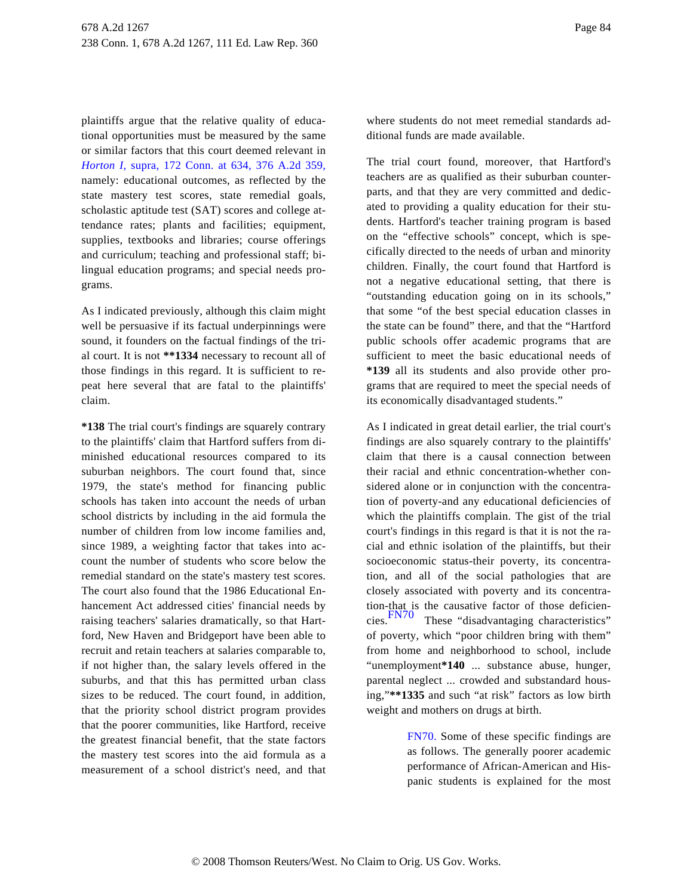plaintiffs argue that the relative quality of educational opportunities must be measured by the same or similar factors that this court deemed relevant in *[Horton I](http://www.westlaw.com/Find/Default.wl?rs=dfa1.0&vr=2.0&DB=162&FindType=Y&SerialNum=1977120164),* [supra, 172 Conn. at 634, 376 A.2d 3](http://www.westlaw.com/Find/Default.wl?rs=dfa1.0&vr=2.0&DB=162&FindType=Y&SerialNum=1977120164)59, namely: educational outcomes, as reflected by the state mastery test scores, state remedial goals, scholastic aptitude test (SAT) scores and college attendance rates; plants and facilities; equipment, supplies, textbooks and libraries; course offerings and curriculum; teaching and professional staff; bilingual education programs; and special needs programs.

As I indicated previously, although this claim might well be persuasive if its factual underpinnings were sound, it founders on the factual findings of the trial court. It is not **\*\*1334** necessary to recount all of those findings in this regard. It is sufficient to repeat here several that are fatal to the plaintiffs' claim.

<span id="page-83-1"></span><span id="page-83-0"></span>**\*138** The trial court's findings are squarely contrary to the plaintiffs' claim that Hartford suffers from diminished educational resources compared to its suburban neighbors. The court found that, since 1979, the state's method for financing public schools has taken into account the needs of urban school districts by including in the aid formula the number of children from low income families and, since 1989, a weighting factor that takes into account the number of students who score below the remedial standard on the state's mastery test scores. The court also found that the 1986 Educational Enhancement Act addressed cities' financial needs by raising teachers' salaries dramatically, so that Hartford, New Haven and Bridgeport have been able to recruit and retain teachers at salaries comparable to, if not higher than, the salary levels offered in the suburbs, and that this has permitted urban class sizes to be reduced. The court found, in addition, that the priority school district program provides that the poorer communities, like Hartford, receive the greatest financial benefit, that the state factors the mastery test scores into the aid formula as a measurement of a school district's need, and that where students do not meet remedial standards additional funds are made available.

The trial court found, moreover, that Hartford's teachers are as qualified as their suburban counterparts, and that they are very committed and dedicated to providing a quality education for their students. Hartford's teacher training program is based on the "effective schools" concept, which is specifically directed to the needs of urban and minority children. Finally, the court found that Hartford is not a negative educational setting, that there is "outstanding education going on in its schools," that some "of the best special education classes in the state can be found" there, and that the "Hartford public schools offer academic programs that are sufficient to meet the basic educational needs of **\*139** all its students and also provide other programs that are required to meet the special needs of its economically disadvantaged students."

As I indicated in great detail earlier, the trial court's findings are also squarely contrary to the plaintiffs' claim that there is a causal connection between their racial and ethnic concentration-whether considered alone or in conjunction with the concentration of poverty-and any educational deficiencies of which the plaintiffs complain. The gist of the trial court's findings in this regard is that it is not the racial and ethnic isolation of the plaintiffs, but their socioeconomic status-their poverty, its concentration, and all of the social pathologies that are closely associated with poverty and its concentration-that is the causative factor of those deficien-cies. [FN70](#page-83-0) These "disadvantaging characteristics" of poverty, which "poor children bring with them" from home and neighborhood to school, include "unemployment**\*140** ... substance abuse, hunger, parental neglect ... crowded and substandard housing,"**\*\*1335** and such "at risk" factors as low birth weight and mothers on drugs at birth.

> [FN70.](#page-83-1) Some of these specific findings are as follows. The generally poorer academic performance of African-American and Hispanic students is explained for the most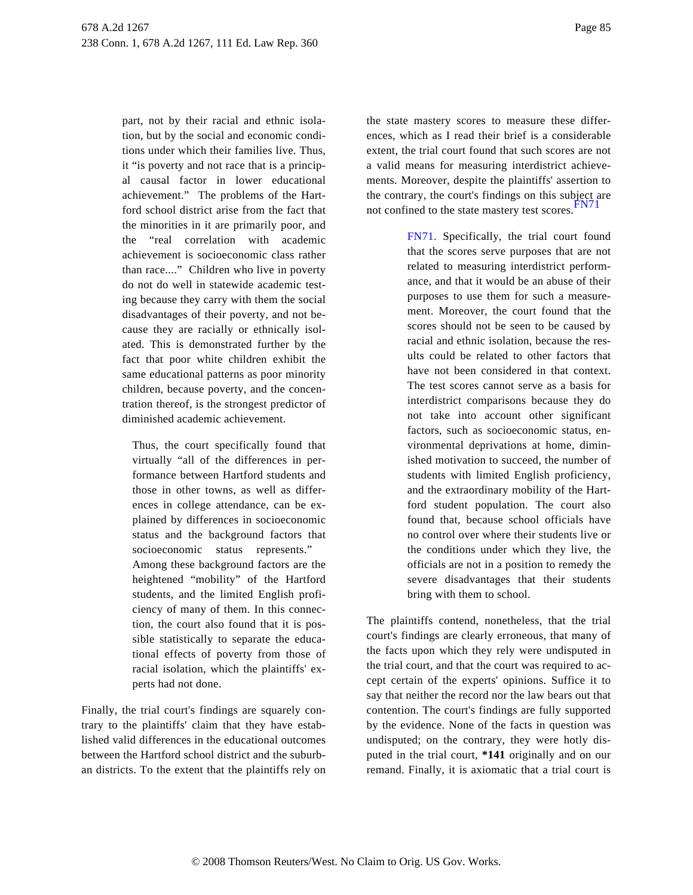<span id="page-84-1"></span><span id="page-84-0"></span>part, not by their racial and ethnic isolation, but by the social and economic conditions under which their families live. Thus, it "is poverty and not race that is a principal causal factor in lower educational achievement." The problems of the Hartford school district arise from the fact that the minorities in it are primarily poor, and the "real correlation with academic achievement is socioeconomic class rather than race...." Children who live in poverty do not do well in statewide academic testing because they carry with them the social disadvantages of their poverty, and not because they are racially or ethnically isolated. This is demonstrated further by the fact that poor white children exhibit the same educational patterns as poor minority children, because poverty, and the concentration thereof, is the strongest predictor of diminished academic achievement.

Thus, the court specifically found that virtually "all of the differences in performance between Hartford students and those in other towns, as well as differences in college attendance, can be explained by differences in socioeconomic status and the background factors that socioeconomic status represents." Among these background factors are the heightened "mobility" of the Hartford students, and the limited English proficiency of many of them. In this connection, the court also found that it is possible statistically to separate the educational effects of poverty from those of racial isolation, which the plaintiffs' experts had not done.

Finally, the trial court's findings are squarely contrary to the plaintiffs' claim that they have established valid differences in the educational outcomes between the Hartford school district and the suburban districts. To the extent that the plaintiffs rely on the state mastery scores to measure these differences, which as I read their brief is a considerable extent, the trial court found that such scores are not a valid means for measuring interdistrict achievements. Moreover, despite the plaintiffs' assertion to the contrary, the court's findings on this subject are not confined to the state mastery test scores.<sup>1</sup>

> [FN71.](#page-84-1) Specifically, the trial court found that the scores serve purposes that are not related to measuring interdistrict performance, and that it would be an abuse of their purposes to use them for such a measurement. Moreover, the court found that the scores should not be seen to be caused by racial and ethnic isolation, because the results could be related to other factors that have not been considered in that context. The test scores cannot serve as a basis for interdistrict comparisons because they do not take into account other significant factors, such as socioeconomic status, environmental deprivations at home, diminished motivation to succeed, the number of students with limited English proficiency, and the extraordinary mobility of the Hartford student population. The court also found that, because school officials have no control over where their students live or the conditions under which they live, the officials are not in a position to remedy the severe disadvantages that their students bring with them to school.

The plaintiffs contend, nonetheless, that the trial court's findings are clearly erroneous, that many of the facts upon which they rely were undisputed in the trial court, and that the court was required to accept certain of the experts' opinions. Suffice it to say that neither the record nor the law bears out that contention. The court's findings are fully supported by the evidence. None of the facts in question was undisputed; on the contrary, they were hotly disputed in the trial court, **\*141** originally and on our remand. Finally, it is axiomatic that a trial court is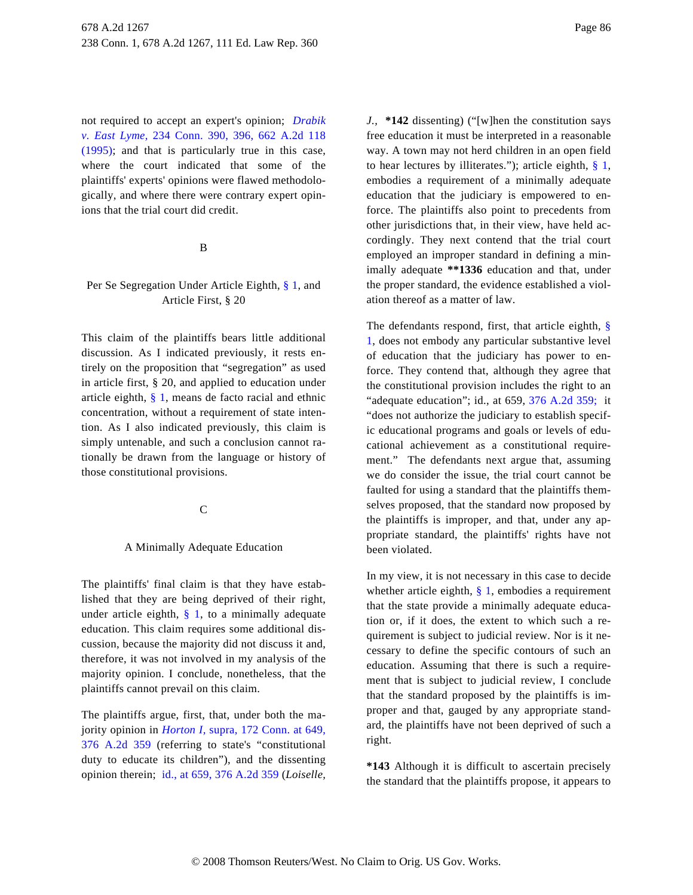not required to accept an expert's opinion; *[Drabik](http://www.westlaw.com/Find/Default.wl?rs=dfa1.0&vr=2.0&DB=162&FindType=Y&SerialNum=1995154660) [v. East Lyme](http://www.westlaw.com/Find/Default.wl?rs=dfa1.0&vr=2.0&DB=162&FindType=Y&SerialNum=1995154660),* [234 Conn. 390, 396, 662 A.2d 1](http://www.westlaw.com/Find/Default.wl?rs=dfa1.0&vr=2.0&DB=162&FindType=Y&SerialNum=1995154660)18 [\(1995\);](http://www.westlaw.com/Find/Default.wl?rs=dfa1.0&vr=2.0&DB=162&FindType=Y&SerialNum=1995154660) and that is particularly true in this case, where the court indicated that some of the plaintiffs' experts' opinions were flawed methodologically, and where there were contrary expert opinions that the trial court did credit.

## B

# Per Se Segregation Under Article Eighth, [§ 1](http://www.westlaw.com/Find/Default.wl?rs=dfa1.0&vr=2.0&DB=1000264&DocName=CTCNART6S1&FindType=L), and Article First, § 20

This claim of the plaintiffs bears little additional discussion. As I indicated previously, it rests entirely on the proposition that "segregation" as used in article first, § 20, and applied to education under article eighth, [§ 1](http://www.westlaw.com/Find/Default.wl?rs=dfa1.0&vr=2.0&DB=1000264&DocName=CTCNART6S1&FindType=L), means de facto racial and ethnic concentration, without a requirement of state intention. As I also indicated previously, this claim is simply untenable, and such a conclusion cannot rationally be drawn from the language or history of those constitutional provisions.

## C

## A Minimally Adequate Education

The plaintiffs' final claim is that they have established that they are being deprived of their right, under article eighth,  $\S$  1, to a minimally adequate education. This claim requires some additional discussion, because the majority did not discuss it and, therefore, it was not involved in my analysis of the majority opinion. I conclude, nonetheless, that the plaintiffs cannot prevail on this claim.

The plaintiffs argue, first, that, under both the majority opinion in *[Horton I](http://www.westlaw.com/Find/Default.wl?rs=dfa1.0&vr=2.0&DB=162&FindType=Y&SerialNum=1977120164),* [supra, 172 Conn. at 649,](http://www.westlaw.com/Find/Default.wl?rs=dfa1.0&vr=2.0&DB=162&FindType=Y&SerialNum=1977120164) [376 A.2d 35](http://www.westlaw.com/Find/Default.wl?rs=dfa1.0&vr=2.0&DB=162&FindType=Y&SerialNum=1977120164)9 (referring to state's "constitutional duty to educate its children"), and the dissenting opinion therein; [id., at 659, 376 A.2d 359](http://www.westlaw.com/Find/Default.wl?rs=dfa1.0&vr=2.0&DB=162&FindType=Y&SerialNum=1977120164) (*Loiselle,*

*J.,* **\*142** dissenting) ("[w]hen the constitution says free education it must be interpreted in a reasonable way. A town may not herd children in an open field to hear lectures by illiterates."); article eighth,  $\S$  1, embodies a requirement of a minimally adequate education that the judiciary is empowered to enforce. The plaintiffs also point to precedents from other jurisdictions that, in their view, have held accordingly. They next contend that the trial court employed an improper standard in defining a minimally adequate **\*\*1336** education and that, under the proper standard, the evidence established a violation thereof as a matter of law.

The defendants respond, first, that article eighth, [§](http://www.westlaw.com/Find/Default.wl?rs=dfa1.0&vr=2.0&DB=1000264&DocName=CTCNART6S1&FindType=L) [1](http://www.westlaw.com/Find/Default.wl?rs=dfa1.0&vr=2.0&DB=1000264&DocName=CTCNART6S1&FindType=L), does not embody any particular substantive level of education that the judiciary has power to enforce. They contend that, although they agree that the constitutional provision includes the right to an "adequate education"; id., at 659, [376 A.2d 359](http://www.westlaw.com/Find/Default.wl?rs=dfa1.0&vr=2.0&DB=162&FindType=Y&SerialNum=1977120164); it "does not authorize the judiciary to establish specific educational programs and goals or levels of educational achievement as a constitutional requirement." The defendants next argue that, assuming we do consider the issue, the trial court cannot be faulted for using a standard that the plaintiffs themselves proposed, that the standard now proposed by the plaintiffs is improper, and that, under any appropriate standard, the plaintiffs' rights have not been violated.

In my view, it is not necessary in this case to decide whether article eighth,  $\S 1$ , embodies a requirement that the state provide a minimally adequate education or, if it does, the extent to which such a requirement is subject to judicial review. Nor is it necessary to define the specific contours of such an education. Assuming that there is such a requirement that is subject to judicial review, I conclude that the standard proposed by the plaintiffs is improper and that, gauged by any appropriate standard, the plaintiffs have not been deprived of such a right.

**\*143** Although it is difficult to ascertain precisely the standard that the plaintiffs propose, it appears to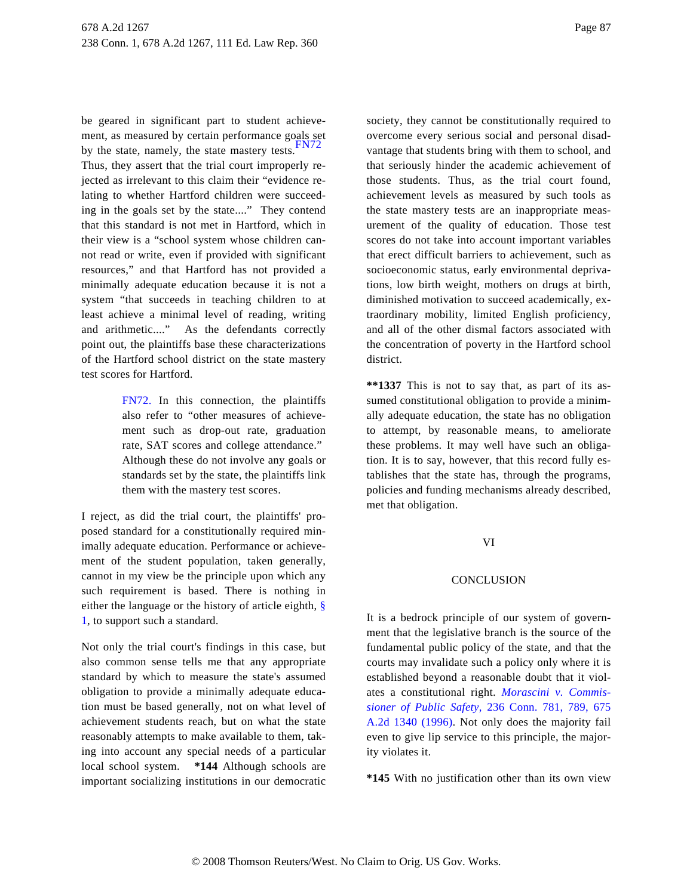be geared in significant part to student achievement, as measured by certain performance goals set by the state, namely, the state mastery tests. [FN72](#page-86-0)

<span id="page-86-1"></span>Thus, they assert that the trial court improperly rejected as irrelevant to this claim their "evidence relating to whether Hartford children were succeeding in the goals set by the state...." They contend that this standard is not met in Hartford, which in their view is a "school system whose children cannot read or write, even if provided with significant resources," and that Hartford has not provided a minimally adequate education because it is not a system "that succeeds in teaching children to at least achieve a minimal level of reading, writing and arithmetic...." As the defendants correctly point out, the plaintiffs base these characterizations of the Hartford school district on the state mastery test scores for Hartford.

> <span id="page-86-0"></span>[FN72.](#page-86-1) In this connection, the plaintiffs also refer to "other measures of achievement such as drop-out rate, graduation rate, SAT scores and college attendance." Although these do not involve any goals or standards set by the state, the plaintiffs link them with the mastery test scores.

I reject, as did the trial court, the plaintiffs' proposed standard for a constitutionally required minimally adequate education. Performance or achievement of the student population, taken generally, cannot in my view be the principle upon which any such requirement is based. There is nothing in either the language or the history of article eighth, [§](http://www.westlaw.com/Find/Default.wl?rs=dfa1.0&vr=2.0&DB=1000264&DocName=CTCNART6S1&FindType=L) [1](http://www.westlaw.com/Find/Default.wl?rs=dfa1.0&vr=2.0&DB=1000264&DocName=CTCNART6S1&FindType=L), to support such a standard.

Not only the trial court's findings in this case, but also common sense tells me that any appropriate standard by which to measure the state's assumed obligation to provide a minimally adequate education must be based generally, not on what level of achievement students reach, but on what the state reasonably attempts to make available to them, taking into account any special needs of a particular local school system. **\*144** Although schools are important socializing institutions in our democratic

society, they cannot be constitutionally required to overcome every serious social and personal disadvantage that students bring with them to school, and that seriously hinder the academic achievement of those students. Thus, as the trial court found, achievement levels as measured by such tools as the state mastery tests are an inappropriate measurement of the quality of education. Those test scores do not take into account important variables that erect difficult barriers to achievement, such as socioeconomic status, early environmental deprivations, low birth weight, mothers on drugs at birth, diminished motivation to succeed academically, extraordinary mobility, limited English proficiency, and all of the other dismal factors associated with the concentration of poverty in the Hartford school district.

**\*\*1337** This is not to say that, as part of its assumed constitutional obligation to provide a minimally adequate education, the state has no obligation to attempt, by reasonable means, to ameliorate these problems. It may well have such an obligation. It is to say, however, that this record fully establishes that the state has, through the programs, policies and funding mechanisms already described, met that obligation.

## VI

### **CONCLUSION**

It is a bedrock principle of our system of government that the legislative branch is the source of the fundamental public policy of the state, and that the courts may invalidate such a policy only where it is established beyond a reasonable doubt that it violates a constitutional right. *[Morascini v. Commis](http://www.westlaw.com/Find/Default.wl?rs=dfa1.0&vr=2.0&DB=162&FindType=Y&SerialNum=1996111500)[sioner of Public Safet](http://www.westlaw.com/Find/Default.wl?rs=dfa1.0&vr=2.0&DB=162&FindType=Y&SerialNum=1996111500)y,* [236 Conn. 781, 789, 67](http://www.westlaw.com/Find/Default.wl?rs=dfa1.0&vr=2.0&DB=162&FindType=Y&SerialNum=1996111500)5 [A.2d 1340 \(1996](http://www.westlaw.com/Find/Default.wl?rs=dfa1.0&vr=2.0&DB=162&FindType=Y&SerialNum=1996111500)). Not only does the majority fail even to give lip service to this principle, the majority violates it.

**\*145** With no justification other than its own view